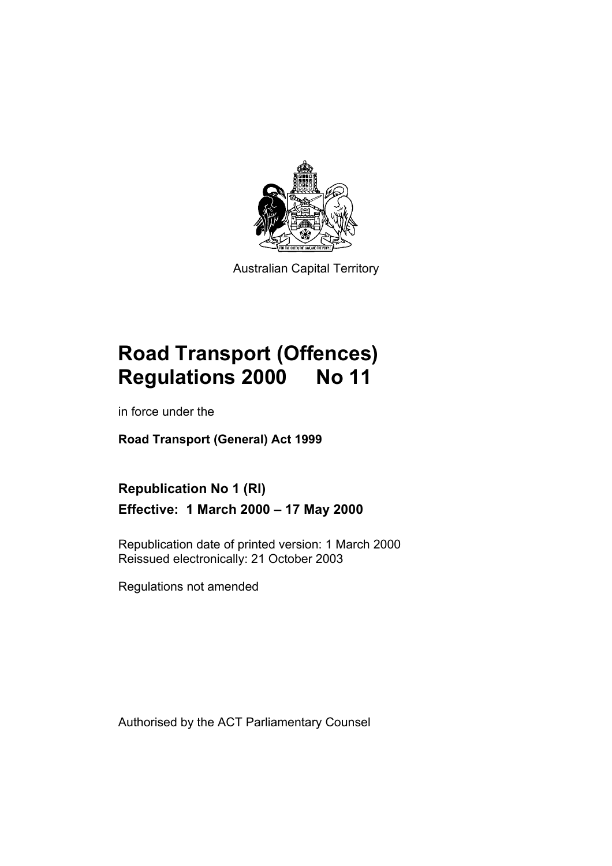

Australian Capital Territory

# **Road Transport (Offences) Regulations 2000 No 11**

in force under the

**Road Transport (General) Act 1999** 

**Republication No 1 (RI) Effective: 1 March 2000 – 17 May 2000** 

Republication date of printed version: 1 March 2000 Reissued electronically: 21 October 2003

Regulations not amended

Authorised by the ACT Parliamentary Counsel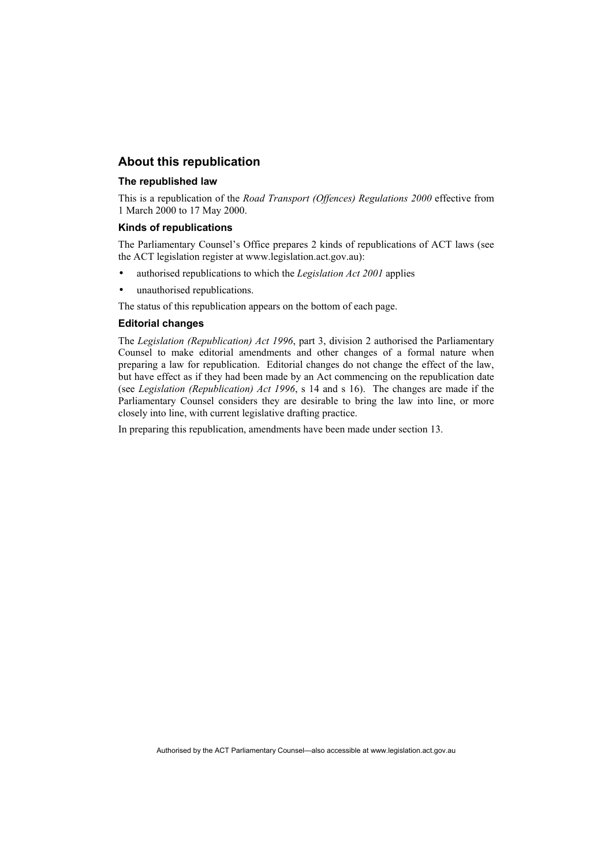#### **About this republication**

#### **The republished law**

This is a republication of the *Road Transport (Offences) Regulations 2000* effective from 1 March 2000 to 17 May 2000.

#### **Kinds of republications**

The Parliamentary Counsel's Office prepares 2 kinds of republications of ACT laws (see the ACT legislation register at www.legislation.act.gov.au):

- authorised republications to which the *Legislation Act 2001* applies
- unauthorised republications.

The status of this republication appears on the bottom of each page.

#### **Editorial changes**

The *Legislation (Republication) Act 1996*, part 3, division 2 authorised the Parliamentary Counsel to make editorial amendments and other changes of a formal nature when preparing a law for republication. Editorial changes do not change the effect of the law, but have effect as if they had been made by an Act commencing on the republication date (see *Legislation (Republication) Act 1996*, s 14 and s 16). The changes are made if the Parliamentary Counsel considers they are desirable to bring the law into line, or more closely into line, with current legislative drafting practice.

In preparing this republication, amendments have been made under section 13.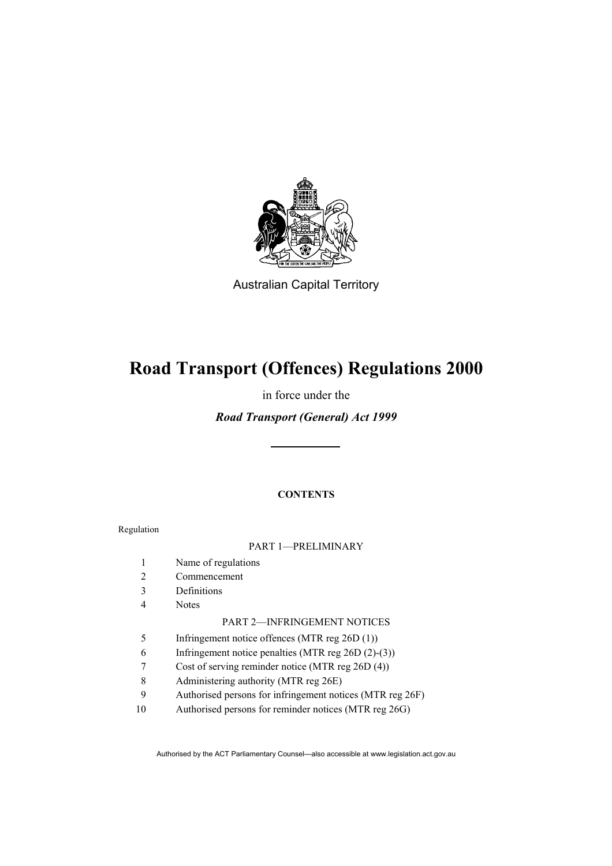

Australian Capital Territory

# **Road Transport (Offences) Regulations 2000**

in force under the

*Road Transport (General) Act 1999*

#### **CONTENTS**

#### Regulation

- 1 Name of regulations
- 2 Commencement
- 3 Definitions
- 4 Notes

#### PART 2—INFRINGEMENT NOTICES

- 5 Infringement notice offences (MTR reg 26D (1))
- 6 Infringement notice penalties (MTR reg 26D (2)-(3))
- 7 Cost of serving reminder notice (MTR reg 26D (4))
- 8 Administering authority (MTR reg 26E)
- 9 Authorised persons for infringement notices (MTR reg 26F)
- 10 Authorised persons for reminder notices (MTR reg 26G)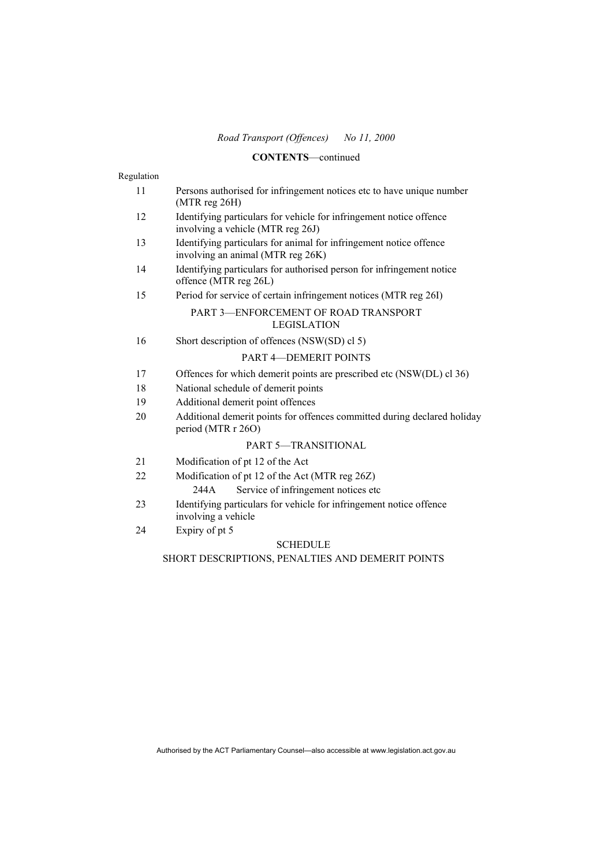#### **CONTENTS**—continued

| Regulation |                                                                                                          |
|------------|----------------------------------------------------------------------------------------------------------|
| 11         | Persons authorised for infringement notices etc to have unique number<br>$(MTR \, reg \, 26H)$           |
| 12         | Identifying particulars for vehicle for infringement notice offence<br>involving a vehicle (MTR reg 26J) |
| 13         | Identifying particulars for animal for infringement notice offence<br>involving an animal (MTR reg 26K)  |
| 14         | Identifying particulars for authorised person for infringement notice<br>offence (MTR reg 26L)           |
| 15         | Period for service of certain infringement notices (MTR reg 26I)                                         |
|            | PART 3-ENFORCEMENT OF ROAD TRANSPORT<br><b>LEGISLATION</b>                                               |
| 16         | Short description of offences (NSW(SD) cl 5)                                                             |
|            | <b>PART 4-DEMERIT POINTS</b>                                                                             |
| 17         | Offences for which demerit points are prescribed etc (NSW(DL) cl 36)                                     |
| 18         | National schedule of demerit points                                                                      |
| 19         | Additional demerit point offences                                                                        |
| 20         | Additional demerit points for offences committed during declared holiday<br>period (MTR r 26O)           |
|            | <b>PART 5-TRANSITIONAL</b>                                                                               |
| 21         | Modification of pt 12 of the Act                                                                         |
| 22         | Modification of pt 12 of the Act (MTR reg 26Z)                                                           |
|            | Service of infringement notices etc<br>244A                                                              |
| 23         | Identifying particulars for vehicle for infringement notice offence<br>involving a vehicle               |
| 24         | Expiry of pt 5                                                                                           |
|            | <b>SCHEDULE</b>                                                                                          |
|            | SHORT DESCRIPTIONS, PENALTIES AND DEMERIT POINTS                                                         |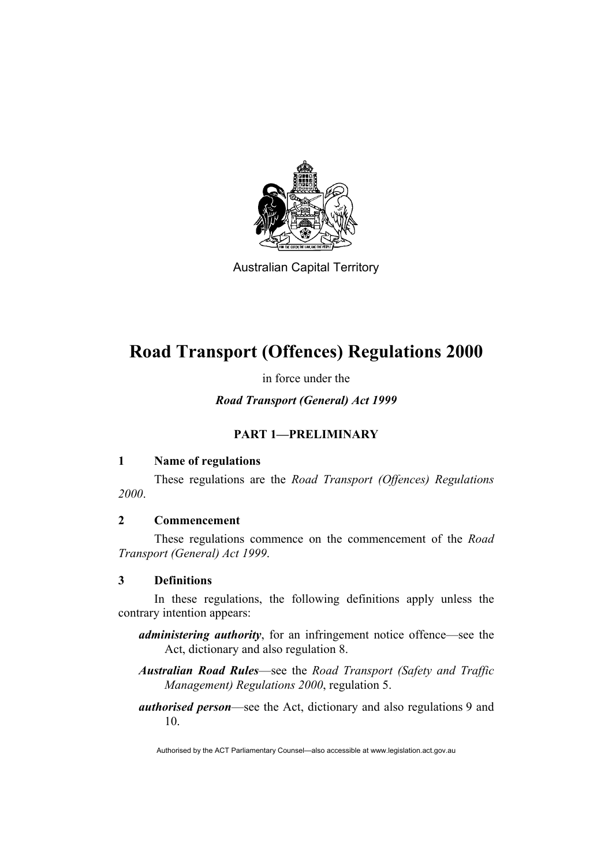

Australian Capital Territory

# **Road Transport (Offences) Regulations 2000**

in force under the

*Road Transport (General) Act 1999*

## **PART 1—PRELIMINARY**

### **1 Name of regulations**

 These regulations are the *Road Transport (Offences) Regulations 2000*.

### **2 Commencement**

 These regulations commence on the commencement of the *Road Transport (General) Act 1999*.

### **3 Definitions**

 In these regulations, the following definitions apply unless the contrary intention appears:

- *administering authority*, for an infringement notice offence—see the Act, dictionary and also regulation 8.
- *Australian Road Rules*—see the *Road Transport (Safety and Traffic Management) Regulations 2000*, regulation 5.
- *authorised person*—see the Act, dictionary and also regulations 9 and 10.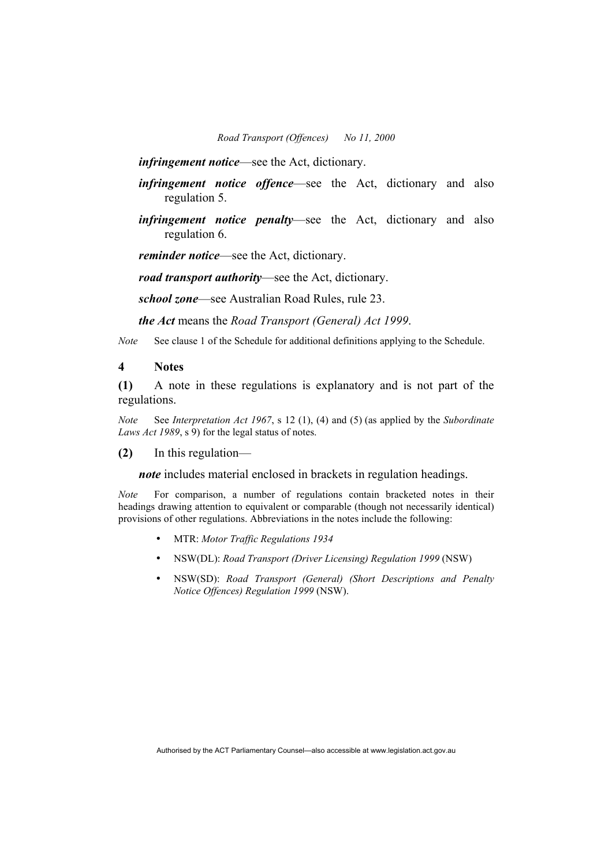- *infringement notice*—see the Act, dictionary.
- *infringement notice offence*—see the Act, dictionary and also regulation 5.
- *infringement notice penalty*—see the Act, dictionary and also regulation 6.

*reminder notice*—see the Act, dictionary.

*road transport authority*—see the Act, dictionary.

*school zone*—see Australian Road Rules, rule 23.

*the Act* means the *Road Transport (General) Act 1999*.

*Note* See clause 1 of the Schedule for additional definitions applying to the Schedule.

#### **4 Notes**

**(1)** A note in these regulations is explanatory and is not part of the regulations.

*Note* See *Interpretation Act 1967*, s 12 (1), (4) and (5) (as applied by the *Subordinate Laws Act 1989*, s 9) for the legal status of notes.

**(2)** In this regulation—

*note* includes material enclosed in brackets in regulation headings.

*Note* For comparison, a number of regulations contain bracketed notes in their headings drawing attention to equivalent or comparable (though not necessarily identical) provisions of other regulations. Abbreviations in the notes include the following:

- MTR: *Motor Traffic Regulations 1934*
- NSW(DL): *Road Transport (Driver Licensing) Regulation 1999* (NSW)
- NSW(SD): *Road Transport (General) (Short Descriptions and Penalty Notice Offences) Regulation 1999* (NSW).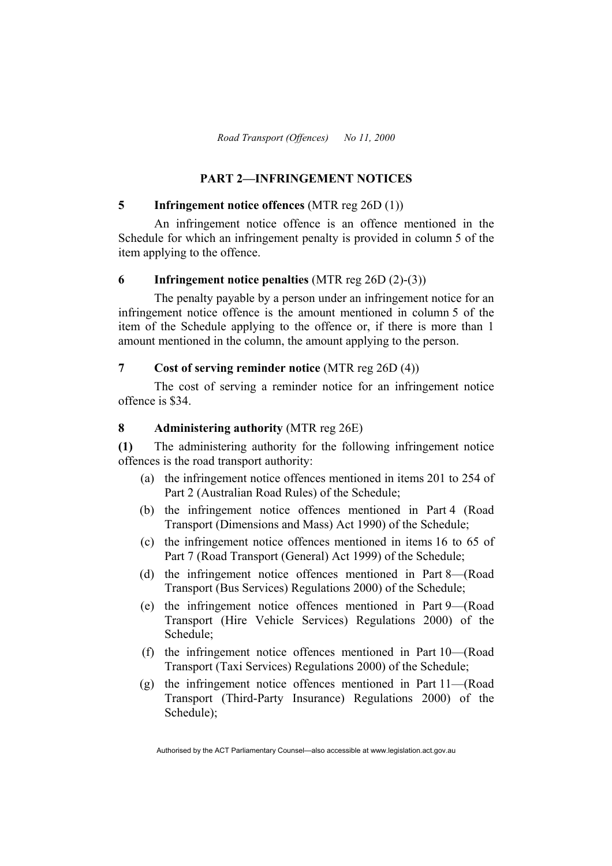#### **PART 2—INFRINGEMENT NOTICES**

#### **5 Infringement notice offences** (MTR reg 26D (1))

 An infringement notice offence is an offence mentioned in the Schedule for which an infringement penalty is provided in column 5 of the item applying to the offence.

#### **6 Infringement notice penalties** (MTR reg 26D (2)-(3))

 The penalty payable by a person under an infringement notice for an infringement notice offence is the amount mentioned in column 5 of the item of the Schedule applying to the offence or, if there is more than 1 amount mentioned in the column, the amount applying to the person.

#### **7 Cost of serving reminder notice** (MTR reg 26D (4))

 The cost of serving a reminder notice for an infringement notice offence is \$34.

#### **8 Administering authority** (MTR reg 26E)

**(1)** The administering authority for the following infringement notice offences is the road transport authority:

- (a) the infringement notice offences mentioned in items 201 to 254 of Part 2 (Australian Road Rules) of the Schedule;
- (b) the infringement notice offences mentioned in Part 4 (Road Transport (Dimensions and Mass) Act 1990) of the Schedule;
- (c) the infringement notice offences mentioned in items 16 to 65 of Part 7 (Road Transport (General) Act 1999) of the Schedule;
- (d) the infringement notice offences mentioned in Part 8—(Road Transport (Bus Services) Regulations 2000) of the Schedule;
- (e) the infringement notice offences mentioned in Part 9—(Road Transport (Hire Vehicle Services) Regulations 2000) of the Schedule;
- (f) the infringement notice offences mentioned in Part 10—(Road Transport (Taxi Services) Regulations 2000) of the Schedule;
- (g) the infringement notice offences mentioned in Part 11—(Road Transport (Third-Party Insurance) Regulations 2000) of the Schedule);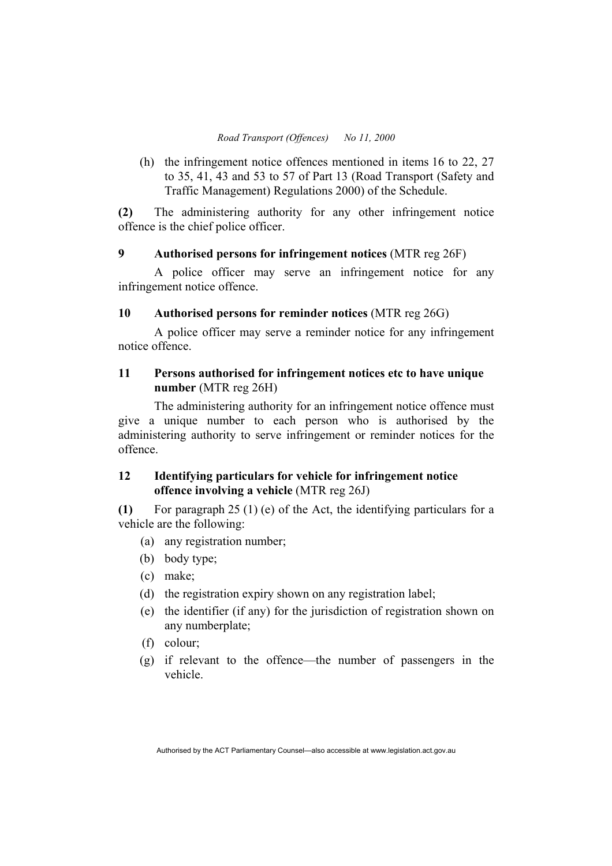(h) the infringement notice offences mentioned in items 16 to 22, 27 to 35, 41, 43 and 53 to 57 of Part 13 (Road Transport (Safety and Traffic Management) Regulations 2000) of the Schedule.

**(2)** The administering authority for any other infringement notice offence is the chief police officer.

#### **9 Authorised persons for infringement notices** (MTR reg 26F)

 A police officer may serve an infringement notice for any infringement notice offence.

#### **10 Authorised persons for reminder notices** (MTR reg 26G)

 A police officer may serve a reminder notice for any infringement notice offence.

### **11 Persons authorised for infringement notices etc to have unique number** (MTR reg 26H)

 The administering authority for an infringement notice offence must give a unique number to each person who is authorised by the administering authority to serve infringement or reminder notices for the offence.

### **12 Identifying particulars for vehicle for infringement notice offence involving a vehicle** (MTR reg 26J)

**(1)** For paragraph 25 (1) (e) of the Act, the identifying particulars for a vehicle are the following:

- (a) any registration number;
- (b) body type;
- (c) make;
- (d) the registration expiry shown on any registration label;
- (e) the identifier (if any) for the jurisdiction of registration shown on any numberplate;
- (f) colour;
- (g) if relevant to the offence—the number of passengers in the vehicle.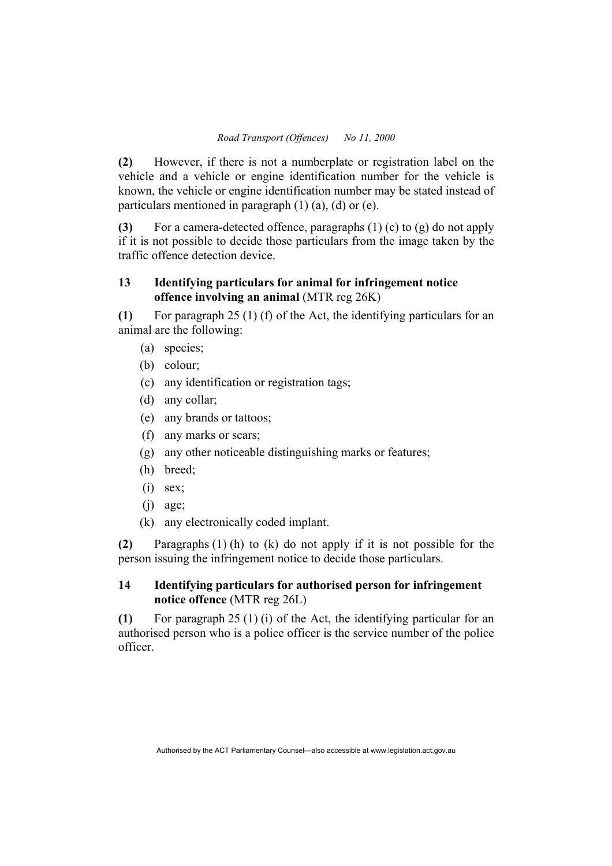**(2)** However, if there is not a numberplate or registration label on the vehicle and a vehicle or engine identification number for the vehicle is known, the vehicle or engine identification number may be stated instead of particulars mentioned in paragraph (1) (a), (d) or (e).

**(3)** For a camera-detected offence, paragraphs (1) (c) to (g) do not apply if it is not possible to decide those particulars from the image taken by the traffic offence detection device.

#### **13 Identifying particulars for animal for infringement notice offence involving an animal** (MTR reg 26K)

**(1)** For paragraph 25 (1) (f) of the Act, the identifying particulars for an animal are the following:

- (a) species;
- (b) colour;
- (c) any identification or registration tags;
- (d) any collar;
- (e) any brands or tattoos;
- (f) any marks or scars;
- (g) any other noticeable distinguishing marks or features;
- (h) breed;
- $(i)$  sex;
- $(i)$  age;
- (k) any electronically coded implant.

**(2)** Paragraphs (1) (h) to (k) do not apply if it is not possible for the person issuing the infringement notice to decide those particulars.

### **14 Identifying particulars for authorised person for infringement notice offence** (MTR reg 26L)

**(1)** For paragraph 25 (1) (i) of the Act, the identifying particular for an authorised person who is a police officer is the service number of the police officer.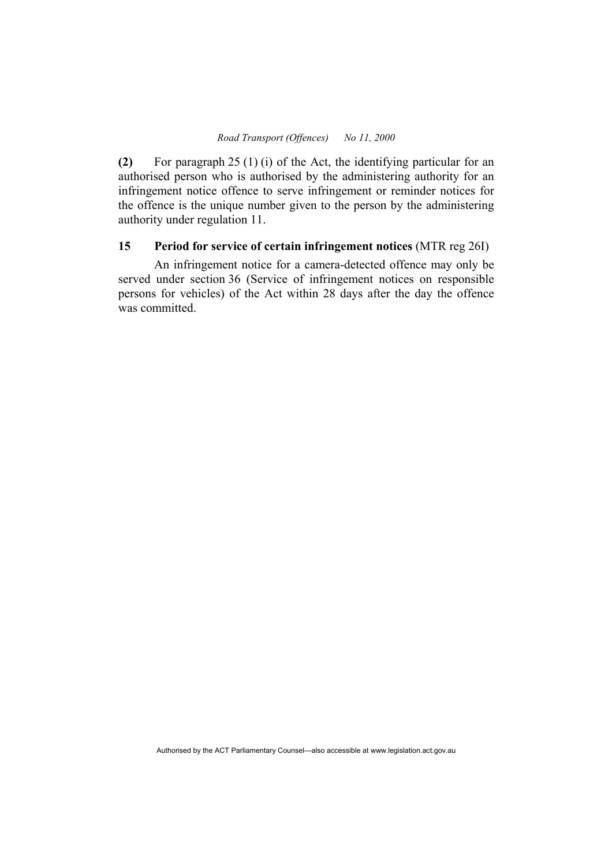**(2)** For paragraph 25 (1) (i) of the Act, the identifying particular for an authorised person who is authorised by the administering authority for an infringement notice offence to serve infringement or reminder notices for the offence is the unique number given to the person by the administering authority under regulation 11.

#### **15 Period for service of certain infringement notices** (MTR reg 26I)

 An infringement notice for a camera-detected offence may only be served under section 36 (Service of infringement notices on responsible persons for vehicles) of the Act within 28 days after the day the offence was committed.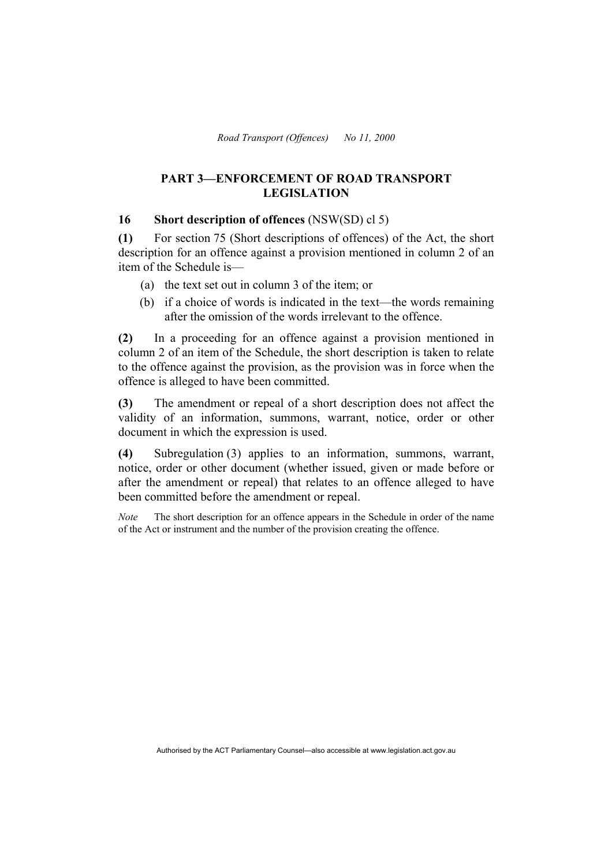#### **PART 3—ENFORCEMENT OF ROAD TRANSPORT LEGISLATION**

#### **16 Short description of offences** (NSW(SD) cl 5)

**(1)** For section 75 (Short descriptions of offences) of the Act, the short description for an offence against a provision mentioned in column 2 of an item of the Schedule is—

- (a) the text set out in column 3 of the item; or
- (b) if a choice of words is indicated in the text—the words remaining after the omission of the words irrelevant to the offence.

**(2)** In a proceeding for an offence against a provision mentioned in column 2 of an item of the Schedule, the short description is taken to relate to the offence against the provision, as the provision was in force when the offence is alleged to have been committed.

**(3)** The amendment or repeal of a short description does not affect the validity of an information, summons, warrant, notice, order or other document in which the expression is used.

**(4)** Subregulation (3) applies to an information, summons, warrant, notice, order or other document (whether issued, given or made before or after the amendment or repeal) that relates to an offence alleged to have been committed before the amendment or repeal.

*Note* The short description for an offence appears in the Schedule in order of the name of the Act or instrument and the number of the provision creating the offence.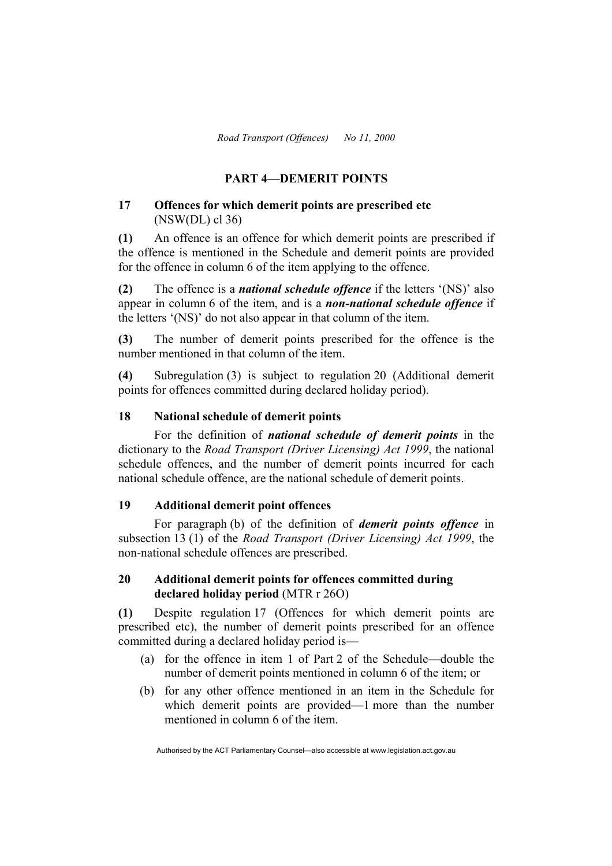#### **PART 4—DEMERIT POINTS**

#### **17 Offences for which demerit points are prescribed etc**  (NSW(DL) cl 36)

**(1)** An offence is an offence for which demerit points are prescribed if the offence is mentioned in the Schedule and demerit points are provided for the offence in column 6 of the item applying to the offence.

**(2)** The offence is a *national schedule offence* if the letters '(NS)' also appear in column 6 of the item, and is a *non-national schedule offence* if the letters '(NS)' do not also appear in that column of the item.

**(3)** The number of demerit points prescribed for the offence is the number mentioned in that column of the item.

**(4)** Subregulation (3) is subject to regulation 20 (Additional demerit points for offences committed during declared holiday period).

#### **18 National schedule of demerit points**

 For the definition of *national schedule of demerit points* in the dictionary to the *Road Transport (Driver Licensing) Act 1999*, the national schedule offences, and the number of demerit points incurred for each national schedule offence, are the national schedule of demerit points.

#### **19 Additional demerit point offences**

For paragraph (b) of the definition of *demerit points offence* in subsection 13 (1) of the *Road Transport (Driver Licensing) Act 1999*, the non-national schedule offences are prescribed.

#### **20 Additional demerit points for offences committed during declared holiday period** (MTR r 26O)

**(1)** Despite regulation 17 (Offences for which demerit points are prescribed etc), the number of demerit points prescribed for an offence committed during a declared holiday period is—

- (a) for the offence in item 1 of Part 2 of the Schedule—double the number of demerit points mentioned in column 6 of the item; or
- (b) for any other offence mentioned in an item in the Schedule for which demerit points are provided—1 more than the number mentioned in column 6 of the item.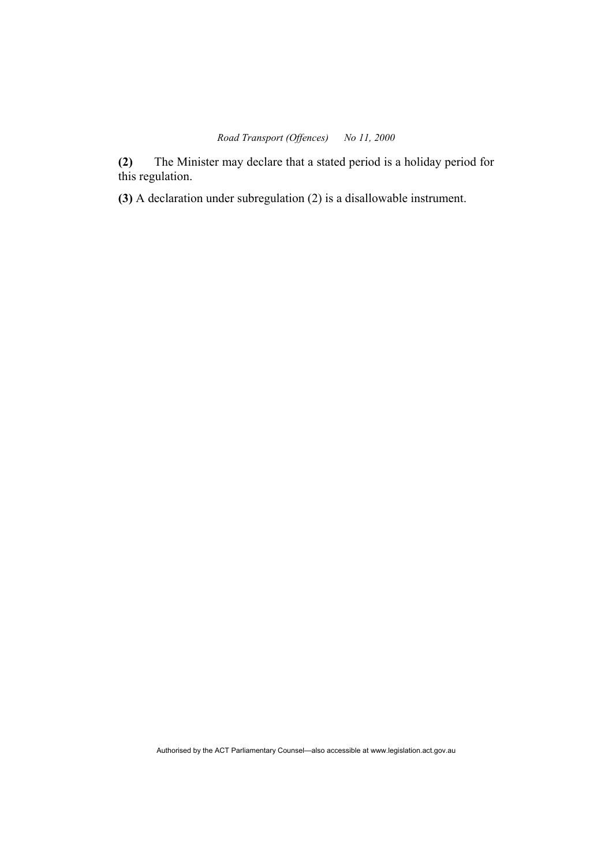**(2)** The Minister may declare that a stated period is a holiday period for this regulation.

**(3)** A declaration under subregulation (2) is a disallowable instrument.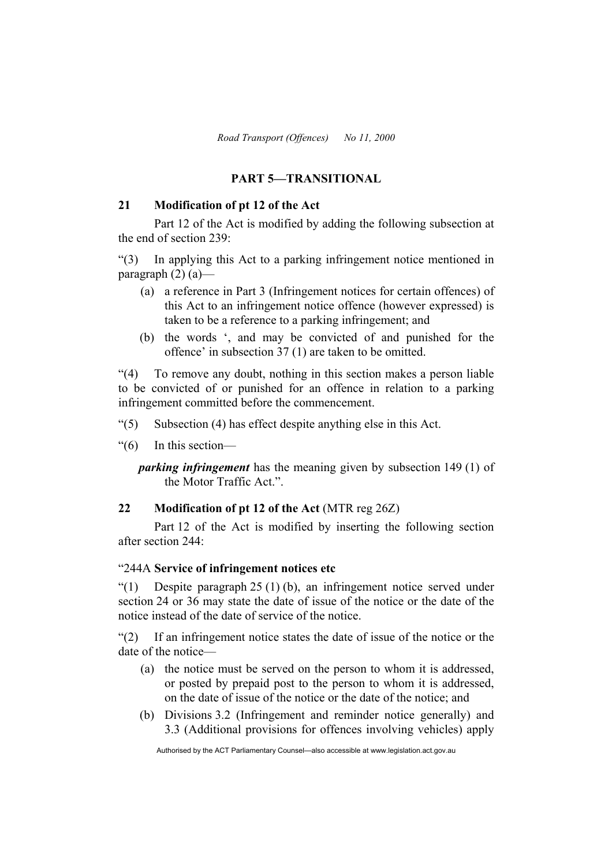### **PART 5—TRANSITIONAL**

#### **21 Modification of pt 12 of the Act**

Part 12 of the Act is modified by adding the following subsection at the end of section 239:

"(3) In applying this Act to a parking infringement notice mentioned in paragraph  $(2)$  (a)—

- (a) a reference in Part 3 (Infringement notices for certain offences) of this Act to an infringement notice offence (however expressed) is taken to be a reference to a parking infringement; and
- (b) the words ', and may be convicted of and punished for the offence' in subsection 37 (1) are taken to be omitted.

"(4) To remove any doubt, nothing in this section makes a person liable to be convicted of or punished for an offence in relation to a parking infringement committed before the commencement.

- "(5) Subsection (4) has effect despite anything else in this Act.
- "(6) In this section—

*parking infringement* has the meaning given by subsection 149 (1) of the Motor Traffic Act.".

#### **22 Modification of pt 12 of the Act** (MTR reg 26Z)

 Part 12 of the Act is modified by inserting the following section after section 244:

#### "244A **Service of infringement notices etc**

"(1) Despite paragraph  $25(1)(b)$ , an infringement notice served under section 24 or 36 may state the date of issue of the notice or the date of the notice instead of the date of service of the notice.

"(2) If an infringement notice states the date of issue of the notice or the date of the notice—

- (a) the notice must be served on the person to whom it is addressed, or posted by prepaid post to the person to whom it is addressed, on the date of issue of the notice or the date of the notice; and
- (b) Divisions 3.2 (Infringement and reminder notice generally) and 3.3 (Additional provisions for offences involving vehicles) apply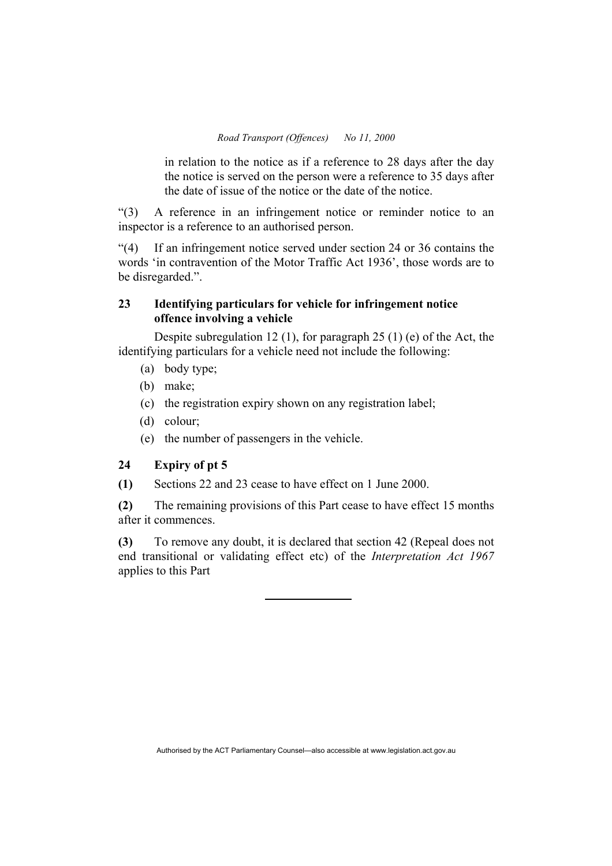in relation to the notice as if a reference to 28 days after the day the notice is served on the person were a reference to 35 days after the date of issue of the notice or the date of the notice.

"(3) A reference in an infringement notice or reminder notice to an inspector is a reference to an authorised person.

"(4) If an infringement notice served under section 24 or 36 contains the words 'in contravention of the Motor Traffic Act 1936', those words are to be disregarded.".

### **23 Identifying particulars for vehicle for infringement notice offence involving a vehicle**

Despite subregulation 12 (1), for paragraph 25 (1) (e) of the Act, the identifying particulars for a vehicle need not include the following:

- (a) body type;
- (b) make;
- (c) the registration expiry shown on any registration label;
- (d) colour;
- (e) the number of passengers in the vehicle.

#### **24 Expiry of pt 5**

**(1)** Sections 22 and 23 cease to have effect on 1 June 2000.

**(2)** The remaining provisions of this Part cease to have effect 15 months after it commences.

**(3)** To remove any doubt, it is declared that section 42 (Repeal does not end transitional or validating effect etc) of the *Interpretation Act 1967* applies to this Part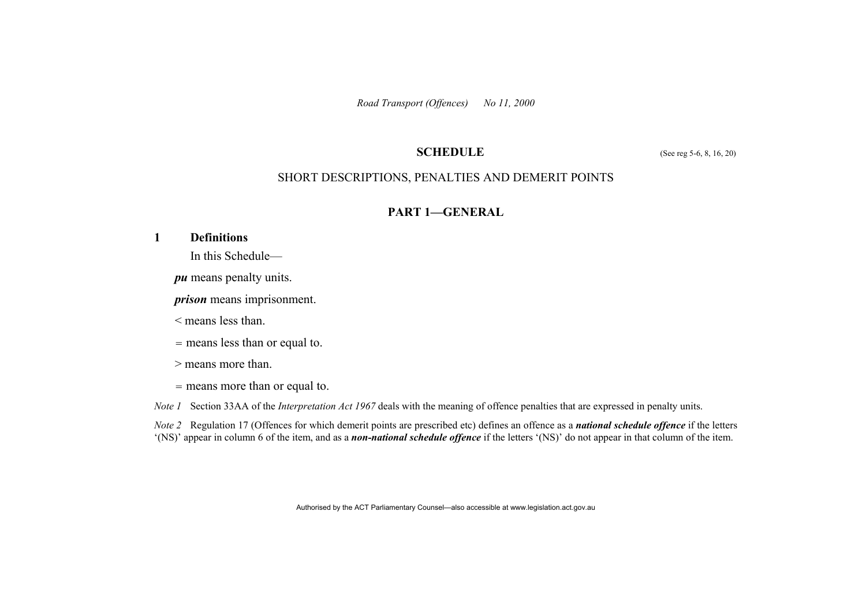#### **SCHEDULE** (See reg 5-6, 8, 16, 20)

#### SHORT DESCRIPTIONS, PENALTIES AND DEMERIT POINTS

### **PART 1—GENERAL**

### **1 Definitions**

In this Schedule—

*pu* means penalty units.

*prison* means imprisonment.

< means less than.

<sup>=</sup> means less than or equal to.

> means more than.

<sup>=</sup> means more than or equal to.

*Note 1* Section 33AA of the *Interpretation Act 1967* deals with the meaning of offence penalties that are expressed in penalty units.

*Note 2* Regulation 17 (Offences for which demerit points are prescribed etc) defines an offence as a *national schedule offence* if the letters '(NS)' appear in column 6 of the item, and as a *non-national schedule offence* if the letters '(NS)' do not appear in that column of the item.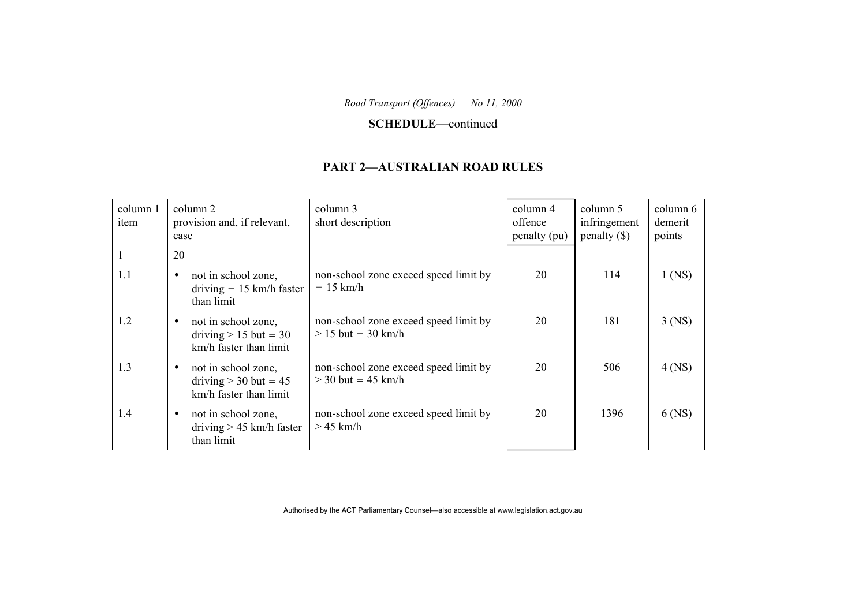#### **SCHEDULE**—continued

#### **PART 2—AUSTRALIAN ROAD RULES**

| column 1<br>item | column 2<br>provision and, if relevant,<br>case                                       | column 3<br>short description                                 | column 4<br>offence<br>penalty (pu) | column 5<br>infringement<br>$penalty$ (\$) | column 6<br>demerit<br>points |
|------------------|---------------------------------------------------------------------------------------|---------------------------------------------------------------|-------------------------------------|--------------------------------------------|-------------------------------|
|                  | 20                                                                                    |                                                               |                                     |                                            |                               |
| 1.1              | not in school zone,<br>$driving = 15$ km/h faster<br>than limit                       | non-school zone exceed speed limit by<br>$= 15$ km/h          | 20                                  | 114                                        | $1$ (NS)                      |
| 1.2              | not in school zone,<br>$\bullet$<br>driving $> 15$ but = 30<br>km/h faster than limit | non-school zone exceed speed limit by<br>$> 15$ but = 30 km/h | 20                                  | 181                                        | $3$ (NS)                      |
| 1.3              | not in school zone,<br>$\bullet$<br>driving $>$ 30 but = 45<br>km/h faster than limit | non-school zone exceed speed limit by<br>$>$ 30 but = 45 km/h | 20                                  | 506                                        | $4$ (NS)                      |
| 1.4              | not in school zone,<br>$\bullet$<br>driving $> 45$ km/h faster<br>than limit          | non-school zone exceed speed limit by<br>$>45$ km/h           | 20                                  | 1396                                       | 6 (NS)                        |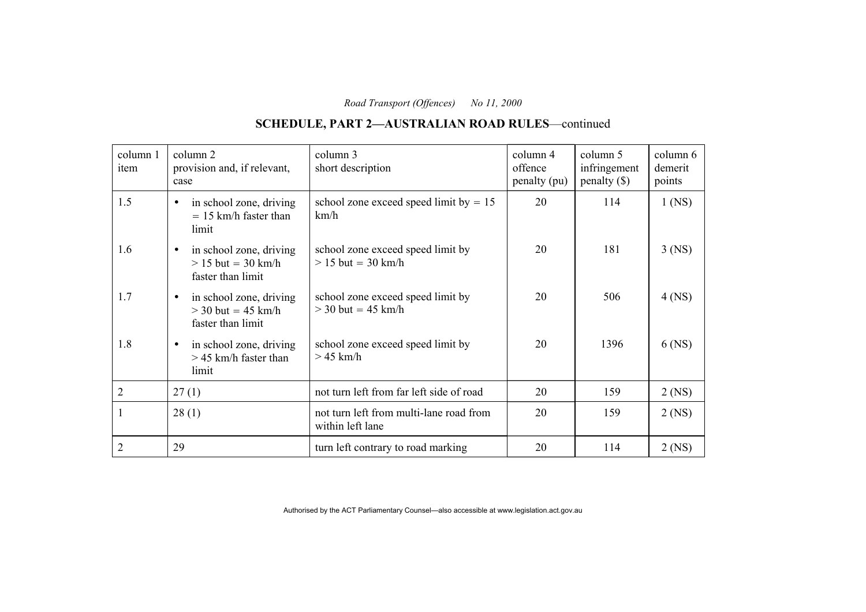## **SCHEDULE, PART 2—AUSTRALIAN ROAD RULES**—continued

| column 1<br>item | column 2<br>provision and, if relevant,<br>case                                   | column 3<br>short description                               | column 4<br>offence<br>penalty (pu) | column 5<br>infringement<br>penalty $(\$)$ | column 6<br>demerit<br>points |
|------------------|-----------------------------------------------------------------------------------|-------------------------------------------------------------|-------------------------------------|--------------------------------------------|-------------------------------|
| 1.5              | in school zone, driving<br>$\bullet$<br>$= 15$ km/h faster than<br>limit          | school zone exceed speed limit by $= 15$<br>km/h            | 20                                  | 114                                        | $1$ (NS)                      |
| 1.6              | in school zone, driving<br>$\bullet$<br>$> 15$ but = 30 km/h<br>faster than limit | school zone exceed speed limit by<br>$> 15$ but = 30 km/h   | 20                                  | 181                                        | $3$ (NS)                      |
| 1.7              | in school zone, driving<br>$\bullet$<br>$>$ 30 but = 45 km/h<br>faster than limit | school zone exceed speed limit by<br>$>$ 30 but = 45 km/h   | 20                                  | 506                                        | $4$ (NS)                      |
| 1.8              | in school zone, driving<br>$\bullet$<br>$>$ 45 km/h faster than<br>limit          | school zone exceed speed limit by<br>$>45$ km/h             | 20                                  | 1396                                       | $6$ (NS)                      |
| $\overline{2}$   | 27(1)                                                                             | not turn left from far left side of road                    | 20                                  | 159                                        | $2$ (NS)                      |
|                  | 28(1)                                                                             | not turn left from multi-lane road from<br>within left lane | 20                                  | 159                                        | $2$ (NS)                      |
| $\overline{2}$   | 29                                                                                | turn left contrary to road marking                          | 20                                  | 114                                        | $2$ (NS)                      |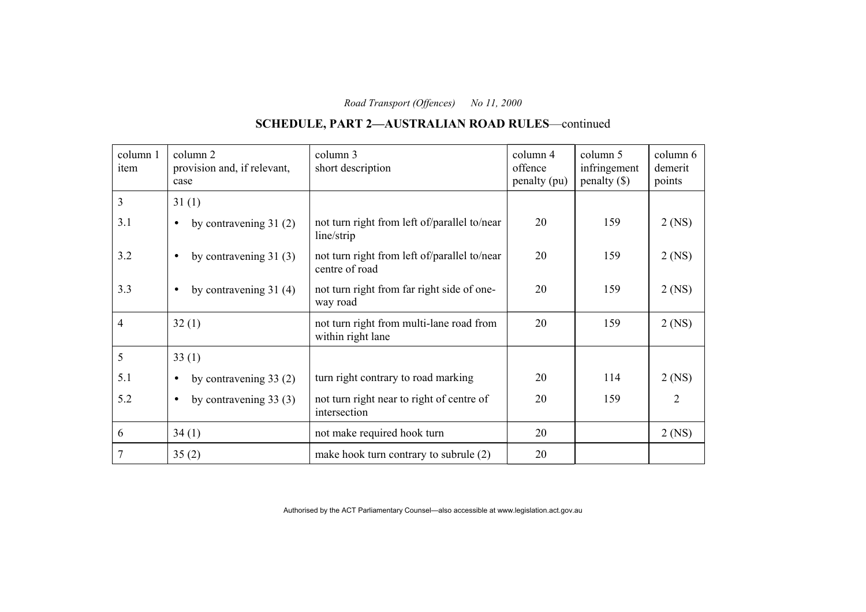## **SCHEDULE, PART 2—AUSTRALIAN ROAD RULES**—continued

| column 1<br>item | column 2<br>provision and, if relevant,<br>case | column 3<br>short description                                  | column 4<br>offence<br>penalty (pu) | column 5<br>infringement<br>$penalty$ (\$) | column 6<br>demerit<br>points |
|------------------|-------------------------------------------------|----------------------------------------------------------------|-------------------------------------|--------------------------------------------|-------------------------------|
| 3                | 31(1)                                           |                                                                |                                     |                                            |                               |
| 3.1              | by contravening $31(2)$<br>$\bullet$            | not turn right from left of/parallel to/near<br>line/strip     | 20                                  | 159                                        | $2$ (NS)                      |
| 3.2              | by contravening $31(3)$<br>$\bullet$            | not turn right from left of/parallel to/near<br>centre of road | 20                                  | 159                                        | $2$ (NS)                      |
| 3.3              | by contravening $31(4)$<br>$\bullet$            | not turn right from far right side of one-<br>way road         | 20                                  | 159                                        | $2$ (NS)                      |
| $\overline{4}$   | 32(1)                                           | not turn right from multi-lane road from<br>within right lane  | 20                                  | 159                                        | $2$ (NS)                      |
| 5                | 33(1)                                           |                                                                |                                     |                                            |                               |
| 5.1              | by contravening $33(2)$<br>$\bullet$            | turn right contrary to road marking                            | 20                                  | 114                                        | $2$ (NS)                      |
| 5.2              | by contravening $33(3)$<br>$\bullet$            | not turn right near to right of centre of<br>intersection      | 20                                  | 159                                        | 2                             |
| 6                | 34(1)                                           | not make required hook turn                                    | 20                                  |                                            | $2$ (NS)                      |
| $\overline{7}$   | 35(2)                                           | make hook turn contrary to subrule (2)                         | 20                                  |                                            |                               |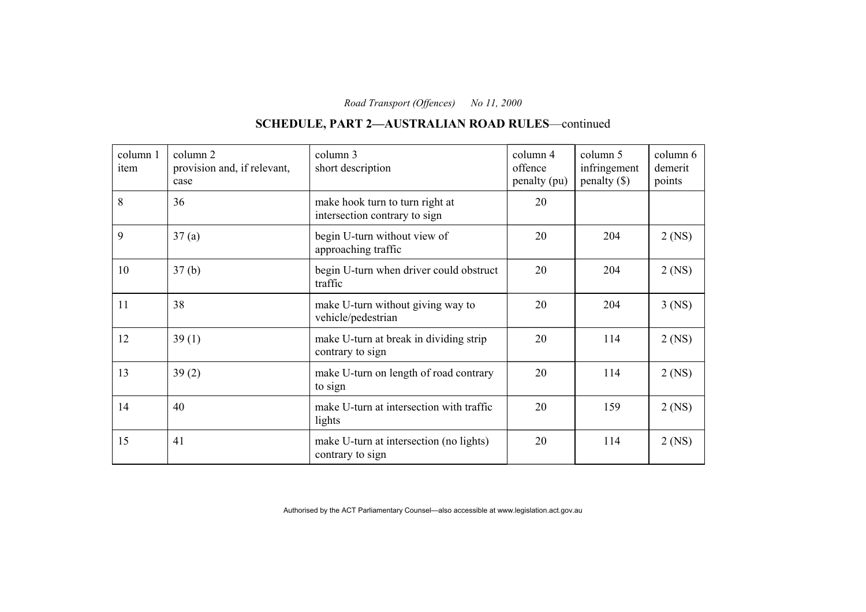## **SCHEDULE, PART 2—AUSTRALIAN ROAD RULES**—continued

| column 1<br>item | column 2<br>provision and, if relevant,<br>case | column 3<br>short description                                    | column 4<br>offence<br>penalty (pu) | column 5<br>infringement<br>$penalty$ (\$) | column 6<br>demerit<br>points |
|------------------|-------------------------------------------------|------------------------------------------------------------------|-------------------------------------|--------------------------------------------|-------------------------------|
| 8                | 36                                              | make hook turn to turn right at<br>intersection contrary to sign | 20                                  |                                            |                               |
| 9                | 37(a)                                           | begin U-turn without view of<br>approaching traffic              | 20                                  | 204                                        | $2$ (NS)                      |
| 10               | 37(b)                                           | begin U-turn when driver could obstruct<br>traffic               | 20                                  | 204                                        | $2$ (NS)                      |
| 11               | 38                                              | make U-turn without giving way to<br>vehicle/pedestrian          | 20                                  | 204                                        | $3$ (NS)                      |
| 12               | 39(1)                                           | make U-turn at break in dividing strip<br>contrary to sign       | 20                                  | 114                                        | $2$ (NS)                      |
| 13               | 39(2)                                           | make U-turn on length of road contrary<br>to sign                | 20                                  | 114                                        | $2$ (NS)                      |
| 14               | 40                                              | make U-turn at intersection with traffic<br>lights               | 20                                  | 159                                        | $2$ (NS)                      |
| 15               | 41                                              | make U-turn at intersection (no lights)<br>contrary to sign      | 20                                  | 114                                        | $2$ (NS)                      |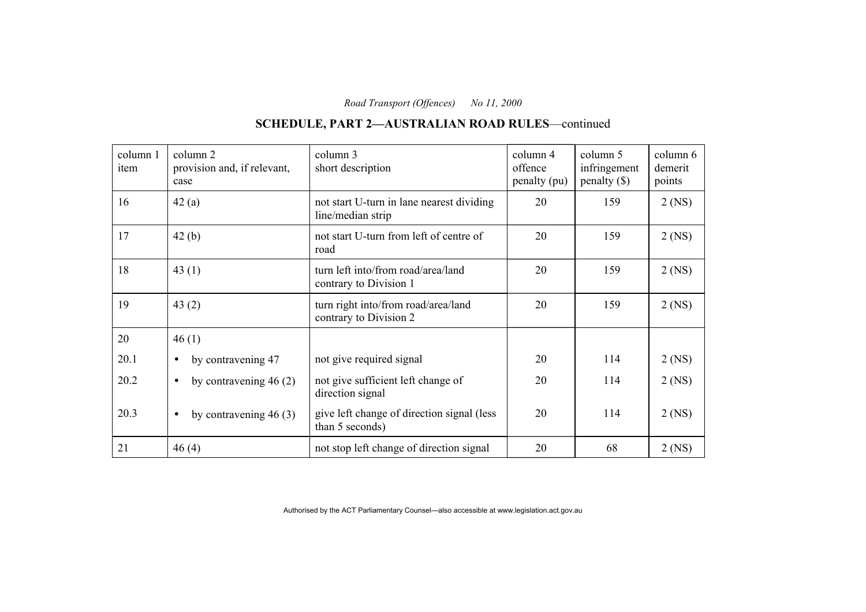## **SCHEDULE, PART 2—AUSTRALIAN ROAD RULES**—continued

| column 1<br>item | column 2<br>provision and, if relevant,<br>case | column 3<br>short description                                  | column 4<br>offence<br>penalty (pu) | column 5<br>infringement<br>$penalty$ (\$) | column 6<br>demerit<br>points |
|------------------|-------------------------------------------------|----------------------------------------------------------------|-------------------------------------|--------------------------------------------|-------------------------------|
| 16               | 42(a)                                           | not start U-turn in lane nearest dividing<br>line/median strip | 20                                  | 159                                        | $2$ (NS)                      |
| 17               | 42(b)                                           | not start U-turn from left of centre of<br>road                | 20                                  | 159                                        | $2$ (NS)                      |
| 18               | 43 $(1)$                                        | turn left into/from road/area/land<br>contrary to Division 1   | 20                                  | 159                                        | $2$ (NS)                      |
| 19               | 43(2)                                           | turn right into/from road/area/land<br>contrary to Division 2  | 20                                  | 159                                        | $2$ (NS)                      |
| 20               | 46(1)                                           |                                                                |                                     |                                            |                               |
| 20.1             | by contravening 47<br>$\bullet$                 | not give required signal                                       | 20                                  | 114                                        | $2$ (NS)                      |
| 20.2             | by contravening $46(2)$<br>$\bullet$            | not give sufficient left change of<br>direction signal         | 20                                  | 114                                        | $2$ (NS)                      |
| 20.3             | by contravening $46(3)$<br>$\bullet$            | give left change of direction signal (less<br>than 5 seconds)  | 20                                  | 114                                        | $2$ (NS)                      |
| 21               | 46(4)                                           | not stop left change of direction signal                       | 20                                  | 68                                         | $2$ (NS)                      |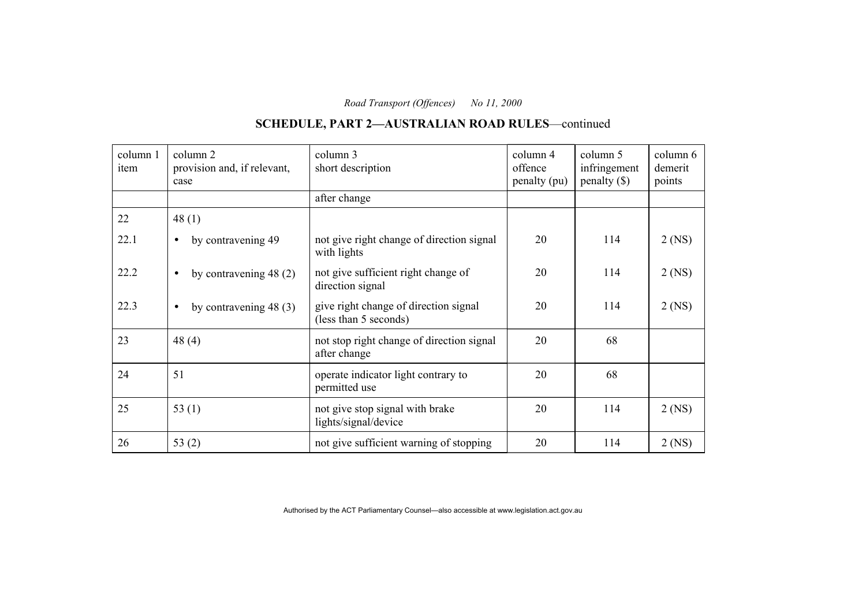## **SCHEDULE, PART 2—AUSTRALIAN ROAD RULES**—continued

| column 1<br>item | column 2<br>provision and, if relevant,<br>case | column 3<br>short description                                  | column 4<br>offence<br>penalty (pu) | column 5<br>infringement<br>$penalty$ (\$) | column 6<br>demerit<br>points |
|------------------|-------------------------------------------------|----------------------------------------------------------------|-------------------------------------|--------------------------------------------|-------------------------------|
|                  |                                                 | after change                                                   |                                     |                                            |                               |
| 22               | 48(1)                                           |                                                                |                                     |                                            |                               |
| 22.1             | by contravening 49<br>$\bullet$                 | not give right change of direction signal<br>with lights       | 20                                  | 114                                        | $2$ (NS)                      |
| 22.2             | by contravening $48(2)$<br>$\bullet$            | not give sufficient right change of<br>direction signal        | 20                                  | 114                                        | $2$ (NS)                      |
| 22.3             | by contravening $48(3)$<br>$\bullet$            | give right change of direction signal<br>(less than 5 seconds) | 20                                  | 114                                        | $2$ (NS)                      |
| 23               | 48(4)                                           | not stop right change of direction signal<br>after change      | 20                                  | 68                                         |                               |
| 24               | 51                                              | operate indicator light contrary to<br>permitted use           | 20                                  | 68                                         |                               |
| 25               | 53 $(1)$                                        | not give stop signal with brake<br>lights/signal/device        | 20                                  | 114                                        | $2$ (NS)                      |
| 26               | 53 $(2)$                                        | not give sufficient warning of stopping                        | 20                                  | 114                                        | $2$ (NS)                      |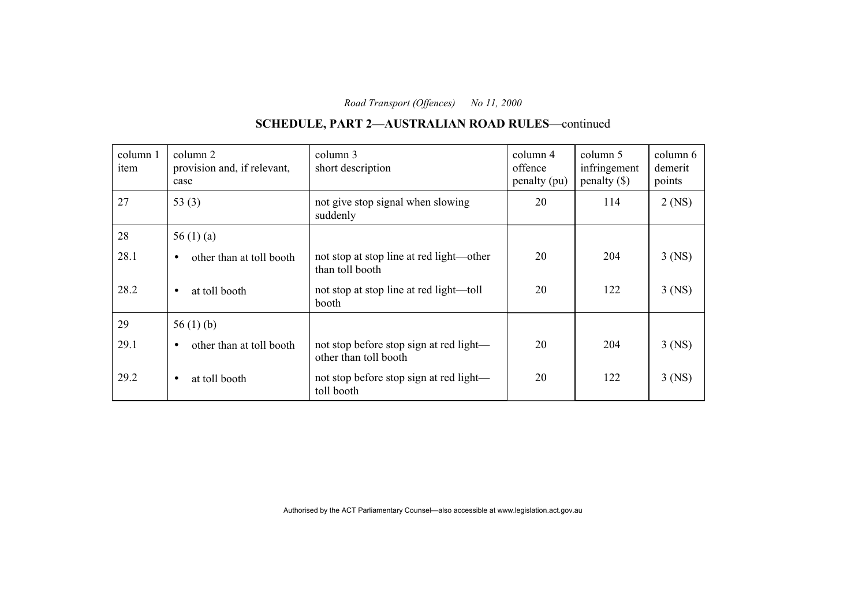## **SCHEDULE, PART 2—AUSTRALIAN ROAD RULES**—continued

| column 1<br>item | column 2<br>provision and, if relevant,<br>case | column 3<br>short description                                    | column 4<br>offence<br>penalty (pu) | column 5<br>infringement<br>penalty $(\$)$ | column 6<br>demerit<br>points |
|------------------|-------------------------------------------------|------------------------------------------------------------------|-------------------------------------|--------------------------------------------|-------------------------------|
| 27               | 53 $(3)$                                        | not give stop signal when slowing<br>suddenly                    | 20                                  | 114                                        | $2$ (NS)                      |
| 28               | 56 $(1)$ $(a)$                                  |                                                                  |                                     |                                            |                               |
| 28.1             | other than at toll booth<br>$\bullet$           | not stop at stop line at red light—other<br>than toll booth      | 20                                  | 204                                        | $3$ (NS)                      |
| 28.2             | at toll booth<br>$\bullet$                      | not stop at stop line at red light—toll<br>booth                 | 20                                  | 122                                        | $3$ (NS)                      |
| 29               | 56 $(1)$ (b)                                    |                                                                  |                                     |                                            |                               |
| 29.1             | other than at toll booth<br>$\bullet$           | not stop before stop sign at red light—<br>other than toll booth | 20                                  | 204                                        | $3$ (NS)                      |
| 29.2             | at toll booth<br>$\bullet$                      | not stop before stop sign at red light—<br>toll booth            | 20                                  | 122                                        | $3$ (NS)                      |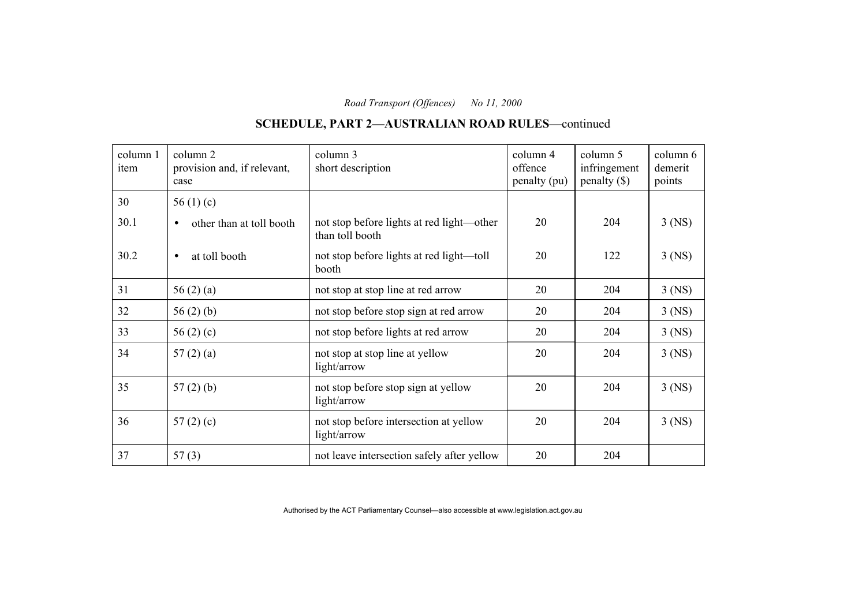## **SCHEDULE, PART 2—AUSTRALIAN ROAD RULES**—continued

| column 1<br>item | column 2<br>provision and, if relevant,<br>case | column 3<br>short description                                | column 4<br>offence<br>penalty (pu) | column 5<br>infringement<br>penalty $(\$)$ | column 6<br>demerit<br>points |
|------------------|-------------------------------------------------|--------------------------------------------------------------|-------------------------------------|--------------------------------------------|-------------------------------|
| 30               | 56 $(1)(c)$                                     |                                                              |                                     |                                            |                               |
| 30.1             | other than at toll booth<br>$\bullet$           | not stop before lights at red light—other<br>than toll booth | 20                                  | 204                                        | $3$ (NS)                      |
| 30.2             | at toll booth<br>$\bullet$                      | not stop before lights at red light—toll<br>booth            | 20                                  | 122                                        | $3$ (NS)                      |
| 31               | 56 $(2)$ $(a)$                                  | not stop at stop line at red arrow                           | 20                                  | 204                                        | $3$ (NS)                      |
| 32               | 56(2)(b)                                        | not stop before stop sign at red arrow                       | 20                                  | 204                                        | $3$ (NS)                      |
| 33               | 56 $(2)$ $(c)$                                  | not stop before lights at red arrow                          | 20                                  | 204                                        | $3$ (NS)                      |
| 34               | 57(2)(a)                                        | not stop at stop line at yellow<br>light/arrow               | 20                                  | 204                                        | $3$ (NS)                      |
| 35               | 57(2)(b)                                        | not stop before stop sign at yellow<br>light/arrow           | 20                                  | 204                                        | $3$ (NS)                      |
| 36               | 57 $(2)$ $(c)$                                  | not stop before intersection at yellow<br>light/arrow        | 20                                  | 204                                        | $3$ (NS)                      |
| 37               | 57(3)                                           | not leave intersection safely after yellow                   | 20                                  | 204                                        |                               |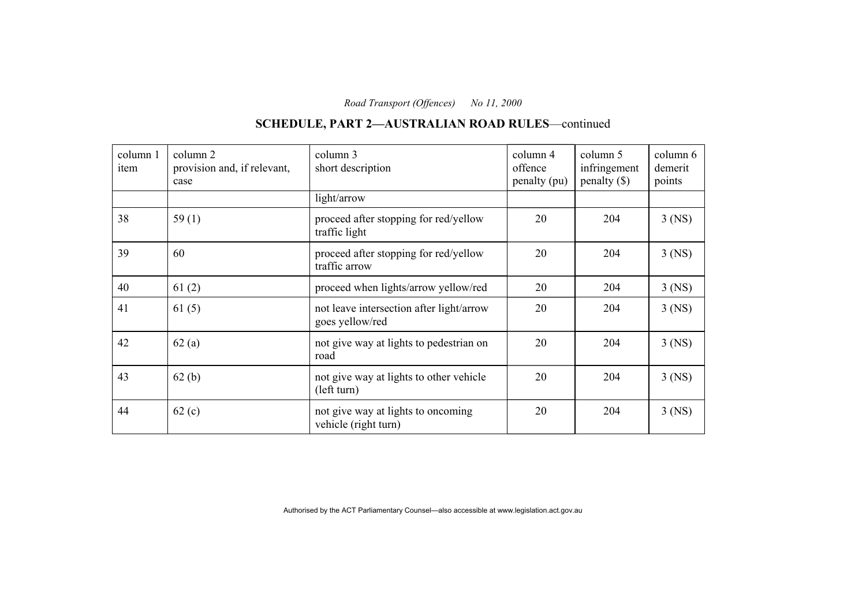#### column 1 item column 2 provision and, if relevant, case column 3 short description column 4 offence penalty (pu) column 5 infringement penalty (\$) column 6 demerit points light/arrow  $38$  | 59 (1) | proceed after stopping for red/yellow traffic light 20 204 3 (NS) 39 60 proceed after stopping for red/yellow traffic arrow 20 204 3 (NS) 40  $\begin{array}{|c|c|c|c|c|c|c|c|c|} \hline 61 (2) & \quad & \text{proceed when lights/arrow yellow/red} & 20 & 204 & 3 (NS) \ \hline \end{array}$ 41 61 (5) not leave intersection after light/arrow goes yellow/red 20 | 204 | 3 (NS) 42  $\int$  62 (a) not give way at lights to pedestrian on road 20 204 3 (NS) 43 62 (b) not give way at lights to other vehicle (left turn) 20 204 3 (NS) 44  $\vert$  62 (c)  $\vert$  not give way at lights to oncoming vehicle (right turn) 20 204 3 (NS)

**SCHEDULE, PART 2—AUSTRALIAN ROAD RULES**—continued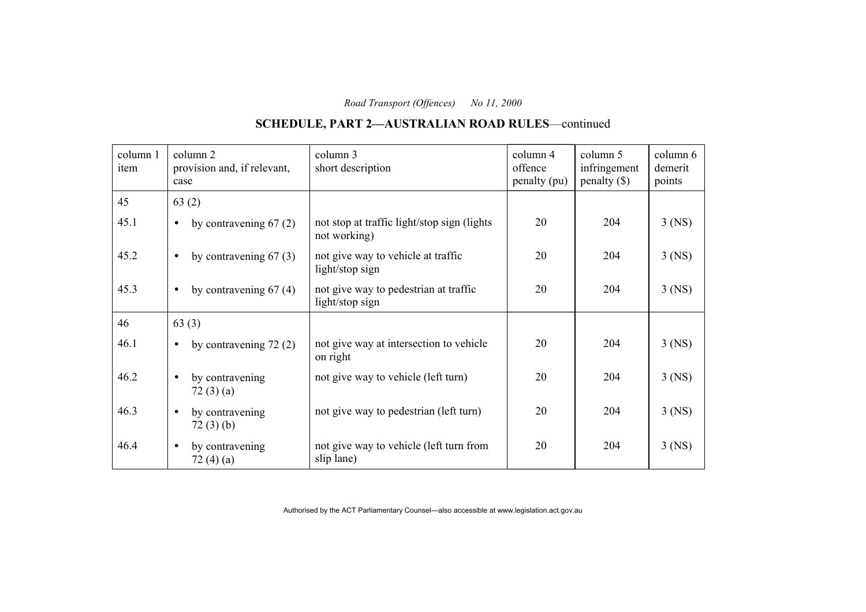## **SCHEDULE, PART 2—AUSTRALIAN ROAD RULES**—continued

| column 1<br>item | column 2<br>provision and, if relevant,<br>case | column 3<br>short description                                | column 4<br>offence<br>penalty (pu) | column 5<br>infringement<br>$penalty$ (\$) | column 6<br>demerit<br>points |
|------------------|-------------------------------------------------|--------------------------------------------------------------|-------------------------------------|--------------------------------------------|-------------------------------|
| 45               | 63(2)                                           |                                                              |                                     |                                            |                               |
| 45.1             | by contravening $67(2)$<br>$\bullet$            | not stop at traffic light/stop sign (lights)<br>not working) | 20                                  | 204                                        | $3$ (NS)                      |
| 45.2             | by contravening $67(3)$<br>$\bullet$            | not give way to vehicle at traffic<br>light/stop sign        | 20                                  | 204                                        | $3$ (NS)                      |
| 45.3             | by contravening $67(4)$<br>$\bullet$            | not give way to pedestrian at traffic<br>light/stop sign     | 20                                  | 204                                        | $3$ (NS)                      |
| 46               | 63(3)                                           |                                                              |                                     |                                            |                               |
| 46.1             | by contravening $72(2)$<br>$\bullet$            | not give way at intersection to vehicle<br>on right          | 20                                  | 204                                        | $3$ (NS)                      |
| 46.2             | by contravening<br>$\bullet$<br>72(3)(a)        | not give way to vehicle (left turn)                          | 20                                  | 204                                        | $3$ (NS)                      |
| 46.3             | by contravening<br>$\bullet$<br>72(3)(b)        | not give way to pedestrian (left turn)                       | 20                                  | 204                                        | $3$ (NS)                      |
| 46.4             | by contravening<br>$\bullet$<br>72 $(4)(a)$     | not give way to vehicle (left turn from<br>slip lane)        | 20                                  | 204                                        | $3$ (NS)                      |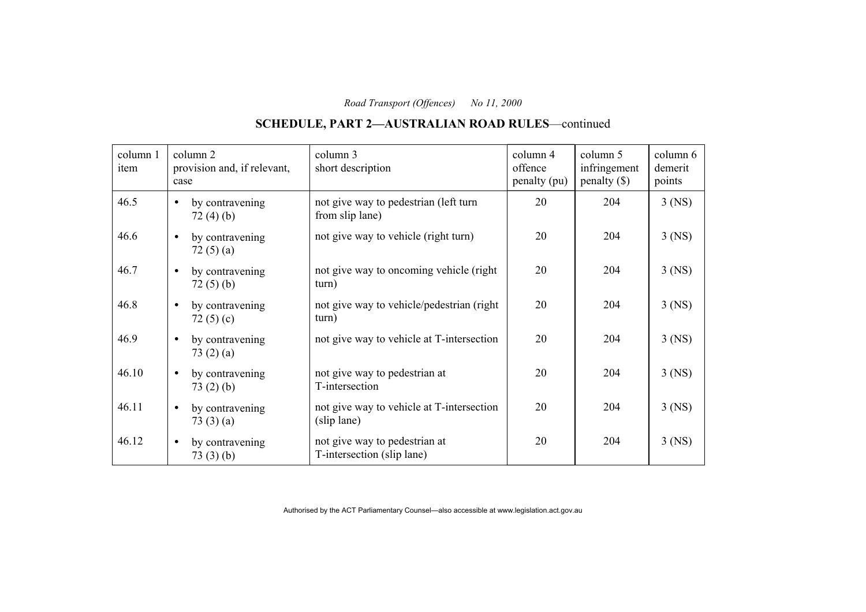## **SCHEDULE, PART 2—AUSTRALIAN ROAD RULES**—continued

| column 1<br>item | column 2<br>provision and, if relevant,<br>case | column 3<br>short description                               | column 4<br>offence<br>penalty (pu) | column 5<br>infringement<br>penalty $(\$)$ | column 6<br>demerit<br>points |
|------------------|-------------------------------------------------|-------------------------------------------------------------|-------------------------------------|--------------------------------------------|-------------------------------|
| 46.5             | by contravening<br>$\bullet$<br>72(4)(b)        | not give way to pedestrian (left turn<br>from slip lane)    | 20                                  | 204                                        | $3$ (NS)                      |
| 46.6             | by contravening<br>$\bullet$<br>72 $(5)(a)$     | not give way to vehicle (right turn)                        | 20                                  | 204                                        | $3$ (NS)                      |
| 46.7             | by contravening<br>$\bullet$<br>72(5)(b)        | not give way to oncoming vehicle (right<br>turn)            | 20                                  | 204                                        | $3$ (NS)                      |
| 46.8             | by contravening<br>$\bullet$<br>72 $(5)(c)$     | not give way to vehicle/pedestrian (right)<br>turn)         | 20                                  | 204                                        | $3$ (NS)                      |
| 46.9             | by contravening<br>$\bullet$<br>73(2)(a)        | not give way to vehicle at T-intersection                   | 20                                  | 204                                        | $3$ (NS)                      |
| 46.10            | by contravening<br>$\bullet$<br>73(2)(b)        | not give way to pedestrian at<br>T-intersection             | 20                                  | 204                                        | $3$ (NS)                      |
| 46.11            | by contravening<br>$\bullet$<br>73(3)(a)        | not give way to vehicle at T-intersection<br>(slip lane)    | 20                                  | 204                                        | $3$ (NS)                      |
| 46.12            | by contravening<br>$\bullet$<br>73(3)(b)        | not give way to pedestrian at<br>T-intersection (slip lane) | 20                                  | 204                                        | $3$ (NS)                      |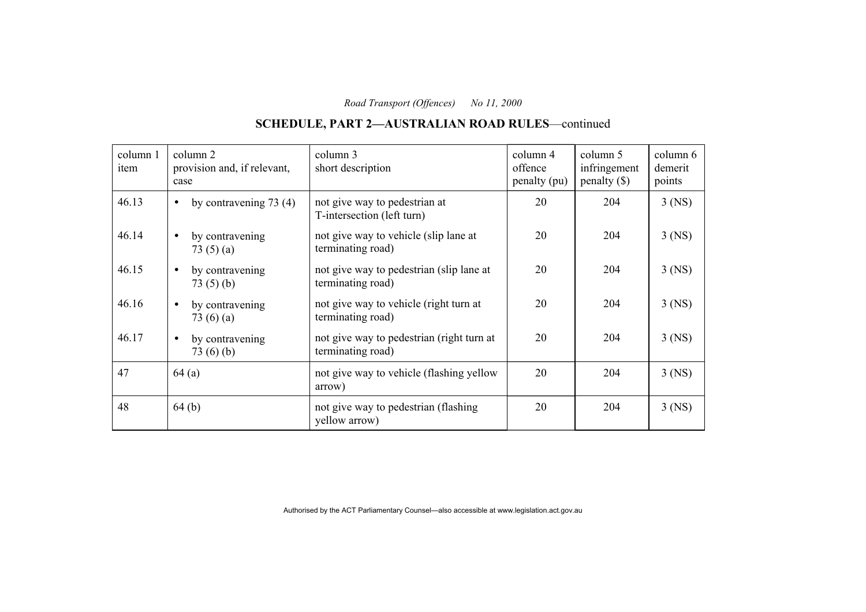#### column 1 item column 2 provision and, if relevant, case column 3 short description column 4 offence penalty (pu) column 5 infringement penalty (\$) column 6 demerit points 46.13 • by contravening 73 (4) not give way to pedestrian at T-intersection (left turn) 20 204 3 (NS) 46.14 • by contravening 73 (5) (a) not give way to vehicle (slip lane at terminating road) 20 | 204 | 3 (NS) 46.15 • by contravening 73 (5) (b) not give way to pedestrian (slip lane at terminating road) 20 204 3 (NS) 46.16 • by contravening 73 (6) (a) not give way to vehicle (right turn at terminating road) 20 204 3 (NS) 46.17 • by contravening 73 (6) (b) not give way to pedestrian (right turn at terminating road) 20 204 3 (NS) 47  $\vert$  64 (a)  $\vert$  not give way to vehicle (flashing yellow arrow) 20 | 204 | 3 (NS) 48 (b) not give way to pedestrian (flashing yellow arrow) 20 204 3 (NS)

### **SCHEDULE, PART 2—AUSTRALIAN ROAD RULES**—continued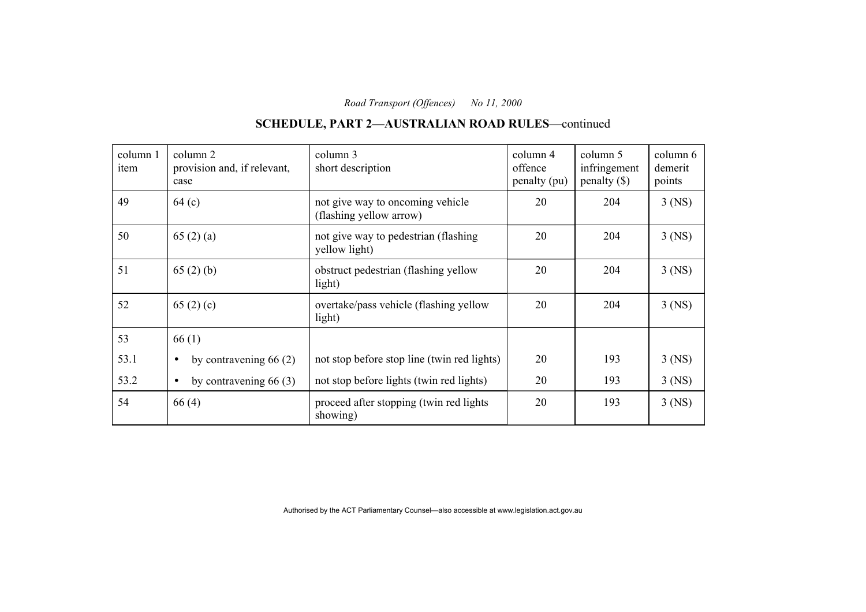## **SCHEDULE, PART 2—AUSTRALIAN ROAD RULES**—continued

| column 1<br>item | column 2<br>provision and, if relevant,<br>case | column 3<br>short description                               | column 4<br>offence<br>penalty (pu) | column 5<br>infringement<br>penalty $(\$)$ | column 6<br>demerit<br>points |
|------------------|-------------------------------------------------|-------------------------------------------------------------|-------------------------------------|--------------------------------------------|-------------------------------|
| 49               | 64(c)                                           | not give way to oncoming vehicle<br>(flashing yellow arrow) | 20                                  | 204                                        | $3$ (NS)                      |
| 50               | 65(2)(a)                                        | not give way to pedestrian (flashing)<br>yellow light)      | 20                                  | 204                                        | $3$ (NS)                      |
| 51               | 65(2)(b)                                        | obstruct pedestrian (flashing yellow<br>light)              | 20                                  | 204                                        | $3$ (NS)                      |
| 52               | 65 $(2)$ $(c)$                                  | overtake/pass vehicle (flashing yellow<br>light)            | 20                                  | 204                                        | $3$ (NS)                      |
| 53               | 66(1)                                           |                                                             |                                     |                                            |                               |
| 53.1             | by contravening $66(2)$<br>$\bullet$            | not stop before stop line (twin red lights)                 | 20                                  | 193                                        | $3$ (NS)                      |
| 53.2             | by contravening $66(3)$<br>$\bullet$            | not stop before lights (twin red lights)                    | 20                                  | 193                                        | $3$ (NS)                      |
| 54               | 66(4)                                           | proceed after stopping (twin red lights)<br>showing)        | 20                                  | 193                                        | $3$ (NS)                      |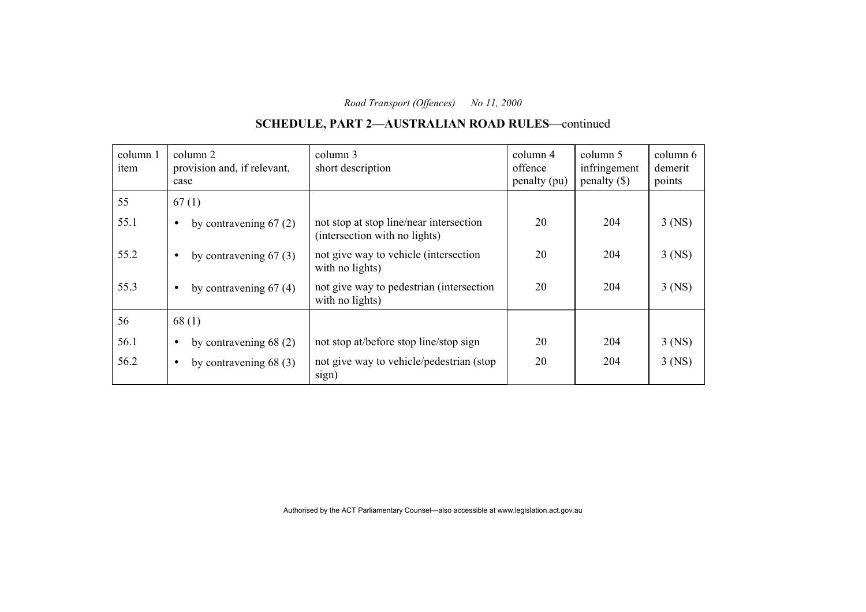#### column 1 item column 2 provision and, if relevant, case column 3 short description column 4 offence penalty (pu) column 5 infringement penalty (\$) column 6 demerit points 55 67(1) 55.1 • by contravening 67 (2) not stop at stop line/near intersection (intersection with no lights) 20 | 204 | 3 (NS) 55.2 • by contravening 67 (3) not give way to vehicle (intersection with no lights) 20 204 3 (NS) 55.3 • by contravening 67 (4)  $\vert$  not give way to pedestrian (intersection with no lights) 20 | 204 | 3 (NS) 56 68 (1) 56.1 • by contravening 68 (2) not stop at/before stop line/stop sign 20  $\vert$  204 3 (NS) 56.2 • by contravening 68 (3) not give way to vehicle/pedestrian (stop sign) 20 204 3 (NS)

### **SCHEDULE, PART 2—AUSTRALIAN ROAD RULES**—continued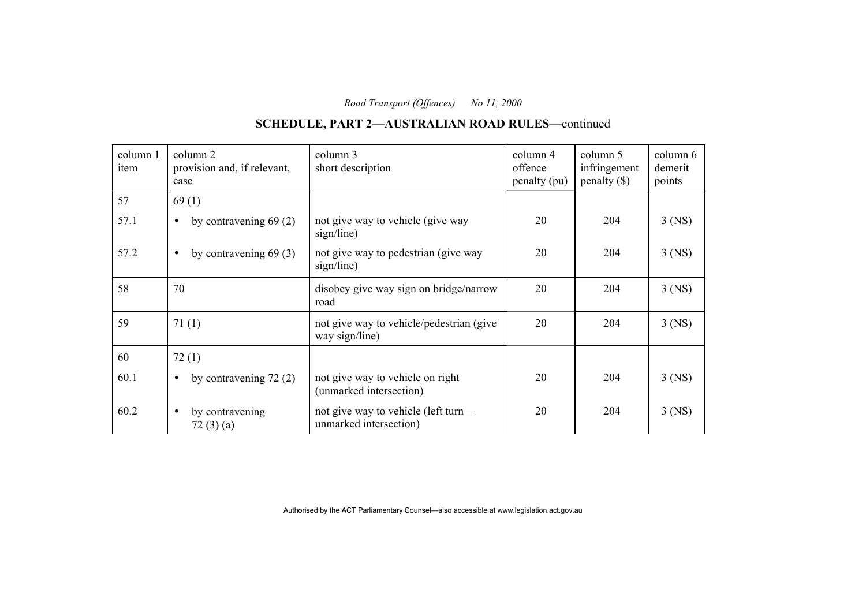## **SCHEDULE, PART 2—AUSTRALIAN ROAD RULES**—continued

| column 1<br>item | column 2<br>provision and, if relevant,<br>case | column 3<br>short description                                 | column 4<br>offence<br>penalty (pu) | column 5<br>infringement<br>$penalty$ (\$) | column 6<br>demerit<br>points |
|------------------|-------------------------------------------------|---------------------------------------------------------------|-------------------------------------|--------------------------------------------|-------------------------------|
| 57               | 69(1)                                           |                                                               |                                     |                                            |                               |
| 57.1             | by contravening $69(2)$<br>$\bullet$            | not give way to vehicle (give way<br>sign/line)               | 20                                  | 204                                        | $3$ (NS)                      |
| 57.2             | by contravening $69(3)$<br>$\bullet$            | not give way to pedestrian (give way<br>sign/line)            | 20                                  | 204                                        | $3$ (NS)                      |
| 58               | 70                                              | disobey give way sign on bridge/narrow<br>road                | 20                                  | 204                                        | $3$ (NS)                      |
| 59               | 71(1)                                           | not give way to vehicle/pedestrian (give<br>way sign/line)    | 20                                  | 204                                        | $3$ (NS)                      |
| 60               | 72(1)                                           |                                                               |                                     |                                            |                               |
| 60.1             | by contravening $72(2)$<br>$\bullet$            | not give way to vehicle on right<br>(unmarked intersection)   | 20                                  | 204                                        | $3$ (NS)                      |
| 60.2             | by contravening<br>$\bullet$<br>72(3)(a)        | not give way to vehicle (left turn—<br>unmarked intersection) | 20                                  | 204                                        | $3$ (NS)                      |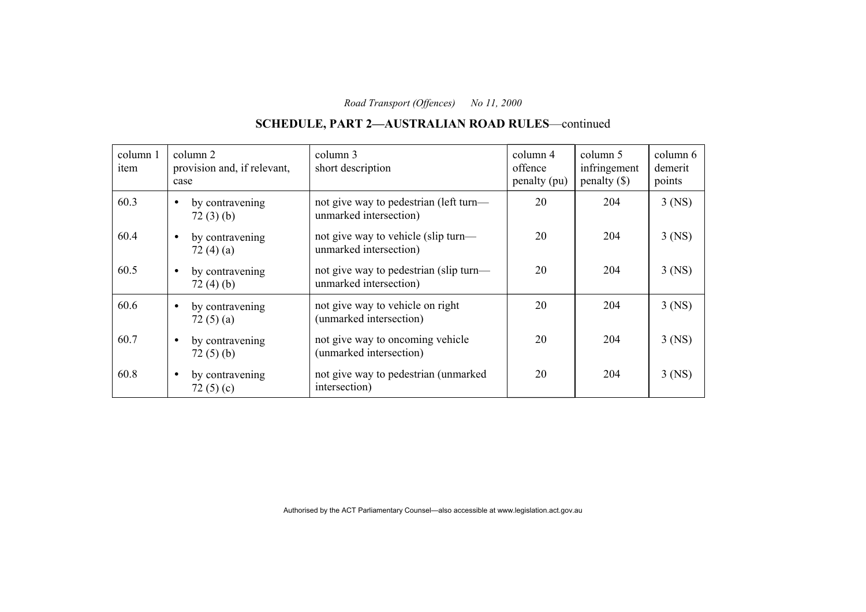## **SCHEDULE, PART 2—AUSTRALIAN ROAD RULES**—continued

| column 1<br>item | column 2<br>provision and, if relevant,<br>case | column 3<br>short description                                    | column 4<br>offence<br>penalty (pu) | column 5<br>infringement<br>penalty $(\$)$ | column 6<br>demerit<br>points |
|------------------|-------------------------------------------------|------------------------------------------------------------------|-------------------------------------|--------------------------------------------|-------------------------------|
| 60.3             | by contravening<br>$\bullet$<br>72(3)(b)        | not give way to pedestrian (left turn—<br>unmarked intersection) | 20                                  | 204                                        | $3$ (NS)                      |
| 60.4             | by contravening<br>$\bullet$<br>72 $(4)(a)$     | not give way to vehicle (slip turn—<br>unmarked intersection)    | 20                                  | 204                                        | $3$ (NS)                      |
| 60.5             | by contravening<br>$\bullet$<br>72(4)(b)        | not give way to pedestrian (slip turn-<br>unmarked intersection) | 20                                  | 204                                        | $3$ (NS)                      |
| 60.6             | by contravening<br>$\bullet$<br>72 $(5)(a)$     | not give way to vehicle on right<br>(unmarked intersection)      | 20                                  | 204                                        | $3$ (NS)                      |
| 60.7             | by contravening<br>$\bullet$<br>72(5)(b)        | not give way to oncoming vehicle<br>(unmarked intersection)      | 20                                  | 204                                        | $3$ (NS)                      |
| 60.8             | by contravening<br>$\bullet$<br>72 $(5)(c)$     | not give way to pedestrian (unmarked)<br>intersection)           | 20                                  | 204                                        | $3$ (NS)                      |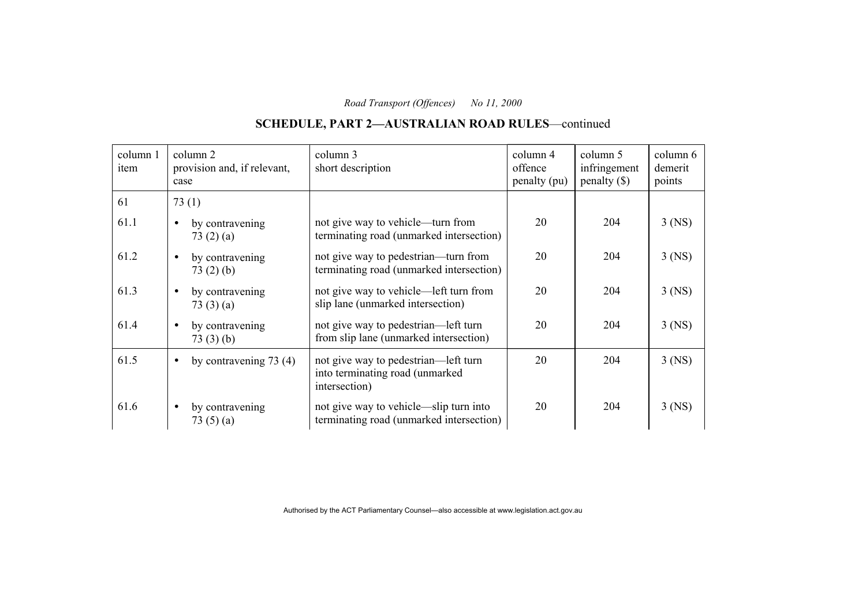# **SCHEDULE, PART 2—AUSTRALIAN ROAD RULES**—continued

| column 1<br>item | column 2<br>provision and, if relevant,<br>case | column 3<br>short description                                                             | column 4<br>offence<br>penalty (pu) | column 5<br>infringement<br>penalty () | column 6<br>demerit<br>points |
|------------------|-------------------------------------------------|-------------------------------------------------------------------------------------------|-------------------------------------|----------------------------------------|-------------------------------|
| 61               | 73(1)                                           |                                                                                           |                                     |                                        |                               |
| 61.1             | by contravening<br>73(2)(a)                     | not give way to vehicle—turn from<br>terminating road (unmarked intersection)             | 20                                  | 204                                    | $3$ (NS)                      |
| 61.2             | by contravening<br>73(2)(b)                     | not give way to pedestrian—turn from<br>terminating road (unmarked intersection)          | 20                                  | 204                                    | $3$ (NS)                      |
| 61.3             | by contravening<br>73(3)(a)                     | not give way to vehicle—left turn from<br>slip lane (unmarked intersection)               | 20                                  | 204                                    | $3$ (NS)                      |
| 61.4             | by contravening<br>73(3)(b)                     | not give way to pedestrian—left turn<br>from slip lane (unmarked intersection)            | 20                                  | 204                                    | $3$ (NS)                      |
| 61.5             | by contravening $73(4)$<br>$\bullet$            | not give way to pedestrian—left turn<br>into terminating road (unmarked)<br>intersection) | 20                                  | 204                                    | $3$ (NS)                      |
| 61.6             | by contravening<br>$\bullet$<br>73 $(5)(a)$     | not give way to vehicle—slip turn into<br>terminating road (unmarked intersection)        | 20                                  | 204                                    | $3$ (NS)                      |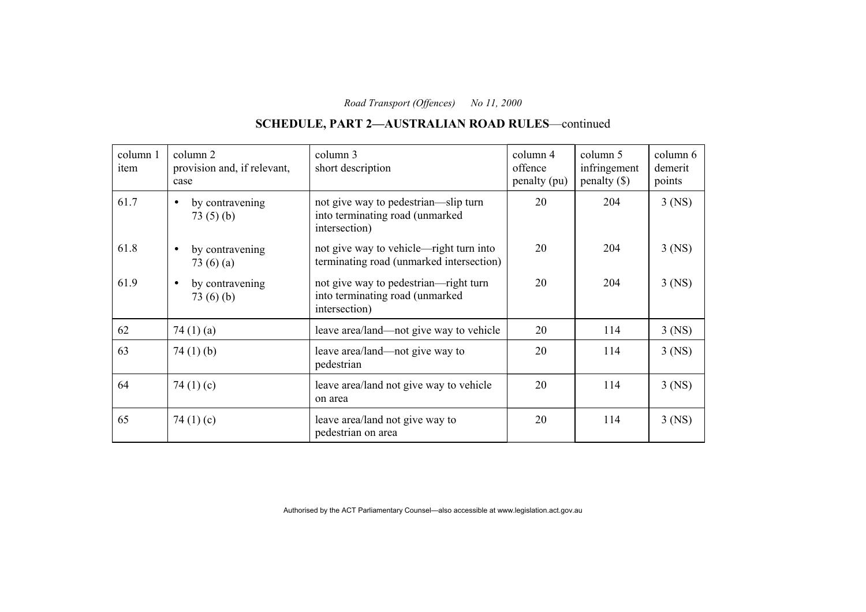#### column 1 item column 2 provision and, if relevant, case column 3 short description column 4 offence penalty (pu) column 5 infringement penalty (\$) column 6 demerit points 61.7 • by contravening 73 (5) (b) not give way to pedestrian—slip turn into terminating road (unmarked intersection) 20 204 3 (NS) 61.8 • by contravening 73 (6) (a) not give way to vehicle—right turn into terminating road (unmarked intersection) 20 204 3 (NS) 61.9 • by contravening 73 (6) (b) not give way to pedestrian—right turn into terminating road (unmarked intersection) 20 204 3 (NS) 62  $\vert$  74 (1) (a) leave area/land—not give way to vehicle 20  $\vert$  114  $\vert$  3 (NS)  $\begin{array}{c|c|c|c|c|c} \hline 63 & 74 & (1) & (b) \end{array}$  leave area/land—not give way to pedestrian 20 114 3 (NS)  $\begin{array}{c|c} 64 & 74 (1) (c) \end{array}$  leave area/land not give way to vehicle on area 20 | 114 | 3 (NS)  $\begin{array}{c|c} 65 & 74 \ (1) \ (c) & \end{array}$  leave area/land not give way to pedestrian on area 20 114 3 (NS)

### **SCHEDULE, PART 2—AUSTRALIAN ROAD RULES**—continued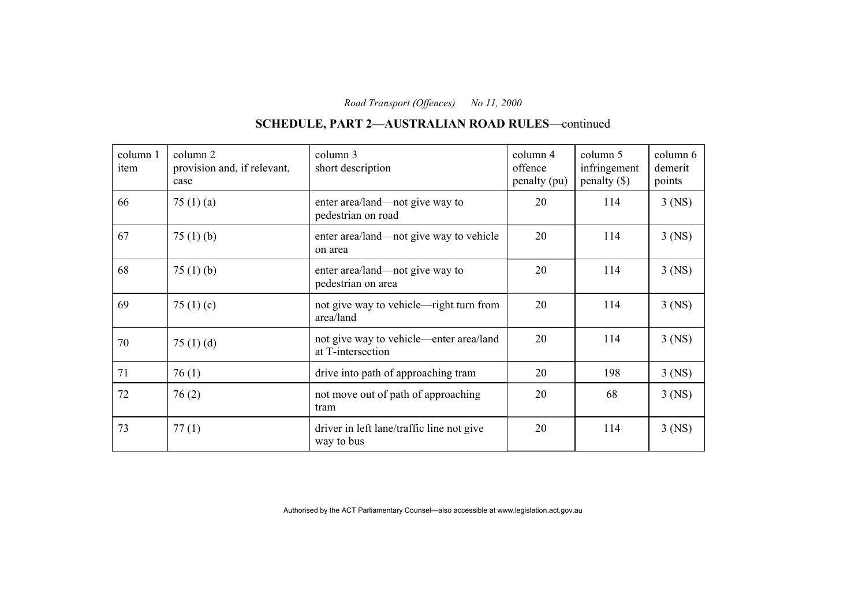## **SCHEDULE, PART 2—AUSTRALIAN ROAD RULES**—continued

| column 1<br>item | column 2<br>provision and, if relevant,<br>case | column 3<br>short description                                | column 4<br>offence<br>penalty (pu) | column 5<br>infringement<br>penalty $(\$)$ | column 6<br>demerit<br>points |
|------------------|-------------------------------------------------|--------------------------------------------------------------|-------------------------------------|--------------------------------------------|-------------------------------|
| 66               | 75 $(1)$ $(a)$                                  | enter area/land—not give way to<br>pedestrian on road        | 20                                  | 114                                        | $3$ (NS)                      |
| 67               | 75 $(1)$ $(b)$                                  | enter area/land—not give way to vehicle<br>on area           | 20                                  | 114                                        | $3$ (NS)                      |
| 68               | 75 $(1)$ (b)                                    | enter area/land—not give way to<br>pedestrian on area        | 20                                  | 114                                        | $3$ (NS)                      |
| 69               | 75 $(1)$ $(c)$                                  | not give way to vehicle—right turn from<br>area/land         | 20                                  | 114                                        | $3$ (NS)                      |
| 70               | 75 $(1)(d)$                                     | not give way to vehicle—enter area/land<br>at T-intersection | 20                                  | 114                                        | $3$ (NS)                      |
| 71               | 76(1)                                           | drive into path of approaching tram                          | 20                                  | 198                                        | $3$ (NS)                      |
| 72               | 76(2)                                           | not move out of path of approaching<br>tram                  | 20                                  | 68                                         | $3$ (NS)                      |
| 73               | 77(1)                                           | driver in left lane/traffic line not give<br>way to bus      | 20                                  | 114                                        | $3$ (NS)                      |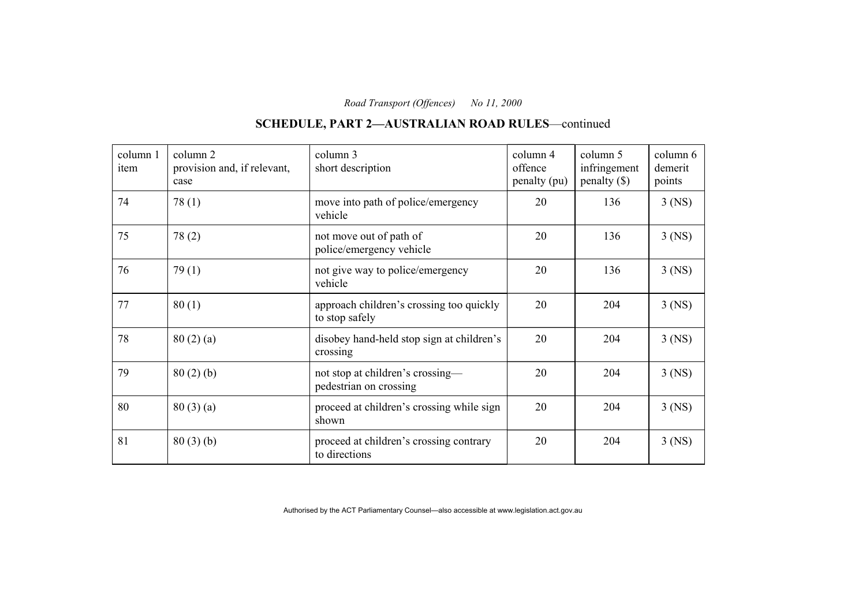## **SCHEDULE, PART 2—AUSTRALIAN ROAD RULES**—continued

| column 1<br>item | column 2<br>provision and, if relevant,<br>case | column 3<br>short description                              | column 4<br>offence<br>penalty (pu) | column 5<br>infringement<br>$penalty$ (\$) | column 6<br>demerit<br>points |
|------------------|-------------------------------------------------|------------------------------------------------------------|-------------------------------------|--------------------------------------------|-------------------------------|
| 74               | 78(1)                                           | move into path of police/emergency<br>vehicle              | 20                                  | 136                                        | $3$ (NS)                      |
| 75               | 78(2)                                           | not move out of path of<br>police/emergency vehicle        | 20                                  | 136                                        | $3$ (NS)                      |
| 76               | 79(1)                                           | not give way to police/emergency<br>vehicle                | 20                                  | 136                                        | $3$ (NS)                      |
| 77               | 80(1)                                           | approach children's crossing too quickly<br>to stop safely | 20                                  | 204                                        | $3$ (NS)                      |
| 78               | 80(2)(a)                                        | disobey hand-held stop sign at children's<br>crossing      | 20                                  | 204                                        | $3$ (NS)                      |
| 79               | 80(2)(b)                                        | not stop at children's crossing-<br>pedestrian on crossing | 20                                  | 204                                        | $3$ (NS)                      |
| 80               | 80(3)(a)                                        | proceed at children's crossing while sign<br>shown         | 20                                  | 204                                        | $3$ (NS)                      |
| 81               | 80(3)(b)                                        | proceed at children's crossing contrary<br>to directions   | 20                                  | 204                                        | $3$ (NS)                      |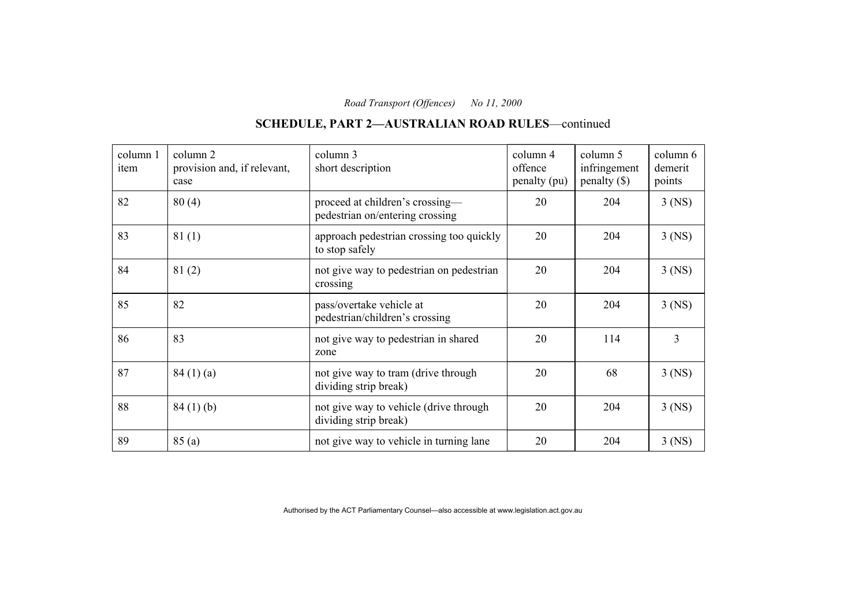# **SCHEDULE, PART 2—AUSTRALIAN ROAD RULES**—continued

| column 1<br>item | column 2<br>provision and, if relevant,<br>case | column 3<br>short description                                      | column 4<br>offence<br>penalty (pu) | column 5<br>infringement<br>$penalty (\$))$ | column 6<br>demerit<br>points |
|------------------|-------------------------------------------------|--------------------------------------------------------------------|-------------------------------------|---------------------------------------------|-------------------------------|
| 82               | 80(4)                                           | proceed at children's crossing-<br>pedestrian on/entering crossing | 20                                  | 204                                         | $3$ (NS)                      |
| 83               | 81(1)                                           | approach pedestrian crossing too quickly<br>to stop safely         | 20                                  | 204                                         | $3$ (NS)                      |
| 84               | 81(2)                                           | not give way to pedestrian on pedestrian<br>crossing               | 20                                  | 204                                         | $3$ (NS)                      |
| 85               | 82                                              | pass/overtake vehicle at<br>pedestrian/children's crossing         | 20                                  | 204                                         | $3$ (NS)                      |
| 86               | 83                                              | not give way to pedestrian in shared<br>zone                       | 20                                  | 114                                         | 3                             |
| 87               | 84(1)(a)                                        | not give way to tram (drive through<br>dividing strip break)       | 20                                  | 68                                          | $3$ (NS)                      |
| 88               | 84(1)(b)                                        | not give way to vehicle (drive through<br>dividing strip break)    | 20                                  | 204                                         | $3$ (NS)                      |
| 89               | 85(a)                                           | not give way to vehicle in turning lane                            | 20                                  | 204                                         | $3$ (NS)                      |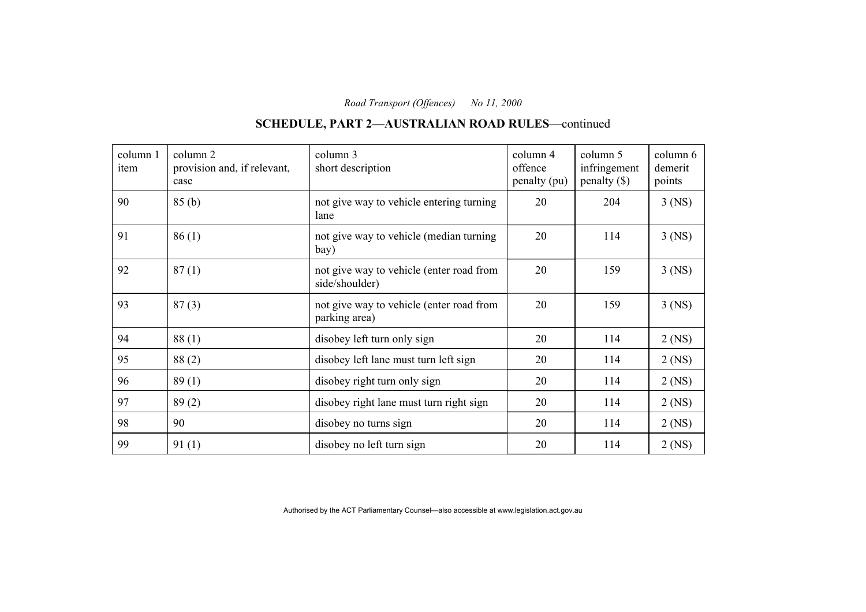# **SCHEDULE, PART 2—AUSTRALIAN ROAD RULES**—continued

| column 1<br>item | column 2<br>provision and, if relevant,<br>case | column 3<br>short description                              | column 4<br>offence<br>penalty (pu) | column 5<br>infringement<br>$penalty$ (\$) | column 6<br>demerit<br>points |
|------------------|-------------------------------------------------|------------------------------------------------------------|-------------------------------------|--------------------------------------------|-------------------------------|
| 90               | 85(b)                                           | not give way to vehicle entering turning<br>lane           | 20                                  | 204                                        | $3$ (NS)                      |
| 91               | 86(1)                                           | not give way to vehicle (median turning<br>bay)            | 20                                  | 114                                        | $3$ (NS)                      |
| 92               | 87(1)                                           | not give way to vehicle (enter road from<br>side/shoulder) | 20                                  | 159                                        | $3$ (NS)                      |
| 93               | 87(3)                                           | not give way to vehicle (enter road from<br>parking area)  | 20                                  | 159                                        | $3$ (NS)                      |
| 94               | 88(1)                                           | disobey left turn only sign                                | 20                                  | 114                                        | $2$ (NS)                      |
| 95               | 88(2)                                           | disobey left lane must turn left sign                      | 20                                  | 114                                        | $2$ (NS)                      |
| 96               | 89(1)                                           | disobey right turn only sign                               | 20                                  | 114                                        | $2$ (NS)                      |
| 97               | 89(2)                                           | disobey right lane must turn right sign                    | 20                                  | 114                                        | $2$ (NS)                      |
| 98               | 90                                              | disobey no turns sign                                      | 20                                  | 114                                        | $2$ (NS)                      |
| 99               | 91(1)                                           | disobey no left turn sign                                  | 20                                  | 114                                        | $2$ (NS)                      |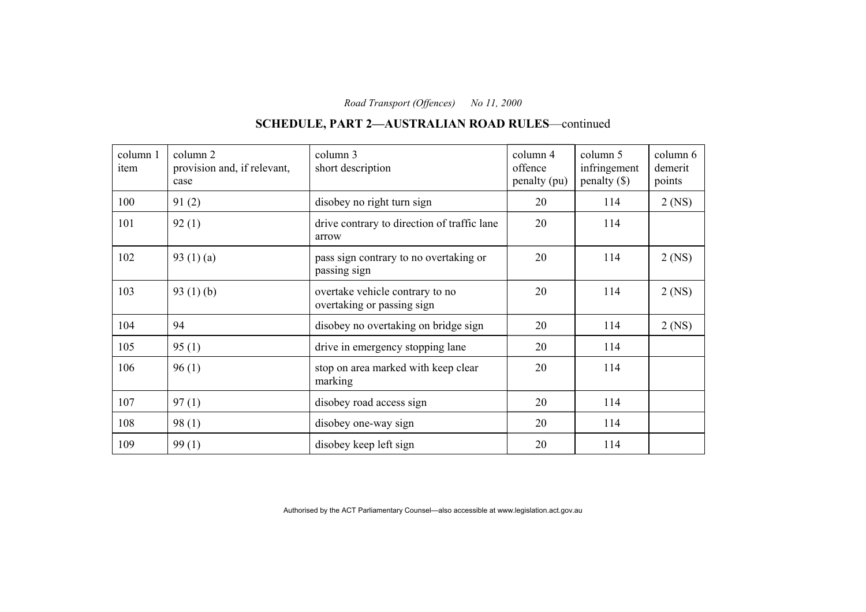#### column 1 item column 2 provision and, if relevant, case column 3 short description column 4 offence penalty (pu) column 5 infringement penalty (\$) column 6 demerit points 100 91 (2) disobey no right turn sign 20 114 2 (NS) 101 92 (1) drive contrary to direction of traffic lane arrow 20 114 102 93 (1) (a) pass sign contrary to no overtaking or passing sign 20 114 2 (NS) 103 93 (1) (b) overtake vehicle contrary to no overtaking or passing sign 20 | 114 | 2 (NS) 104 94 disobey no overtaking on bridge sign 20 114 2 (NS)  $105$  95 (1) drive in emergency stopping lane 20 114 106 96 (1) stop on area marked with keep clear marking 20 114 107 97 (1) disobey road access sign 20 114 108 98 (1) disobey one-way sign 20 114 109 99 (1) disobey keep left sign 20 114

### **SCHEDULE, PART 2—AUSTRALIAN ROAD RULES**—continued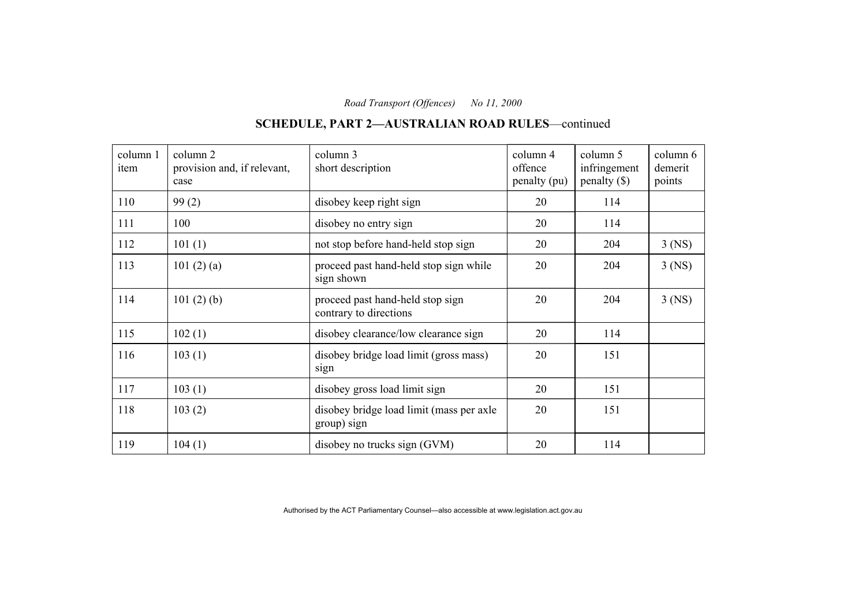# **SCHEDULE, PART 2—AUSTRALIAN ROAD RULES**—continued

| column 1<br>item | column 2<br>provision and, if relevant,<br>case | column 3<br>short description                              | column 4<br>offence<br>penalty (pu) | column 5<br>infringement<br>$penalty$ (\$) | column 6<br>demerit<br>points |
|------------------|-------------------------------------------------|------------------------------------------------------------|-------------------------------------|--------------------------------------------|-------------------------------|
| 110              | 99(2)                                           | disobey keep right sign                                    | 20                                  | 114                                        |                               |
| 111              | 100                                             | disobey no entry sign                                      | 20                                  | 114                                        |                               |
| 112              | 101(1)                                          | not stop before hand-held stop sign                        | 20                                  | 204                                        | $3$ (NS)                      |
| 113              | 101 $(2)$ $(a)$                                 | proceed past hand-held stop sign while<br>sign shown       | 20                                  | 204                                        | $3$ (NS)                      |
| 114              | 101(2)(b)                                       | proceed past hand-held stop sign<br>contrary to directions | 20                                  | 204                                        | $3$ (NS)                      |
| 115              | 102(1)                                          | disobey clearance/low clearance sign                       | 20                                  | 114                                        |                               |
| 116              | 103(1)                                          | disobey bridge load limit (gross mass)<br>sign             | 20                                  | 151                                        |                               |
| 117              | 103(1)                                          | disobey gross load limit sign                              | 20                                  | 151                                        |                               |
| 118              | 103(2)                                          | disobey bridge load limit (mass per axle<br>group) sign    | 20                                  | 151                                        |                               |
| 119              | 104(1)                                          | disobey no trucks sign (GVM)                               | 20                                  | 114                                        |                               |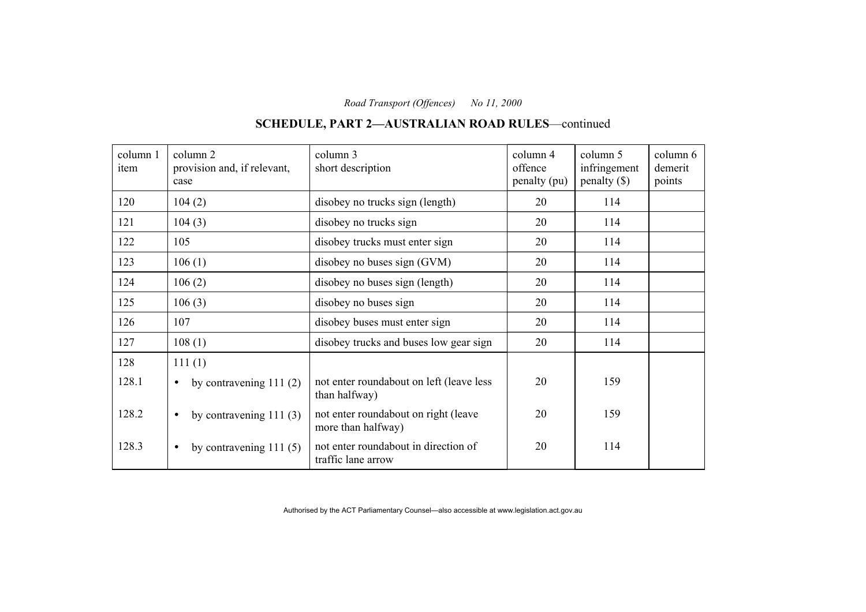#### column 1 item column 2 provision and, if relevant, case column 3 short description column 4 offence penalty (pu) column 5 infringement penalty (\$) column 6 demerit points 120 | 104 (2) | disobey no trucks sign (length) | 20 | 114 121 104 (3) disobey no trucks sign 20 114 122 105 disobey trucks must enter sign 20 114 123  $106 (1)$  disobey no buses sign (GVM)  $20$  114 124 106 (2) disobey no buses sign (length) 20 114  $125$  106 (3) disobey no buses sign 20 114 126 107 disobey buses must enter sign 20 114  $127$  | 108 (1) | disobey trucks and buses low gear sign | 20 | 114 128 111 (1) 128.1 • by contravening 111 (2) not enter roundabout on left (leave less than halfway) 20 159 128.2 • by contravening 111 (3) not enter roundabout on right (leave more than halfway) 20 159 128.3 • by contravening 111 (5) not enter roundabout in direction of traffic lane arrow 20 114

## **SCHEDULE, PART 2—AUSTRALIAN ROAD RULES**—continued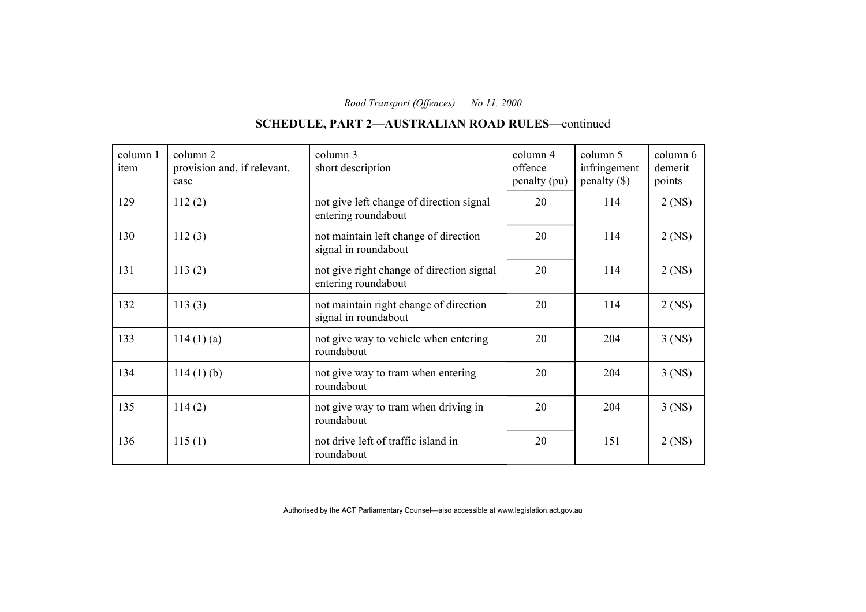# **SCHEDULE, PART 2—AUSTRALIAN ROAD RULES**—continued

| column 1<br>item | column 2<br>provision and, if relevant,<br>case | column 3<br>short description                                    | column 4<br>offence<br>penalty (pu) | column 5<br>infringement<br>penalty $(\$)$ | column 6<br>demerit<br>points |
|------------------|-------------------------------------------------|------------------------------------------------------------------|-------------------------------------|--------------------------------------------|-------------------------------|
| 129              | 112(2)                                          | not give left change of direction signal<br>entering roundabout  | 20                                  | 114                                        | $2$ (NS)                      |
| 130              | 112(3)                                          | not maintain left change of direction<br>signal in roundabout    | 20                                  | 114                                        | $2$ (NS)                      |
| 131              | 113(2)                                          | not give right change of direction signal<br>entering roundabout | 20                                  | 114                                        | $2$ (NS)                      |
| 132              | 113(3)                                          | not maintain right change of direction<br>signal in roundabout   | 20                                  | 114                                        | $2$ (NS)                      |
| 133              | 114(1)(a)                                       | not give way to vehicle when entering<br>roundabout              | 20                                  | 204                                        | $3$ (NS)                      |
| 134              | $114(1)$ (b)                                    | not give way to tram when entering<br>roundabout                 | 20                                  | 204                                        | $3$ (NS)                      |
| 135              | 114(2)                                          | not give way to tram when driving in<br>roundabout               | 20                                  | 204                                        | $3$ (NS)                      |
| 136              | 115(1)                                          | not drive left of traffic island in<br>roundabout                | 20                                  | 151                                        | $2$ (NS)                      |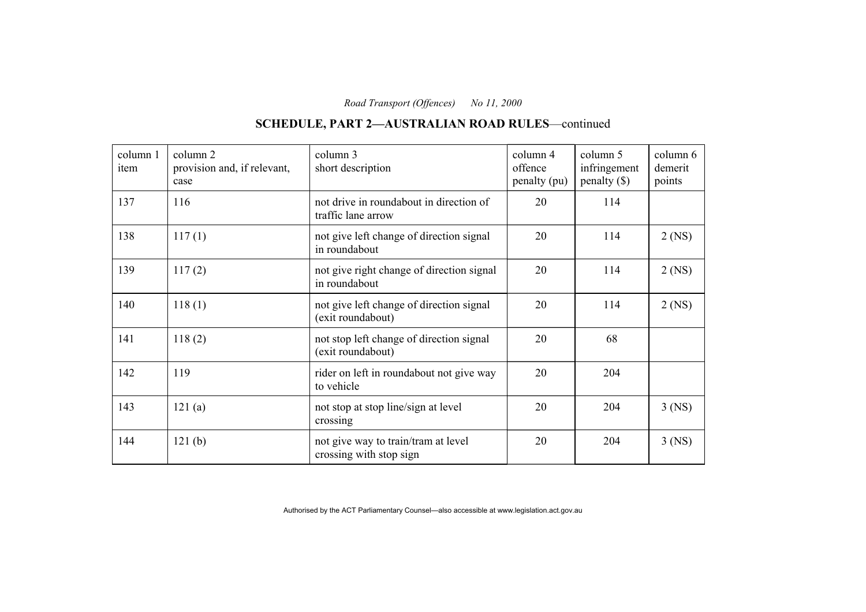# **SCHEDULE, PART 2—AUSTRALIAN ROAD RULES**—continued

| column 1<br>item | column 2<br>provision and, if relevant,<br>case | column 3<br>short description                                  | column 4<br>offence<br>penalty (pu) | column 5<br>infringement<br>penalty $(\$)$ | column 6<br>demerit<br>points |
|------------------|-------------------------------------------------|----------------------------------------------------------------|-------------------------------------|--------------------------------------------|-------------------------------|
| 137              | 116                                             | not drive in roundabout in direction of<br>traffic lane arrow  | 20                                  | 114                                        |                               |
| 138              | 117(1)                                          | not give left change of direction signal<br>in roundabout      | 20                                  | 114                                        | $2$ (NS)                      |
| 139              | 117(2)                                          | not give right change of direction signal<br>in roundabout     | 20                                  | 114                                        | $2$ (NS)                      |
| 140              | 118(1)                                          | not give left change of direction signal<br>(exit roundabout)  | 20                                  | 114                                        | $2$ (NS)                      |
| 141              | 118(2)                                          | not stop left change of direction signal<br>(exit roundabout)  | 20                                  | 68                                         |                               |
| 142              | 119                                             | rider on left in roundabout not give way<br>to vehicle         | 20                                  | 204                                        |                               |
| 143              | 121(a)                                          | not stop at stop line/sign at level<br>crossing                | 20                                  | 204                                        | $3$ (NS)                      |
| 144              | 121(b)                                          | not give way to train/tram at level<br>crossing with stop sign | 20                                  | 204                                        | $3$ (NS)                      |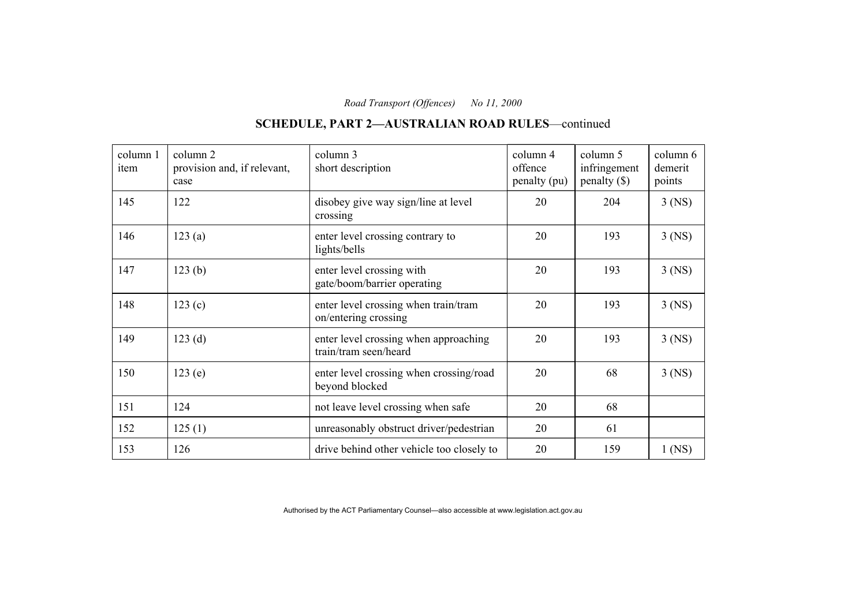# **SCHEDULE, PART 2—AUSTRALIAN ROAD RULES**—continued

| column 1<br>item | column 2<br>provision and, if relevant,<br>case | column 3<br>short description                                  | column 4<br>offence<br>penalty (pu) | column 5<br>infringement<br>$penalty$ (\$) | column 6<br>demerit<br>points |
|------------------|-------------------------------------------------|----------------------------------------------------------------|-------------------------------------|--------------------------------------------|-------------------------------|
| 145              | 122                                             | disobey give way sign/line at level<br>crossing                | 20                                  | 204                                        | $3$ (NS)                      |
| 146              | 123(a)                                          | enter level crossing contrary to<br>lights/bells               | 20                                  | 193                                        | $3$ (NS)                      |
| 147              | 123(b)                                          | enter level crossing with<br>gate/boom/barrier operating       | 20                                  | 193                                        | $3$ (NS)                      |
| 148              | 123(c)                                          | enter level crossing when train/tram<br>on/entering crossing   | 20                                  | 193                                        | $3$ (NS)                      |
| 149              | 123(d)                                          | enter level crossing when approaching<br>train/tram seen/heard | 20                                  | 193                                        | $3$ (NS)                      |
| 150              | 123(e)                                          | enter level crossing when crossing/road<br>beyond blocked      | 20                                  | 68                                         | $3$ (NS)                      |
| 151              | 124                                             | not leave level crossing when safe                             | 20                                  | 68                                         |                               |
| 152              | 125(1)                                          | unreasonably obstruct driver/pedestrian                        | 20                                  | 61                                         |                               |
| 153              | 126                                             | drive behind other vehicle too closely to                      | 20                                  | 159                                        | $1$ (NS)                      |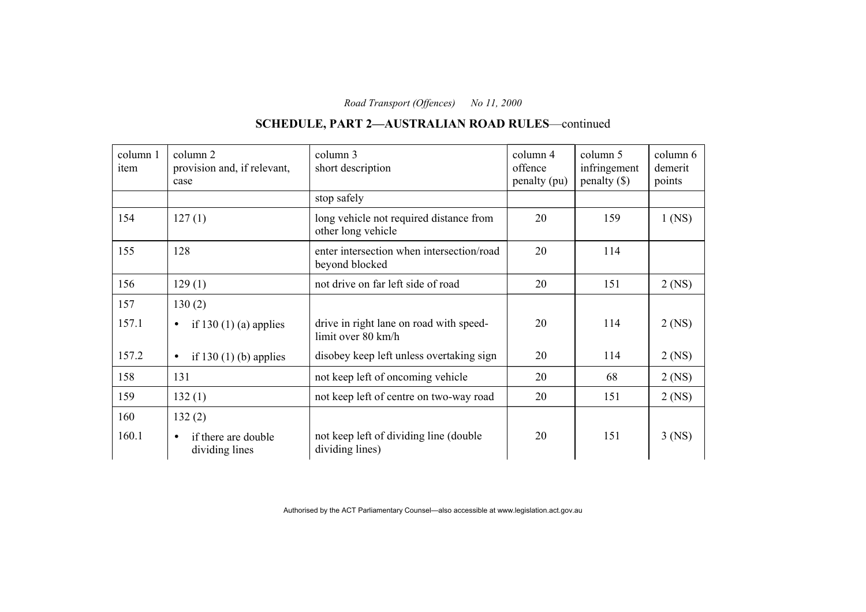# **SCHEDULE, PART 2—AUSTRALIAN ROAD RULES**—continued

| column 1<br>item | column 2<br>provision and, if relevant,<br>case    | column 3<br>short description                                 | column 4<br>offence<br>penalty (pu) | column 5<br>infringement<br>$penalty$ (\$) | column 6<br>demerit<br>points |
|------------------|----------------------------------------------------|---------------------------------------------------------------|-------------------------------------|--------------------------------------------|-------------------------------|
|                  |                                                    | stop safely                                                   |                                     |                                            |                               |
| 154              | 127(1)                                             | long vehicle not required distance from<br>other long vehicle | 20                                  | 159                                        | $1$ (NS)                      |
| 155              | 128                                                | enter intersection when intersection/road<br>beyond blocked   | 20                                  | 114                                        |                               |
| 156              | 129(1)                                             | not drive on far left side of road                            | 20                                  | 151                                        | $2$ (NS)                      |
| 157              | 130(2)                                             |                                                               |                                     |                                            |                               |
| 157.1            | if 130 $(1)$ (a) applies<br>$\bullet$              | drive in right lane on road with speed-<br>limit over 80 km/h | 20                                  | 114                                        | $2$ (NS)                      |
| 157.2            | if 130 $(1)$ (b) applies<br>$\bullet$              | disobey keep left unless overtaking sign                      | 20                                  | 114                                        | $2$ (NS)                      |
| 158              | 131                                                | not keep left of oncoming vehicle                             | 20                                  | 68                                         | $2$ (NS)                      |
| 159              | 132(1)                                             | not keep left of centre on two-way road                       | 20                                  | 151                                        | $2$ (NS)                      |
| 160              | 132(2)                                             |                                                               |                                     |                                            |                               |
| 160.1            | if there are double<br>$\bullet$<br>dividing lines | not keep left of dividing line (double)<br>dividing lines)    | 20                                  | 151                                        | $3$ (NS)                      |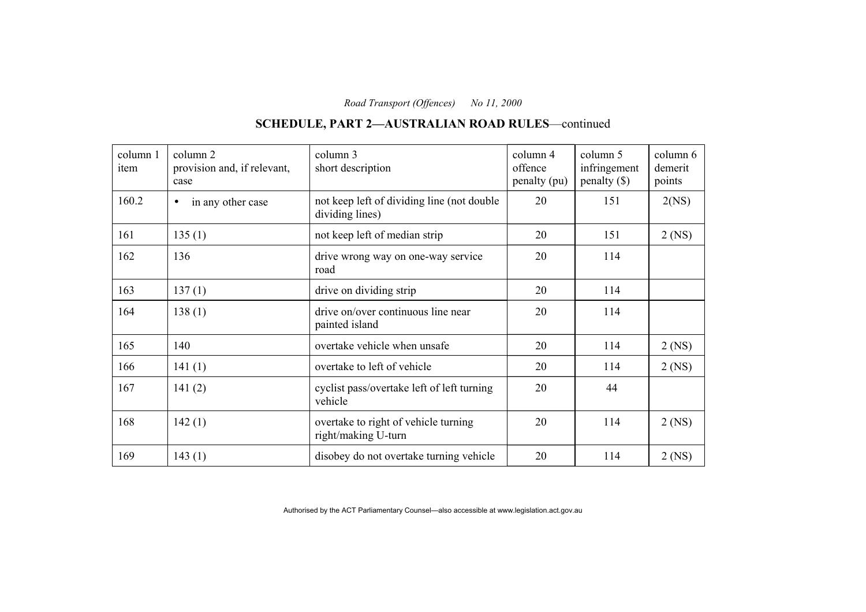#### column 1 item column 2 provision and, if relevant, case column 3 short description column 4 offence penalty (pu) column 5 infringement penalty (\$) column 6 demerit points 160.2 • in any other case not keep left of dividing line (not double dividing lines) 20 151 2(NS) 161 135 (1) hot keep left of median strip 20 151 2 (NS) 162 136 136 drive wrong way on one-way service road 20 114 163 137 (1) drive on dividing strip 20 114 164 138 (1) drive on/over continuous line near painted island 20 114 165 140 vertake vehicle when unsafe 20 114 2 (NS) 166 | 141 (1) | overtake to left of vehicle | 20 | 114 | 2 (NS) 167 141 (2) cyclist pass/overtake left of left turning vehicle 20 44 168 | 142 (1) | overtake to right of vehicle turning right/making U-turn 20 114 2 (NS)  $169$  | 143 (1) | disobey do not overtake turning vehicle | 20 | 114 | 2 (NS)

## **SCHEDULE, PART 2—AUSTRALIAN ROAD RULES**—continued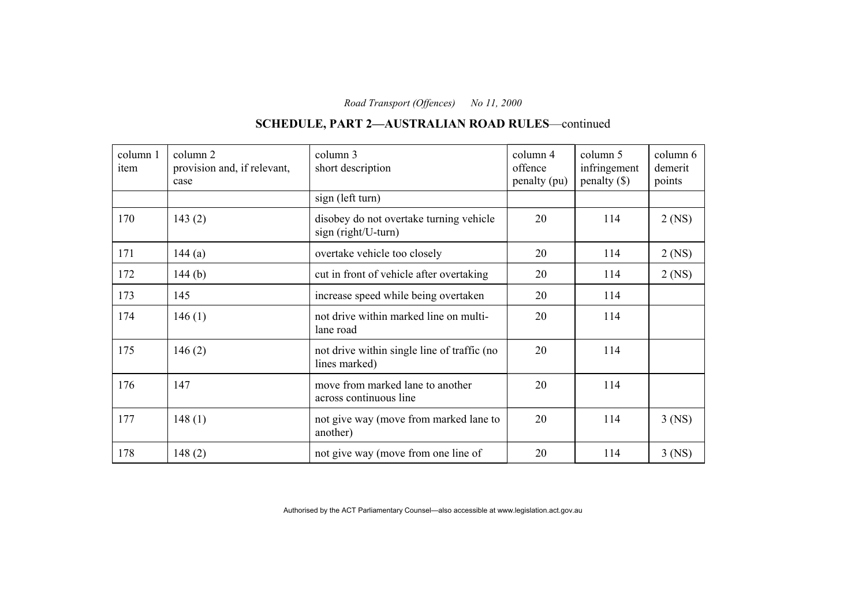#### column 1 item column 2 provision and, if relevant, case column 3 short description column 4 offence penalty (pu) column 5 infringement penalty (\$) column 6 demerit points sign (left turn) 170 143 (2) disobey do not overtake turning vehicle sign (right/U-turn) 20 | 114 | 2 (NS) 171 144 (a) overtake vehicle too closely 20 114 2 (NS)  $172$  | 144 (b) cut in front of vehicle after overtaking | 20 | 114 | 2 (NS) 173 | 145 | increase speed while being overtaken | 20 | 114  $174$  146 (1) hot drive within marked line on multi-<br>and  $\begin{array}{|l|l|l|}\n\hline\n\end{array}$  114 175 146 (2) not drive within single line of traffic (no lines marked) 20 114 176 147 and 147 move from marked lane to another across continuous line 20 114 177 | 148 (1) | not give way (move from marked lane to another) 20 114 3 (NS) 178 | 148 (2) | not give way (move from one line of  $\begin{array}{|c|c|c|c|c|c|c|c|c|} \hline \end{array}$  114 | 3 (NS)

### **SCHEDULE, PART 2—AUSTRALIAN ROAD RULES**—continued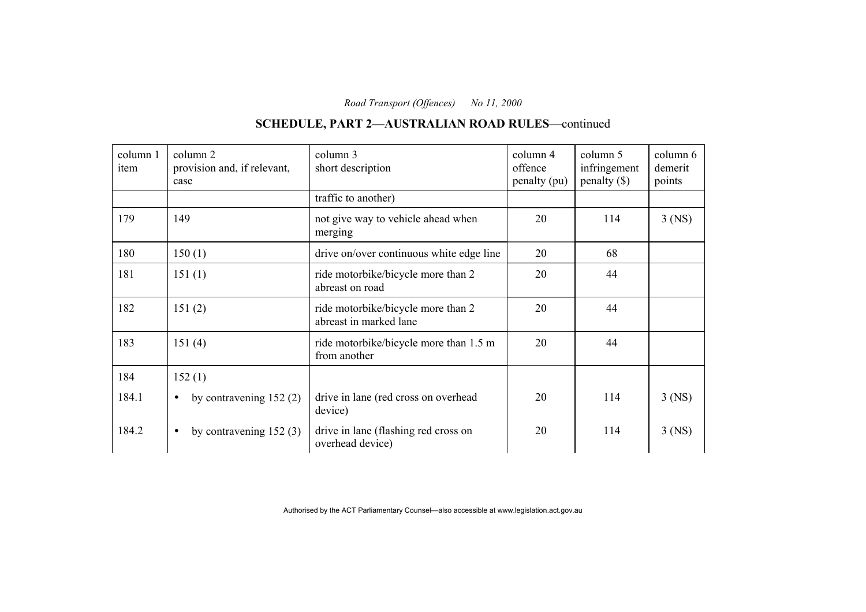#### column 1 item column 2 provision and, if relevant, case column 3 short description column 4 offence penalty (pu) column 5 infringement penalty (\$) column 6 demerit points traffic to another) 179 | 149 | not give way to vehicle ahead when merging 20 114 3 (NS)  $180$  |  $150 (1)$  drive on/over continuous white edge line |  $20$  | 68 181 151 (1) ride motorbike/bicycle more than 2 abreast on road 20 44 182 151 (2) ride motorbike/bicycle more than 2 abreast in marked lane 20 44 183 151 (4) ride motorbike/bicycle more than 1.5 m from another 20 44 184 152 (1) 184.1 • by contravening 152 (2) drive in lane (red cross on overhead device) 20 114 3 (NS) 184.2 • by contravening 152 (3) drive in lane (flashing red cross on overhead device) 20 | 114 | 3 (NS)

### **SCHEDULE, PART 2—AUSTRALIAN ROAD RULES**—continued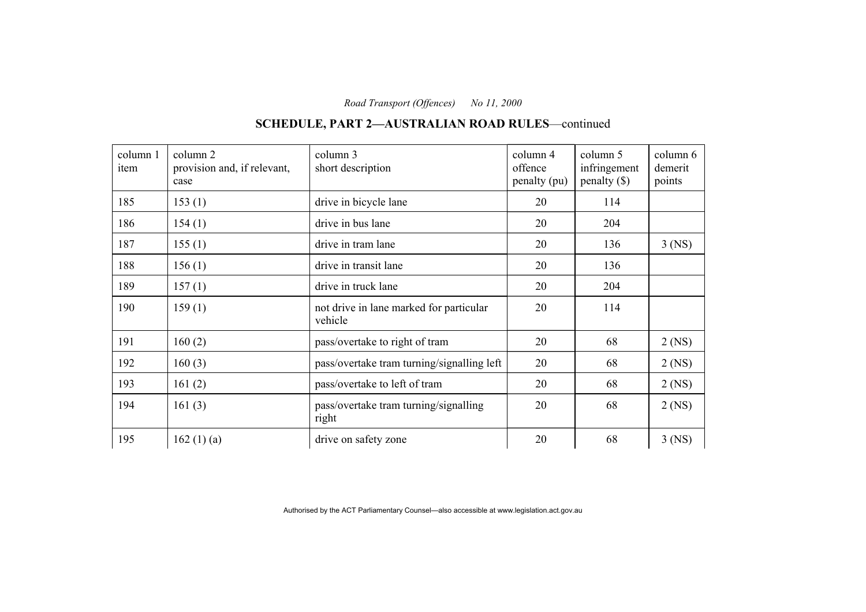| column 1<br>item | column 2<br>provision and, if relevant,<br>case | column 3<br>short description                      | column 4<br>offence<br>penalty (pu) | column 5<br>infringement<br>$penalty$ (\$) | column 6<br>demerit<br>points |
|------------------|-------------------------------------------------|----------------------------------------------------|-------------------------------------|--------------------------------------------|-------------------------------|
| 185              | 153(1)                                          | drive in bicycle lane                              | 20                                  | 114                                        |                               |
| 186              | 154(1)                                          | drive in bus lane                                  | 20                                  | 204                                        |                               |
| 187              | 155(1)                                          | drive in tram lane                                 | 20                                  | 136                                        | $3$ (NS)                      |
| 188              | 156(1)                                          | drive in transit lane                              | 20                                  | 136                                        |                               |
| 189              | 157(1)                                          | drive in truck lane                                | 20                                  | 204                                        |                               |
| 190              | 159(1)                                          | not drive in lane marked for particular<br>vehicle | 20                                  | 114                                        |                               |
| 191              | 160(2)                                          | pass/overtake to right of tram                     | 20                                  | 68                                         | $2$ (NS)                      |
| 192              | 160(3)                                          | pass/overtake tram turning/signalling left         | 20                                  | 68                                         | $2$ (NS)                      |
| 193              | 161(2)                                          | pass/overtake to left of tram                      | 20                                  | 68                                         | $2$ (NS)                      |
| 194              | 161(3)                                          | pass/overtake tram turning/signalling<br>right     | 20                                  | 68                                         | $2$ (NS)                      |
| 195              | 162(1)(a)                                       | drive on safety zone                               | 20                                  | 68                                         | $3$ (NS)                      |

# **SCHEDULE, PART 2—AUSTRALIAN ROAD RULES**—continued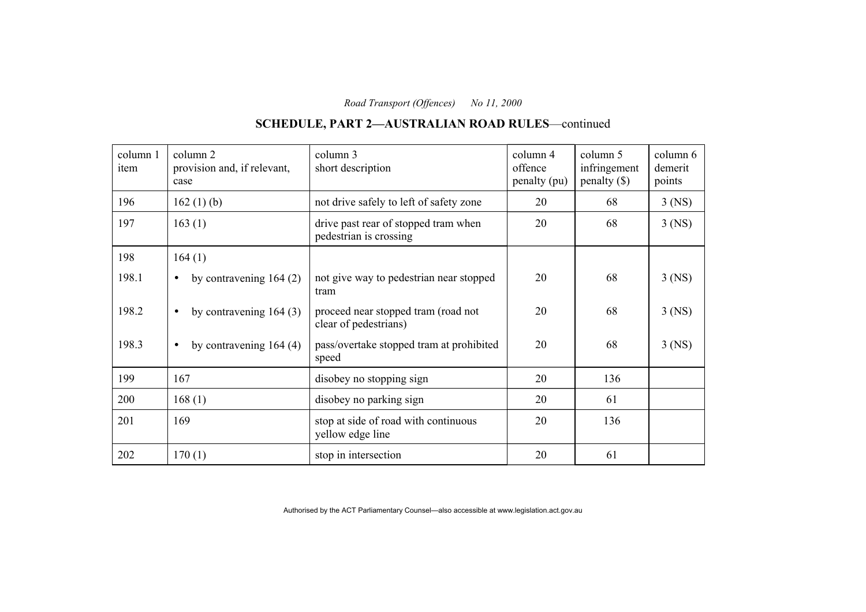# **SCHEDULE, PART 2—AUSTRALIAN ROAD RULES**—continued

| column 1<br>item | column 2<br>provision and, if relevant,<br>case | column 3<br>short description                                  | column 4<br>offence<br>penalty (pu) | column 5<br>infringement<br>penalty $(\$)$ | $\text{column } 6$<br>demerit<br>points |
|------------------|-------------------------------------------------|----------------------------------------------------------------|-------------------------------------|--------------------------------------------|-----------------------------------------|
| 196              | 162 $(1)$ $(b)$                                 | not drive safely to left of safety zone                        | 20                                  | 68                                         | $3$ (NS)                                |
| 197              | 163(1)                                          | drive past rear of stopped tram when<br>pedestrian is crossing | 20                                  | 68                                         | $3$ (NS)                                |
| 198              | 164(1)                                          |                                                                |                                     |                                            |                                         |
| 198.1            | by contravening $164(2)$<br>$\bullet$           | not give way to pedestrian near stopped<br>tram                | 20                                  | 68                                         | $3$ (NS)                                |
| 198.2            | by contravening $164(3)$<br>$\bullet$           | proceed near stopped tram (road not<br>clear of pedestrians)   | 20                                  | 68                                         | $3$ (NS)                                |
| 198.3            | by contravening $164(4)$<br>$\bullet$           | pass/overtake stopped tram at prohibited<br>speed              | 20                                  | 68                                         | $3$ (NS)                                |
| 199              | 167                                             | disobey no stopping sign                                       | 20                                  | 136                                        |                                         |
| 200              | 168(1)                                          | disobey no parking sign                                        | 20                                  | 61                                         |                                         |
| 201              | 169                                             | stop at side of road with continuous<br>yellow edge line       | 20                                  | 136                                        |                                         |
| 202              | 170(1)                                          | stop in intersection                                           | 20                                  | 61                                         |                                         |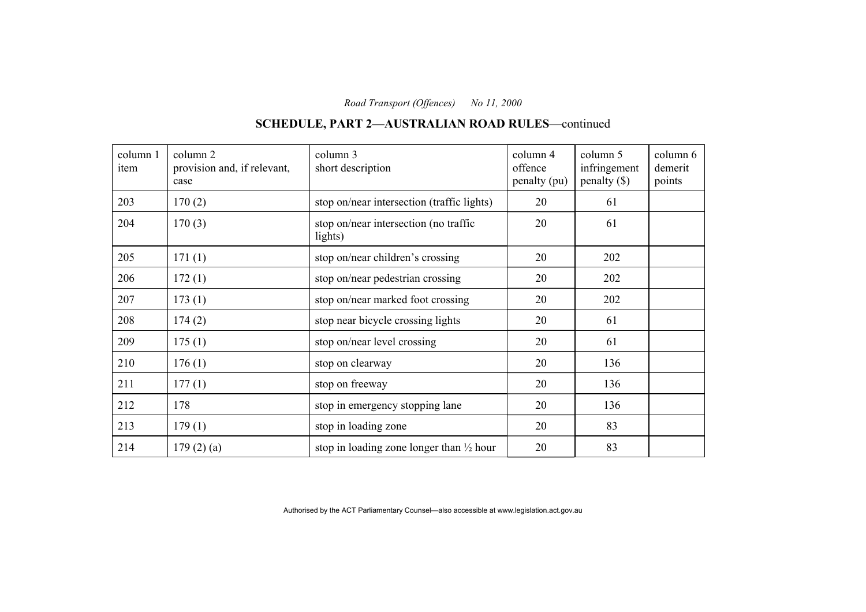# **SCHEDULE, PART 2—AUSTRALIAN ROAD RULES**—continued

| column 1<br>item | column 2<br>provision and, if relevant,<br>case | column 3<br>short description                       | column 4<br>offence<br>penalty (pu) | column 5<br>infringement<br>$penalty$ (\$) | column 6<br>demerit<br>points |
|------------------|-------------------------------------------------|-----------------------------------------------------|-------------------------------------|--------------------------------------------|-------------------------------|
| 203              | 170(2)                                          | stop on/near intersection (traffic lights)          | 20                                  | 61                                         |                               |
| 204              | 170(3)                                          | stop on/near intersection (no traffic<br>lights)    | 20                                  | 61                                         |                               |
| 205              | 171(1)                                          | stop on/near children's crossing                    | 20                                  | 202                                        |                               |
| 206              | 172(1)                                          | stop on/near pedestrian crossing                    | 20                                  | 202                                        |                               |
| 207              | 173(1)                                          | stop on/near marked foot crossing                   | 20                                  | 202                                        |                               |
| 208              | 174(2)                                          | stop near bicycle crossing lights                   | 20                                  | 61                                         |                               |
| 209              | 175(1)                                          | stop on/near level crossing                         | 20                                  | 61                                         |                               |
| 210              | 176(1)                                          | stop on clearway                                    | 20                                  | 136                                        |                               |
| 211              | 177(1)                                          | stop on freeway                                     | 20                                  | 136                                        |                               |
| 212              | 178                                             | stop in emergency stopping lane                     | 20                                  | 136                                        |                               |
| 213              | 179(1)                                          | stop in loading zone                                | 20                                  | 83                                         |                               |
| 214              | 179(2)(a)                                       | stop in loading zone longer than $\frac{1}{2}$ hour | 20                                  | 83                                         |                               |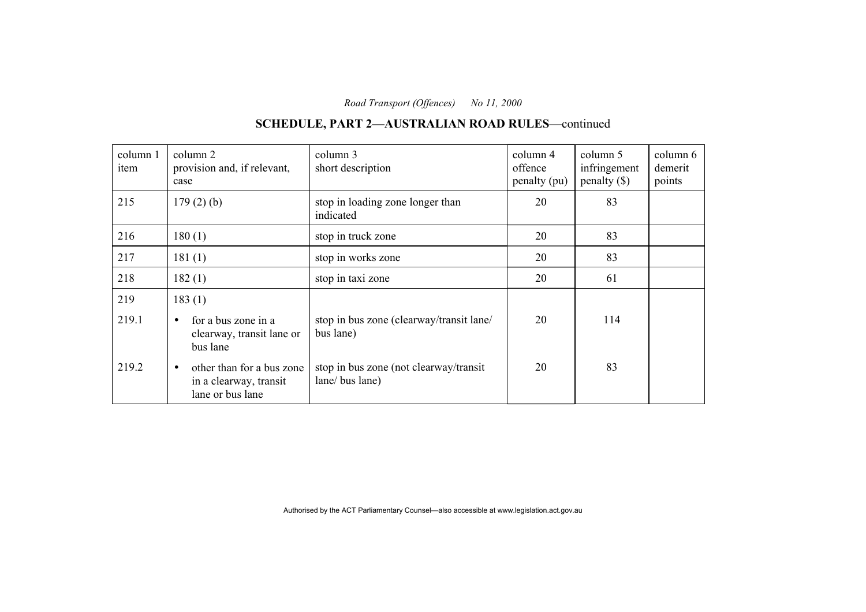#### column 1 item column 2 provision and, if relevant, case column 3 short description column 4 offence penalty (pu) column 5 infringement penalty (\$) column 6 demerit points 215  $\left| \begin{array}{c} 179 \ (2) \ (b) \end{array} \right|$  stop in loading zone longer than indicated 20 83 216 180 (1) stop in truck zone 20 33 217 | 181 (1) | stop in works zone | 20 | 83 218 | 182 (1) | stop in taxi zone | 20 | 61 219 183 (1) 219.1  $\bullet$  for a bus zone in a clearway, transit lane or bus lane stop in bus zone (clearway/transit lane/ bus lane) 20 114 219.2 • other than for a bus zone in a clearway, transit lane or bus lane stop in bus zone (not clearway/transit lane/ bus lane) 20 83

### **SCHEDULE, PART 2—AUSTRALIAN ROAD RULES**—continued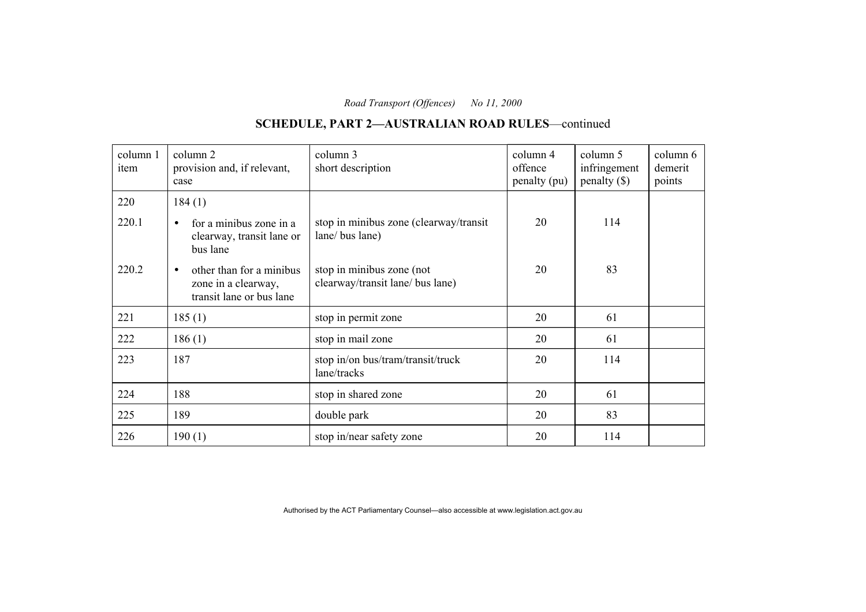# **SCHEDULE, PART 2—AUSTRALIAN ROAD RULES**—continued

| column 1<br>item | column 2<br>provision and, if relevant,<br>case                                          | column 3<br>short description                                 | column 4<br>offence<br>penalty (pu) | column 5<br>infringement<br>$penalty$ (\$) | column 6<br>demerit<br>points |
|------------------|------------------------------------------------------------------------------------------|---------------------------------------------------------------|-------------------------------------|--------------------------------------------|-------------------------------|
| 220              | 184(1)                                                                                   |                                                               |                                     |                                            |                               |
| 220.1            | for a minibus zone in a<br>$\bullet$<br>clearway, transit lane or<br>bus lane            | stop in minibus zone (clearway/transit<br>lane/ bus lane)     | 20                                  | 114                                        |                               |
| 220.2            | other than for a minibus<br>$\bullet$<br>zone in a clearway,<br>transit lane or bus lane | stop in minibus zone (not<br>clearway/transit lane/ bus lane) | 20                                  | 83                                         |                               |
| 221              | 185(1)                                                                                   | stop in permit zone                                           | 20                                  | 61                                         |                               |
| 222              | 186(1)                                                                                   | stop in mail zone                                             | 20                                  | 61                                         |                               |
| 223              | 187                                                                                      | stop in/on bus/tram/transit/truck<br>lane/tracks              | 20                                  | 114                                        |                               |
| 224              | 188                                                                                      | stop in shared zone                                           | 20                                  | 61                                         |                               |
| 225              | 189                                                                                      | double park                                                   | 20                                  | 83                                         |                               |
| 226              | 190(1)                                                                                   | stop in/near safety zone                                      | 20                                  | 114                                        |                               |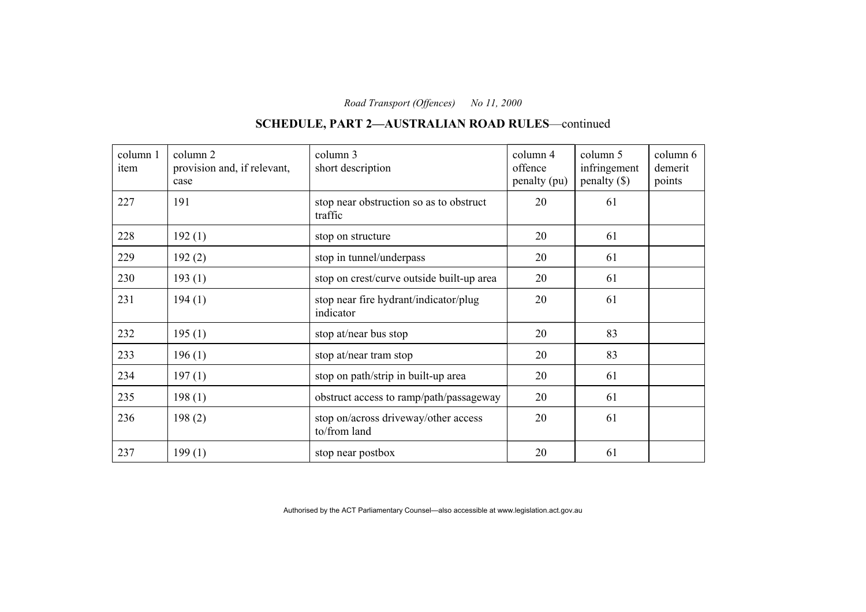#### column 1 item column 2 provision and, if relevant, case column 3 short description column 4 offence penalty (pu) column 5 infringement penalty (\$) column 6 demerit points 227 191 191 stop near obstruction so as to obstruct traffic 20 61 228  $\begin{array}{|c|c|c|c|c|c|c|c|c|} \hline 192 (1) & \multicolumn{1}{|c|}{3} \text{stop on structure} & 20 & 61 \end{array}$ 229 192 (2) stop in tunnel/underpass 20 61 230  $\vert$  193 (1) stop on crest/curve outside built-up area  $\vert$  20  $\vert$  61  $231$  | 194 (1) stop near fire hydrant/indicator/plug indicator 20 61 232 | 195 (1) | stop at/near bus stop | 20 | 83 233  $\left| \begin{array}{ccc} 196 (1) \\ 196 (1) \end{array} \right|$  stop at/near tram stop  $\left| \begin{array}{ccc} 20 \\ 20 \end{array} \right|$  83 234  $\vert$  197 (1) stop on path/strip in built-up area  $\vert$  20  $\vert$  61 235  $\vert$  198 (1)  $\vert$  obstruct access to ramp/path/passageway  $\vert$  20  $\vert$  61 236  $\vert$  198 (2) stop on/across driveway/other access to/from land 20 61 237 | 199 (1) | stop near postbox | 20 | 61

### **SCHEDULE, PART 2—AUSTRALIAN ROAD RULES**—continued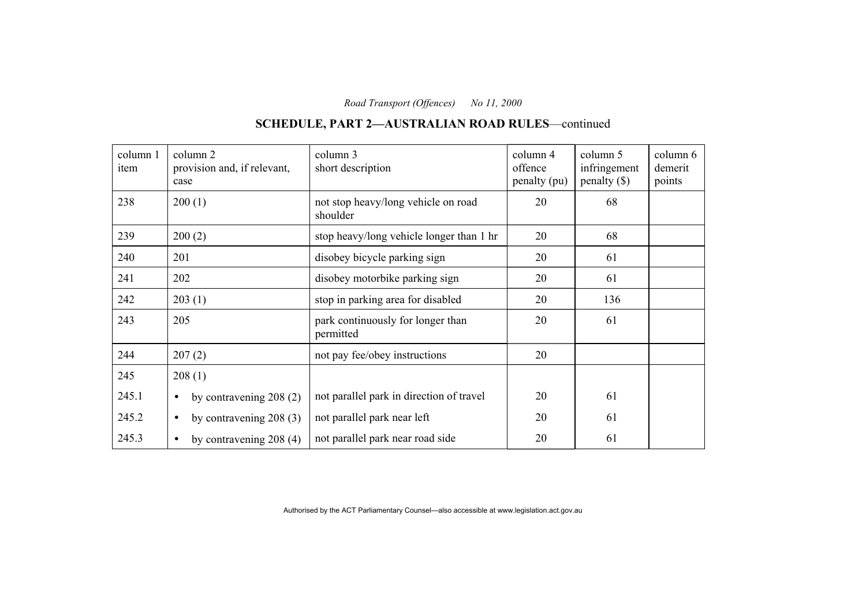# **SCHEDULE, PART 2—AUSTRALIAN ROAD RULES**—continued

| column 1<br>item | column 2<br>provision and, if relevant,<br>case | column 3<br>short description                   | column 4<br>offence<br>penalty (pu) | column 5<br>infringement<br>penalty $(\$)$ | column 6<br>demerit<br>points |
|------------------|-------------------------------------------------|-------------------------------------------------|-------------------------------------|--------------------------------------------|-------------------------------|
| 238              | 200(1)                                          | not stop heavy/long vehicle on road<br>shoulder | 20                                  | 68                                         |                               |
| 239              | 200(2)                                          | stop heavy/long vehicle longer than 1 hr        | 20                                  | 68                                         |                               |
| 240              | 201                                             | disobey bicycle parking sign                    | 20                                  | 61                                         |                               |
| 241              | 202                                             | disobey motorbike parking sign                  | 20                                  | 61                                         |                               |
| 242              | 203(1)                                          | stop in parking area for disabled               | 20                                  | 136                                        |                               |
| 243              | 205                                             | park continuously for longer than<br>permitted  | 20                                  | 61                                         |                               |
| 244              | 207(2)                                          | not pay fee/obey instructions                   | 20                                  |                                            |                               |
| 245              | 208(1)                                          |                                                 |                                     |                                            |                               |
| 245.1            | by contravening $208(2)$<br>$\bullet$           | not parallel park in direction of travel        | 20                                  | 61                                         |                               |
| 245.2            | by contravening $208(3)$<br>$\bullet$           | not parallel park near left                     | 20                                  | 61                                         |                               |
| 245.3            | by contravening $208(4)$<br>٠                   | not parallel park near road side                | 20                                  | 61                                         |                               |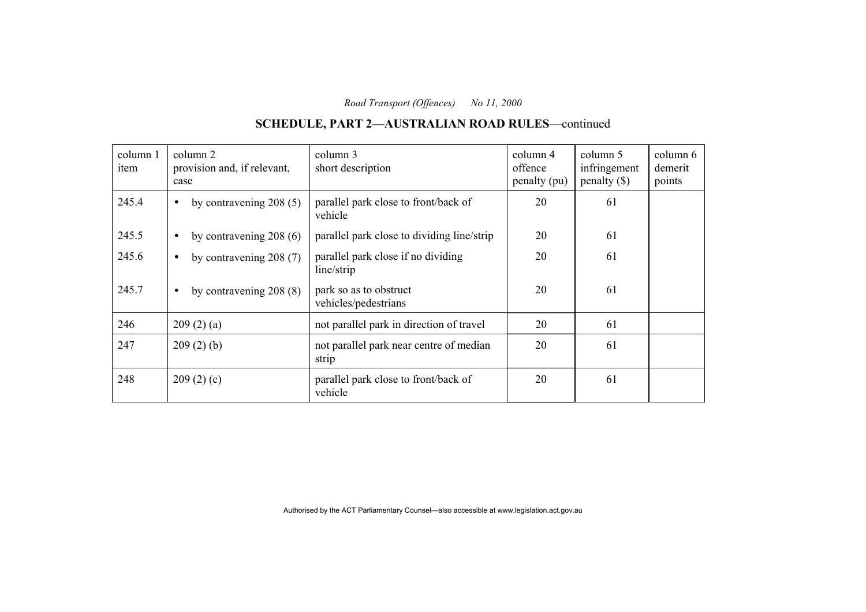# **SCHEDULE, PART 2—AUSTRALIAN ROAD RULES**—continued

| column 1<br>item | column 2<br>provision and, if relevant,<br>case | column 3<br>short description                    | column 4<br>offence<br>penalty (pu) | column 5<br>infringement<br>penalty $(\$)$ | column 6<br>demerit<br>points |
|------------------|-------------------------------------------------|--------------------------------------------------|-------------------------------------|--------------------------------------------|-------------------------------|
| 245.4            | by contravening $208(5)$<br>$\bullet$           | parallel park close to front/back of<br>vehicle  | 20                                  | 61                                         |                               |
| 245.5            | by contravening 208 (6)<br>$\bullet$            | parallel park close to dividing line/strip       | 20                                  | 61                                         |                               |
| 245.6            | by contravening $208(7)$<br>$\bullet$           | parallel park close if no dividing<br>line/strip | 20                                  | 61                                         |                               |
| 245.7            | by contravening $208(8)$<br>$\bullet$           | park so as to obstruct<br>vehicles/pedestrians   | 20                                  | 61                                         |                               |
| 246              | 209(2)(a)                                       | not parallel park in direction of travel         | 20                                  | 61                                         |                               |
| 247              | 209(2)(b)                                       | not parallel park near centre of median<br>strip | 20                                  | 61                                         |                               |
| 248              | 209(2)(c)                                       | parallel park close to front/back of<br>vehicle  | 20                                  | 61                                         |                               |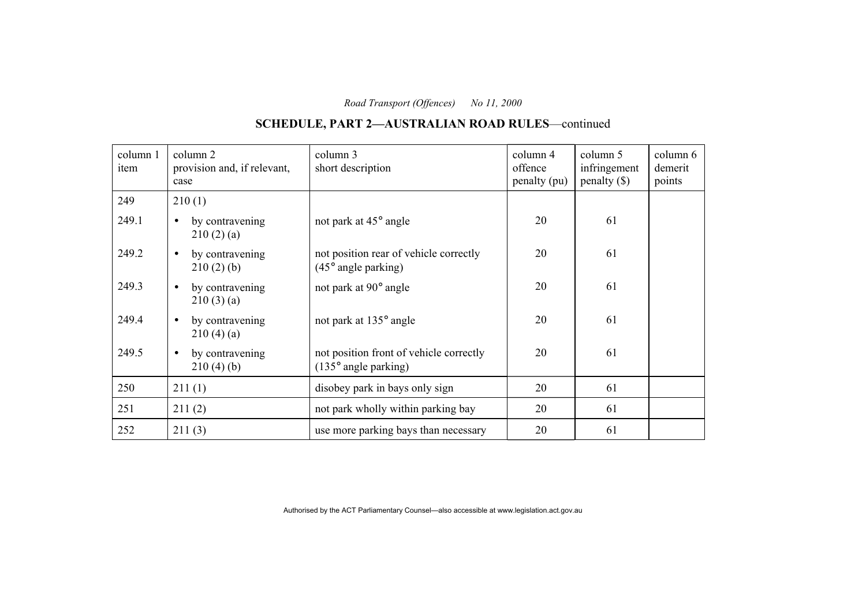# **SCHEDULE, PART 2—AUSTRALIAN ROAD RULES**—continued

| column 1<br>item | column 2<br>provision and, if relevant,<br>case | column 3<br>short description                                            | column 4<br>offence<br>penalty (pu) | column 5<br>infringement<br>$penalty$ (\$) | $\text{column } 6$<br>demerit<br>points |
|------------------|-------------------------------------------------|--------------------------------------------------------------------------|-------------------------------------|--------------------------------------------|-----------------------------------------|
| 249              | 210(1)                                          |                                                                          |                                     |                                            |                                         |
| 249.1            | by contravening<br>$\bullet$<br>210(2)(a)       | not park at 45° angle                                                    | 20                                  | 61                                         |                                         |
| 249.2            | by contravening<br>$\bullet$<br>210(2)(b)       | not position rear of vehicle correctly<br>$(45^{\circ}$ angle parking)   | 20                                  | 61                                         |                                         |
| 249.3            | by contravening<br>$\bullet$<br>210(3)(a)       | not park at 90° angle                                                    | 20                                  | 61                                         |                                         |
| 249.4            | by contravening<br>$\bullet$<br>210(4)(a)       | not park at 135° angle                                                   | 20                                  | 61                                         |                                         |
| 249.5            | by contravening<br>$\bullet$<br>210(4)(b)       | not position front of vehicle correctly<br>$(135^{\circ}$ angle parking) | 20                                  | 61                                         |                                         |
| 250              | 211(1)                                          | disobey park in bays only sign                                           | 20                                  | 61                                         |                                         |
| 251              | 211(2)                                          | not park wholly within parking bay                                       | 20                                  | 61                                         |                                         |
| 252              | 211(3)                                          | use more parking bays than necessary                                     | 20                                  | 61                                         |                                         |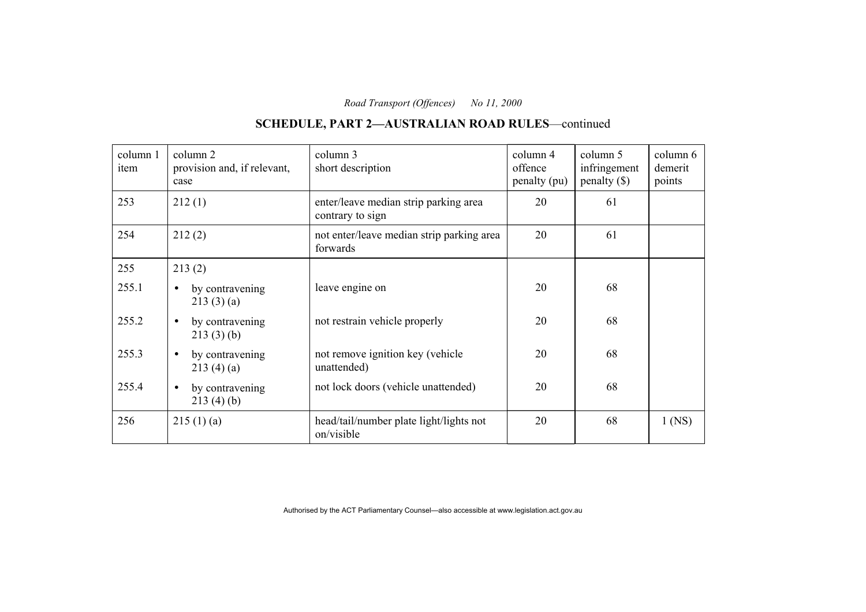# **SCHEDULE, PART 2—AUSTRALIAN ROAD RULES**—continued

| column 1<br>item | column 2<br>provision and, if relevant,<br>case | column 3<br>short description                             | column 4<br>offence<br>penalty (pu) | column 5<br>infringement<br>$penalty$ (\$) | column 6<br>demerit<br>points |
|------------------|-------------------------------------------------|-----------------------------------------------------------|-------------------------------------|--------------------------------------------|-------------------------------|
| 253              | 212(1)                                          | enter/leave median strip parking area<br>contrary to sign | 20                                  | 61                                         |                               |
| 254              | 212(2)                                          | not enter/leave median strip parking area<br>forwards     | 20                                  | 61                                         |                               |
| 255              | 213(2)                                          |                                                           |                                     |                                            |                               |
| 255.1            | by contravening<br>$\bullet$<br>213(3)(a)       | leave engine on                                           | 20                                  | 68                                         |                               |
| 255.2            | by contravening<br>$\bullet$<br>213(3)(b)       | not restrain vehicle properly                             | 20                                  | 68                                         |                               |
| 255.3            | by contravening<br>$\bullet$<br>213(4)(a)       | not remove ignition key (vehicle<br>unattended)           | 20                                  | 68                                         |                               |
| 255.4            | by contravening<br>$\bullet$<br>213(4)(b)       | not lock doors (vehicle unattended)                       | 20                                  | 68                                         |                               |
| 256              | 215(1)(a)                                       | head/tail/number plate light/lights not<br>on/visible     | 20                                  | 68                                         | $1$ (NS)                      |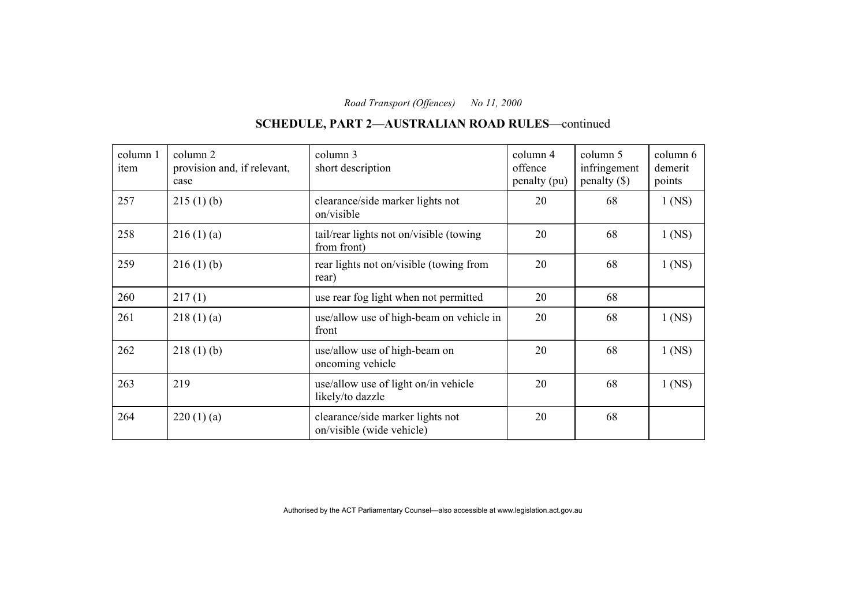# **SCHEDULE, PART 2—AUSTRALIAN ROAD RULES**—continued

| column 1<br>item | column 2<br>provision and, if relevant,<br>case | column 3<br>short description                                 | column 4<br>offence<br>penalty (pu) | column 5<br>infringement<br>$penalty$ (\$) | column 6<br>demerit<br>points |
|------------------|-------------------------------------------------|---------------------------------------------------------------|-------------------------------------|--------------------------------------------|-------------------------------|
| 257              | 215(1)(b)                                       | clearance/side marker lights not<br>on/visible                | 20                                  | 68                                         | $1$ (NS)                      |
| 258              | 216(1)(a)                                       | tail/rear lights not on/visible (towing<br>from front)        | 20                                  | 68                                         | $1$ (NS)                      |
| 259              | 216(1)(b)                                       | rear lights not on/visible (towing from<br>rear)              | 20                                  | 68                                         | $1$ (NS)                      |
| 260              | 217(1)                                          | use rear fog light when not permitted                         | 20                                  | 68                                         |                               |
| 261              | 218(1)(a)                                       | use/allow use of high-beam on vehicle in<br>front             | 20                                  | 68                                         | $1$ (NS)                      |
| 262              | 218(1)(b)                                       | use/allow use of high-beam on<br>oncoming vehicle             | 20                                  | 68                                         | $1$ (NS)                      |
| 263              | 219                                             | use/allow use of light on/in vehicle<br>likely/to dazzle      | 20                                  | 68                                         | $1$ (NS)                      |
| 264              | 220(1)(a)                                       | clearance/side marker lights not<br>on/visible (wide vehicle) | 20                                  | 68                                         |                               |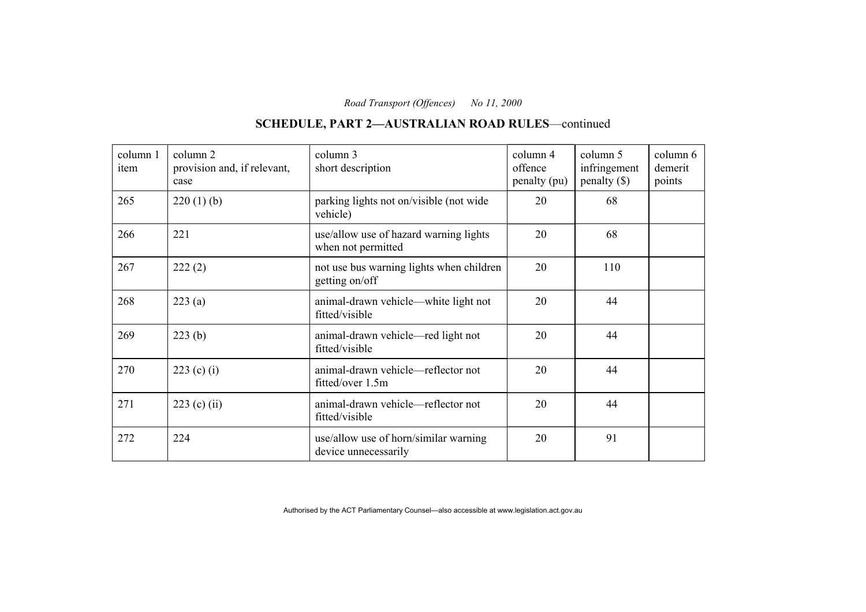# **SCHEDULE, PART 2—AUSTRALIAN ROAD RULES**—continued

| column 1<br>item | column 2<br>provision and, if relevant,<br>case | column 3<br>short description                                 | column 4<br>offence<br>penalty (pu) | column 5<br>infringement<br>$penalty$ (\$) | column 6<br>demerit<br>points |
|------------------|-------------------------------------------------|---------------------------------------------------------------|-------------------------------------|--------------------------------------------|-------------------------------|
| 265              | 220(1)(b)                                       | parking lights not on/visible (not wide)<br>vehicle)          | 20                                  | 68                                         |                               |
| 266              | 221                                             | use/allow use of hazard warning lights<br>when not permitted  | 20                                  | 68                                         |                               |
| 267              | 222(2)                                          | not use bus warning lights when children<br>getting on/off    | 20                                  | 110                                        |                               |
| 268              | 223(a)                                          | animal-drawn vehicle—white light not<br>fitted/visible        | 20                                  | 44                                         |                               |
| 269              | 223(b)                                          | animal-drawn vehicle—red light not<br>fitted/visible          | 20                                  | 44                                         |                               |
| 270              | 223 (c) (i)                                     | animal-drawn vehicle—reflector not<br>fitted/over 1.5m        | 20                                  | 44                                         |                               |
| 271              | $223$ (c) (ii)                                  | animal-drawn vehicle—reflector not<br>fitted/visible          | 20                                  | 44                                         |                               |
| 272              | 224                                             | use/allow use of horn/similar warning<br>device unnecessarily | 20                                  | 91                                         |                               |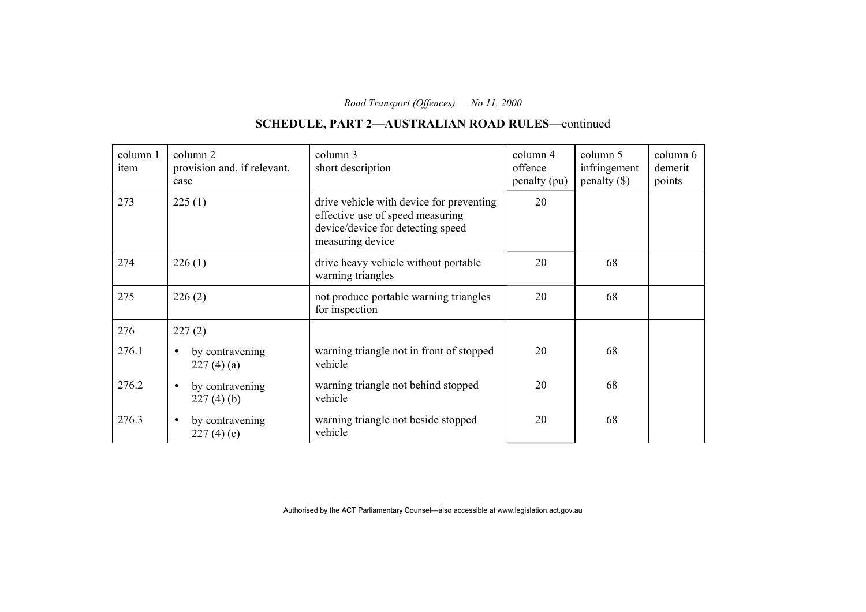# **SCHEDULE, PART 2—AUSTRALIAN ROAD RULES**—continued

| column 1<br>item | column 2<br>provision and, if relevant,<br>case | column 3<br>short description                                                                                                         | column 4<br>offence<br>penalty (pu) | column 5<br>infringement<br>$penalty$ (\$) | column 6<br>demerit<br>points |
|------------------|-------------------------------------------------|---------------------------------------------------------------------------------------------------------------------------------------|-------------------------------------|--------------------------------------------|-------------------------------|
| 273              | 225(1)                                          | drive vehicle with device for preventing<br>effective use of speed measuring<br>device/device for detecting speed<br>measuring device | 20                                  |                                            |                               |
| 274              | 226(1)                                          | drive heavy vehicle without portable<br>warning triangles                                                                             | 20                                  | 68                                         |                               |
| 275              | 226(2)                                          | not produce portable warning triangles<br>for inspection                                                                              | 20                                  | 68                                         |                               |
| 276              | 227(2)                                          |                                                                                                                                       |                                     |                                            |                               |
| 276.1            | by contravening<br>$\bullet$<br>227(4)(a)       | warning triangle not in front of stopped<br>vehicle                                                                                   | 20                                  | 68                                         |                               |
| 276.2            | by contravening<br>$\bullet$<br>227(4)(b)       | warning triangle not behind stopped<br>vehicle                                                                                        | 20                                  | 68                                         |                               |
| 276.3            | by contravening<br>$\bullet$<br>227(4)(c)       | warning triangle not beside stopped<br>vehicle                                                                                        | 20                                  | 68                                         |                               |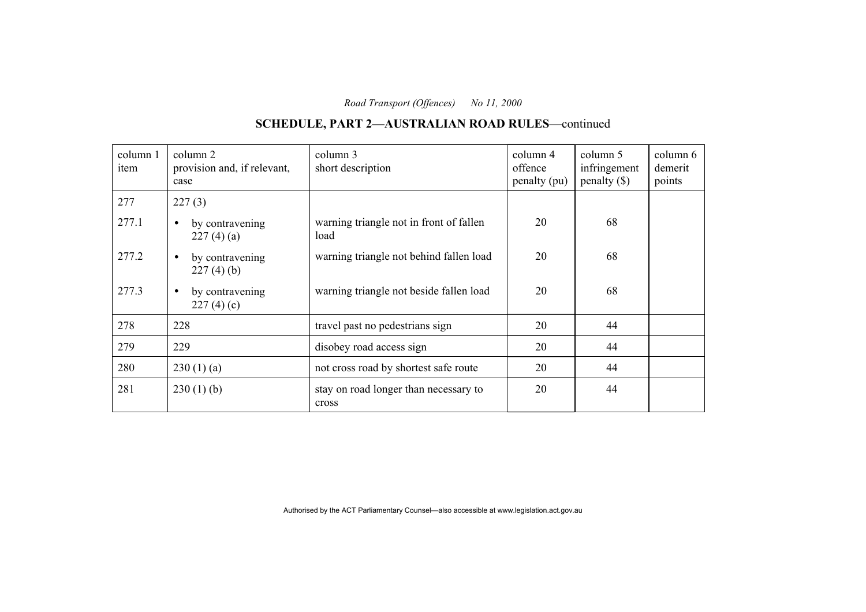# **SCHEDULE, PART 2—AUSTRALIAN ROAD RULES**—continued

| column 1<br>item | column 2<br>provision and, if relevant,<br>case | column 3<br>short description                   | column 4<br>offence<br>penalty (pu) | column 5<br>infringement<br>penalty $(\$)$ | column 6<br>demerit<br>points |
|------------------|-------------------------------------------------|-------------------------------------------------|-------------------------------------|--------------------------------------------|-------------------------------|
| 277              | 227(3)                                          |                                                 |                                     |                                            |                               |
| 277.1            | by contravening<br>227(4)(a)                    | warning triangle not in front of fallen<br>load | 20                                  | 68                                         |                               |
| 277.2            | by contravening<br>227(4)(b)                    | warning triangle not behind fallen load         | 20                                  | 68                                         |                               |
| 277.3            | by contravening<br>227(4)(c)                    | warning triangle not beside fallen load         | 20                                  | 68                                         |                               |
| 278              | 228                                             | travel past no pedestrians sign                 | 20                                  | 44                                         |                               |
| 279              | 229                                             | disobey road access sign                        | 20                                  | 44                                         |                               |
| 280              | 230(1)(a)                                       | not cross road by shortest safe route           | 20                                  | 44                                         |                               |
| 281              | 230(1)(b)                                       | stay on road longer than necessary to<br>cross  | 20                                  | 44                                         |                               |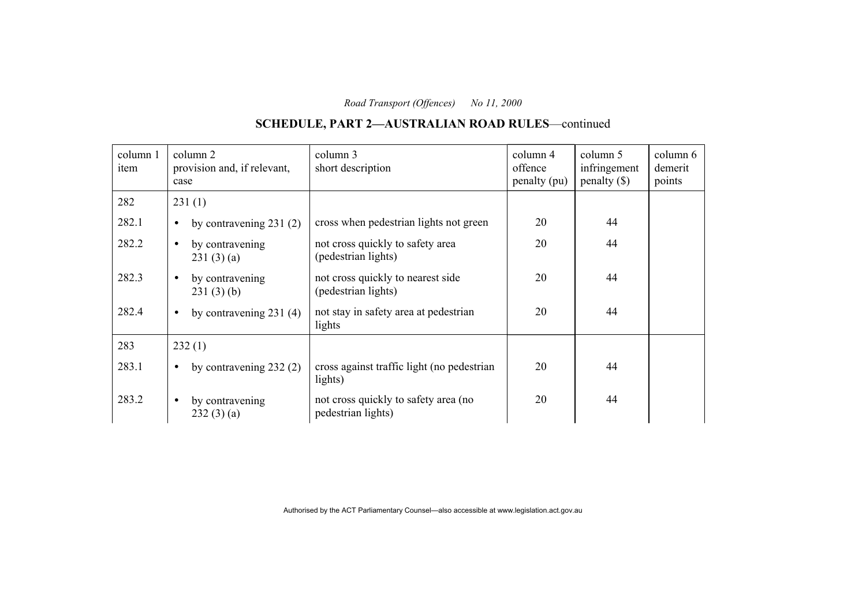# **SCHEDULE, PART 2—AUSTRALIAN ROAD RULES**—continued

| column 1<br>item | column 2<br>provision and, if relevant,<br>case | column 3<br>short description                              | column 4<br>offence<br>penalty (pu) | column 5<br>infringement<br>$penalty$ (\$) | column 6<br>demerit<br>points |
|------------------|-------------------------------------------------|------------------------------------------------------------|-------------------------------------|--------------------------------------------|-------------------------------|
| 282              | 231(1)                                          |                                                            |                                     |                                            |                               |
| 282.1            | by contravening $231(2)$<br>$\bullet$           | cross when pedestrian lights not green                     | 20                                  | 44                                         |                               |
| 282.2            | by contravening<br>$\bullet$<br>231(3)(a)       | not cross quickly to safety area<br>(pedestrian lights)    | 20                                  | 44                                         |                               |
| 282.3            | by contravening<br>$\bullet$<br>231(3)(b)       | not cross quickly to nearest side<br>(pedestrian lights)   | 20                                  | 44                                         |                               |
| 282.4            | by contravening $231(4)$<br>$\bullet$           | not stay in safety area at pedestrian<br>lights            | 20                                  | 44                                         |                               |
| 283              | 232(1)                                          |                                                            |                                     |                                            |                               |
| 283.1            | by contravening $232(2)$<br>$\bullet$           | cross against traffic light (no pedestrian<br>lights)      | 20                                  | 44                                         |                               |
| 283.2            | by contravening<br>$\bullet$<br>232(3)(a)       | not cross quickly to safety area (no<br>pedestrian lights) | 20                                  | 44                                         |                               |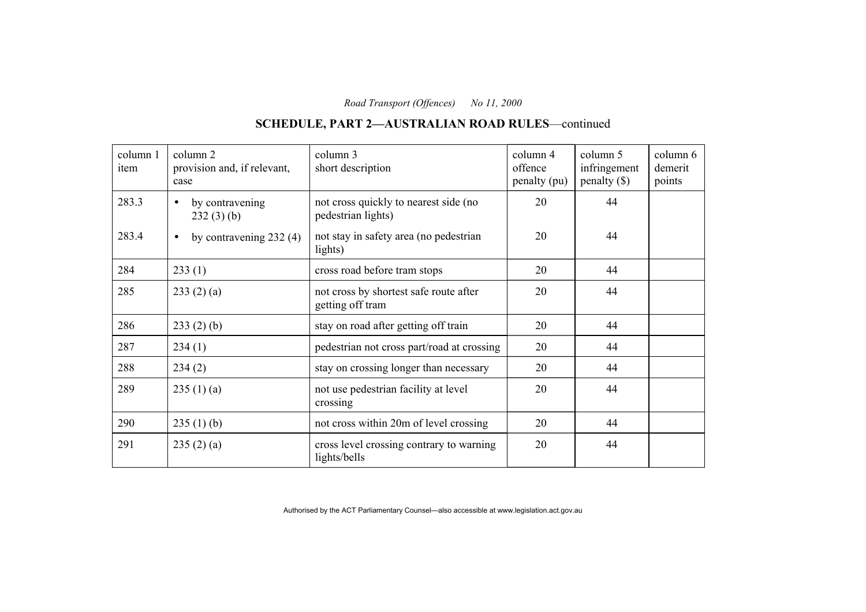# **SCHEDULE, PART 2—AUSTRALIAN ROAD RULES**—continued

| column 1<br>item | column 2<br>provision and, if relevant,<br>case | column 3<br>short description                               | column 4<br>offence<br>penalty (pu) | column 5<br>infringement<br>$penalty$ (\$) | column 6<br>demerit<br>points |
|------------------|-------------------------------------------------|-------------------------------------------------------------|-------------------------------------|--------------------------------------------|-------------------------------|
| 283.3            | by contravening<br>$\bullet$<br>232(3)(b)       | not cross quickly to nearest side (no<br>pedestrian lights) | 20                                  | 44                                         |                               |
| 283.4            | by contravening $232(4)$<br>$\bullet$           | not stay in safety area (no pedestrian<br>lights)           | 20                                  | 44                                         |                               |
| 284              | 233(1)                                          | cross road before tram stops                                | 20                                  | 44                                         |                               |
| 285              | 233(2)(a)                                       | not cross by shortest safe route after<br>getting off tram  | 20                                  | 44                                         |                               |
| 286              | 233(2)(b)                                       | stay on road after getting off train                        | 20                                  | 44                                         |                               |
| 287              | 234(1)                                          | pedestrian not cross part/road at crossing                  | 20                                  | 44                                         |                               |
| 288              | 234(2)                                          | stay on crossing longer than necessary                      | 20                                  | 44                                         |                               |
| 289              | 235(1)(a)                                       | not use pedestrian facility at level<br>crossing            | 20                                  | 44                                         |                               |
| 290              | 235(1)(b)                                       | not cross within 20m of level crossing                      | 20                                  | 44                                         |                               |
| 291              | 235(2)(a)                                       | cross level crossing contrary to warning<br>lights/bells    | 20                                  | 44                                         |                               |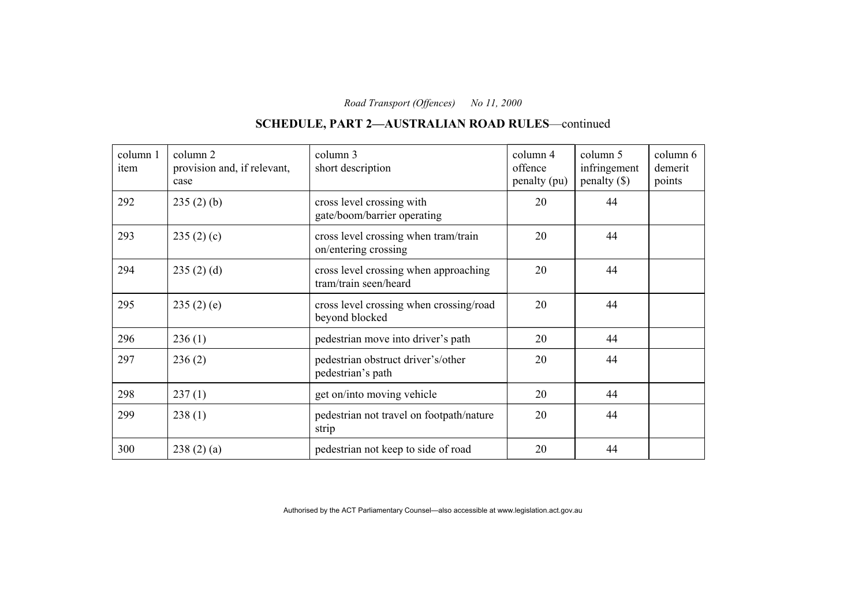# **SCHEDULE, PART 2—AUSTRALIAN ROAD RULES**—continued

| column 1<br>item | column 2<br>provision and, if relevant,<br>case | column 3<br>short description                                  | column 4<br>offence<br>penalty (pu) | column 5<br>infringement<br>$penalty$ (\$) | column 6<br>demerit<br>points |
|------------------|-------------------------------------------------|----------------------------------------------------------------|-------------------------------------|--------------------------------------------|-------------------------------|
| 292              | 235(2)(b)                                       | cross level crossing with<br>gate/boom/barrier operating       | 20                                  | 44                                         |                               |
| 293              | 235(2)(c)                                       | cross level crossing when tram/train<br>on/entering crossing   | 20                                  | 44                                         |                               |
| 294              | 235(2)(d)                                       | cross level crossing when approaching<br>tram/train seen/heard | 20                                  | 44                                         |                               |
| 295              | 235(2)(e)                                       | cross level crossing when crossing/road<br>beyond blocked      | 20                                  | 44                                         |                               |
| 296              | 236(1)                                          | pedestrian move into driver's path                             | 20                                  | 44                                         |                               |
| 297              | 236(2)                                          | pedestrian obstruct driver's/other<br>pedestrian's path        | 20                                  | 44                                         |                               |
| 298              | 237(1)                                          | get on/into moving vehicle                                     | 20                                  | 44                                         |                               |
| 299              | 238(1)                                          | pedestrian not travel on footpath/nature<br>strip              | 20                                  | 44                                         |                               |
| 300              | 238(2)(a)                                       | pedestrian not keep to side of road                            | 20                                  | 44                                         |                               |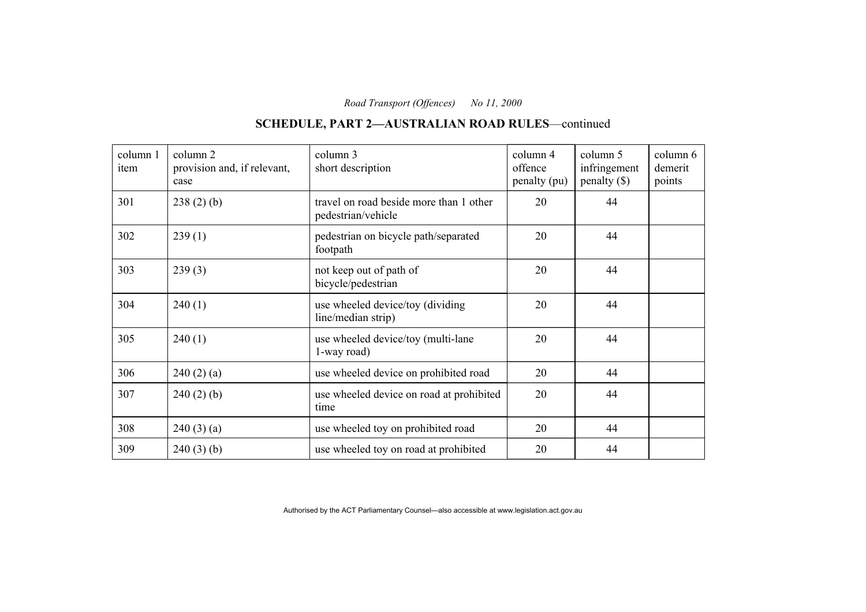# **SCHEDULE, PART 2—AUSTRALIAN ROAD RULES**—continued

| column 1<br>item | column 2<br>provision and, if relevant,<br>case | column 3<br>short description                                 | column 4<br>offence<br>penalty (pu) | column 5<br>infringement<br>$penalty$ (\$) | column 6<br>demerit<br>points |
|------------------|-------------------------------------------------|---------------------------------------------------------------|-------------------------------------|--------------------------------------------|-------------------------------|
| 301              | 238(2)(b)                                       | travel on road beside more than 1 other<br>pedestrian/vehicle | 20                                  | 44                                         |                               |
| 302              | 239(1)                                          | pedestrian on bicycle path/separated<br>footpath              | 20                                  | 44                                         |                               |
| 303              | 239(3)                                          | not keep out of path of<br>bicycle/pedestrian                 | 20                                  | 44                                         |                               |
| 304              | 240(1)                                          | use wheeled device/toy (dividing<br>line/median strip)        | 20                                  | 44                                         |                               |
| 305              | 240(1)                                          | use wheeled device/toy (multi-lane<br>1-way road)             | 20                                  | 44                                         |                               |
| 306              | 240(2)(a)                                       | use wheeled device on prohibited road                         | 20                                  | 44                                         |                               |
| 307              | 240(2)(b)                                       | use wheeled device on road at prohibited<br>time              | 20                                  | 44                                         |                               |
| 308              | 240(3)(a)                                       | use wheeled toy on prohibited road                            | 20                                  | 44                                         |                               |
| 309              | 240(3)(b)                                       | use wheeled toy on road at prohibited                         | 20                                  | 44                                         |                               |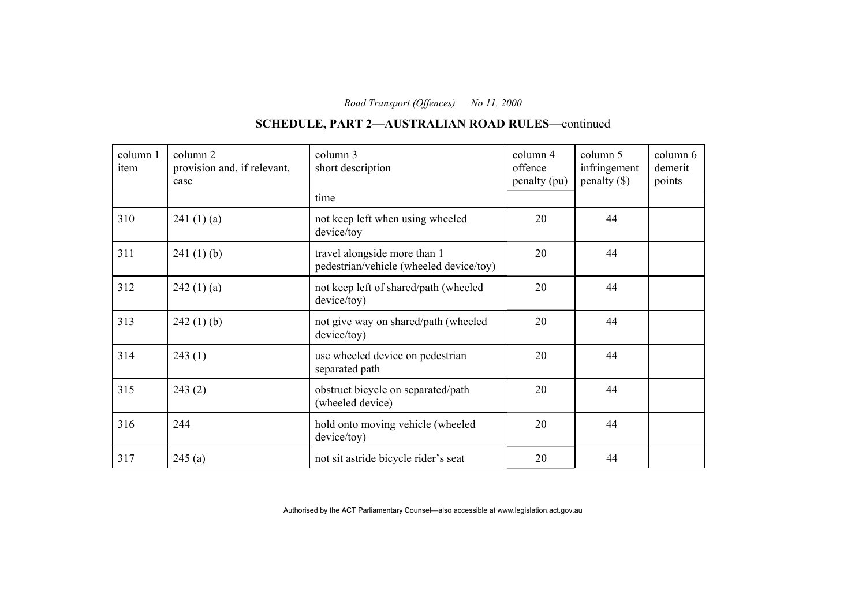# **SCHEDULE, PART 2—AUSTRALIAN ROAD RULES**—continued

| column 1<br>item | column 2<br>provision and, if relevant,<br>case | column 3<br>short description                                           | column 4<br>offence<br>penalty (pu) | column 5<br>infringement<br>penalty $(\$)$ | column 6<br>demerit<br>points |
|------------------|-------------------------------------------------|-------------------------------------------------------------------------|-------------------------------------|--------------------------------------------|-------------------------------|
|                  |                                                 | time                                                                    |                                     |                                            |                               |
| 310              | 241(1)(a)                                       | not keep left when using wheeled<br>device/toy                          | 20                                  | 44                                         |                               |
| 311              | 241(1)(b)                                       | travel alongside more than 1<br>pedestrian/vehicle (wheeled device/toy) | 20                                  | 44                                         |                               |
| 312              | 242(1)(a)                                       | not keep left of shared/path (wheeled<br>device/toy)                    | 20                                  | 44                                         |                               |
| 313              | 242(1)(b)                                       | not give way on shared/path (wheeled<br>device/toy)                     | 20                                  | 44                                         |                               |
| 314              | 243(1)                                          | use wheeled device on pedestrian<br>separated path                      | 20                                  | 44                                         |                               |
| 315              | 243(2)                                          | obstruct bicycle on separated/path<br>(wheeled device)                  | 20                                  | 44                                         |                               |
| 316              | 244                                             | hold onto moving vehicle (wheeled<br>device/toy)                        | 20                                  | 44                                         |                               |
| 317              | 245(a)                                          | not sit astride bicycle rider's seat                                    | 20                                  | 44                                         |                               |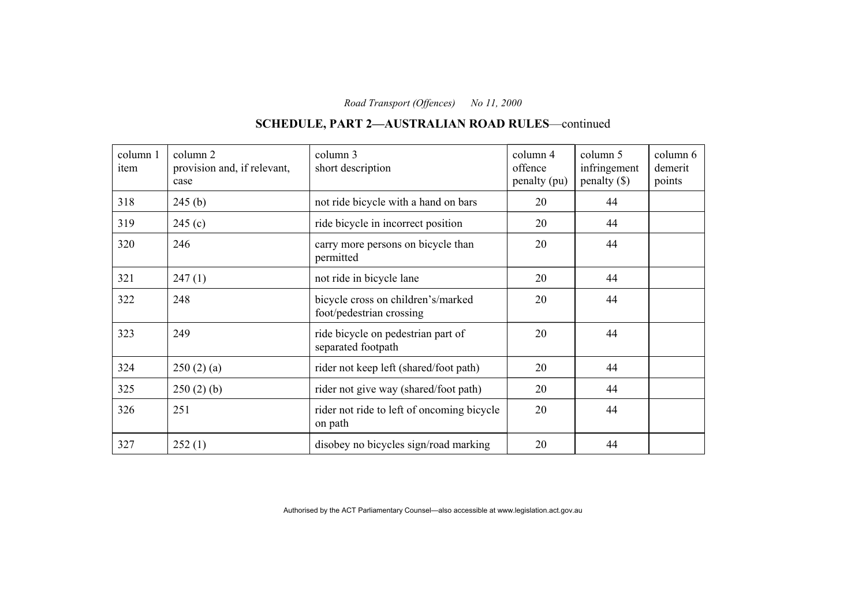# **SCHEDULE, PART 2—AUSTRALIAN ROAD RULES**—continued

| column 1<br>item | column 2<br>provision and, if relevant,<br>case | column 3<br>short description                                  | column 4<br>offence<br>penalty (pu) | column 5<br>infringement<br>$penalty$ (\$) | column 6<br>demerit<br>points |
|------------------|-------------------------------------------------|----------------------------------------------------------------|-------------------------------------|--------------------------------------------|-------------------------------|
| 318              | 245(b)                                          | not ride bicycle with a hand on bars                           | 20                                  | 44                                         |                               |
| 319              | 245(c)                                          | ride bicycle in incorrect position                             | 20                                  | 44                                         |                               |
| 320              | 246                                             | carry more persons on bicycle than<br>permitted                | 20                                  | 44                                         |                               |
| 321              | 247(1)                                          | not ride in bicycle lane                                       | 20                                  | 44                                         |                               |
| 322              | 248                                             | bicycle cross on children's/marked<br>foot/pedestrian crossing | 20                                  | 44                                         |                               |
| 323              | 249                                             | ride bicycle on pedestrian part of<br>separated footpath       | 20                                  | 44                                         |                               |
| 324              | 250(2)(a)                                       | rider not keep left (shared/foot path)                         | 20                                  | 44                                         |                               |
| 325              | 250(2)(b)                                       | rider not give way (shared/foot path)                          | 20                                  | 44                                         |                               |
| 326              | 251                                             | rider not ride to left of oncoming bicycle<br>on path          | 20                                  | 44                                         |                               |
| 327              | 252(1)                                          | disobey no bicycles sign/road marking                          | 20                                  | 44                                         |                               |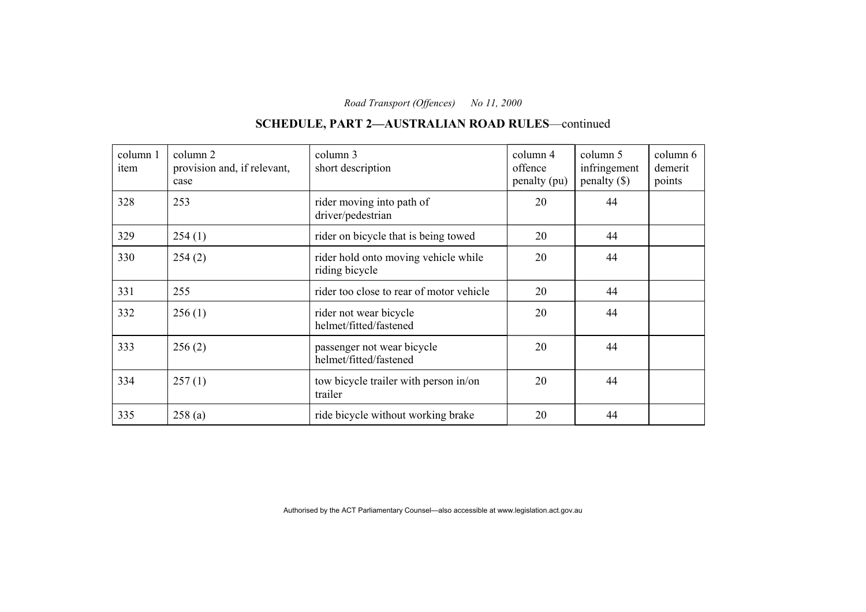#### column 1 item column 2 provision and, if relevant, case column 3 short description column 4 offence penalty (pu) column 5 infringement penalty (\$) column 6 demerit points 328 253 rider moving into path of driver/pedestrian 20 44  $329$  254 (1) rider on bicycle that is being towed 20 44 330 254 (2) rider hold onto moving vehicle while riding bicycle 20 44  $331$  255 rider too close to rear of motor vehicle  $\begin{array}{|c|c|c|c|c|} \hline 20 & 44 \end{array}$  $332$  256 (1) rider not wear bicycle helmet/fitted/fastened 20 44 333 256 (2) passenger not wear bicycle helmet/fitted/fastened 20 44  $334$  257 (1) tow bicycle trailer with person in/on trailer 20 44  $335$  258 (a) ride bicycle without working brake 20 44

### **SCHEDULE, PART 2—AUSTRALIAN ROAD RULES**—continued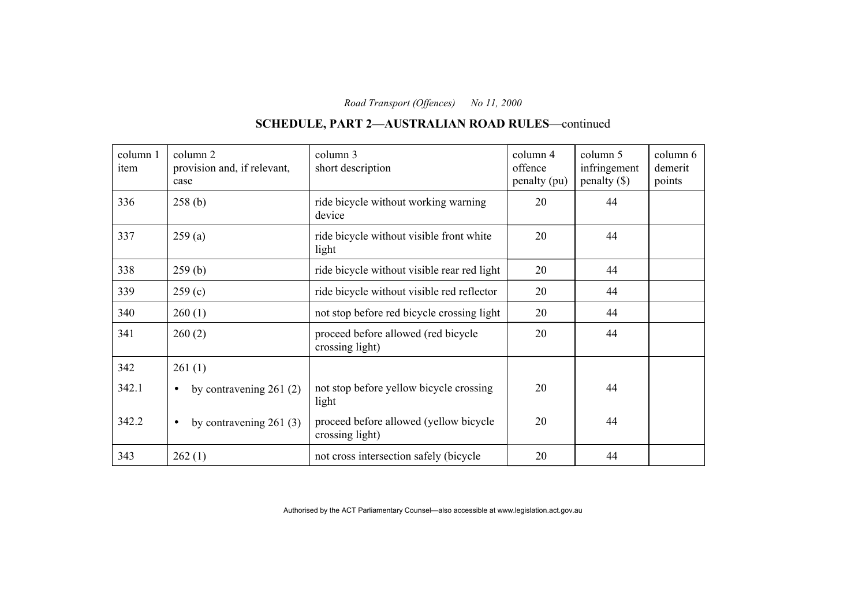# **SCHEDULE, PART 2—AUSTRALIAN ROAD RULES**—continued

| column 1<br>item | column 2<br>provision and, if relevant,<br>case | column 3<br>short description                             | column 4<br>offence<br>penalty (pu) | column 5<br>infringement<br>$penalty$ (\$) | column 6<br>demerit<br>points |
|------------------|-------------------------------------------------|-----------------------------------------------------------|-------------------------------------|--------------------------------------------|-------------------------------|
| 336              | 258(b)                                          | ride bicycle without working warning<br>device            | 20                                  | 44                                         |                               |
| 337              | 259(a)                                          | ride bicycle without visible front white<br>light         | 20                                  | 44                                         |                               |
| 338              | 259(b)                                          | ride bicycle without visible rear red light               | 20                                  | 44                                         |                               |
| 339              | 259(c)                                          | ride bicycle without visible red reflector                | 20                                  | 44                                         |                               |
| 340              | 260(1)                                          | not stop before red bicycle crossing light                | 20                                  | 44                                         |                               |
| 341              | 260(2)                                          | proceed before allowed (red bicycle<br>crossing light)    | 20                                  | 44                                         |                               |
| 342              | 261(1)                                          |                                                           |                                     |                                            |                               |
| 342.1            | by contravening $261(2)$<br>$\bullet$           | not stop before yellow bicycle crossing<br>light          | 20                                  | 44                                         |                               |
| 342.2            | by contravening $261(3)$<br>$\bullet$           | proceed before allowed (yellow bicycle<br>crossing light) | 20                                  | 44                                         |                               |
| 343              | 262(1)                                          | not cross intersection safely (bicycle                    | 20                                  | 44                                         |                               |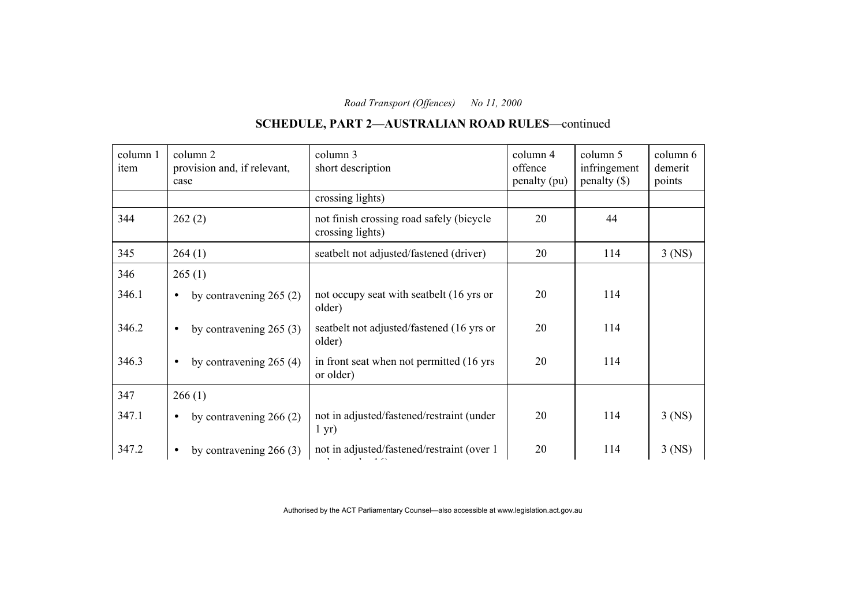# **SCHEDULE, PART 2—AUSTRALIAN ROAD RULES**—continued

| column 1<br>item | column 2<br>provision and, if relevant,<br>case | column 3<br>short description                                | column 4<br>offence<br>penalty (pu) | column 5<br>infringement<br>$penalty$ (\$) | column 6<br>demerit<br>points |
|------------------|-------------------------------------------------|--------------------------------------------------------------|-------------------------------------|--------------------------------------------|-------------------------------|
|                  |                                                 | crossing lights)                                             |                                     |                                            |                               |
| 344              | 262(2)                                          | not finish crossing road safely (bicycle<br>crossing lights) | 20                                  | 44                                         |                               |
| 345              | 264(1)                                          | seatbelt not adjusted/fastened (driver)                      | 20                                  | 114                                        | $3$ (NS)                      |
| 346              | 265(1)                                          |                                                              |                                     |                                            |                               |
| 346.1            | by contravening $265(2)$<br>$\bullet$           | not occupy seat with seatbelt (16 yrs or<br>older)           | 20                                  | 114                                        |                               |
| 346.2            | by contravening $265(3)$<br>$\bullet$           | seatbelt not adjusted/fastened (16 yrs or<br>older)          | 20                                  | 114                                        |                               |
| 346.3            | by contravening $265(4)$<br>$\bullet$           | in front seat when not permitted (16 yrs)<br>or older)       | 20                                  | 114                                        |                               |
| 347              | 266(1)                                          |                                                              |                                     |                                            |                               |
| 347.1            | by contravening $266(2)$<br>$\bullet$           | not in adjusted/fastened/restraint (under<br>$1 \text{ yr}$  | 20                                  | 114                                        | $3$ (NS)                      |
| 347.2            | by contravening $266(3)$                        | not in adjusted/fastened/restraint (over 1)                  | 20                                  | 114                                        | $3$ (NS)                      |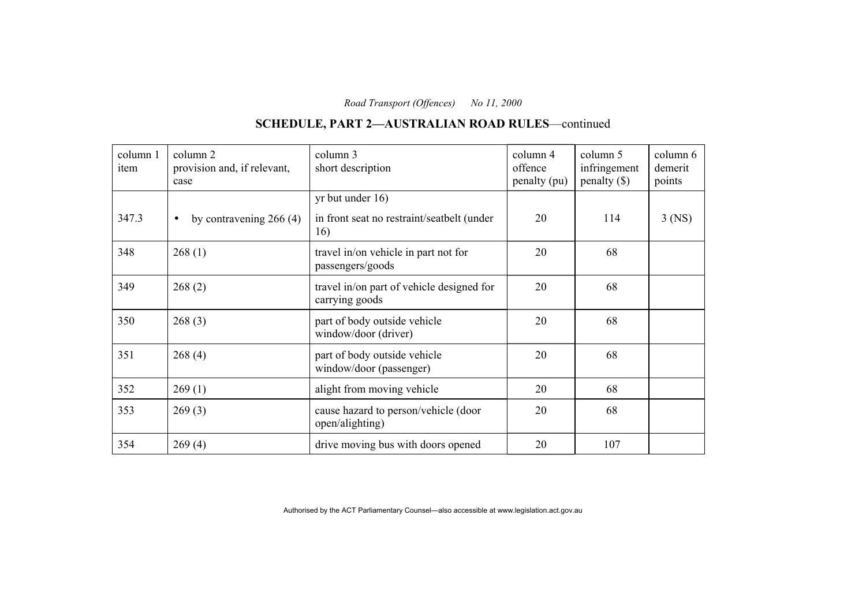# **SCHEDULE, PART 2—AUSTRALIAN ROAD RULES**—continued

| column 1<br>item | column 2<br>provision and, if relevant,<br>case | column 3<br>short description                                           | column 4<br>offence<br>penalty (pu) | column 5<br>infringement<br>$penalty$ (\$) | column 6<br>demerit<br>points |
|------------------|-------------------------------------------------|-------------------------------------------------------------------------|-------------------------------------|--------------------------------------------|-------------------------------|
| 347.3            | by contravening $266(4)$<br>$\bullet$           | $yr$ but under 16)<br>in front seat no restraint/seatbelt (under<br>16) | 20                                  | 114                                        | $3$ (NS)                      |
| 348              | 268(1)                                          | travel in/on vehicle in part not for<br>passengers/goods                | 20                                  | 68                                         |                               |
| 349              | 268(2)                                          | travel in/on part of vehicle designed for<br>carrying goods             | 20                                  | 68                                         |                               |
| 350              | 268(3)                                          | part of body outside vehicle<br>window/door (driver)                    | 20                                  | 68                                         |                               |
| 351              | 268(4)                                          | part of body outside vehicle<br>window/door (passenger)                 | 20                                  | 68                                         |                               |
| 352              | 269(1)                                          | alight from moving vehicle                                              | 20                                  | 68                                         |                               |
| 353              | 269(3)                                          | cause hazard to person/vehicle (door<br>open/alighting)                 | 20                                  | 68                                         |                               |
| 354              | 269(4)                                          | drive moving bus with doors opened                                      | 20                                  | 107                                        |                               |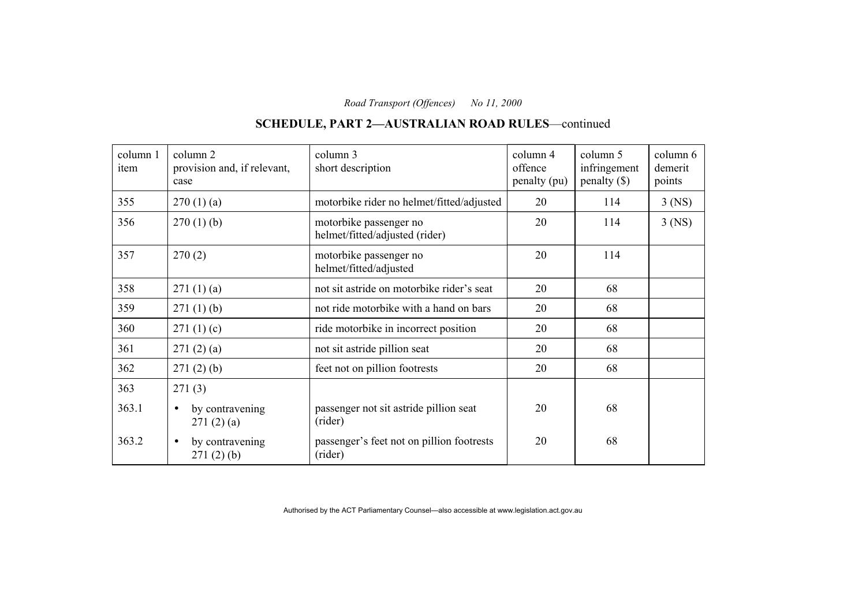# **SCHEDULE, PART 2—AUSTRALIAN ROAD RULES**—continued

| column 1<br>item | column 2<br>provision and, if relevant,<br>case | column 3<br>short description                            | column 4<br>offence<br>penalty (pu) | column 5<br>infringement<br>penalty $(\$)$ | column 6<br>demerit<br>points |
|------------------|-------------------------------------------------|----------------------------------------------------------|-------------------------------------|--------------------------------------------|-------------------------------|
| 355              | 270(1)(a)                                       | motorbike rider no helmet/fitted/adjusted                | 20                                  | 114                                        | $3$ (NS)                      |
| 356              | 270(1)(b)                                       | motorbike passenger no<br>helmet/fitted/adjusted (rider) | 20                                  | 114                                        | $3$ (NS)                      |
| 357              | 270(2)                                          | motorbike passenger no<br>helmet/fitted/adjusted         | 20                                  | 114                                        |                               |
| 358              | 271(1)(a)                                       | not sit astride on motorbike rider's seat                | 20                                  | 68                                         |                               |
| 359              | 271(1)(b)                                       | not ride motorbike with a hand on bars                   | 20                                  | 68                                         |                               |
| 360              | 271(1)(c)                                       | ride motorbike in incorrect position                     | 20                                  | 68                                         |                               |
| 361              | 271(2)(a)                                       | not sit astride pillion seat                             | 20                                  | 68                                         |                               |
| 362              | 271(2)(b)                                       | feet not on pillion footrests                            | 20                                  | 68                                         |                               |
| 363              | 271(3)                                          |                                                          |                                     |                                            |                               |
| 363.1            | by contravening<br>$\bullet$<br>271(2)(a)       | passenger not sit astride pillion seat<br>(rider)        | 20                                  | 68                                         |                               |
| 363.2            | by contravening<br>$\bullet$<br>271(2)(b)       | passenger's feet not on pillion footrests<br>(rider)     | 20                                  | 68                                         |                               |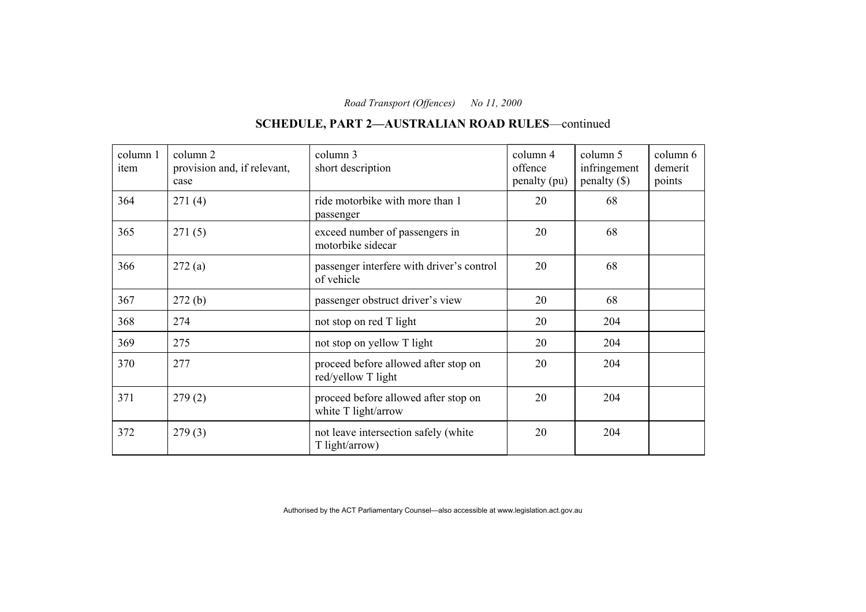# **SCHEDULE, PART 2—AUSTRALIAN ROAD RULES**—continued

| column 1<br>item | column 2<br>provision and, if relevant,<br>case | column 3<br>short description                               | column 4<br>offence<br>penalty (pu) | column 5<br>infringement<br>$penalty$ (\$) | column 6<br>demerit<br>points |
|------------------|-------------------------------------------------|-------------------------------------------------------------|-------------------------------------|--------------------------------------------|-------------------------------|
| 364              | 271(4)                                          | ride motorbike with more than 1<br>passenger                | 20                                  | 68                                         |                               |
| 365              | 271(5)                                          | exceed number of passengers in<br>motorbike sidecar         | 20                                  | 68                                         |                               |
| 366              | 272(a)                                          | passenger interfere with driver's control<br>of vehicle     | 20                                  | 68                                         |                               |
| 367              | 272(b)                                          | passenger obstruct driver's view                            | 20                                  | 68                                         |                               |
| 368              | 274                                             | not stop on red T light                                     | 20                                  | 204                                        |                               |
| 369              | 275                                             | not stop on yellow T light                                  | 20                                  | 204                                        |                               |
| 370              | 277                                             | proceed before allowed after stop on<br>red/yellow T light  | 20                                  | 204                                        |                               |
| 371              | 279(2)                                          | proceed before allowed after stop on<br>white T light/arrow | 20                                  | 204                                        |                               |
| 372              | 279(3)                                          | not leave intersection safely (white<br>T light/arrow)      | 20                                  | 204                                        |                               |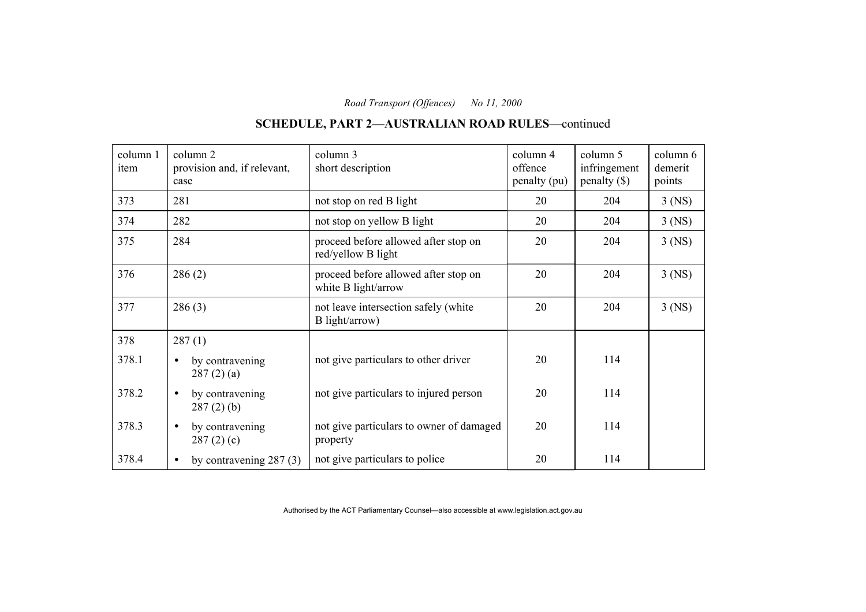#### column 1 item column 2 provision and, if relevant, case column 3 short description column 4 offence penalty (pu) column 5 infringement penalty (\$) column 6 demerit points  $373$  281 hot stop on red B light 20 204 3 (NS)  $374$  | 282 | not stop on yellow B light | 20 | 204 | 3 (NS) 375 284 proceed before allowed after stop on red/yellow B light 20 204 3 (NS) 376 286 (2) proceed before allowed after stop on white B light/arrow 20 204 3 (NS) 377 286 (3) not leave intersection safely (white B light/arrow) 20 204 3 (NS) 378 287 (1) 378.1 • by contravening 287 (2) (a) not give particulars to other driver 20 114 378.2 • by contravening 287 (2) (b) not give particulars to injured person 20 114 378.3 • by contravening 287 (2) (c) not give particulars to owner of damaged property 20 114 378.4 • by contravening 287 (3) | not give particulars to police  $\vert$  20 | 114

#### **SCHEDULE, PART 2—AUSTRALIAN ROAD RULES**—continued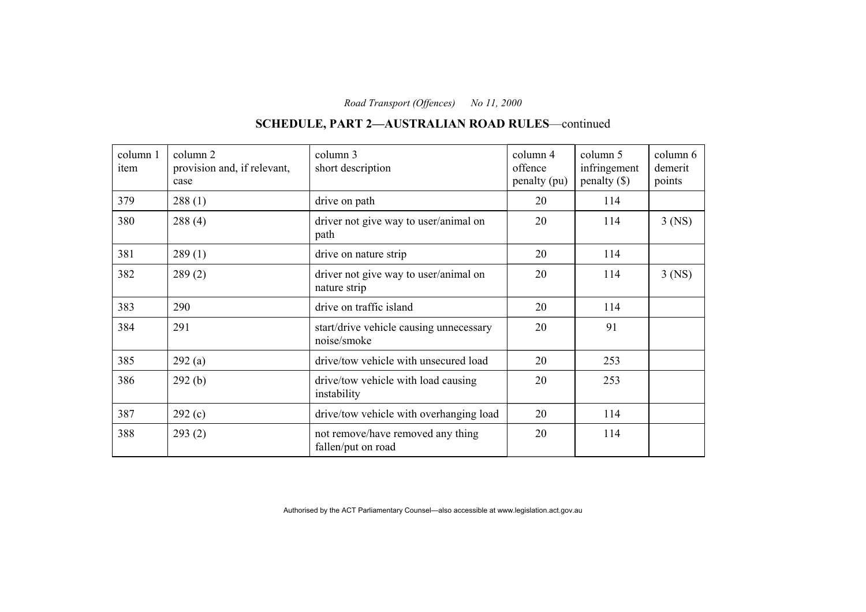| column 1<br>item | column 2<br>provision and, if relevant,<br>case | column 3<br>short description                           | column 4<br>offence<br>penalty (pu) | column 5<br>infringement<br>$penalty$ (\$) | column 6<br>demerit<br>points |
|------------------|-------------------------------------------------|---------------------------------------------------------|-------------------------------------|--------------------------------------------|-------------------------------|
| 379              | 288(1)                                          | drive on path                                           | 20                                  | 114                                        |                               |
| 380              | 288(4)                                          | driver not give way to user/animal on<br>path           | 20                                  | 114                                        | $3$ (NS)                      |
| 381              | 289(1)                                          | drive on nature strip                                   | 20                                  | 114                                        |                               |
| 382              | 289(2)                                          | driver not give way to user/animal on<br>nature strip   | 20                                  | 114                                        | $3$ (NS)                      |
| 383              | 290                                             | drive on traffic island                                 | 20                                  | 114                                        |                               |
| 384              | 291                                             | start/drive vehicle causing unnecessary<br>noise/smoke  | 20                                  | 91                                         |                               |
| 385              | 292(a)                                          | drive/tow vehicle with unsecured load                   | 20                                  | 253                                        |                               |
| 386              | 292(b)                                          | drive/tow vehicle with load causing<br>instability      | 20                                  | 253                                        |                               |
| 387              | 292(c)                                          | drive/tow vehicle with overhanging load                 | 20                                  | 114                                        |                               |
| 388              | 293(2)                                          | not remove/have removed any thing<br>fallen/put on road | 20                                  | 114                                        |                               |

# **SCHEDULE, PART 2—AUSTRALIAN ROAD RULES**—continued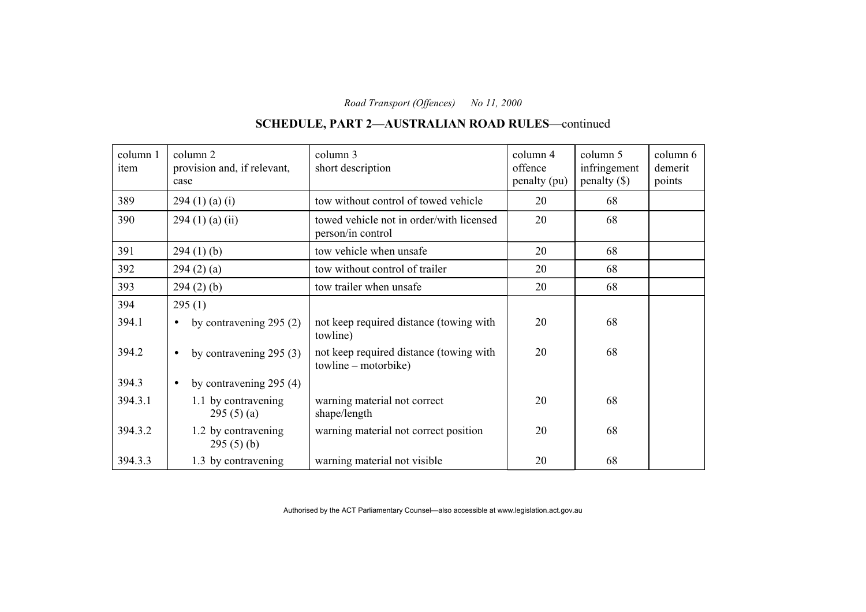# **SCHEDULE, PART 2—AUSTRALIAN ROAD RULES**—continued

| column 1<br>item | column 2<br>provision and, if relevant,<br>case | column 3<br>short description                                     | column 4<br>offence<br>penalty (pu) | column 5<br>infringement<br>$penalty$ (\$) | column 6<br>demerit<br>points |
|------------------|-------------------------------------------------|-------------------------------------------------------------------|-------------------------------------|--------------------------------------------|-------------------------------|
| 389              | 294 (1) (a) (i)                                 | tow without control of towed vehicle                              | 20                                  | 68                                         |                               |
| 390              | $294(1)$ (a) (ii)                               | towed vehicle not in order/with licensed<br>person/in control     | 20                                  | 68                                         |                               |
| 391              | 294(1)(b)                                       | tow vehicle when unsafe                                           | 20                                  | 68                                         |                               |
| 392              | 294(2)(a)                                       | tow without control of trailer                                    | 20                                  | 68                                         |                               |
| 393              | 294(2)(b)                                       | tow trailer when unsafe                                           | 20                                  | 68                                         |                               |
| 394              | 295(1)                                          |                                                                   |                                     |                                            |                               |
| 394.1            | by contravening $295(2)$<br>$\bullet$           | not keep required distance (towing with<br>towline)               | 20                                  | 68                                         |                               |
| 394.2            | by contravening $295(3)$<br>$\bullet$           | not keep required distance (towing with<br>$towline - motorbike)$ | 20                                  | 68                                         |                               |
| 394.3            | by contravening $295(4)$<br>$\bullet$           |                                                                   |                                     |                                            |                               |
| 394.3.1          | 1.1 by contravening<br>295(5)(a)                | warning material not correct<br>shape/length                      | 20                                  | 68                                         |                               |
| 394.3.2          | 1.2 by contravening<br>295(5)(b)                | warning material not correct position                             | 20                                  | 68                                         |                               |
| 394.3.3          | 1.3 by contravening                             | warning material not visible                                      | 20                                  | 68                                         |                               |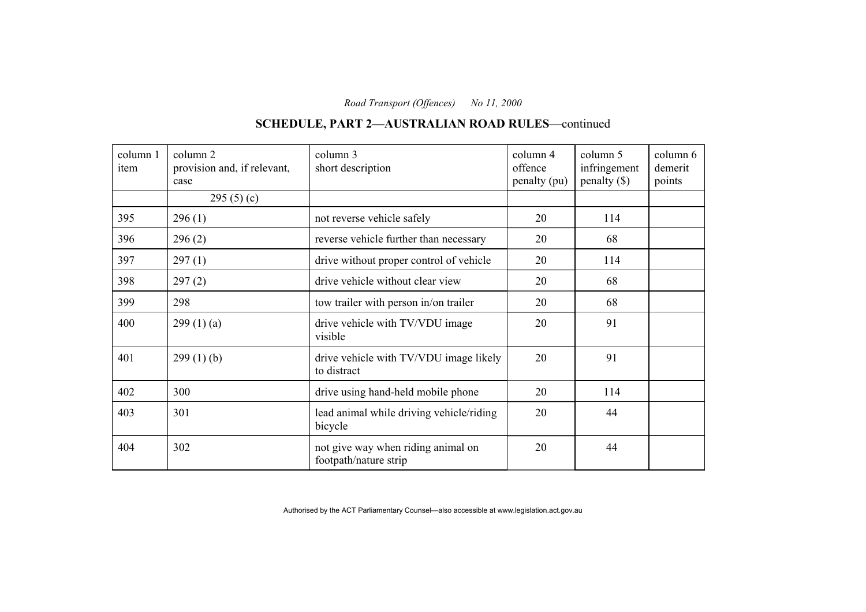#### column 1 item column 2 provision and, if relevant, case column 3 short description column 4 offence penalty (pu) column 5 infringement penalty (\$) column 6 demerit points  $295(5)(c)$  $395$  296 (1) hot reverse vehicle safely 20 114  $396$   $296 (2)$  reverse vehicle further than necessary 20 68  $397$  297 (1) drive without proper control of vehicle 20 114  $398$  |  $297 (2)$  | drive vehicle without clear view | 20 | 68  $399$  298 tow trailer with person in/on trailer  $\begin{array}{|c|c|c|c|c|} \hline 20 & 399 \end{array}$  68  $400$  299 (1) (a) drive vehicle with TV/VDU image visible 20 91 401 299 (1) (b) drive vehicle with TV/VDU image likely to distract 20 91 402 300 drive using hand-held mobile phone 20 114 403 301 301 lead animal while driving vehicle/riding bicycle 20 44 404 302 not give way when riding animal on footpath/nature strip 20 44

#### **SCHEDULE, PART 2—AUSTRALIAN ROAD RULES**—continued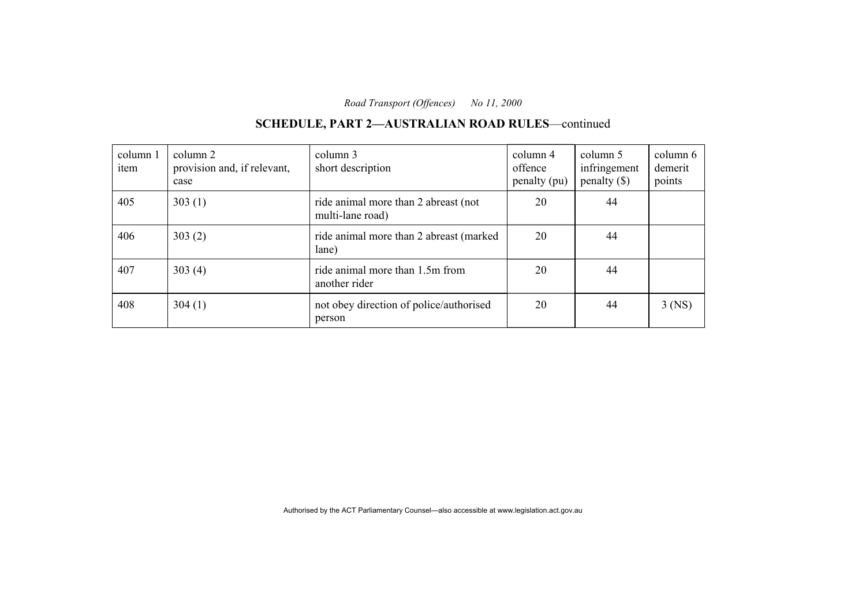# **SCHEDULE, PART 2—AUSTRALIAN ROAD RULES**—continued

| column 1<br>item | column 2<br>provision and, if relevant,<br>case | column 3<br>short description                            | column 4<br>offence<br>penalty (pu) | column 5<br>infringement<br>$penalty$ (\$) | column 6<br>demerit<br>points |
|------------------|-------------------------------------------------|----------------------------------------------------------|-------------------------------------|--------------------------------------------|-------------------------------|
| 405              | 303(1)                                          | ride animal more than 2 abreast (not<br>multi-lane road) | 20                                  | 44                                         |                               |
| 406              | 303(2)                                          | ride animal more than 2 abreast (marked)<br>lane)        | 20                                  | 44                                         |                               |
| 407              | 303(4)                                          | ride animal more than 1.5m from<br>another rider         | 20                                  | 44                                         |                               |
| 408              | 304(1)                                          | not obey direction of police/authorised<br>person        | 20                                  | 44                                         | $3$ (NS)                      |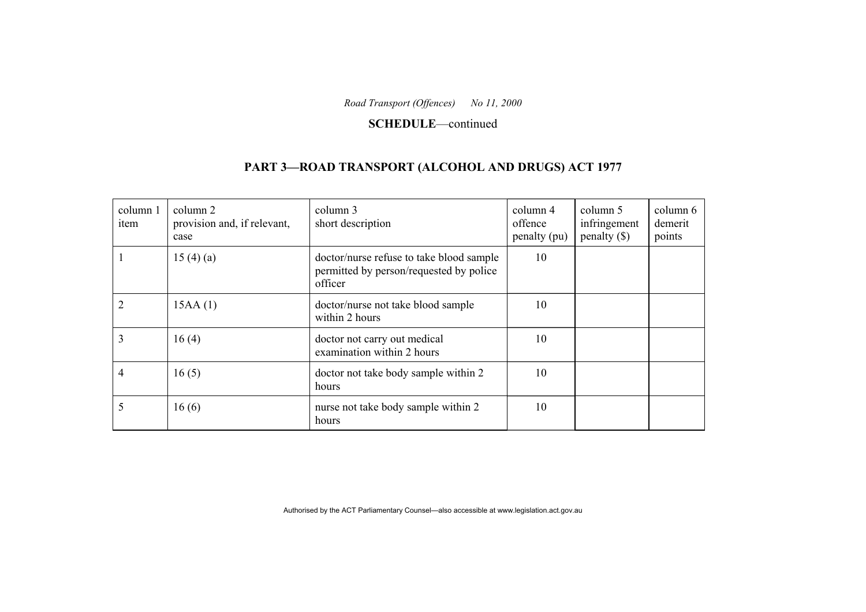#### **SCHEDULE**—continued

#### **PART 3—ROAD TRANSPORT (ALCOHOL AND DRUGS) ACT 1977**

| column 1<br>item | column 2<br>provision and, if relevant,<br>case | column 3<br>short description                                                                  | column 4<br>offence<br>penalty (pu) | column 5<br>infringement<br>penalty $(\$)$ | column 6<br>demerit<br>points |
|------------------|-------------------------------------------------|------------------------------------------------------------------------------------------------|-------------------------------------|--------------------------------------------|-------------------------------|
|                  | 15(4)(a)                                        | doctor/nurse refuse to take blood sample<br>permitted by person/requested by police<br>officer | 10                                  |                                            |                               |
| 2                | 15AA(1)                                         | doctor/nurse not take blood sample<br>within 2 hours                                           | 10                                  |                                            |                               |
| 3                | 16(4)                                           | doctor not carry out medical<br>examination within 2 hours                                     | 10                                  |                                            |                               |
| 4                | 16(5)                                           | doctor not take body sample within 2<br>hours                                                  | 10                                  |                                            |                               |
| 5                | 16(6)                                           | nurse not take body sample within 2<br>hours                                                   | 10                                  |                                            |                               |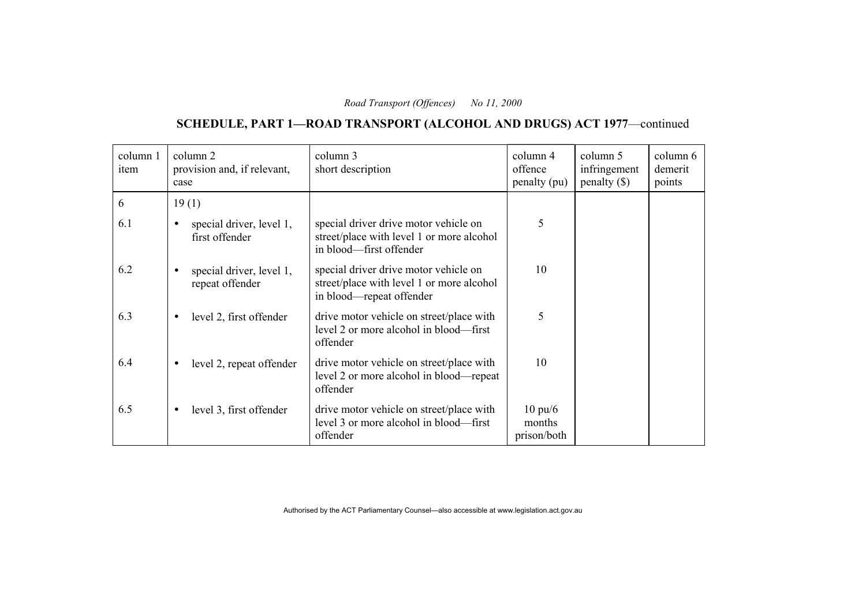# **SCHEDULE, PART 1—ROAD TRANSPORT (ALCOHOL AND DRUGS) ACT 1977**—continued

| column 1<br>item | column 2<br>provision and, if relevant,<br>case          | column 3<br>short description                                                                                  | column 4<br>offence<br>penalty (pu)        | column 5<br>infringement<br>$penalty$ (\$) | column 6<br>demerit<br>points |
|------------------|----------------------------------------------------------|----------------------------------------------------------------------------------------------------------------|--------------------------------------------|--------------------------------------------|-------------------------------|
| 6                | 19(1)                                                    |                                                                                                                |                                            |                                            |                               |
| 6.1              | special driver, level 1,<br>$\bullet$<br>first offender  | special driver drive motor vehicle on<br>street/place with level 1 or more alcohol<br>in blood—first offender  | 5                                          |                                            |                               |
| 6.2              | special driver, level 1,<br>$\bullet$<br>repeat offender | special driver drive motor vehicle on<br>street/place with level 1 or more alcohol<br>in blood—repeat offender | 10                                         |                                            |                               |
| 6.3              | level 2, first offender<br>$\bullet$                     | drive motor vehicle on street/place with<br>level 2 or more alcohol in blood—first<br>offender                 | 5                                          |                                            |                               |
| 6.4              | level 2, repeat offender<br>$\bullet$                    | drive motor vehicle on street/place with<br>level 2 or more alcohol in blood—repeat<br>offender                | 10                                         |                                            |                               |
| 6.5              | level 3, first offender<br>$\bullet$                     | drive motor vehicle on street/place with<br>level 3 or more alcohol in blood—first<br>offender                 | $10 \text{ pu}/6$<br>months<br>prison/both |                                            |                               |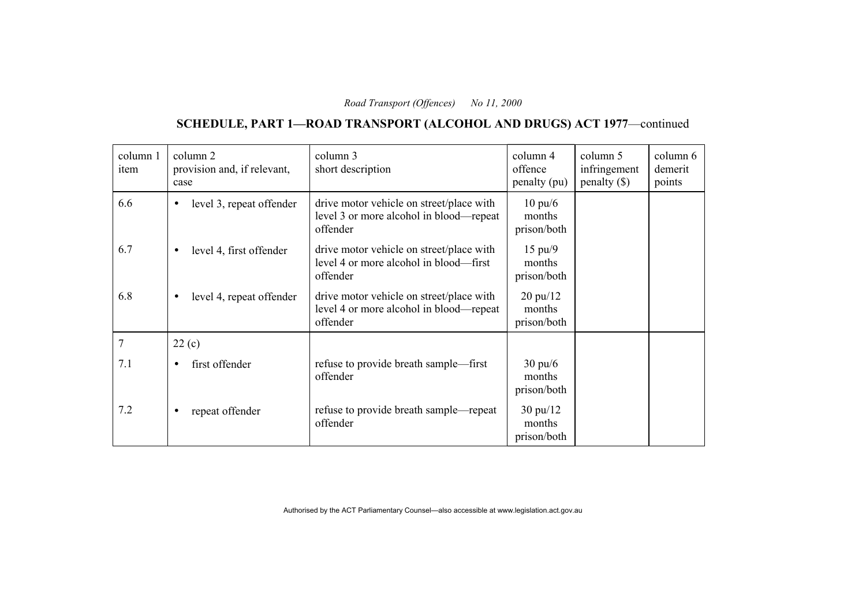# **SCHEDULE, PART 1—ROAD TRANSPORT (ALCOHOL AND DRUGS) ACT 1977**—continued

| column 1<br>item | column 2<br>provision and, if relevant,<br>case | column 3<br>short description                                                                   | column 4<br>offence<br>penalty (pu)         | column 5<br>infringement<br>penalty $(\$)$ | column 6<br>demerit<br>points |
|------------------|-------------------------------------------------|-------------------------------------------------------------------------------------------------|---------------------------------------------|--------------------------------------------|-------------------------------|
| 6.6              | level 3, repeat offender<br>$\bullet$           | drive motor vehicle on street/place with<br>level 3 or more alcohol in blood—repeat<br>offender | $10 \text{ pu}/6$<br>months<br>prison/both  |                                            |                               |
| 6.7              | level 4, first offender<br>٠                    | drive motor vehicle on street/place with<br>level 4 or more alcohol in blood—first<br>offender  | $15 \text{ pu}/9$<br>months<br>prison/both  |                                            |                               |
| 6.8              | level 4, repeat offender<br>٠                   | drive motor vehicle on street/place with<br>level 4 or more alcohol in blood—repeat<br>offender | $20 \text{ pu}/12$<br>months<br>prison/both |                                            |                               |
| 7                | 22(c)                                           |                                                                                                 |                                             |                                            |                               |
| 7.1              | first offender<br>$\bullet$                     | refuse to provide breath sample—first<br>offender                                               | $30 \text{ pu}/6$<br>months<br>prison/both  |                                            |                               |
| 7.2              | repeat offender<br>٠                            | refuse to provide breath sample—repeat<br>offender                                              | $30 \text{ pu}/12$<br>months<br>prison/both |                                            |                               |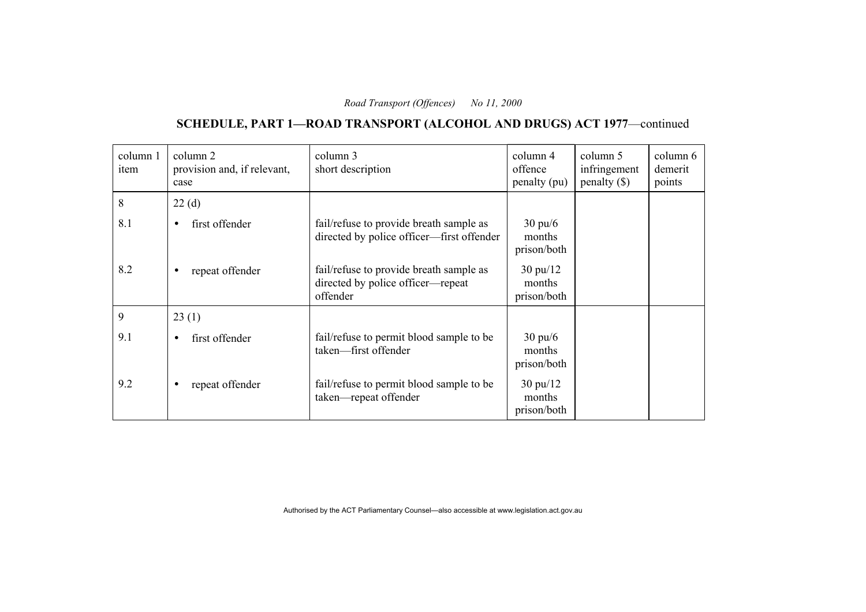# **SCHEDULE, PART 1—ROAD TRANSPORT (ALCOHOL AND DRUGS) ACT 1977**—continued

| column 1<br>item | column 2<br>provision and, if relevant,<br>case | column 3<br>short description                                                            | column 4<br>offence<br>penalty (pu)         | column 5<br>infringement<br>penalty $(\$)$ | column 6<br>demerit<br>points |
|------------------|-------------------------------------------------|------------------------------------------------------------------------------------------|---------------------------------------------|--------------------------------------------|-------------------------------|
| 8                | 22(d)                                           |                                                                                          |                                             |                                            |                               |
| 8.1              | first offender                                  | fail/refuse to provide breath sample as<br>directed by police officer—first offender     | $30 \text{ pu}/6$<br>months<br>prison/both  |                                            |                               |
| 8.2              | repeat offender                                 | fail/refuse to provide breath sample as<br>directed by police officer-repeat<br>offender | $30 \text{ pu}/12$<br>months<br>prison/both |                                            |                               |
| 9                | 23(1)                                           |                                                                                          |                                             |                                            |                               |
| 9.1              | first offender<br>$\bullet$                     | fail/refuse to permit blood sample to be<br>taken-first offender                         | $30 \text{ pu}/6$<br>months<br>prison/both  |                                            |                               |
| 9.2              | repeat offender                                 | fail/refuse to permit blood sample to be<br>taken-repeat offender                        | $30 \text{ pu}/12$<br>months<br>prison/both |                                            |                               |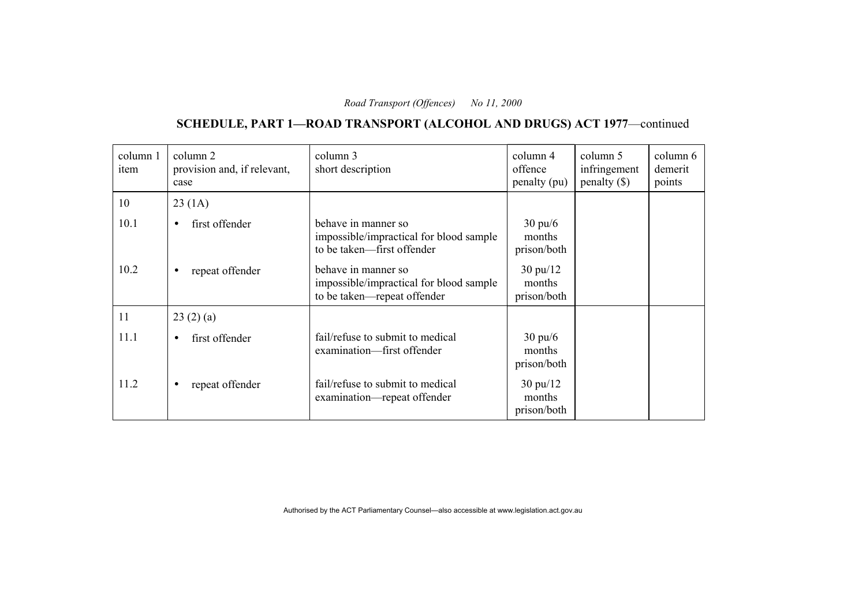# **SCHEDULE, PART 1—ROAD TRANSPORT (ALCOHOL AND DRUGS) ACT 1977**—continued

| column 1<br>item | column 2<br>provision and, if relevant,<br>case | column 3<br>short description                                                                 | column 4<br>offence<br>penalty (pu)         | column 5<br>infringement<br>penalty $(\$)$ | column 6<br>demerit<br>points |
|------------------|-------------------------------------------------|-----------------------------------------------------------------------------------------------|---------------------------------------------|--------------------------------------------|-------------------------------|
| 10               | 23(1A)                                          |                                                                                               |                                             |                                            |                               |
| 10.1             | first offender<br>$\bullet$                     | behave in manner so<br>impossible/impractical for blood sample<br>to be taken-first offender  | $30 \text{ pu}/6$<br>months<br>prison/both  |                                            |                               |
| 10.2             | repeat offender<br>$\bullet$                    | behave in manner so<br>impossible/impractical for blood sample<br>to be taken-repeat offender | $30 \text{ pu}/12$<br>months<br>prison/both |                                            |                               |
| 11               | 23(2)(a)                                        |                                                                                               |                                             |                                            |                               |
| 11.1             | first offender<br>$\bullet$                     | fail/refuse to submit to medical<br>examination-first offender                                | $30 \text{ pu}/6$<br>months<br>prison/both  |                                            |                               |
| 11.2             | repeat offender<br>$\bullet$                    | fail/refuse to submit to medical<br>examination—repeat offender                               | $30 \text{ pu}/12$<br>months<br>prison/both |                                            |                               |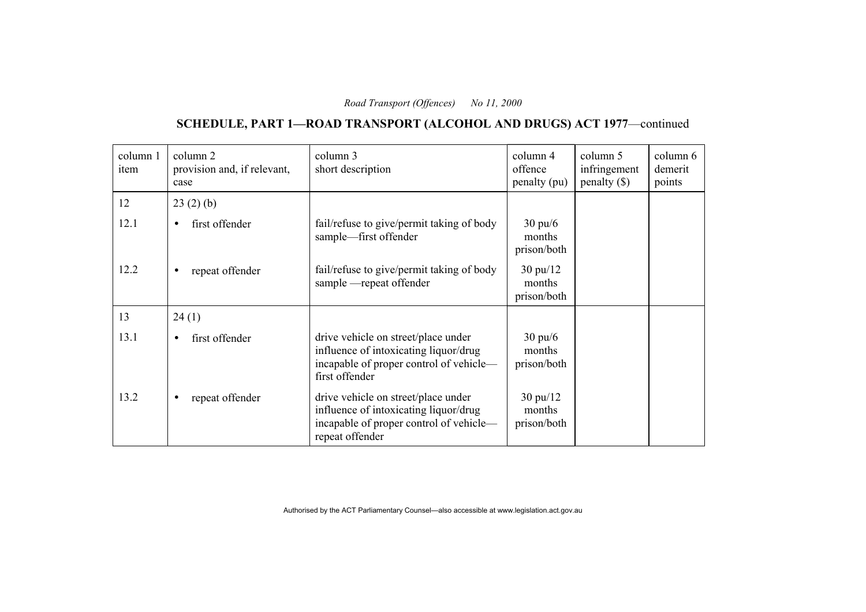# **SCHEDULE, PART 1—ROAD TRANSPORT (ALCOHOL AND DRUGS) ACT 1977**—continued

| column 1<br>item | column 2<br>provision and, if relevant,<br>case | column 3<br>short description                                                                                                              | column 4<br>offence<br>penalty (pu)         | column 5<br>infringement<br>penalty $(\$)$ | column 6<br>demerit<br>points |
|------------------|-------------------------------------------------|--------------------------------------------------------------------------------------------------------------------------------------------|---------------------------------------------|--------------------------------------------|-------------------------------|
| 12               | 23(2)(b)                                        |                                                                                                                                            |                                             |                                            |                               |
| 12.1             | first offender<br>$\bullet$                     | fail/refuse to give/permit taking of body<br>sample-first offender                                                                         | $30 \text{ pu}/6$<br>months<br>prison/both  |                                            |                               |
| 12.2             | repeat offender<br>$\bullet$                    | fail/refuse to give/permit taking of body<br>sample —repeat offender                                                                       | $30 \text{ pu}/12$<br>months<br>prison/both |                                            |                               |
| 13               | 24(1)                                           |                                                                                                                                            |                                             |                                            |                               |
| 13.1             | first offender<br>$\bullet$                     | drive vehicle on street/place under<br>influence of intoxicating liquor/drug<br>incapable of proper control of vehicle—<br>first offender  | $30 \text{ pu}/6$<br>months<br>prison/both  |                                            |                               |
| 13.2             | repeat offender<br>$\bullet$                    | drive vehicle on street/place under<br>influence of intoxicating liquor/drug<br>incapable of proper control of vehicle—<br>repeat offender | $30 \text{ pu}/12$<br>months<br>prison/both |                                            |                               |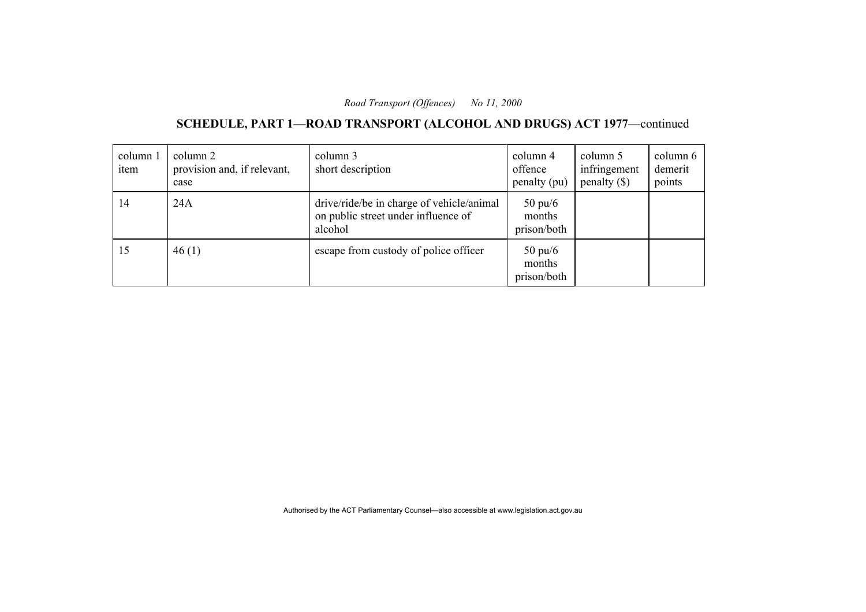# **SCHEDULE, PART 1—ROAD TRANSPORT (ALCOHOL AND DRUGS) ACT 1977**—continued

| column 1<br>item | column 2<br>provision and, if relevant,<br>case | column 3<br>short description                                                               | column 4<br>offence<br>penalty (pu)        | column 5<br>infringement<br>$penalty$ (\$) | column 6<br>demerit<br>points |
|------------------|-------------------------------------------------|---------------------------------------------------------------------------------------------|--------------------------------------------|--------------------------------------------|-------------------------------|
| 14               | 24A                                             | drive/ride/be in charge of vehicle/animal<br>on public street under influence of<br>alcohol | $50 \text{ pu}/6$<br>months<br>prison/both |                                            |                               |
| 15               | 46(1)                                           | escape from custody of police officer                                                       | $50 \text{ pu/6}$<br>months<br>prison/both |                                            |                               |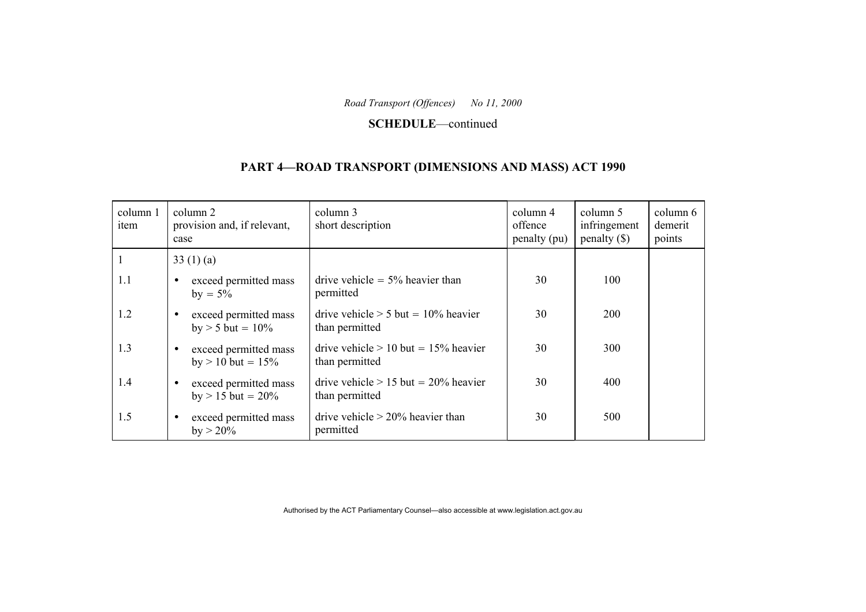#### **SCHEDULE**—continued

#### **PART 4—ROAD TRANSPORT (DIMENSIONS AND MASS) ACT 1990**

| column 1<br>item | column 2<br>provision and, if relevant,<br>case           | column 3<br>short description                            | column 4<br>offence<br>penalty (pu) | column 5<br>infringement<br>penalty $(\$)$ | column 6<br>demerit<br>points |
|------------------|-----------------------------------------------------------|----------------------------------------------------------|-------------------------------------|--------------------------------------------|-------------------------------|
|                  | 33(1)(a)                                                  |                                                          |                                     |                                            |                               |
| 1.1              | exceed permitted mass<br>$by = 5\%$                       | drive vehicle $= 5\%$ heavier than<br>permitted          | 30                                  | 100                                        |                               |
| 1.2              | exceed permitted mass<br>$by > 5$ but = 10%               | drive vehicle $> 5$ but = 10% heavier<br>than permitted  | 30                                  | <b>200</b>                                 |                               |
| 1.3              | exceed permitted mass<br>$\bullet$<br>$by > 10$ but = 15% | drive vehicle $> 10$ but = 15% heavier<br>than permitted | 30                                  | 300                                        |                               |
| 1.4              | exceed permitted mass<br>$by > 15$ but = 20%              | drive vehicle $> 15$ but = 20% heavier<br>than permitted | 30                                  | 400                                        |                               |
| 1.5              | exceed permitted mass<br>$\bullet$<br>$by > 20\%$         | drive vehicle $> 20\%$ heavier than<br>permitted         | 30                                  | 500                                        |                               |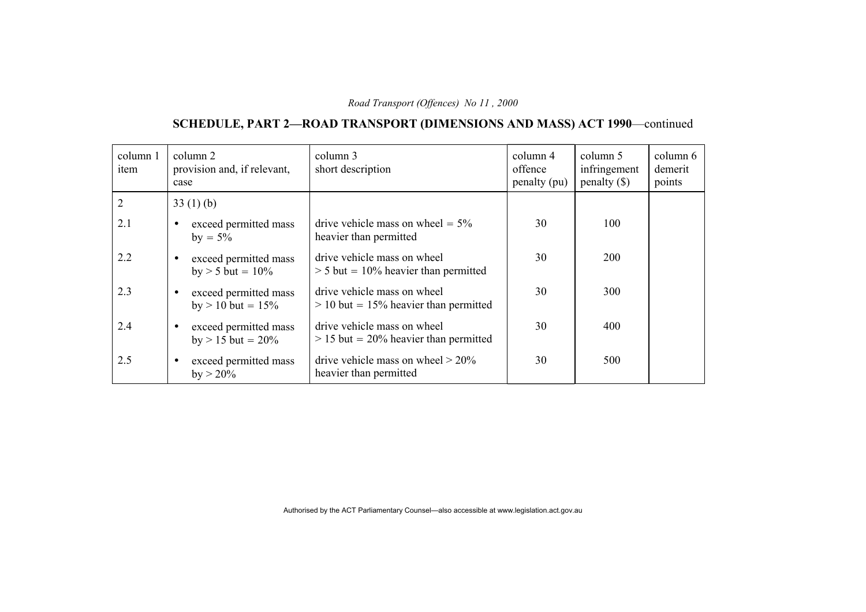# **SCHEDULE, PART 2—ROAD TRANSPORT (DIMENSIONS AND MASS) ACT 1990**—continued

| column 1<br>item | column 2<br>provision and, if relevant,<br>case              | column 3<br>short description                                          | column 4<br>offence<br>penalty (pu) | column 5<br>infringement<br>penalty $(\$)$ | column 6<br>demerit<br>points |
|------------------|--------------------------------------------------------------|------------------------------------------------------------------------|-------------------------------------|--------------------------------------------|-------------------------------|
| 2                | 33 $(1)$ (b)                                                 |                                                                        |                                     |                                            |                               |
| 2.1              | exceed permitted mass<br>$by = 5\%$                          | drive vehicle mass on wheel = $5\%$<br>heavier than permitted          | 30                                  | 100                                        |                               |
| 2.2              | exceed permitted mass<br>$\bullet$<br>$by > 5$ but = $10\%$  | drive vehicle mass on wheel<br>$> 5$ but = 10% heavier than permitted  | 30                                  | 200                                        |                               |
| 2.3              | exceed permitted mass<br>$\bullet$<br>$by > 10$ but = $15\%$ | drive vehicle mass on wheel<br>$> 10$ but = 15% heavier than permitted | 30                                  | 300                                        |                               |
| 2.4              | exceed permitted mass<br>$\bullet$<br>$by > 15$ but = 20%    | drive vehicle mass on wheel<br>$> 15$ but = 20% heavier than permitted | 30                                  | 400                                        |                               |
| 2.5              | exceed permitted mass<br>٠<br>$by > 20\%$                    | drive vehicle mass on wheel $> 20\%$<br>heavier than permitted         | 30                                  | 500                                        |                               |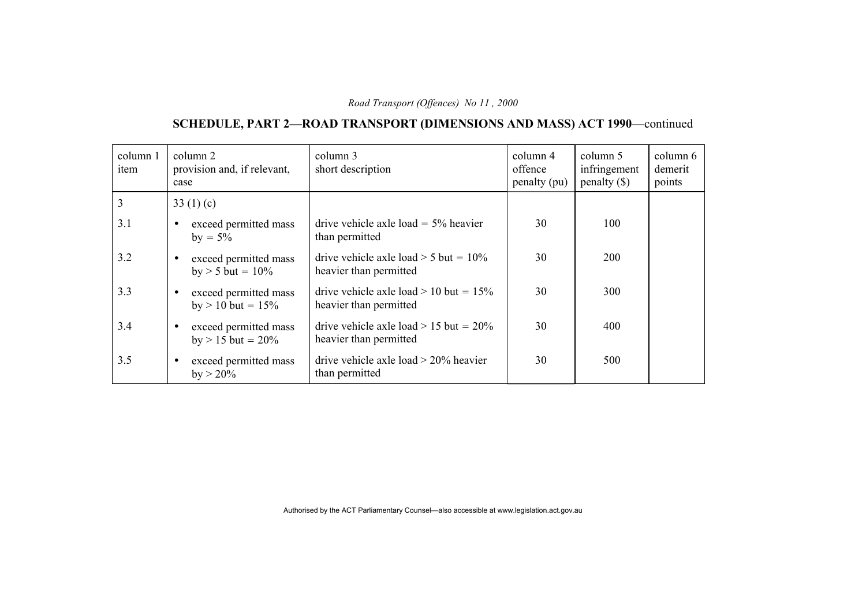# **SCHEDULE, PART 2—ROAD TRANSPORT (DIMENSIONS AND MASS) ACT 1990**—continued

| column 1<br>item | column 2<br>provision and, if relevant,<br>case             | column 3<br>short description                                      | column 4<br>offence<br>penalty (pu) | column 5<br>infringement<br>penalty $(\$)$ | column 6<br>demerit<br>points |
|------------------|-------------------------------------------------------------|--------------------------------------------------------------------|-------------------------------------|--------------------------------------------|-------------------------------|
| 3                | 33 $(1)(c)$                                                 |                                                                    |                                     |                                            |                               |
| 3.1              | exceed permitted mass<br>$\bullet$<br>$by = 5\%$            | drive vehicle axle load $= 5\%$ heavier<br>than permitted          | 30                                  | 100                                        |                               |
| 3.2              | exceed permitted mass<br>$\bullet$<br>$by > 5$ but = $10\%$ | drive vehicle axle load $> 5$ but = 10%<br>heavier than permitted  | 30                                  | 200                                        |                               |
| 3.3              | exceed permitted mass<br>$\bullet$<br>$by > 10$ but = 15%   | drive vehicle axle load $> 10$ but = 15%<br>heavier than permitted | 30                                  | 300                                        |                               |
| 3.4              | exceed permitted mass<br>$\bullet$<br>$by > 15$ but = 20%   | drive vehicle axle load $> 15$ but = 20%<br>heavier than permitted | 30                                  | 400                                        |                               |
| 3.5              | exceed permitted mass<br>$\bullet$<br>$by > 20\%$           | drive vehicle axle load $>$ 20% heavier<br>than permitted          | 30                                  | 500                                        |                               |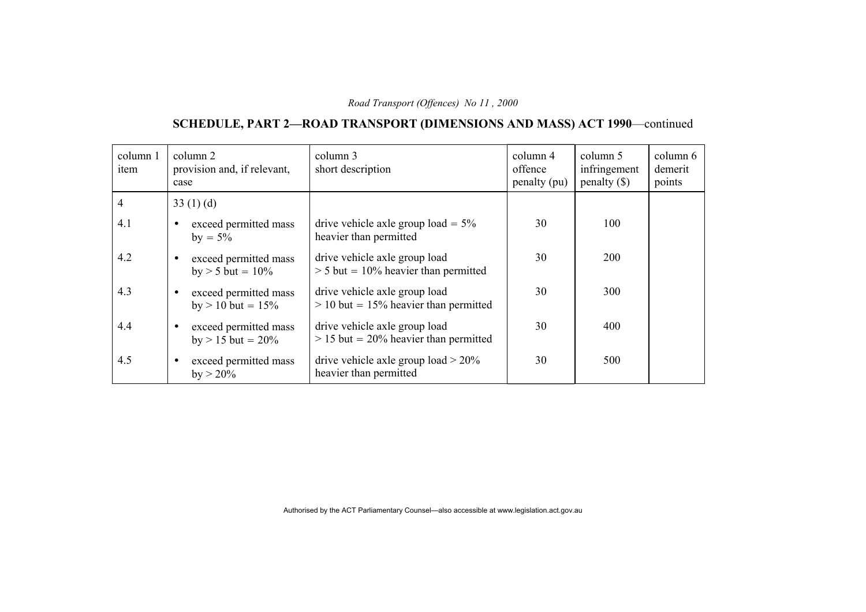# **SCHEDULE, PART 2—ROAD TRANSPORT (DIMENSIONS AND MASS) ACT 1990**—continued

| column 1<br>item | column 2<br>provision and, if relevant,<br>case              | column 3<br>short description                                            | column 4<br>offence<br>penalty (pu) | column 5<br>infringement<br>penalty $(\$)$ | column 6<br>demerit<br>points |
|------------------|--------------------------------------------------------------|--------------------------------------------------------------------------|-------------------------------------|--------------------------------------------|-------------------------------|
| 4                | 33 $(1)(d)$                                                  |                                                                          |                                     |                                            |                               |
| 4.1              | exceed permitted mass<br>$by = 5\%$                          | drive vehicle axle group load = $5\%$<br>heavier than permitted          | 30                                  | 100                                        |                               |
| 4.2              | exceed permitted mass<br>$\bullet$<br>$by > 5$ but = $10\%$  | drive vehicle axle group load<br>$> 5$ but = 10% heavier than permitted  | 30                                  | 200                                        |                               |
| 4.3              | exceed permitted mass<br>$\bullet$<br>$by > 10$ but = $15\%$ | drive vehicle axle group load<br>$> 10$ but = 15% heavier than permitted | 30                                  | 300                                        |                               |
| 4.4              | exceed permitted mass<br>$\bullet$<br>$by > 15$ but = 20%    | drive vehicle axle group load<br>$> 15$ but = 20% heavier than permitted | 30                                  | 400                                        |                               |
| 4.5              | exceed permitted mass<br>٠<br>$by > 20\%$                    | drive vehicle axle group load $> 20\%$<br>heavier than permitted         | 30                                  | 500                                        |                               |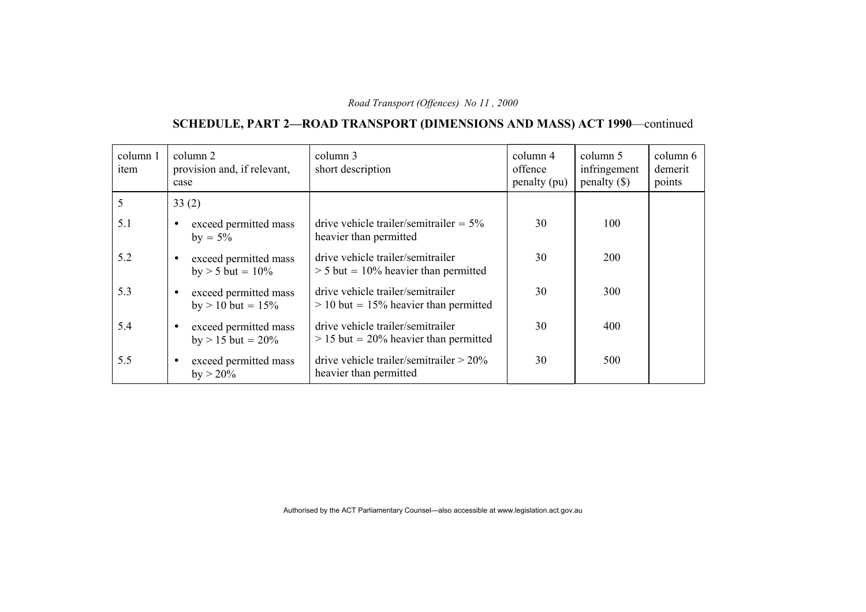# **SCHEDULE, PART 2—ROAD TRANSPORT (DIMENSIONS AND MASS) ACT 1990**—continued

| column 1<br>item | column 2<br>provision and, if relevant,<br>case              | column 3<br>short description                                                | column 4<br>offence<br>penalty (pu) | column 5<br>infringement<br>penalty $(\$)$ | column 6<br>demerit<br>points |
|------------------|--------------------------------------------------------------|------------------------------------------------------------------------------|-------------------------------------|--------------------------------------------|-------------------------------|
| 5                | 33(2)                                                        |                                                                              |                                     |                                            |                               |
| 5.1              | exceed permitted mass<br>$by = 5\%$                          | drive vehicle trailer/semitrailer = $5\%$<br>heavier than permitted          | 30                                  | 100                                        |                               |
| 5.2              | exceed permitted mass<br>$\bullet$<br>$by > 5$ but = $10\%$  | drive vehicle trailer/semitrailer<br>$>$ 5 but = 10% heavier than permitted  | 30                                  | <b>200</b>                                 |                               |
| 5.3              | exceed permitted mass<br>$\bullet$<br>$by > 10$ but = $15\%$ | drive vehicle trailer/semitrailer<br>$> 10$ but = 15% heavier than permitted | 30                                  | <b>300</b>                                 |                               |
| 5.4              | exceed permitted mass<br>$\bullet$<br>$by > 15$ but = 20%    | drive vehicle trailer/semitrailer<br>$> 15$ but = 20% heavier than permitted | 30                                  | 400                                        |                               |
| 5.5              | exceed permitted mass<br>$\bullet$<br>$by > 20\%$            | drive vehicle trailer/semitrailer $> 20\%$<br>heavier than permitted         | 30                                  | 500                                        |                               |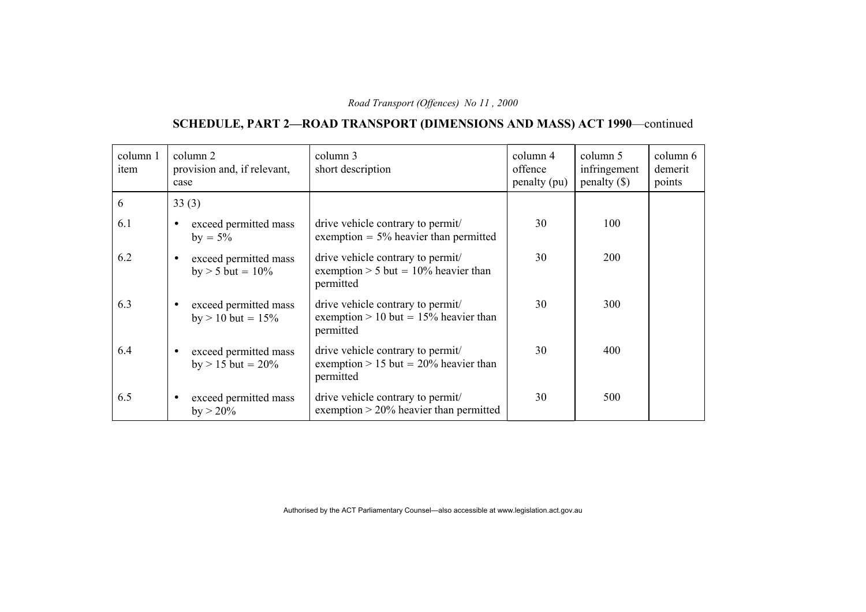# **SCHEDULE, PART 2—ROAD TRANSPORT (DIMENSIONS AND MASS) ACT 1990**—continued

| column 1<br>item | column 2<br>provision and, if relevant,<br>case             | column 3<br>short description                                                             | column 4<br>offence<br>penalty (pu) | column 5<br>infringement<br>$penalty$ (\$) | column 6<br>demerit<br>points |
|------------------|-------------------------------------------------------------|-------------------------------------------------------------------------------------------|-------------------------------------|--------------------------------------------|-------------------------------|
| 6                | 33(3)                                                       |                                                                                           |                                     |                                            |                               |
| 6.1              | exceed permitted mass<br>$\bullet$<br>$by = 5\%$            | drive vehicle contrary to permit/<br>exemption $= 5\%$ heavier than permitted             | 30                                  | 100                                        |                               |
| 6.2              | exceed permitted mass<br>$\bullet$<br>$by > 5$ but = $10\%$ | drive vehicle contrary to permit/<br>exemption $> 5$ but = 10% heavier than<br>permitted  | 30                                  | <b>200</b>                                 |                               |
| 6.3              | exceed permitted mass<br>$\bullet$<br>$by > 10$ but = 15%   | drive vehicle contrary to permit/<br>exemption $> 10$ but = 15% heavier than<br>permitted | 30                                  | 300                                        |                               |
| 6.4              | exceed permitted mass<br>$\bullet$<br>$by > 15$ but = 20%   | drive vehicle contrary to permit/<br>exemption $> 15$ but = 20% heavier than<br>permitted | 30                                  | 400                                        |                               |
| 6.5              | exceed permitted mass<br>$\bullet$<br>$by > 20\%$           | drive vehicle contrary to permit/<br>exemption $> 20\%$ heavier than permitted            | 30                                  | 500                                        |                               |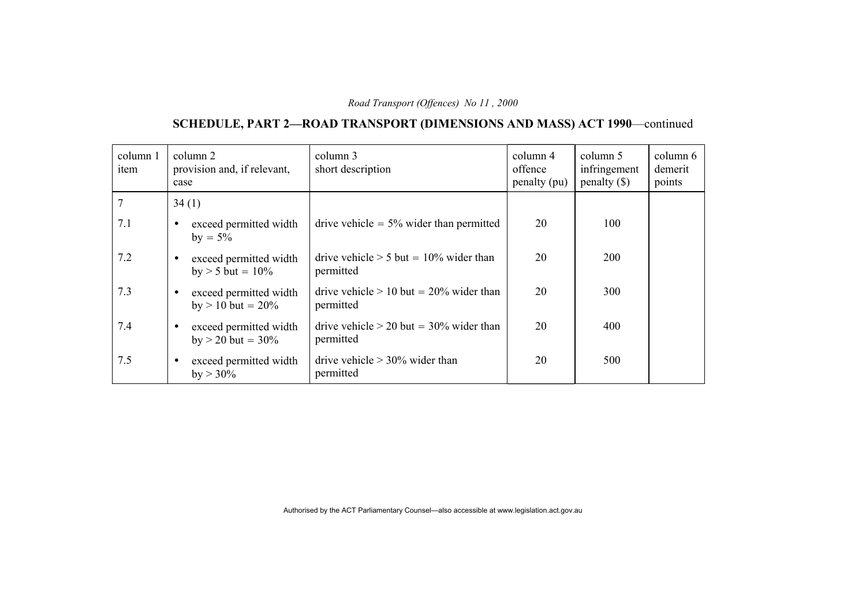# **SCHEDULE, PART 2—ROAD TRANSPORT (DIMENSIONS AND MASS) ACT 1990**—continued

| column 1<br>item | column 2<br>provision and, if relevant,<br>case              | column 3<br>short description                          | column 4<br>offence<br>penalty (pu) | column 5<br>infringement<br>penalty $(\$)$ | column 6<br>demerit<br>points |
|------------------|--------------------------------------------------------------|--------------------------------------------------------|-------------------------------------|--------------------------------------------|-------------------------------|
|                  | 34(1)                                                        |                                                        |                                     |                                            |                               |
| 7.1              | exceed permitted width<br>$\bullet$<br>$by = 5\%$            | drive vehicle $= 5\%$ wider than permitted             | 20                                  | 100                                        |                               |
| 7.2              | exceed permitted width<br>$\bullet$<br>$by > 5$ but = $10\%$ | drive vehicle $> 5$ but = 10% wider than<br>permitted  | 20                                  | 200                                        |                               |
| 7.3              | exceed permitted width<br>$\bullet$<br>$by > 10$ but = 20%   | drive vehicle $> 10$ but = 20% wider than<br>permitted | 20                                  | 300                                        |                               |
| 7.4              | exceed permitted width<br>$\bullet$<br>$by > 20$ but = 30%   | drive vehicle $> 20$ but = 30% wider than<br>permitted | 20                                  | 400                                        |                               |
| 7.5              | exceed permitted width<br>$\bullet$<br>$by > 30\%$           | drive vehicle $> 30\%$ wider than<br>permitted         | 20                                  | 500                                        |                               |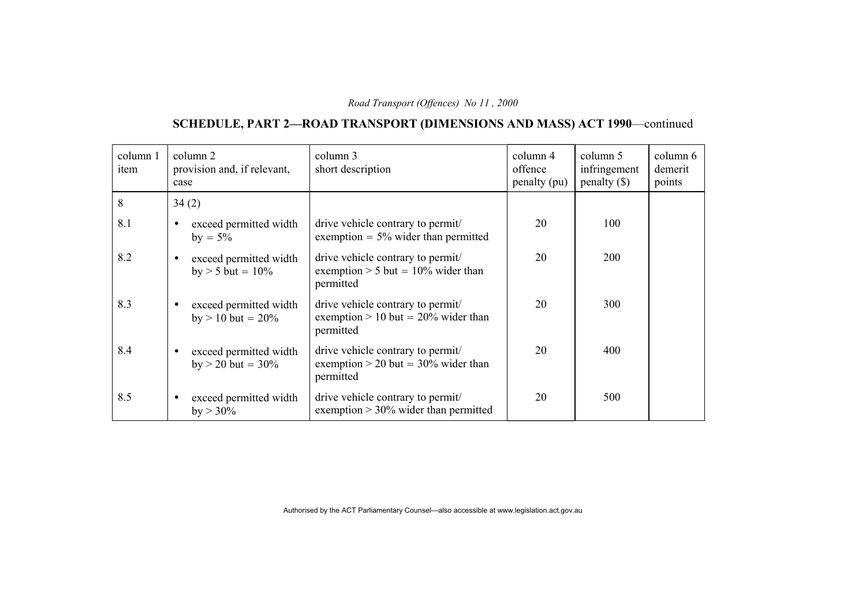# **SCHEDULE, PART 2—ROAD TRANSPORT (DIMENSIONS AND MASS) ACT 1990**—continued

| column 1<br>item | column 2<br>provision and, if relevant,<br>case               | column 3<br>short description                                                           | column 4<br>offence<br>penalty (pu) | column 5<br>infringement<br>penalty $(\$)$ | column 6<br>demerit<br>points |
|------------------|---------------------------------------------------------------|-----------------------------------------------------------------------------------------|-------------------------------------|--------------------------------------------|-------------------------------|
| 8                | 34(2)                                                         |                                                                                         |                                     |                                            |                               |
| 8.1              | exceed permitted width<br>$by = 5\%$                          | drive vehicle contrary to permit/<br>exemption $= 5\%$ wider than permitted             | 20                                  | 100                                        |                               |
| 8.2              | exceed permitted width<br>$by > 5$ but = 10%                  | drive vehicle contrary to permit/<br>exemption $> 5$ but = 10% wider than<br>permitted  | 20                                  | 200                                        |                               |
| 8.3              | exceed permitted width<br>$\bullet$<br>$by > 10$ but = 20%    | drive vehicle contrary to permit/<br>exemption $> 10$ but = 20% wider than<br>permitted | 20                                  | 300                                        |                               |
| 8.4              | exceed permitted width<br>$\bullet$<br>$by > 20$ but = $30\%$ | drive vehicle contrary to permit/<br>exemption $> 20$ but = 30% wider than<br>permitted | 20                                  | 400                                        |                               |
| 8.5              | exceed permitted width<br>$\bullet$<br>$by > 30\%$            | drive vehicle contrary to permit/<br>exemption $> 30\%$ wider than permitted            | 20                                  | 500                                        |                               |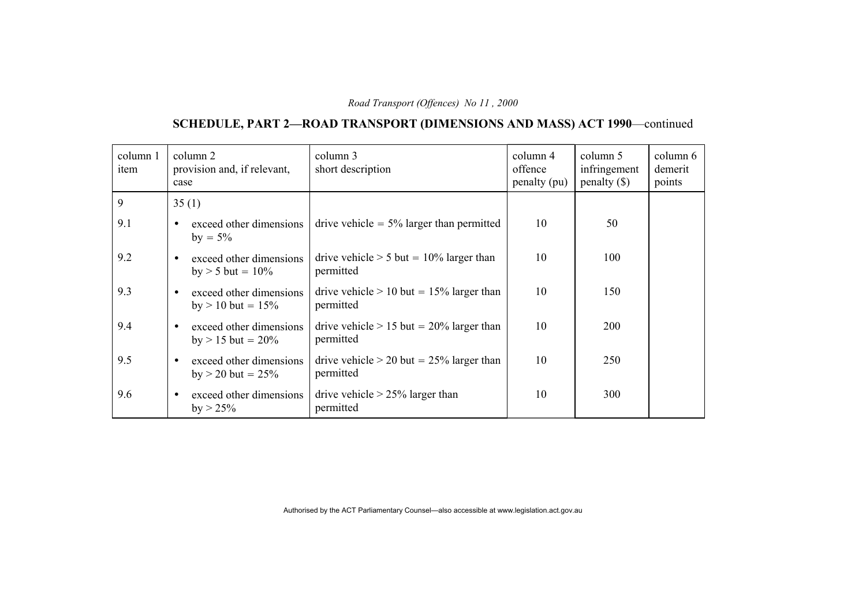# **SCHEDULE, PART 2—ROAD TRANSPORT (DIMENSIONS AND MASS) ACT 1990**—continued

| column 1<br>item | column 2<br>provision and, if relevant,<br>case               | column 3<br>short description                           | column 4<br>offence<br>penalty (pu) | column 5<br>infringement<br>$penalty$ (\$) | column 6<br>demerit<br>points |
|------------------|---------------------------------------------------------------|---------------------------------------------------------|-------------------------------------|--------------------------------------------|-------------------------------|
| 9                | 35(1)                                                         |                                                         |                                     |                                            |                               |
| 9.1              | exceed other dimensions<br>$by = 5\%$                         | drive vehicle $= 5\%$ larger than permitted             | 10                                  | 50                                         |                               |
| 9.2              | exceed other dimensions<br>$\bullet$<br>$by > 5$ but = $10\%$ | drive vehicle $> 5$ but = 10% larger than<br>permitted  | 10                                  | 100                                        |                               |
| 9.3              | exceed other dimensions<br>$\bullet$<br>$by > 10$ but = 15%   | drive vehicle $> 10$ but = 15% larger than<br>permitted | 10                                  | 150                                        |                               |
| 9.4              | exceed other dimensions<br>$\bullet$<br>$by > 15$ but = 20%   | drive vehicle $> 15$ but = 20% larger than<br>permitted | 10                                  | 200                                        |                               |
| 9.5              | exceed other dimensions<br>$\bullet$<br>$by > 20$ but = 25%   | drive vehicle $> 20$ but = 25% larger than<br>permitted | 10                                  | 250                                        |                               |
| 9.6              | exceed other dimensions<br>$\bullet$<br>$by > 25\%$           | drive vehicle $> 25\%$ larger than<br>permitted         | 10                                  | <b>300</b>                                 |                               |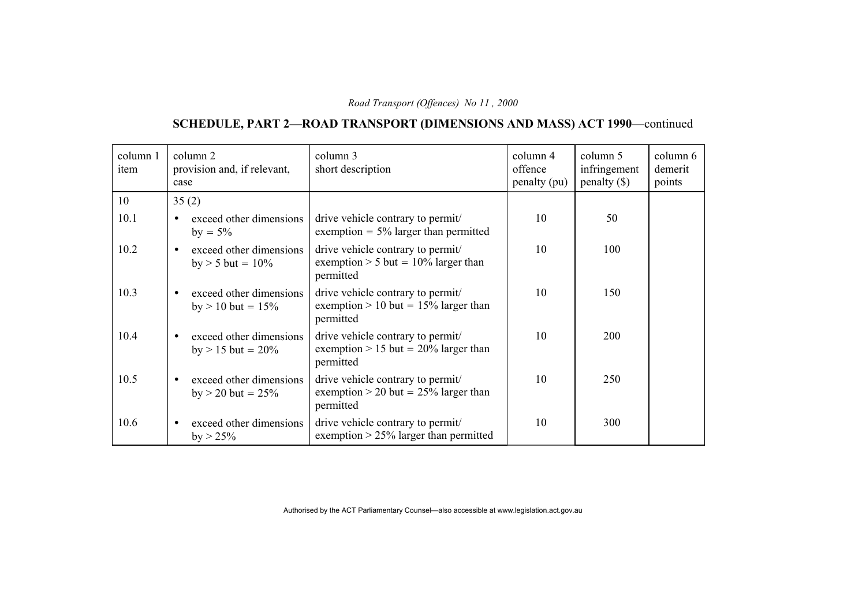# **SCHEDULE, PART 2—ROAD TRANSPORT (DIMENSIONS AND MASS) ACT 1990**—continued

| column 1<br>item | column 2<br>provision and, if relevant,<br>case             | column 3<br>short description                                                            | column 4<br>offence<br>penalty (pu) | column 5<br>infringement<br>$penalty$ (\$) | column 6<br>demerit<br>points |
|------------------|-------------------------------------------------------------|------------------------------------------------------------------------------------------|-------------------------------------|--------------------------------------------|-------------------------------|
| 10               | 35(2)                                                       |                                                                                          |                                     |                                            |                               |
| 10.1             | exceed other dimensions<br>$by = 5\%$                       | drive vehicle contrary to permit/<br>exemption $= 5\%$ larger than permitted             | 10                                  | 50                                         |                               |
| 10.2             | exceed other dimensions<br>$\bullet$<br>$by > 5$ but = 10%  | drive vehicle contrary to permit/<br>exemption $> 5$ but = 10% larger than<br>permitted  | 10                                  | 100                                        |                               |
| 10.3             | exceed other dimensions<br>by $> 10$ but = 15%              | drive vehicle contrary to permit/<br>exemption $> 10$ but = 15% larger than<br>permitted | 10                                  | 150                                        |                               |
| 10.4             | exceed other dimensions<br>$by > 15$ but = 20%              | drive vehicle contrary to permit/<br>exemption $> 15$ but = 20% larger than<br>permitted | 10                                  | 200                                        |                               |
| 10.5             | exceed other dimensions<br>$\bullet$<br>$by > 20$ but = 25% | drive vehicle contrary to permit/<br>exemption $> 20$ but = 25% larger than<br>permitted | 10                                  | 250                                        |                               |
| 10.6             | exceed other dimensions<br>$by > 25\%$                      | drive vehicle contrary to permit/<br>exemption $> 25\%$ larger than permitted            | 10                                  | 300                                        |                               |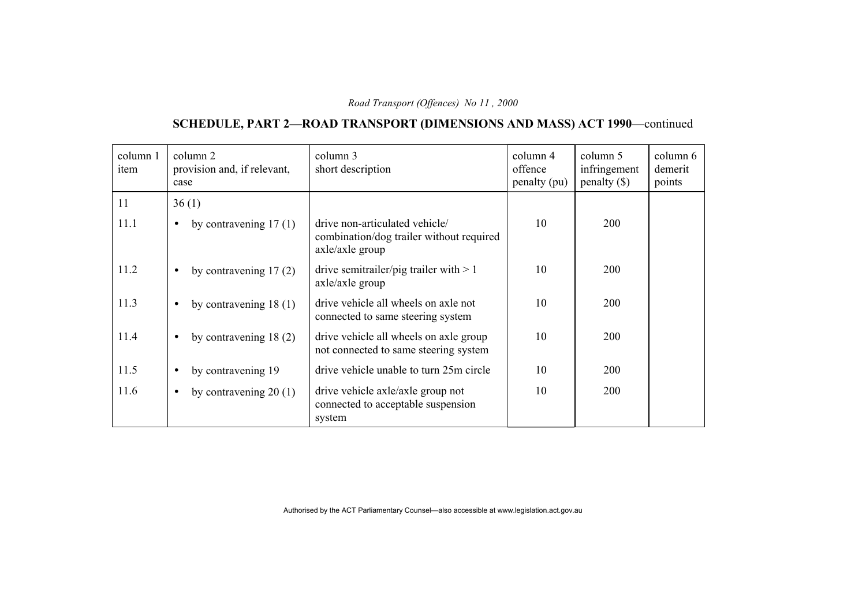# **SCHEDULE, PART 2—ROAD TRANSPORT (DIMENSIONS AND MASS) ACT 1990**—continued

| column 1<br>item | column 2<br>provision and, if relevant,<br>case | column 3<br>short description                                                                 | column 4<br>offence<br>penalty (pu) | column 5<br>infringement<br>$penalty$ (\$) | column 6<br>demerit<br>points |
|------------------|-------------------------------------------------|-----------------------------------------------------------------------------------------------|-------------------------------------|--------------------------------------------|-------------------------------|
| 11               | 36(1)                                           |                                                                                               |                                     |                                            |                               |
| 11.1             | by contravening $17(1)$<br>$\bullet$            | drive non-articulated vehicle/<br>combination/dog trailer without required<br>axle/axle group | 10                                  | <b>200</b>                                 |                               |
| 11.2             | by contravening $17(2)$<br>$\bullet$            | drive semitrailer/pig trailer with $> 1$<br>axle/axle group                                   | 10                                  | 200                                        |                               |
| 11.3             | by contravening $18(1)$<br>$\bullet$            | drive vehicle all wheels on axle not<br>connected to same steering system                     | 10                                  | 200                                        |                               |
| 11.4             | by contravening $18(2)$<br>$\bullet$            | drive vehicle all wheels on axle group<br>not connected to same steering system               | 10                                  | 200                                        |                               |
| 11.5             | by contravening 19<br>$\bullet$                 | drive vehicle unable to turn 25m circle                                                       | 10                                  | 200                                        |                               |
| 11.6             | by contravening $20(1)$<br>$\bullet$            | drive vehicle axle/axle group not<br>connected to acceptable suspension<br>system             | 10                                  | 200                                        |                               |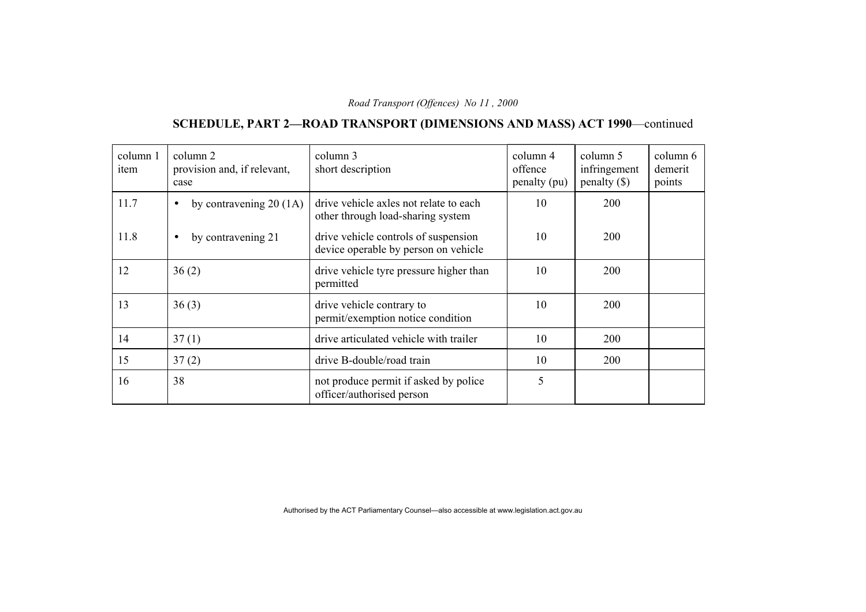# **SCHEDULE, PART 2—ROAD TRANSPORT (DIMENSIONS AND MASS) ACT 1990**—continued

| column 1<br>item | column 2<br>provision and, if relevant,<br>case | column 3<br>short description                                                | column 4<br>offence<br>penalty (pu) | column 5<br>infringement<br>penalty $(\$)$ | column 6<br>demerit<br>points |
|------------------|-------------------------------------------------|------------------------------------------------------------------------------|-------------------------------------|--------------------------------------------|-------------------------------|
| 11.7             | by contravening $20(1A)$<br>$\bullet$           | drive vehicle axles not relate to each<br>other through load-sharing system  | 10                                  | 200                                        |                               |
| 11.8             | by contravening 21<br>$\bullet$                 | drive vehicle controls of suspension<br>device operable by person on vehicle | 10                                  | 200                                        |                               |
| 12               | 36(2)                                           | drive vehicle tyre pressure higher than<br>permitted                         | 10                                  | 200                                        |                               |
| 13               | 36(3)                                           | drive vehicle contrary to<br>permit/exemption notice condition               | 10                                  | 200                                        |                               |
| 14               | 37(1)                                           | drive articulated vehicle with trailer                                       | 10                                  | 200                                        |                               |
| 15               | 37(2)                                           | drive B-double/road train                                                    | 10                                  | 200                                        |                               |
| 16               | 38                                              | not produce permit if asked by police<br>officer/authorised person           | 5                                   |                                            |                               |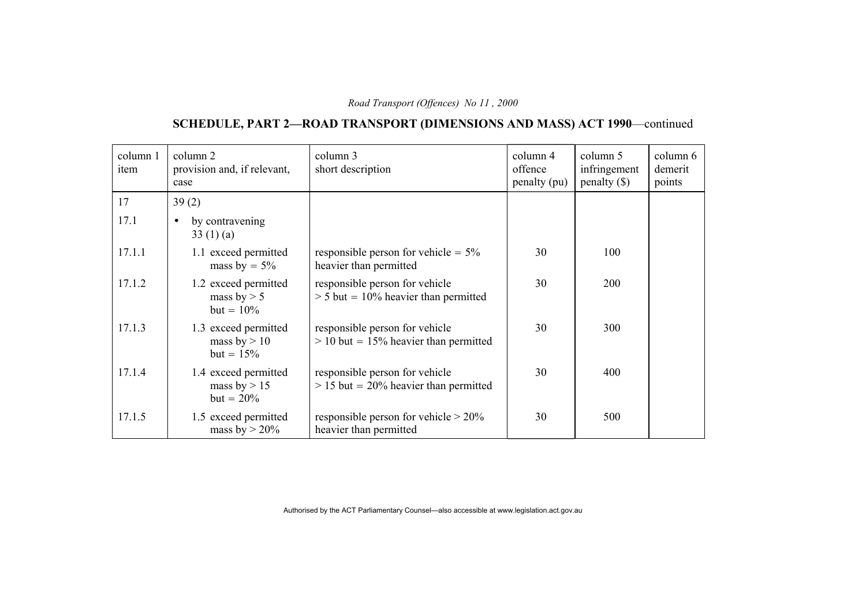# **SCHEDULE, PART 2—ROAD TRANSPORT (DIMENSIONS AND MASS) ACT 1990**—continued

| column 1<br>item | column 2<br>provision and, if relevant,<br>case        | column 3<br>short description                                             | column 4<br>offence<br>penalty (pu) | column 5<br>infringement<br>$penalty$ (\$) | column 6<br>demerit<br>points |
|------------------|--------------------------------------------------------|---------------------------------------------------------------------------|-------------------------------------|--------------------------------------------|-------------------------------|
| 17               | 39(2)                                                  |                                                                           |                                     |                                            |                               |
| 17.1             | by contravening<br>33(1)(a)                            |                                                                           |                                     |                                            |                               |
| 17.1.1           | 1.1 exceed permitted<br>mass by $= 5\%$                | responsible person for vehicle $= 5\%$<br>heavier than permitted          | 30                                  | 100                                        |                               |
| 17.1.2           | 1.2 exceed permitted<br>mass by $> 5$<br>$but = 10\%$  | responsible person for vehicle<br>$> 5$ but = 10% heavier than permitted  | 30                                  | <b>200</b>                                 |                               |
| 17.1.3           | 1.3 exceed permitted<br>mass by $> 10$<br>$but = 15\%$ | responsible person for vehicle<br>$> 10$ but = 15% heavier than permitted | 30                                  | 300                                        |                               |
| 17.1.4           | 1.4 exceed permitted<br>mass by $> 15$<br>$but = 20\%$ | responsible person for vehicle<br>$> 15$ but = 20% heavier than permitted | 30                                  | 400                                        |                               |
| 17.1.5           | 1.5 exceed permitted<br>mass by $> 20\%$               | responsible person for vehicle $> 20\%$<br>heavier than permitted         | 30                                  | 500                                        |                               |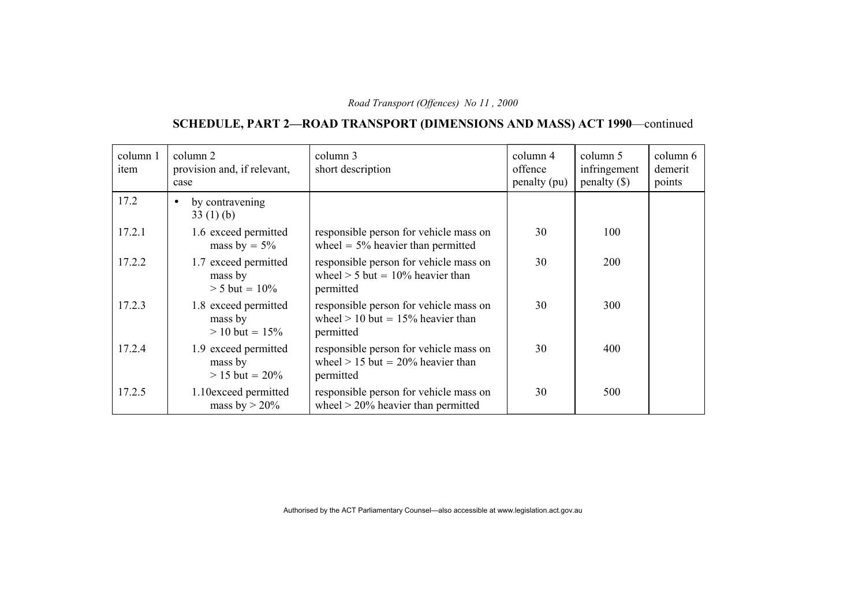# **SCHEDULE, PART 2—ROAD TRANSPORT (DIMENSIONS AND MASS) ACT 1990**—continued

| column 1<br>item | column 2<br>provision and, if relevant,<br>case     | column 3<br>short description                                                              | column 4<br>offence<br>penalty (pu) | column 5<br>infringement<br>penalty $(\$)$ | column 6<br>demerit<br>points |
|------------------|-----------------------------------------------------|--------------------------------------------------------------------------------------------|-------------------------------------|--------------------------------------------|-------------------------------|
| 17.2             | by contravening<br>$\bullet$<br>33(1)(b)            |                                                                                            |                                     |                                            |                               |
| 17.2.1           | 1.6 exceed permitted<br>mass by $= 5\%$             | responsible person for vehicle mass on<br>wheel $= 5\%$ heavier than permitted             | 30                                  | 100                                        |                               |
| 17.2.2           | 1.7 exceed permitted<br>mass by<br>$> 5$ but = 10%  | responsible person for vehicle mass on<br>wheel $> 5$ but = 10% heavier than<br>permitted  | 30                                  | <b>200</b>                                 |                               |
| 17.2.3           | 1.8 exceed permitted<br>mass by<br>$> 10$ but = 15% | responsible person for vehicle mass on<br>wheel $> 10$ but = 15% heavier than<br>permitted | 30                                  | 300                                        |                               |
| 17.2.4           | 1.9 exceed permitted<br>mass by<br>$> 15$ but = 20% | responsible person for vehicle mass on<br>wheel $> 15$ but = 20% heavier than<br>permitted | 30                                  | 400                                        |                               |
| 17.2.5           | 1.10exceed permitted<br>mass by $> 20\%$            | responsible person for vehicle mass on<br>wheel $>$ 20% heavier than permitted             | 30                                  | 500                                        |                               |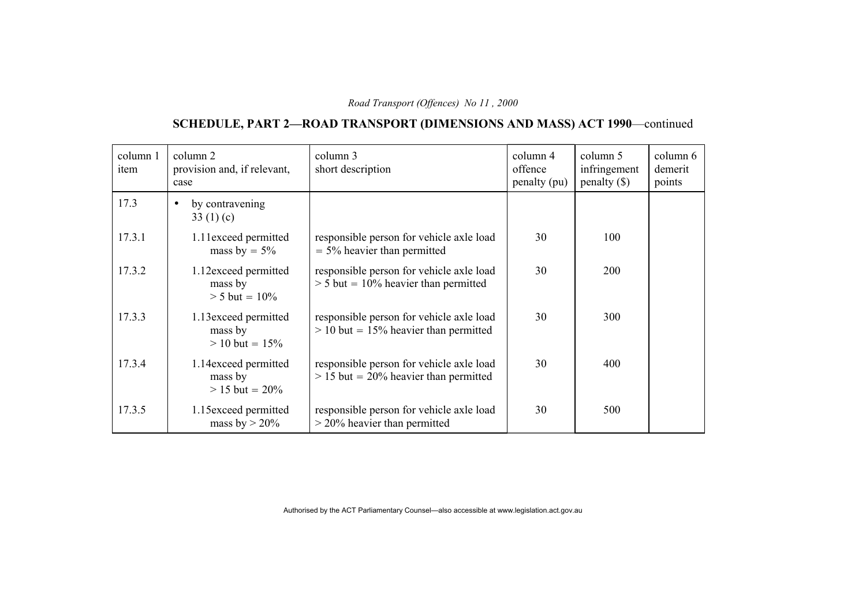# **SCHEDULE, PART 2—ROAD TRANSPORT (DIMENSIONS AND MASS) ACT 1990**—continued

| column 1<br>item | column 2<br>provision and, if relevant,<br>case      | column 3<br>short description                                                       | column 4<br>offence<br>penalty (pu) | column 5<br>infringement<br>penalty $(\$)$ | column 6<br>demerit<br>points |
|------------------|------------------------------------------------------|-------------------------------------------------------------------------------------|-------------------------------------|--------------------------------------------|-------------------------------|
| 17.3             | by contravening<br>$\bullet$<br>33 $(1)(c)$          |                                                                                     |                                     |                                            |                               |
| 17.3.1           | 1.11exceed permitted<br>mass by $= 5\%$              | responsible person for vehicle axle load<br>$=$ 5% heavier than permitted           | 30                                  | 100                                        |                               |
| 17.3.2           | 1.12exceed permitted<br>mass by<br>$> 5$ but = 10%   | responsible person for vehicle axle load<br>$> 5$ but = 10% heavier than permitted  | 30                                  | <b>200</b>                                 |                               |
| 17.3.3           | 1.13 exceed permitted<br>mass by<br>$> 10$ but = 15% | responsible person for vehicle axle load<br>$> 10$ but = 15% heavier than permitted | 30                                  | 300                                        |                               |
| 17.3.4           | 1.14exceed permitted<br>mass by<br>$> 15$ but = 20%  | responsible person for vehicle axle load<br>$> 15$ but = 20% heavier than permitted | 30                                  | 400                                        |                               |
| 17.3.5           | 1.15 exceed permitted<br>mass by $> 20\%$            | responsible person for vehicle axle load<br>$>$ 20% heavier than permitted          | 30                                  | 500                                        |                               |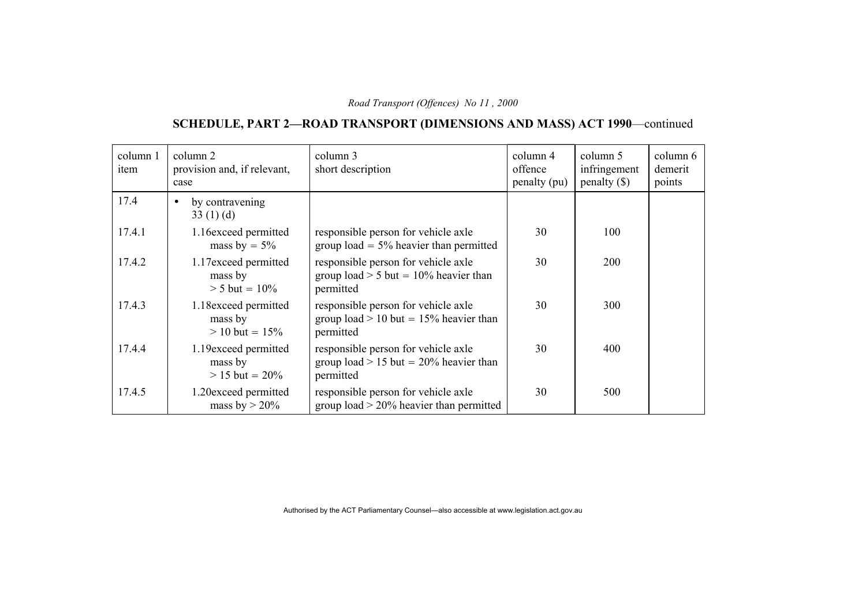# **SCHEDULE, PART 2—ROAD TRANSPORT (DIMENSIONS AND MASS) ACT 1990**—continued

| column 1<br>item | column 2<br>provision and, if relevant,<br>case      | column 3<br>short description                                                                | column 4<br>offence<br>penalty (pu) | column 5<br>infringement<br>penalty $(\$)$ | column 6<br>demerit<br>points |
|------------------|------------------------------------------------------|----------------------------------------------------------------------------------------------|-------------------------------------|--------------------------------------------|-------------------------------|
| 17.4             | by contravening<br>$\bullet$<br>33(1)(d)             |                                                                                              |                                     |                                            |                               |
| 17.4.1           | 1.16exceed permitted<br>mass by $= 5\%$              | responsible person for vehicle axle<br>group load $= 5\%$ heavier than permitted             | 30                                  | 100                                        |                               |
| 17.4.2           | 1.17exceed permitted<br>mass by<br>$> 5$ but = 10%   | responsible person for vehicle axle<br>group load $> 5$ but = 10% heavier than<br>permitted  | 30                                  | <b>200</b>                                 |                               |
| 17.4.3           | 1.18 exceed permitted<br>mass by<br>$> 10$ but = 15% | responsible person for vehicle axle<br>group load $> 10$ but = 15% heavier than<br>permitted | 30                                  | 300                                        |                               |
| 17.4.4           | 1.19 exceed permitted<br>mass by<br>$> 15$ but = 20% | responsible person for vehicle axle<br>group load $> 15$ but = 20% heavier than<br>permitted | 30                                  | 400                                        |                               |
| 17.4.5           | 1.20exceed permitted<br>mass by $> 20\%$             | responsible person for vehicle axle<br>group $load > 20\%$ heavier than permitted            | 30                                  | 500                                        |                               |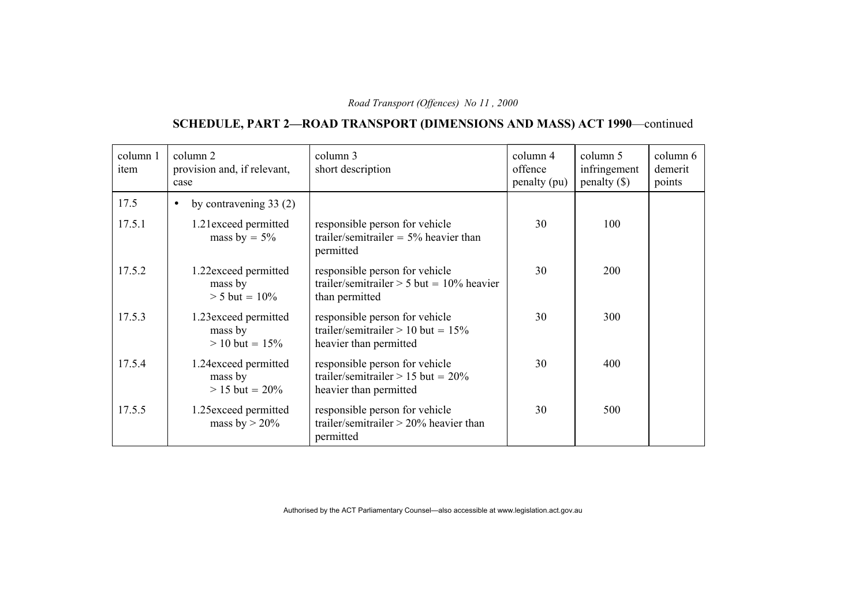# **SCHEDULE, PART 2—ROAD TRANSPORT (DIMENSIONS AND MASS) ACT 1990**—continued

| column 1<br>item | column 2<br>provision and, if relevant,<br>case      | column 3<br>short description                                                                     | column 4<br>offence<br>penalty (pu) | column 5<br>infringement<br>penalty $(\$)$ | column 6<br>demerit<br>points |
|------------------|------------------------------------------------------|---------------------------------------------------------------------------------------------------|-------------------------------------|--------------------------------------------|-------------------------------|
| 17.5             | by contravening $33(2)$<br>$\bullet$                 |                                                                                                   |                                     |                                            |                               |
| 17.5.1           | 1.21exceed permitted<br>mass by $= 5\%$              | responsible person for vehicle<br>trailer/semitrailer = $5\%$ heavier than<br>permitted           | 30                                  | 100                                        |                               |
| 17.5.2           | 1.22exceed permitted<br>mass by<br>$> 5$ but = 10%   | responsible person for vehicle<br>trailer/semitrailer $> 5$ but = 10% heavier<br>than permitted   | 30                                  | 200                                        |                               |
| 17.5.3           | 1.23 exceed permitted<br>mass by<br>$> 10$ but = 15% | responsible person for vehicle<br>trailer/semitrailer $> 10$ but = 15%<br>heavier than permitted  | 30                                  | 300                                        |                               |
| 17.5.4           | 1.24 exceed permitted<br>mass by<br>$> 15$ but = 20% | responsible person for vehicle<br>trailer/semitrailer > 15 but = $20\%$<br>heavier than permitted | 30                                  | 400                                        |                               |
| 17.5.5           | 1.25 exceed permitted<br>mass by $> 20\%$            | responsible person for vehicle<br>trailer/semitrailer $> 20\%$ heavier than<br>permitted          | 30                                  | 500                                        |                               |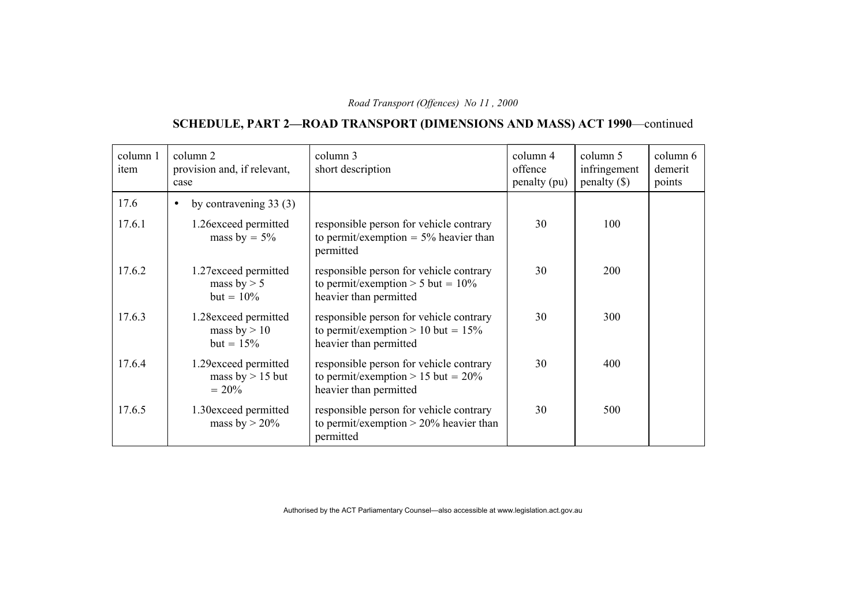# **SCHEDULE, PART 2—ROAD TRANSPORT (DIMENSIONS AND MASS) ACT 1990**—continued

| column 1<br>item | column 2<br>provision and, if relevant,<br>case         | column 3<br>short description                                                                              | column 4<br>offence<br>penalty (pu) | column 5<br>infringement<br>$penalty$ (\$) | column 6<br>demerit<br>points |
|------------------|---------------------------------------------------------|------------------------------------------------------------------------------------------------------------|-------------------------------------|--------------------------------------------|-------------------------------|
| 17.6             | by contravening $33(3)$<br>$\bullet$                    |                                                                                                            |                                     |                                            |                               |
| 17.6.1           | 1.26 exceed permitted<br>mass by $= 5\%$                | responsible person for vehicle contrary<br>to permit/exemption = $5\%$ heavier than<br>permitted           | 30                                  | 100                                        |                               |
| 17.6.2           | 1.27exceed permitted<br>mass by $> 5$<br>$but = 10\%$   | responsible person for vehicle contrary<br>to permit/exemption $> 5$ but = 10%<br>heavier than permitted   | 30                                  | 200                                        |                               |
| 17.6.3           | 1.28 exceed permitted<br>mass by $> 10$<br>$but = 15\%$ | responsible person for vehicle contrary<br>to permit/exemption > 10 but = $15\%$<br>heavier than permitted | 30                                  | 300                                        |                               |
| 17.6.4           | 1.29 exceed permitted<br>mass by $> 15$ but<br>$= 20\%$ | responsible person for vehicle contrary<br>to permit/exemption > 15 but = $20\%$<br>heavier than permitted | 30                                  | 400                                        |                               |
| 17.6.5           | 1.30exceed permitted<br>mass by $> 20\%$                | responsible person for vehicle contrary<br>to permit/exemption $> 20\%$ heavier than<br>permitted          | 30                                  | 500                                        |                               |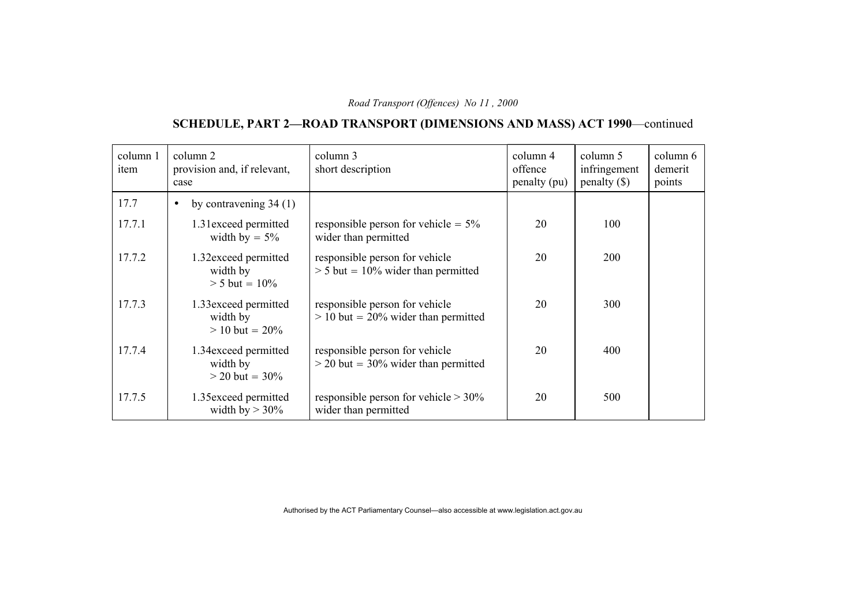# **SCHEDULE, PART 2—ROAD TRANSPORT (DIMENSIONS AND MASS) ACT 1990**—continued

| column 1<br>item | column 2<br>provision and, if relevant,<br>case       | column 3<br>short description                                           | column 4<br>offence<br>penalty (pu) | column 5<br>infringement<br>$penalty$ (\$) | column 6<br>demerit<br>points |
|------------------|-------------------------------------------------------|-------------------------------------------------------------------------|-------------------------------------|--------------------------------------------|-------------------------------|
| 17.7             | by contravening $34(1)$<br>$\bullet$                  |                                                                         |                                     |                                            |                               |
| 17.7.1           | 1.31exceed permitted<br>width by $= 5\%$              | responsible person for vehicle $= 5\%$<br>wider than permitted          | 20                                  | 100                                        |                               |
| 17.7.2           | 1.32exceed permitted<br>width by<br>$> 5$ but = 10%   | responsible person for vehicle<br>$> 5$ but = 10% wider than permitted  | 20                                  | <b>200</b>                                 |                               |
| 17.7.3           | 1.33exceed permitted<br>width by<br>$> 10$ but = 20%  | responsible person for vehicle<br>$> 10$ but = 20% wider than permitted | 20                                  | 300                                        |                               |
| 17.7.4           | 1.34 exceed permitted<br>width by<br>$>$ 20 but = 30% | responsible person for vehicle<br>$>$ 20 but = 30% wider than permitted | 20                                  | 400                                        |                               |
| 17.7.5           | 1.35 exceed permitted<br>width by $> 30\%$            | responsible person for vehicle $> 30\%$<br>wider than permitted         | 20                                  | 500                                        |                               |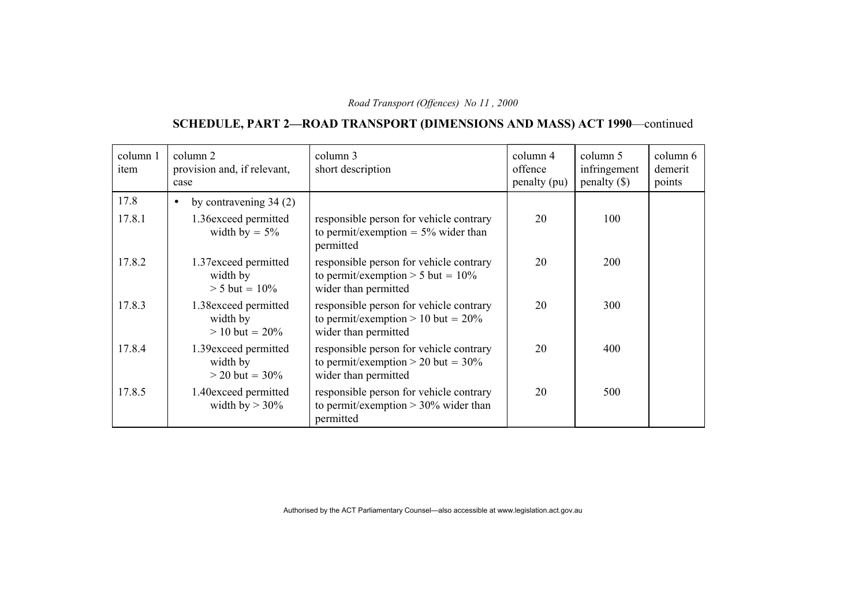# **SCHEDULE, PART 2—ROAD TRANSPORT (DIMENSIONS AND MASS) ACT 1990**—continued

| column 1<br>item | column 2<br>provision and, if relevant,<br>case       | column 3<br>short description                                                                            | column 4<br>offence<br>penalty (pu) | column 5<br>infringement<br>penalty $(\$)$ | column 6<br>demerit<br>points |
|------------------|-------------------------------------------------------|----------------------------------------------------------------------------------------------------------|-------------------------------------|--------------------------------------------|-------------------------------|
| 17.8             | by contravening $34(2)$<br>$\bullet$                  |                                                                                                          |                                     |                                            |                               |
| 17.8.1           | 1.36 exceed permitted<br>width by $= 5\%$             | responsible person for vehicle contrary<br>to permit/exemption = $5\%$ wider than<br>permitted           | 20                                  | 100                                        |                               |
| 17.8.2           | 1.37exceed permitted<br>width by<br>$> 5$ but = 10%   | responsible person for vehicle contrary<br>to permit/exemption > 5 but = $10\%$<br>wider than permitted  | 20                                  | <b>200</b>                                 |                               |
| 17.8.3           | 1.38 exceed permitted<br>width by<br>$> 10$ but = 20% | responsible person for vehicle contrary<br>to permit/exemption > 10 but = $20\%$<br>wider than permitted | 20                                  | 300                                        |                               |
| 17.8.4           | 1.39 exceed permitted<br>width by<br>$>$ 20 but = 30% | responsible person for vehicle contrary<br>to permit/exemption > 20 but = $30\%$<br>wider than permitted | 20                                  | 400                                        |                               |
| 17.8.5           | 1.40 exceed permitted<br>width by $> 30\%$            | responsible person for vehicle contrary<br>to permit/exemption $> 30\%$ wider than<br>permitted          | 20                                  | 500                                        |                               |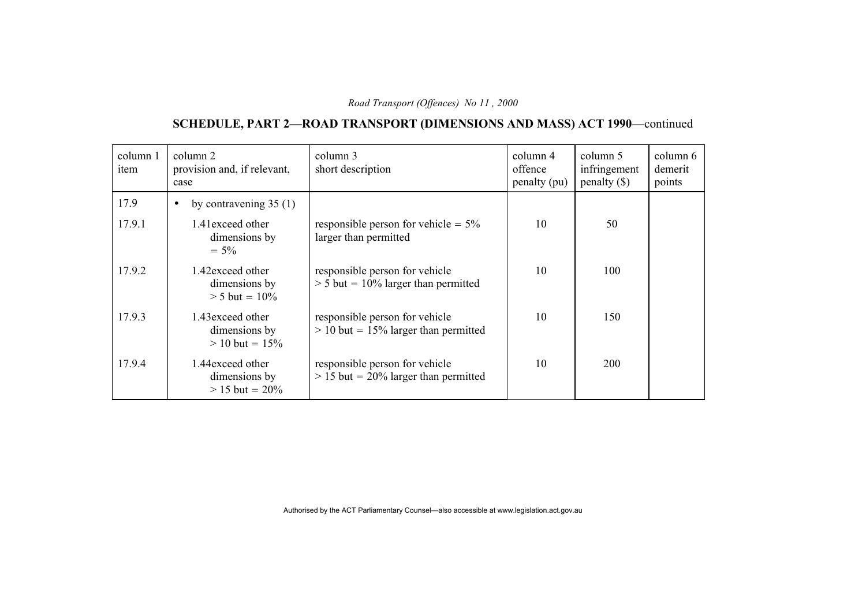# **SCHEDULE, PART 2—ROAD TRANSPORT (DIMENSIONS AND MASS) ACT 1990**—continued

| column 1<br>item | column 2<br>provision and, if relevant,<br>case        | column 3<br>short description                                            | column 4<br>offence<br>penalty (pu) | column 5<br>infringement<br>penalty $(\$)$ | column 6<br>demerit<br>points |
|------------------|--------------------------------------------------------|--------------------------------------------------------------------------|-------------------------------------|--------------------------------------------|-------------------------------|
| 17.9             | by contravening $35(1)$<br>$\bullet$                   |                                                                          |                                     |                                            |                               |
| 17.9.1           | 1.41 exceed other<br>dimensions by<br>$= 5\%$          | responsible person for vehicle = $5\%$<br>larger than permitted          | 10                                  | 50                                         |                               |
| 17.9.2           | 1.42 exceed other<br>dimensions by<br>$> 5$ but = 10%  | responsible person for vehicle<br>$> 5$ but = 10% larger than permitted  | 10                                  | 100                                        |                               |
| 17.9.3           | 1.43 exceed other<br>dimensions by<br>$> 10$ but = 15% | responsible person for vehicle<br>$> 10$ but = 15% larger than permitted | 10                                  | 150                                        |                               |
| 17.9.4           | 1.44exceed other<br>dimensions by<br>$> 15$ but = 20%  | responsible person for vehicle<br>$> 15$ but = 20% larger than permitted | 10                                  | <b>200</b>                                 |                               |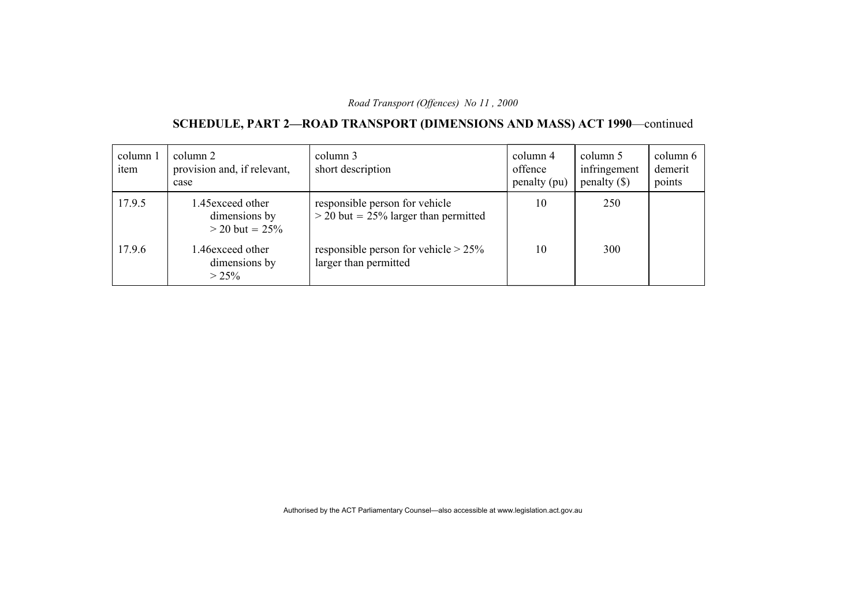# **SCHEDULE, PART 2—ROAD TRANSPORT (DIMENSIONS AND MASS) ACT 1990**—continued

| column 1<br>item | column 2<br>provision and, if relevant,<br>case        | column 3<br>short description                                            | column 4<br>offence<br>penalty (pu) | column 5<br>infringement<br>penalty $(\$)$ | column 6<br>demerit<br>points |
|------------------|--------------------------------------------------------|--------------------------------------------------------------------------|-------------------------------------|--------------------------------------------|-------------------------------|
| 17.9.5           | 1.45 exceed other<br>dimensions by<br>$>$ 20 but = 25% | responsible person for vehicle<br>$>$ 20 but = 25% larger than permitted | 10                                  | 250                                        |                               |
| 17.9.6           | .46exceed other<br>dimensions by<br>$> 25\%$           | responsible person for vehicle $> 25\%$<br>larger than permitted         | 10                                  | 300                                        |                               |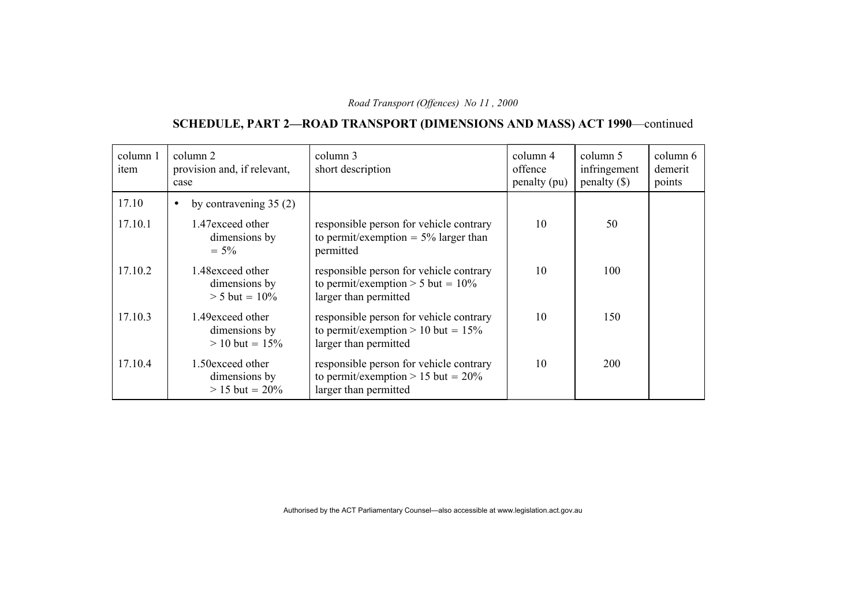# **SCHEDULE, PART 2—ROAD TRANSPORT (DIMENSIONS AND MASS) ACT 1990**—continued

| column 1<br>item | column 2<br>provision and, if relevant,<br>case        | column 3<br>short description                                                                             | column 4<br>offence<br>penalty (pu) | column 5<br>infringement<br>penalty $(\$)$ | column 6<br>demerit<br>points |
|------------------|--------------------------------------------------------|-----------------------------------------------------------------------------------------------------------|-------------------------------------|--------------------------------------------|-------------------------------|
| 17.10            | by contravening $35(2)$<br>$\bullet$                   |                                                                                                           |                                     |                                            |                               |
| 17.10.1          | 1.47 exceed other<br>dimensions by<br>$= 5\%$          | responsible person for vehicle contrary<br>to permit/exemption = $5\%$ larger than<br>permitted           | 10                                  | 50                                         |                               |
| 17.10.2          | 1.48 exceed other<br>dimensions by<br>$> 5$ but = 10%  | responsible person for vehicle contrary<br>to permit/exemption > 5 but = $10\%$<br>larger than permitted  | 10                                  | 100                                        |                               |
| 17.10.3          | 1.49 exceed other<br>dimensions by<br>$> 10$ but = 15% | responsible person for vehicle contrary<br>to permit/exemption > 10 but = $15\%$<br>larger than permitted | 10                                  | 150                                        |                               |
| 17.10.4          | 1.50exceed other<br>dimensions by<br>$> 15$ but = 20%  | responsible person for vehicle contrary<br>to permit/exemption > 15 but = $20\%$<br>larger than permitted | 10                                  | 200                                        |                               |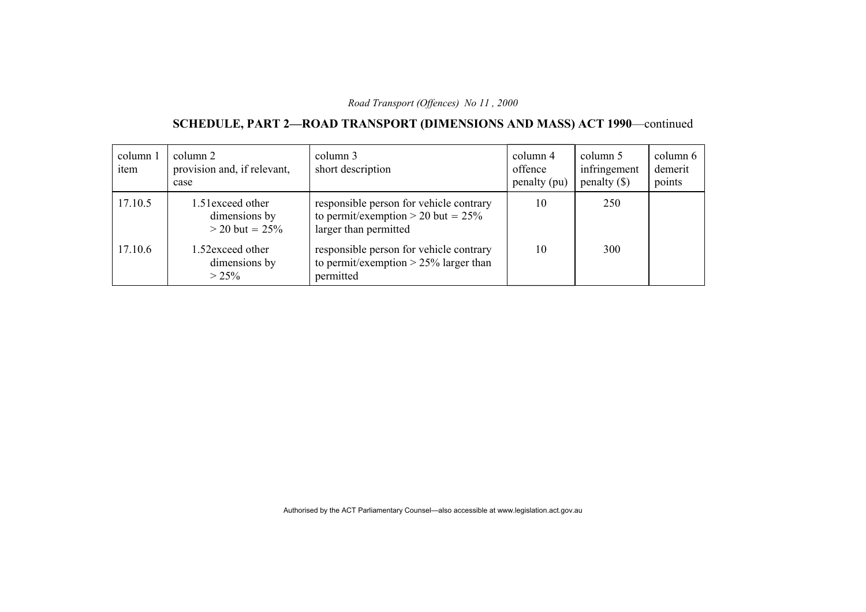# **SCHEDULE, PART 2—ROAD TRANSPORT (DIMENSIONS AND MASS) ACT 1990**—continued

| column 1<br>item | column 2<br>provision and, if relevant,<br>case        | column 3<br>short description                                                                             | column 4<br>offence<br>penalty (pu) | column 5<br>infringement<br>penalty $(\$)$ | column 6<br>demerit<br>points |
|------------------|--------------------------------------------------------|-----------------------------------------------------------------------------------------------------------|-------------------------------------|--------------------------------------------|-------------------------------|
| 17.10.5          | 1.51 exceed other<br>dimensions by<br>$>$ 20 but = 25% | responsible person for vehicle contrary<br>to permit/exemption > 20 but = $25\%$<br>larger than permitted | 10                                  | 250                                        |                               |
| 17.10.6          | 1.52exceed other<br>dimensions by<br>$> 25\%$          | responsible person for vehicle contrary<br>to permit/exemption $> 25\%$ larger than<br>permitted          | 10                                  | 300                                        |                               |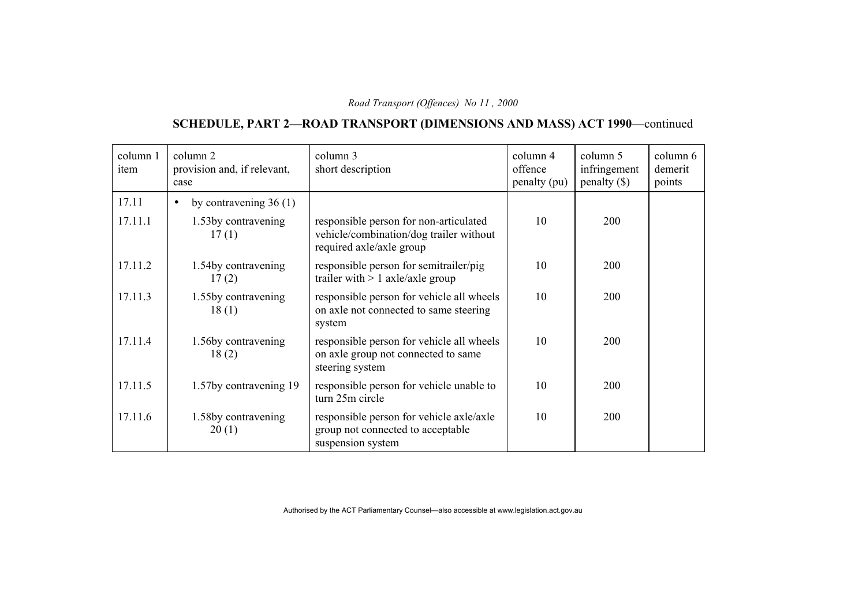# **SCHEDULE, PART 2—ROAD TRANSPORT (DIMENSIONS AND MASS) ACT 1990**—continued

| column 1<br>item | column 2<br>provision and, if relevant,<br>case | column 3<br>short description                                                                                 | column 4<br>offence<br>penalty (pu) | column 5<br>infringement<br>penalty $(\$)$ | column 6<br>demerit<br>points |
|------------------|-------------------------------------------------|---------------------------------------------------------------------------------------------------------------|-------------------------------------|--------------------------------------------|-------------------------------|
| 17.11            | by contravening $36(1)$<br>$\bullet$            |                                                                                                               |                                     |                                            |                               |
| 17.11.1          | 1.53by contravening<br>17(1)                    | responsible person for non-articulated<br>vehicle/combination/dog trailer without<br>required axle/axle group | 10                                  | 200                                        |                               |
| 17.11.2          | 1.54by contravening<br>17(2)                    | responsible person for semitrailer/pig<br>trailer with $> 1$ axle/axle group                                  | 10                                  | <b>200</b>                                 |                               |
| 17.11.3          | 1.55by contravening<br>18(1)                    | responsible person for vehicle all wheels<br>on axle not connected to same steering<br>system                 | 10                                  | 200                                        |                               |
| 17.11.4          | 1.56by contravening<br>18(2)                    | responsible person for vehicle all wheels<br>on axle group not connected to same<br>steering system           | 10                                  | 200                                        |                               |
| 17.11.5          | 1.57by contravening 19                          | responsible person for vehicle unable to<br>turn 25m circle                                                   | 10                                  | <b>200</b>                                 |                               |
| 17.11.6          | 1.58by contravening<br>20(1)                    | responsible person for vehicle axle/axle<br>group not connected to acceptable<br>suspension system            | 10                                  | 200                                        |                               |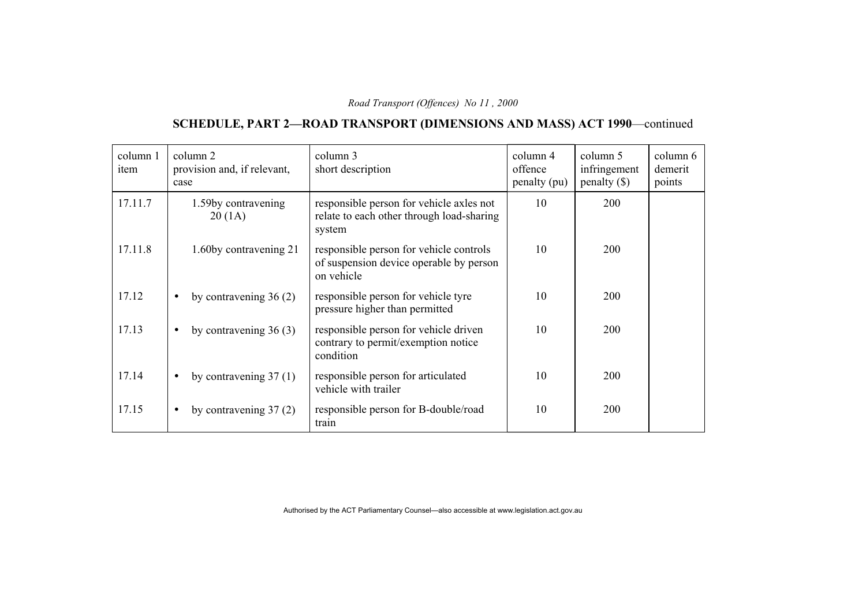# **SCHEDULE, PART 2—ROAD TRANSPORT (DIMENSIONS AND MASS) ACT 1990**—continued

| column 1<br>item | column 2<br>provision and, if relevant,<br>case | column 3<br>short description                                                                    | column 4<br>offence<br>penalty (pu) | column 5<br>infringement<br>$penalty$ (\$) | column 6<br>demerit<br>points |
|------------------|-------------------------------------------------|--------------------------------------------------------------------------------------------------|-------------------------------------|--------------------------------------------|-------------------------------|
| 17.11.7          | 1.59by contravening<br>20(1A)                   | responsible person for vehicle axles not<br>relate to each other through load-sharing<br>system  | 10                                  | 200                                        |                               |
| 17.11.8          | 1.60by contravening 21                          | responsible person for vehicle controls<br>of suspension device operable by person<br>on vehicle | 10                                  | 200                                        |                               |
| 17.12            | by contravening $36(2)$<br>$\bullet$            | responsible person for vehicle tyre<br>pressure higher than permitted                            | 10                                  | 200                                        |                               |
| 17.13            | by contravening $36(3)$<br>$\bullet$            | responsible person for vehicle driven<br>contrary to permit/exemption notice<br>condition        | 10                                  | <b>200</b>                                 |                               |
| 17.14            | by contravening $37(1)$<br>$\bullet$            | responsible person for articulated<br>vehicle with trailer                                       | 10                                  | <b>200</b>                                 |                               |
| 17.15            | by contravening $37(2)$<br>$\bullet$            | responsible person for B-double/road<br>train                                                    | 10                                  | <b>200</b>                                 |                               |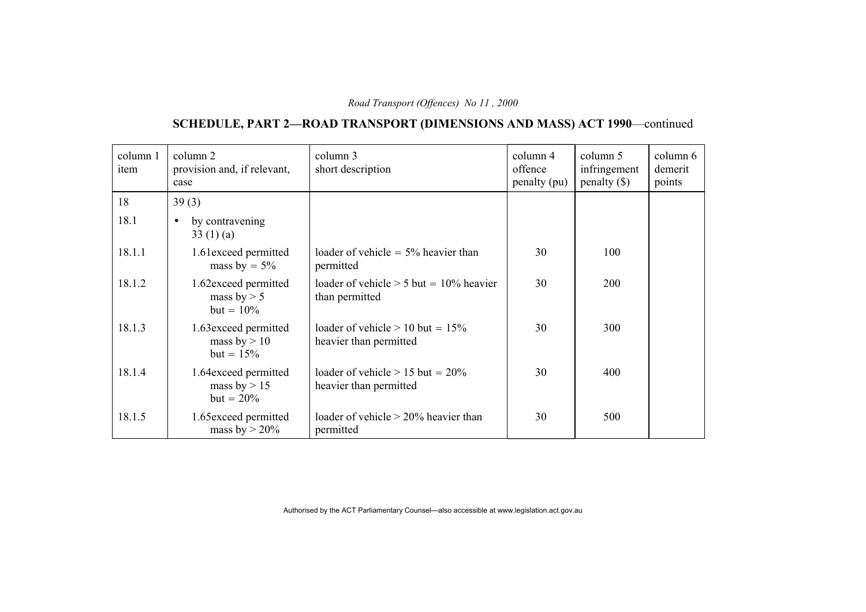# **SCHEDULE, PART 2—ROAD TRANSPORT (DIMENSIONS AND MASS) ACT 1990**—continued

| column 1<br>item | column 2<br>provision and, if relevant,<br>case         | column 3<br>short description                                | column 4<br>offence<br>penalty (pu) | column 5<br>infringement<br>$penalty ()$ | column 6<br>demerit<br>points |
|------------------|---------------------------------------------------------|--------------------------------------------------------------|-------------------------------------|------------------------------------------|-------------------------------|
| 18               | 39(3)                                                   |                                                              |                                     |                                          |                               |
| 18.1             | by contravening<br>$\bullet$<br>33 $(1)(a)$             |                                                              |                                     |                                          |                               |
| 18.1.1           | 1.61 exceed permitted<br>mass by $= 5\%$                | loader of vehicle $= 5\%$ heavier than<br>permitted          | 30                                  | 100                                      |                               |
| 18.1.2           | 1.62exceed permitted<br>mass by $> 5$<br>$but = 10\%$   | loader of vehicle $> 5$ but = 10% heavier<br>than permitted  | 30                                  | 200                                      |                               |
| 18.1.3           | 1.63 exceed permitted<br>mass by $> 10$<br>$but = 15\%$ | loader of vehicle $> 10$ but = 15%<br>heavier than permitted | 30                                  | 300                                      |                               |
| 18.1.4           | 1.64 exceed permitted<br>mass by $> 15$<br>$but = 20\%$ | loader of vehicle $> 15$ but = 20%<br>heavier than permitted | 30                                  | 400                                      |                               |
| 18.1.5           | 1.65 exceed permitted<br>mass by $> 20\%$               | loader of vehicle $> 20\%$ heavier than<br>permitted         | 30                                  | 500                                      |                               |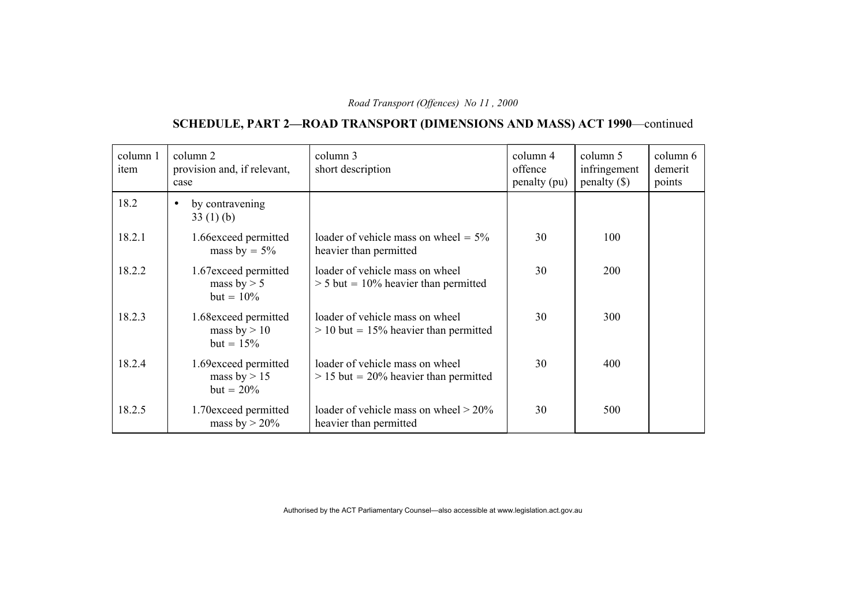# **SCHEDULE, PART 2—ROAD TRANSPORT (DIMENSIONS AND MASS) ACT 1990**—continued

| column 1<br>item | column 2<br>provision and, if relevant,<br>case         | column 3<br>short description                                              | column 4<br>offence<br>penalty (pu) | column 5<br>infringement<br>$penalty$ (\$) | column 6<br>demerit<br>points |
|------------------|---------------------------------------------------------|----------------------------------------------------------------------------|-------------------------------------|--------------------------------------------|-------------------------------|
| 18.2             | by contravening<br>$\bullet$<br>33(1)(b)                |                                                                            |                                     |                                            |                               |
| 18.2.1           | 1.66 exceed permitted<br>mass by $= 5\%$                | loader of vehicle mass on wheel $= 5\%$<br>heavier than permitted          | 30                                  | 100                                        |                               |
| 18.2.2           | 1.67exceed permitted<br>mass by $> 5$<br>$but = 10\%$   | loader of vehicle mass on wheel<br>$>$ 5 but = 10% heavier than permitted  | 30                                  | 200                                        |                               |
| 18.2.3           | 1.68exceed permitted<br>mass by $> 10$<br>$but = 15\%$  | loader of vehicle mass on wheel<br>$> 10$ but = 15% heavier than permitted | 30                                  | 300                                        |                               |
| 18.2.4           | 1.69 exceed permitted<br>mass by $> 15$<br>$but = 20\%$ | loader of vehicle mass on wheel<br>$> 15$ but = 20% heavier than permitted | 30                                  | 400                                        |                               |
| 18.2.5           | 1.70 exceed permitted<br>mass by $> 20\%$               | loader of vehicle mass on wheel $> 20\%$<br>heavier than permitted         | 30                                  | 500                                        |                               |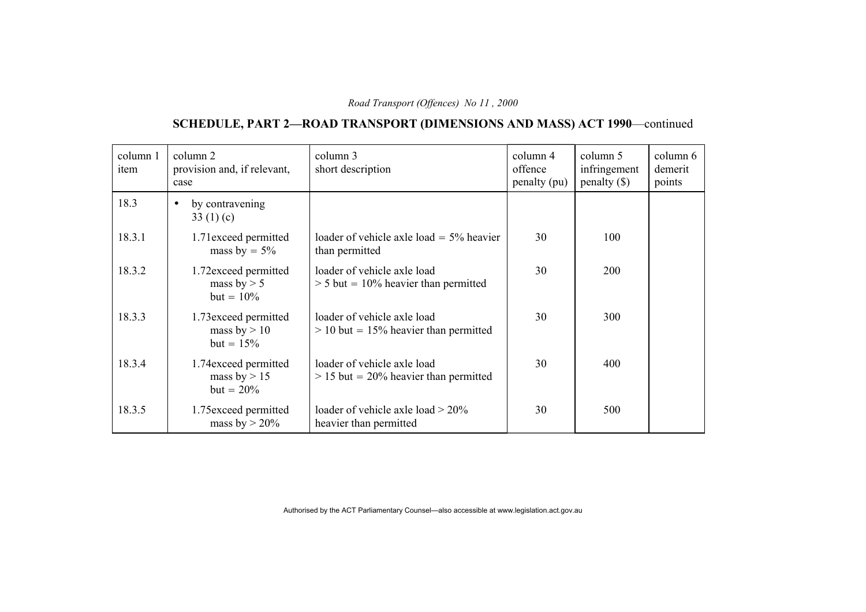# **SCHEDULE, PART 2—ROAD TRANSPORT (DIMENSIONS AND MASS) ACT 1990**—continued

| column 1<br>item | column 2<br>provision and, if relevant,<br>case         | column 3<br>short description                                          | column 4<br>offence<br>penalty (pu) | column 5<br>infringement<br>penalty () | column 6<br>demerit<br>points |
|------------------|---------------------------------------------------------|------------------------------------------------------------------------|-------------------------------------|----------------------------------------|-------------------------------|
| 18.3             | by contravening<br>$\bullet$<br>33 $(1)(c)$             |                                                                        |                                     |                                        |                               |
| 18.3.1           | 1.71exceed permitted<br>mass by $= 5\%$                 | loader of vehicle axle load = $5\%$ heavier<br>than permitted          | 30                                  | 100                                    |                               |
| 18.3.2           | 1.72 exceed permitted<br>mass by $> 5$<br>$but = 10\%$  | loader of vehicle axle load<br>$> 5$ but = 10% heavier than permitted  | 30                                  | 200                                    |                               |
| 18.3.3           | 1.73 exceed permitted<br>mass $by > 10$<br>$but = 15\%$ | loader of vehicle axle load<br>$> 10$ but = 15% heavier than permitted | 30                                  | 300                                    |                               |
| 18.3.4           | 1.74 exceed permitted<br>mass by $> 15$<br>$but = 20\%$ | loader of vehicle axle load<br>$> 15$ but = 20% heavier than permitted | 30                                  | 400                                    |                               |
| 18.3.5           | 1.75 exceed permitted<br>mass by $> 20\%$               | loader of vehicle axle load $> 20\%$<br>heavier than permitted         | 30                                  | 500                                    |                               |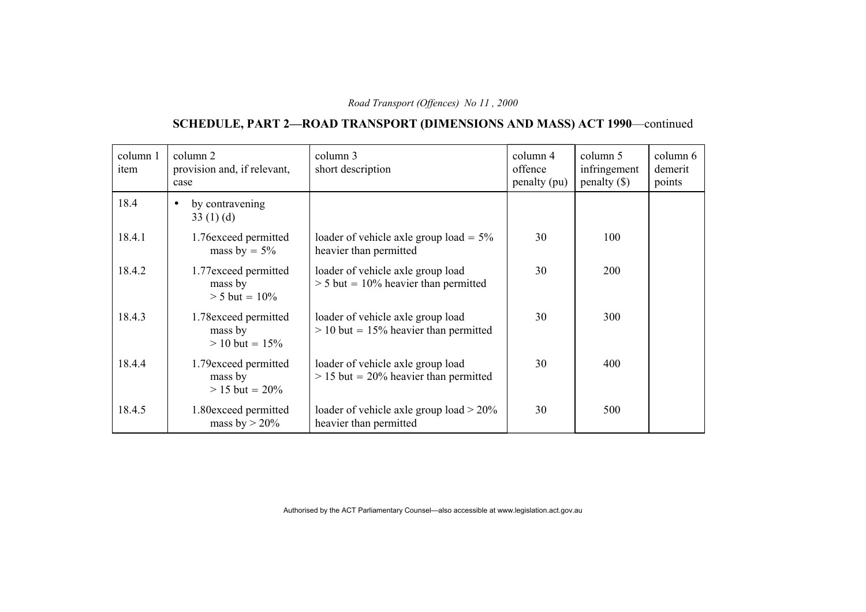# **SCHEDULE, PART 2—ROAD TRANSPORT (DIMENSIONS AND MASS) ACT 1990**—continued

| column 1<br>item | column 2<br>provision and, if relevant,<br>case      | column 3<br>short description                                                | column 4<br>offence<br>penalty (pu) | column 5<br>infringement<br>penalty () | column 6<br>demerit<br>points |
|------------------|------------------------------------------------------|------------------------------------------------------------------------------|-------------------------------------|----------------------------------------|-------------------------------|
| 18.4             | by contravening<br>$\bullet$<br>33(1)(d)             |                                                                              |                                     |                                        |                               |
| 18.4.1           | 1.76 exceed permitted<br>mass by $= 5\%$             | loader of vehicle axle group load $= 5\%$<br>heavier than permitted          | 30                                  | 100                                    |                               |
| 18.4.2           | 1.77 exceed permitted<br>mass by<br>$> 5$ but = 10%  | loader of vehicle axle group load<br>$> 5$ but = 10% heavier than permitted  | 30                                  | <b>200</b>                             |                               |
| 18.4.3           | 1.78 exceed permitted<br>mass by<br>$> 10$ but = 15% | loader of vehicle axle group load<br>$> 10$ but = 15% heavier than permitted | 30                                  | 300                                    |                               |
| 18.4.4           | 1.79 exceed permitted<br>mass by<br>$> 15$ but = 20% | loader of vehicle axle group load<br>$> 15$ but = 20% heavier than permitted | 30                                  | 400                                    |                               |
| 18.4.5           | 1.80 exceed permitted<br>mass by $>$ 20%             | loader of vehicle axle group load $> 20\%$<br>heavier than permitted         | 30                                  | 500                                    |                               |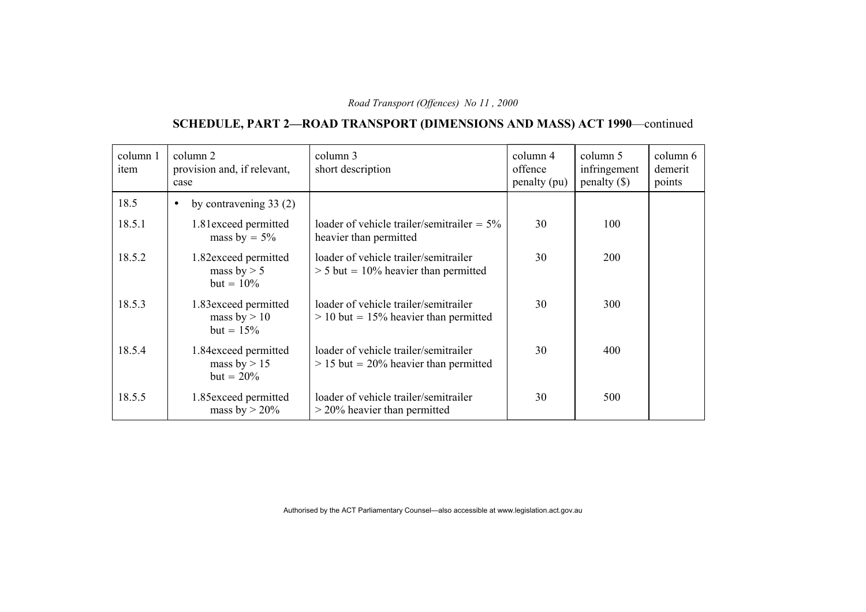# **SCHEDULE, PART 2—ROAD TRANSPORT (DIMENSIONS AND MASS) ACT 1990**—continued

| column 1<br>item | column 2<br>provision and, if relevant,<br>case         | column 3<br>short description                                                    | column 4<br>offence<br>penalty (pu) | column 5<br>infringement<br>penalty $(\$)$ | column 6<br>demerit<br>points |
|------------------|---------------------------------------------------------|----------------------------------------------------------------------------------|-------------------------------------|--------------------------------------------|-------------------------------|
| 18.5             | by contravening $33(2)$<br>$\bullet$                    |                                                                                  |                                     |                                            |                               |
| 18.5.1           | 1.81 exceed permitted<br>mass by $= 5\%$                | loader of vehicle trailer/semitrailer = $5\%$<br>heavier than permitted          | 30                                  | 100                                        |                               |
| 18.5.2           | 1.82exceed permitted<br>mass by $> 5$<br>$but = 10\%$   | loader of vehicle trailer/semitrailer<br>$> 5$ but = 10% heavier than permitted  | 30                                  | <b>200</b>                                 |                               |
| 18.5.3           | 1.83 exceed permitted<br>mass by $> 10$<br>$but = 15\%$ | loader of vehicle trailer/semitrailer<br>$> 10$ but = 15% heavier than permitted | 30                                  | 300                                        |                               |
| 18.5.4           | 1.84exceed permitted<br>mass by $> 15$<br>$but = 20\%$  | loader of vehicle trailer/semitrailer<br>$> 15$ but = 20% heavier than permitted | 30                                  | 400                                        |                               |
| 18.5.5           | 1.85 exceed permitted<br>mass by $> 20\%$               | loader of vehicle trailer/semitrailer<br>$>$ 20% heavier than permitted          | 30                                  | 500                                        |                               |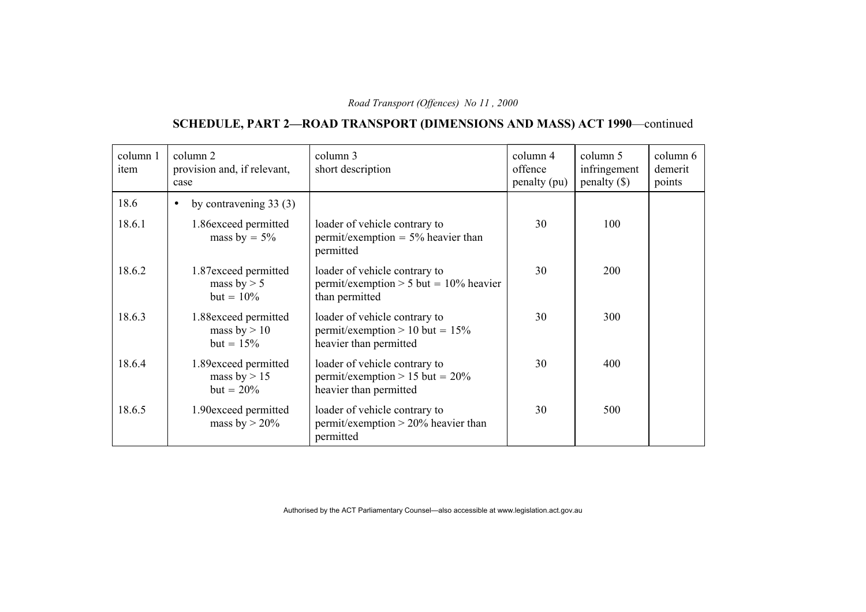# **SCHEDULE, PART 2—ROAD TRANSPORT (DIMENSIONS AND MASS) ACT 1990**—continued

| column 1<br>item | column 2<br>provision and, if relevant,<br>case         | column 3<br>short description                                                                | column 4<br>offence<br>penalty (pu) | column 5<br>infringement<br>$penalty$ (\$) | column 6<br>demerit<br>points |
|------------------|---------------------------------------------------------|----------------------------------------------------------------------------------------------|-------------------------------------|--------------------------------------------|-------------------------------|
| 18.6             | by contravening $33(3)$<br>$\bullet$                    |                                                                                              |                                     |                                            |                               |
| 18.6.1           | 1.86 exceed permitted<br>mass by $= 5\%$                | loader of vehicle contrary to<br>permit/exemption = $5\%$ heavier than<br>permitted          | 30                                  | 100                                        |                               |
| 18.6.2           | 1.87exceed permitted<br>mass by $> 5$<br>$but = 10\%$   | loader of vehicle contrary to<br>permit/exemption > 5 but = $10\%$ heavier<br>than permitted | 30                                  | 200                                        |                               |
| 18.6.3           | 1.88 exceed permitted<br>mass by $> 10$<br>$but = 15\%$ | loader of vehicle contrary to<br>permit/exemption $> 10$ but = 15%<br>heavier than permitted | 30                                  | 300                                        |                               |
| 18.6.4           | 1.89 exceed permitted<br>mass by $> 15$<br>$but = 20\%$ | loader of vehicle contrary to<br>permit/exemption $> 15$ but = 20%<br>heavier than permitted | 30                                  | 400                                        |                               |
| 18.6.5           | 1.90exceed permitted<br>mass by $> 20\%$                | loader of vehicle contrary to<br>permit/exemption $> 20\%$ heavier than<br>permitted         | 30                                  | 500                                        |                               |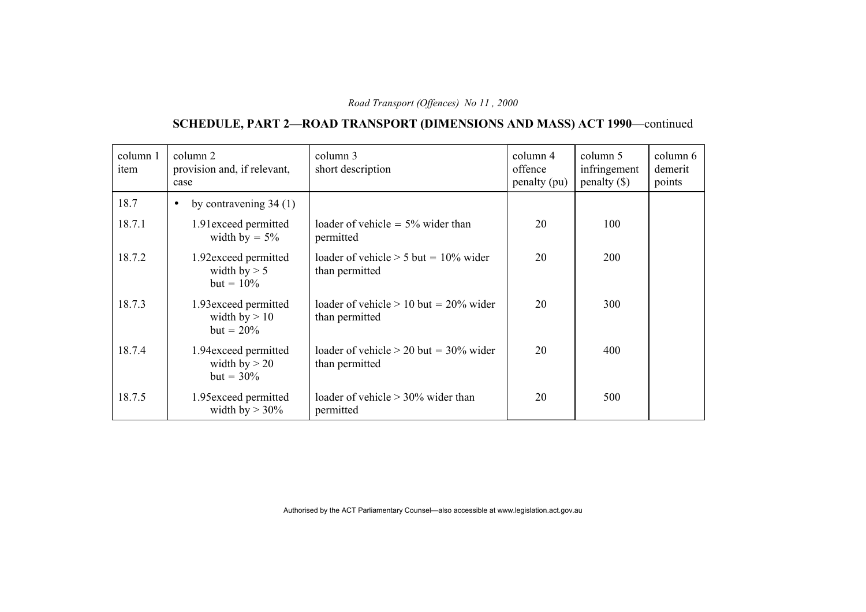# **SCHEDULE, PART 2—ROAD TRANSPORT (DIMENSIONS AND MASS) ACT 1990**—continued

| column 1<br>item | column 2<br>provision and, if relevant,<br>case          | column 3<br>short description                              | column 4<br>offence<br>penalty (pu) | column 5<br>infringement<br>penalty $(\$)$ | column 6<br>demerit<br>points |
|------------------|----------------------------------------------------------|------------------------------------------------------------|-------------------------------------|--------------------------------------------|-------------------------------|
| 18.7             | by contravening $34(1)$<br>$\bullet$                     |                                                            |                                     |                                            |                               |
| 18.7.1           | 1.91 exceed permitted<br>width by $= 5\%$                | loader of vehicle $= 5\%$ wider than<br>permitted          | 20                                  | 100                                        |                               |
| 18.7.2           | 1.92exceed permitted<br>width by $> 5$<br>$but = 10\%$   | loader of vehicle $> 5$ but = 10% wider<br>than permitted  | 20                                  | 200                                        |                               |
| 18.7.3           | 1.93 exceed permitted<br>width by $> 10$<br>$but = 20\%$ | loader of vehicle $> 10$ but = 20% wider<br>than permitted | 20                                  | 300                                        |                               |
| 18.7.4           | 1.94 exceed permitted<br>width by $> 20$<br>$but = 30\%$ | loader of vehicle $> 20$ but = 30% wider<br>than permitted | 20                                  | 400                                        |                               |
| 18.7.5           | 1.95 exceed permitted<br>width by $> 30\%$               | loader of vehicle $> 30\%$ wider than<br>permitted         | 20                                  | 500                                        |                               |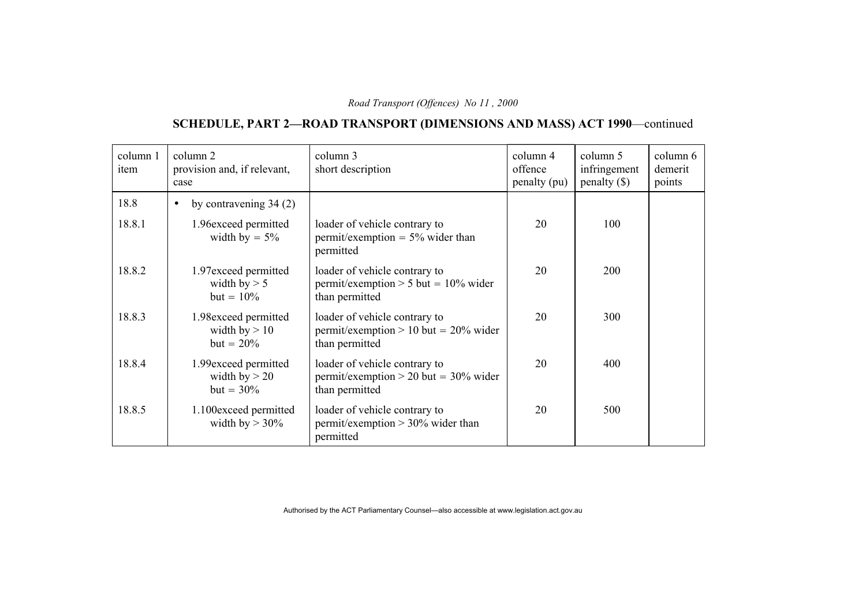# **SCHEDULE, PART 2—ROAD TRANSPORT (DIMENSIONS AND MASS) ACT 1990**—continued

| column 1<br>item | column 2<br>provision and, if relevant,<br>case          | column 3<br>short description                                                               | column 4<br>offence<br>penalty (pu) | column 5<br>infringement<br>$penalty$ (\$) | column 6<br>demerit<br>points |
|------------------|----------------------------------------------------------|---------------------------------------------------------------------------------------------|-------------------------------------|--------------------------------------------|-------------------------------|
| 18.8             | by contravening $34(2)$<br>$\bullet$                     |                                                                                             |                                     |                                            |                               |
| 18.8.1           | 1.96 exceed permitted<br>width by $= 5\%$                | loader of vehicle contrary to<br>permit/exemption = $5\%$ wider than<br>permitted           | 20                                  | 100                                        |                               |
| 18.8.2           | 1.97exceed permitted<br>width by $> 5$<br>$but = 10\%$   | loader of vehicle contrary to<br>permit/exemption > 5 but = $10\%$ wider<br>than permitted  | 20                                  | <b>200</b>                                 |                               |
| 18.8.3           | 1.98 exceed permitted<br>width by $> 10$<br>$but = 20\%$ | loader of vehicle contrary to<br>permit/exemption > 10 but = $20\%$ wider<br>than permitted | 20                                  | 300                                        |                               |
| 18.8.4           | 1.99exceed permitted<br>width by $> 20$<br>$but = 30\%$  | loader of vehicle contrary to<br>permit/exemption $> 20$ but = 30% wider<br>than permitted  | 20                                  | 400                                        |                               |
| 18.8.5           | 1.100exceed permitted<br>width by $> 30\%$               | loader of vehicle contrary to<br>permit/exemption $> 30\%$ wider than<br>permitted          | 20                                  | 500                                        |                               |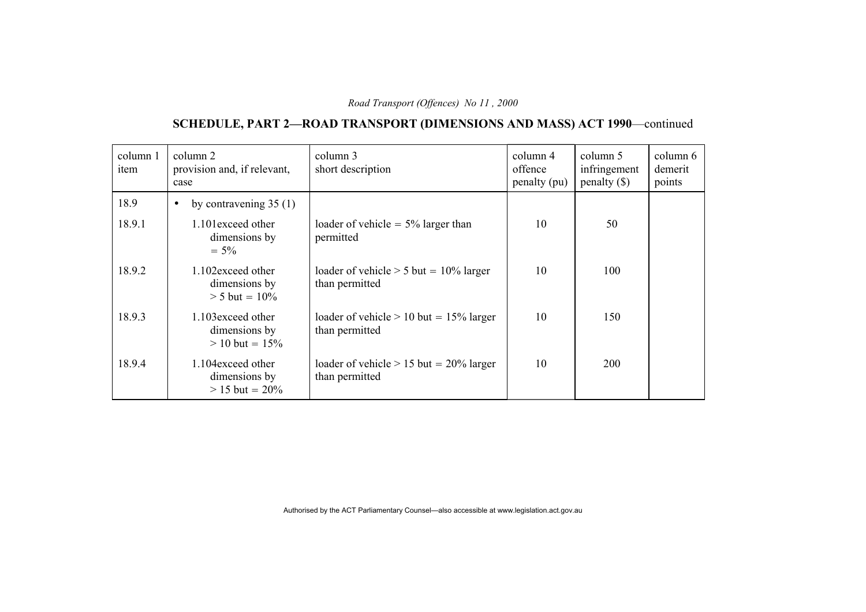# **SCHEDULE, PART 2—ROAD TRANSPORT (DIMENSIONS AND MASS) ACT 1990**—continued

| column 1<br>item | column 2<br>provision and, if relevant,<br>case         | column 3<br>short description                               | column 4<br>offence<br>penalty (pu) | column 5<br>infringement<br>penalty $(\$)$ | column 6<br>demerit<br>points |
|------------------|---------------------------------------------------------|-------------------------------------------------------------|-------------------------------------|--------------------------------------------|-------------------------------|
| 18.9             | by contravening $35(1)$<br>$\bullet$                    |                                                             |                                     |                                            |                               |
| 18.9.1           | 1.101 exceed other<br>dimensions by<br>$= 5\%$          | loader of vehicle $= 5\%$ larger than<br>permitted          | 10                                  | 50                                         |                               |
| 18.9.2           | 1.102exceed other<br>dimensions by<br>$> 5$ but = 10%   | loader of vehicle $> 5$ but = 10% larger<br>than permitted  | 10                                  | 100                                        |                               |
| 18.9.3           | 1.103 exceed other<br>dimensions by<br>$> 10$ but = 15% | loader of vehicle $> 10$ but = 15% larger<br>than permitted | 10                                  | 150                                        |                               |
| 18.9.4           | 1.104 exceed other<br>dimensions by<br>$> 15$ but = 20% | loader of vehicle $> 15$ but = 20% larger<br>than permitted | 10                                  | <b>200</b>                                 |                               |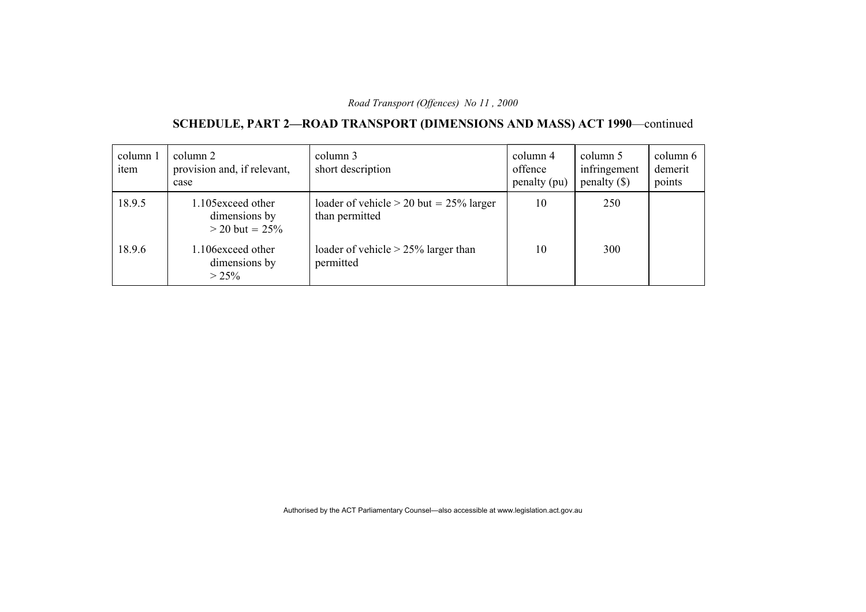# **SCHEDULE, PART 2—ROAD TRANSPORT (DIMENSIONS AND MASS) ACT 1990**—continued

| column 1<br>item | column 2<br>provision and, if relevant,<br>case         | column 3<br>short description                               | column 4<br>offence<br>penalty (pu) | column 5<br>infringement<br>penalty $(\$)$ | column 6<br>demerit<br>points |
|------------------|---------------------------------------------------------|-------------------------------------------------------------|-------------------------------------|--------------------------------------------|-------------------------------|
| 18.9.5           | 1.105 exceed other<br>dimensions by<br>$>$ 20 but = 25% | loader of vehicle $> 20$ but = 25% larger<br>than permitted | 10                                  | 250                                        |                               |
| 18.9.6           | 1.106 exceed other<br>dimensions by<br>$> 25\%$         | loader of vehicle $> 25\%$ larger than<br>permitted         | 10                                  | 300                                        |                               |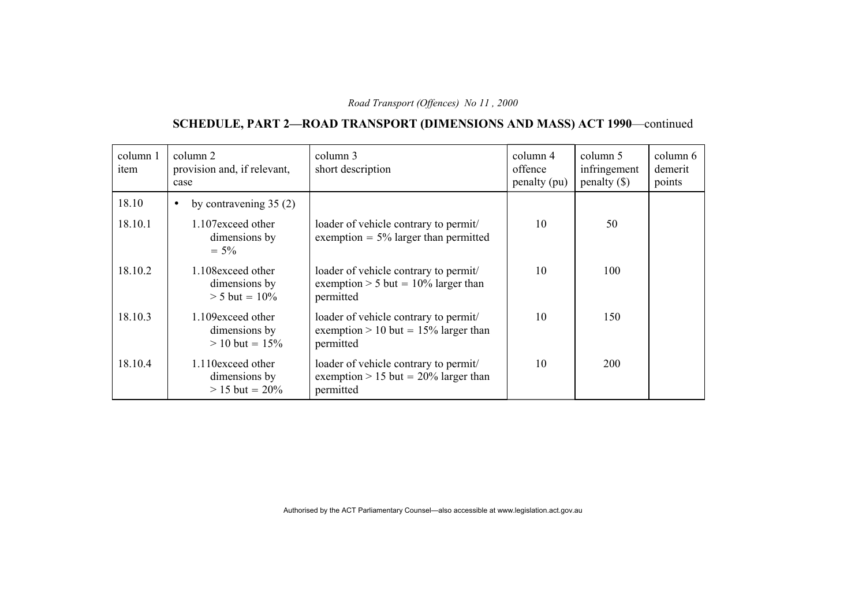# **SCHEDULE, PART 2—ROAD TRANSPORT (DIMENSIONS AND MASS) ACT 1990**—continued

| column 1<br>item | column 2<br>provision and, if relevant,<br>case         | column 3<br>short description                                                                | column 4<br>offence<br>penalty (pu) | column 5<br>infringement<br>penalty $(\$)$ | column 6<br>demerit<br>points |
|------------------|---------------------------------------------------------|----------------------------------------------------------------------------------------------|-------------------------------------|--------------------------------------------|-------------------------------|
| 18.10            | by contravening $35(2)$<br>$\bullet$                    |                                                                                              |                                     |                                            |                               |
| 18.10.1          | 1.107 exceed other<br>dimensions by<br>$= 5\%$          | loader of vehicle contrary to permit/<br>exemption $= 5\%$ larger than permitted             | 10                                  | 50                                         |                               |
| 18.10.2          | 1.108 exceed other<br>dimensions by<br>$> 5$ but = 10%  | loader of vehicle contrary to permit/<br>exemption $> 5$ but = 10% larger than<br>permitted  | 10                                  | 100                                        |                               |
| 18.10.3          | 1.109 exceed other<br>dimensions by<br>$> 10$ but = 15% | loader of vehicle contrary to permit/<br>exemption $> 10$ but = 15% larger than<br>permitted | 10                                  | 150                                        |                               |
| 18.10.4          | 1.110exceed other<br>dimensions by<br>$> 15$ but = 20%  | loader of vehicle contrary to permit/<br>exemption $> 15$ but = 20% larger than<br>permitted | 10                                  | <b>200</b>                                 |                               |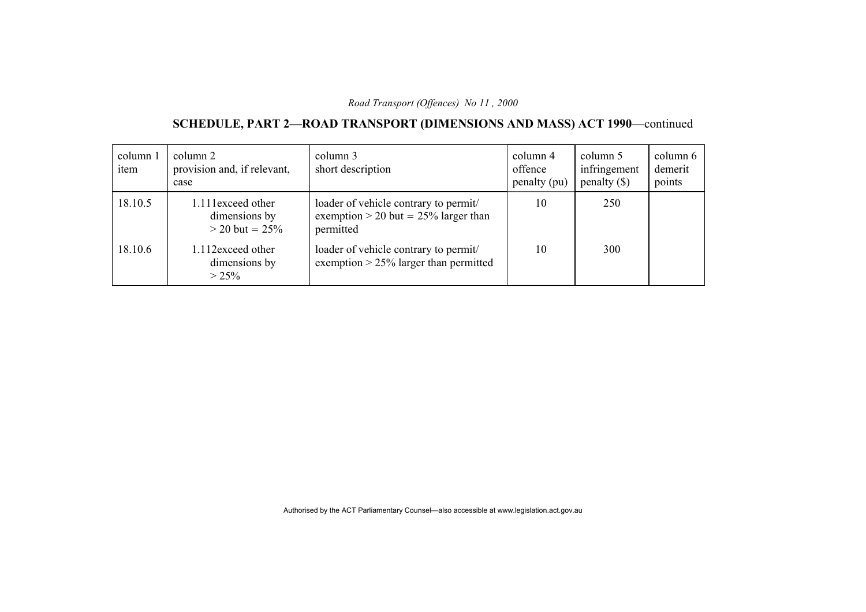# **SCHEDULE, PART 2—ROAD TRANSPORT (DIMENSIONS AND MASS) ACT 1990**—continued

| column 1<br>item | column 2<br>provision and, if relevant,<br>case         | column 3<br>short description                                                                | column 4<br>offence<br>penalty (pu) | column 5<br>infringement<br>penalty $(\$)$ | column 6<br>demerit<br>points |
|------------------|---------------------------------------------------------|----------------------------------------------------------------------------------------------|-------------------------------------|--------------------------------------------|-------------------------------|
| 18.10.5          | 1.111 exceed other<br>dimensions by<br>$>$ 20 but = 25% | loader of vehicle contrary to permit/<br>exemption $> 20$ but = 25% larger than<br>permitted | 10                                  | 250                                        |                               |
| 18.10.6          | 1.112exceed other<br>dimensions by<br>$> 25\%$          | loader of vehicle contrary to permit/<br>exemption $> 25\%$ larger than permitted            | 10                                  | 300                                        |                               |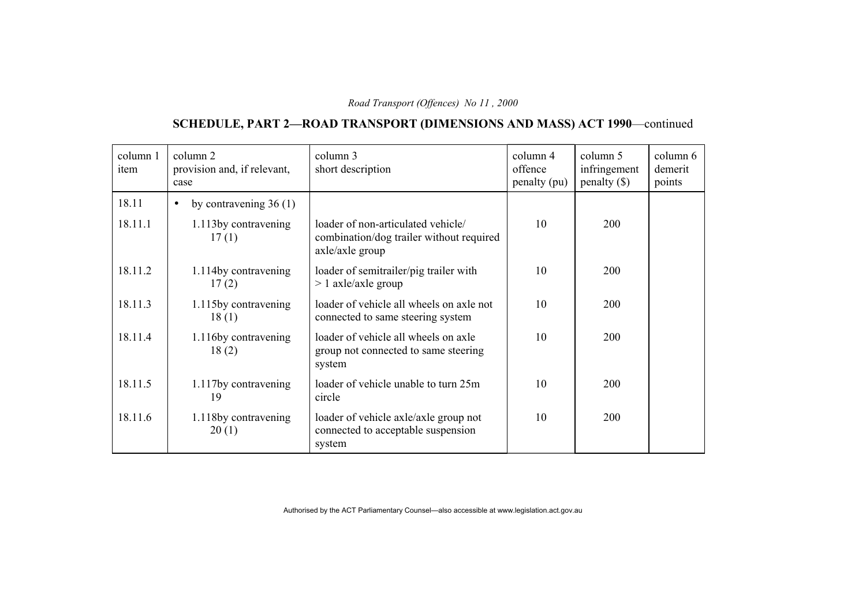# **SCHEDULE, PART 2—ROAD TRANSPORT (DIMENSIONS AND MASS) ACT 1990**—continued

| column 1<br>item | column 2<br>provision and, if relevant,<br>case | column 3<br>short description                                                                     | column 4<br>offence<br>penalty (pu) | column 5<br>infringement<br>penalty $(\$)$ | column 6<br>demerit<br>points |
|------------------|-------------------------------------------------|---------------------------------------------------------------------------------------------------|-------------------------------------|--------------------------------------------|-------------------------------|
| 18.11            | by contravening $36(1)$<br>$\bullet$            |                                                                                                   |                                     |                                            |                               |
| 18.11.1          | 1.113 by contravening<br>17(1)                  | loader of non-articulated vehicle/<br>combination/dog trailer without required<br>axle/axle group | 10                                  | 200                                        |                               |
| 18.11.2          | 1.114by contravening<br>17(2)                   | loader of semitrailer/pig trailer with<br>$> 1$ axle/axle group                                   | 10                                  | 200                                        |                               |
| 18.11.3          | 1.115by contravening<br>18(1)                   | loader of vehicle all wheels on axle not<br>connected to same steering system                     | 10                                  | <b>200</b>                                 |                               |
| 18.11.4          | 1.116by contravening<br>18(2)                   | loader of vehicle all wheels on axle<br>group not connected to same steering<br>system            | 10                                  | 200                                        |                               |
| 18.11.5          | 1.117by contravening<br>19                      | loader of vehicle unable to turn 25m<br>circle                                                    | 10                                  | <b>200</b>                                 |                               |
| 18.11.6          | 1.118by contravening<br>20(1)                   | loader of vehicle axle/axle group not<br>connected to acceptable suspension<br>system             | 10                                  | 200                                        |                               |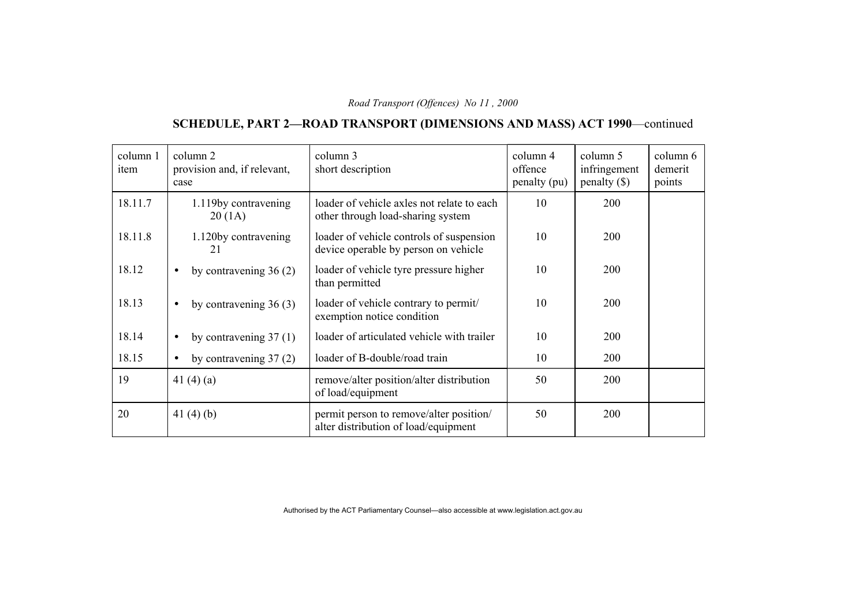# **SCHEDULE, PART 2—ROAD TRANSPORT (DIMENSIONS AND MASS) ACT 1990**—continued

| column 1<br>item | column 2<br>provision and, if relevant,<br>case | column 3<br>short description                                                    | column 4<br>offence<br>penalty (pu) | column 5<br>infringement<br>penalty () | column 6<br>demerit<br>points |
|------------------|-------------------------------------------------|----------------------------------------------------------------------------------|-------------------------------------|----------------------------------------|-------------------------------|
| 18.11.7          | 1.119by contravening<br>20(1A)                  | loader of vehicle axles not relate to each<br>other through load-sharing system  | 10                                  | 200                                    |                               |
| 18.11.8          | 1.120by contravening<br>21                      | loader of vehicle controls of suspension<br>device operable by person on vehicle | 10                                  | <b>200</b>                             |                               |
| 18.12            | by contravening $36(2)$<br>$\bullet$            | loader of vehicle tyre pressure higher<br>than permitted                         | 10                                  | 200                                    |                               |
| 18.13            | by contravening $36(3)$<br>$\bullet$            | loader of vehicle contrary to permit/<br>exemption notice condition              | 10                                  | 200                                    |                               |
| 18.14            | by contravening $37(1)$<br>$\bullet$            | loader of articulated vehicle with trailer                                       | 10                                  | <b>200</b>                             |                               |
| 18.15            | by contravening $37(2)$<br>$\bullet$            | loader of B-double/road train                                                    | 10                                  | 200                                    |                               |
| 19               | 41 $(4)(a)$                                     | remove/alter position/alter distribution<br>of load/equipment                    | 50                                  | <b>200</b>                             |                               |
| 20               | 41 $(4)(b)$                                     | permit person to remove/alter position/<br>alter distribution of load/equipment  | 50                                  | 200                                    |                               |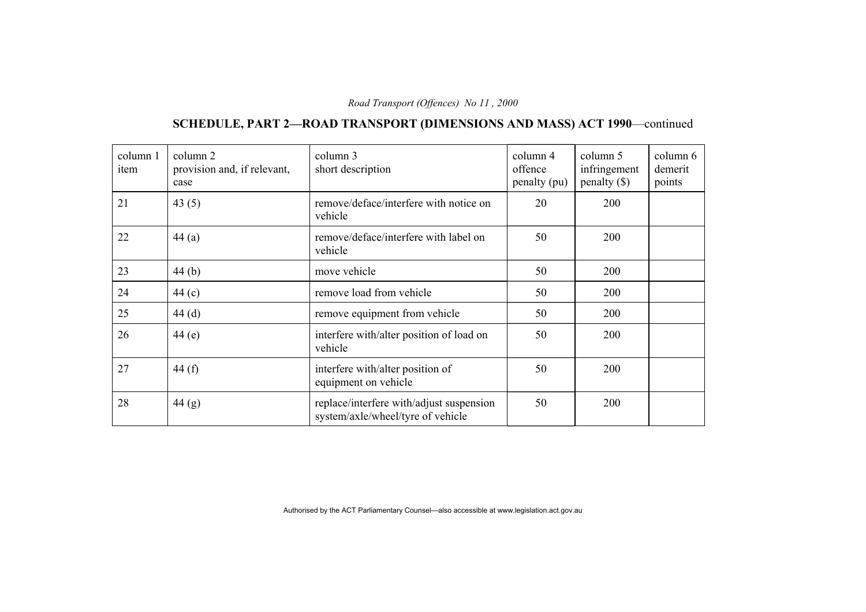# **SCHEDULE, PART 2—ROAD TRANSPORT (DIMENSIONS AND MASS) ACT 1990**—continued

| column 1<br>item | column 2<br>provision and, if relevant,<br>case | column 3<br>short description                                                 | column 4<br>offence<br>penalty (pu) | column 5<br>infringement<br>penalty $(\$)$ | column 6<br>demerit<br>points |
|------------------|-------------------------------------------------|-------------------------------------------------------------------------------|-------------------------------------|--------------------------------------------|-------------------------------|
| 21               | 43 $(5)$                                        | remove/deface/interfere with notice on<br>vehicle                             | 20                                  | 200                                        |                               |
| 22               | 44(a)                                           | remove/deface/interfere with label on<br>vehicle                              | 50                                  | 200                                        |                               |
| 23               | 44 $(b)$                                        | move vehicle                                                                  | 50                                  | 200                                        |                               |
| 24               | 44 $(c)$                                        | remove load from vehicle                                                      | 50                                  | 200                                        |                               |
| 25               | 44(d)                                           | remove equipment from vehicle                                                 | 50                                  | 200                                        |                               |
| 26               | 44(e)                                           | interfere with/alter position of load on<br>vehicle                           | 50                                  | 200                                        |                               |
| 27               | 44 $(f)$                                        | interfere with/alter position of<br>equipment on vehicle                      | 50                                  | 200                                        |                               |
| 28               | 44(g)                                           | replace/interfere with/adjust suspension<br>system/axle/wheel/tyre of vehicle | 50                                  | 200                                        |                               |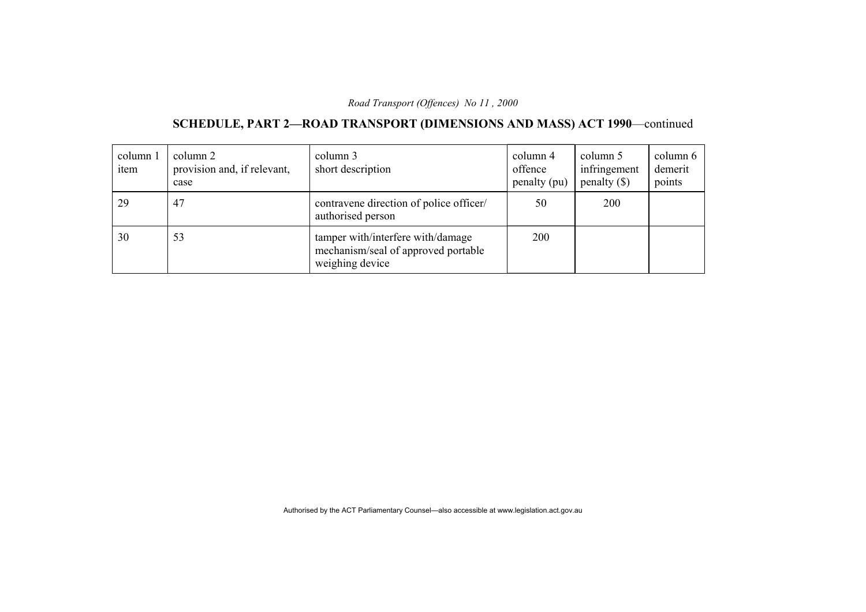# **SCHEDULE, PART 2—ROAD TRANSPORT (DIMENSIONS AND MASS) ACT 1990**—continued

| column 1<br>item | column 2<br>provision and, if relevant,<br>case | column 3<br>short description                                                               | column 4<br>offence<br>penalty (pu) | column 5<br>infringement<br>penalty $(\$)$ | column 6<br>demerit<br>points |
|------------------|-------------------------------------------------|---------------------------------------------------------------------------------------------|-------------------------------------|--------------------------------------------|-------------------------------|
| 29               | 47                                              | contravene direction of police officer/<br>authorised person                                | 50                                  | 200                                        |                               |
| 30               | 53                                              | tamper with/interfere with/damage<br>mechanism/seal of approved portable<br>weighing device | 200                                 |                                            |                               |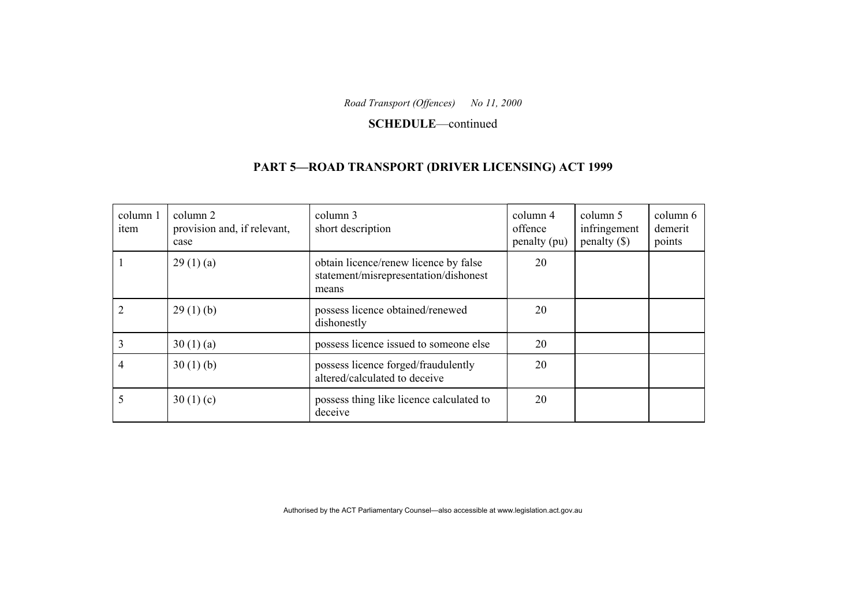#### **SCHEDULE**—continued

# **PART 5—ROAD TRANSPORT (DRIVER LICENSING) ACT 1999**

| column 1<br>item | column 2<br>provision and, if relevant,<br>case | column 3<br>short description                                                           | column 4<br>offence<br>penalty (pu) | column 5<br>infringement<br>$penalty$ (\$) | column 6<br>demerit<br>points |
|------------------|-------------------------------------------------|-----------------------------------------------------------------------------------------|-------------------------------------|--------------------------------------------|-------------------------------|
|                  | 29(1)(a)                                        | obtain licence/renew licence by false<br>statement/misrepresentation/dishonest<br>means | 20                                  |                                            |                               |
| $\overline{2}$   | 29(1)(b)                                        | possess licence obtained/renewed<br>dishonestly                                         | 20                                  |                                            |                               |
| 3                | 30(1)(a)                                        | possess licence issued to someone else                                                  | 20                                  |                                            |                               |
| 4                | 30(1)(b)                                        | possess licence forged/fraudulently<br>altered/calculated to deceive                    | 20                                  |                                            |                               |
|                  | 30 $(1)(c)$                                     | possess thing like licence calculated to<br>deceive                                     | 20                                  |                                            |                               |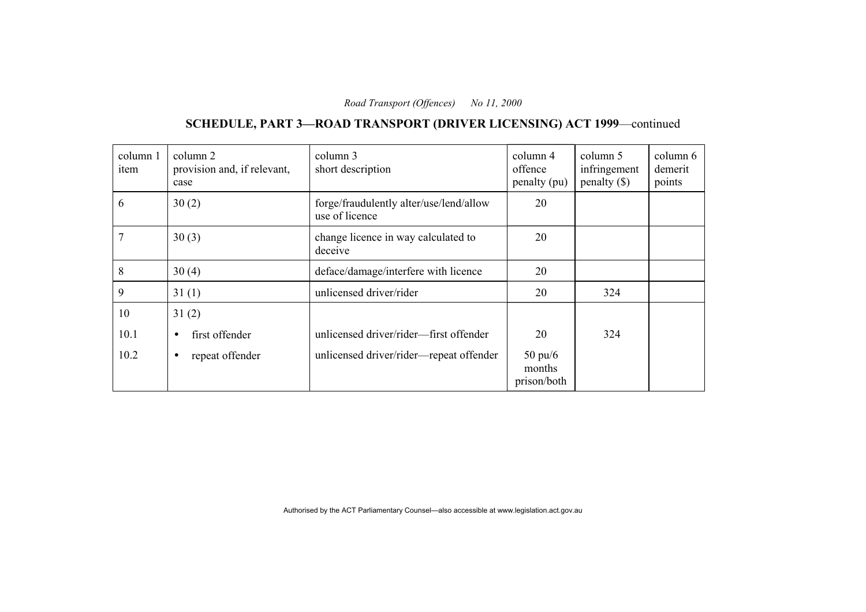# **SCHEDULE, PART 3—ROAD TRANSPORT (DRIVER LICENSING) ACT 1999**—continued

| column 1<br>item | column 2<br>provision and, if relevant,<br>case | column 3<br>short description                             | column 4<br>offence<br>penalty (pu)        | column 5<br>infringement<br>$penalty$ (\$) | column 6<br>demerit<br>points |
|------------------|-------------------------------------------------|-----------------------------------------------------------|--------------------------------------------|--------------------------------------------|-------------------------------|
| 6                | 30(2)                                           | forge/fraudulently alter/use/lend/allow<br>use of licence | 20                                         |                                            |                               |
| 7                | 30(3)                                           | change licence in way calculated to<br>deceive            | 20                                         |                                            |                               |
| 8                | 30(4)                                           | deface/damage/interfere with licence                      | 20                                         |                                            |                               |
| 9                | 31(1)                                           | unlicensed driver/rider                                   | 20                                         | 324                                        |                               |
| 10               | 31(2)                                           |                                                           |                                            |                                            |                               |
| 10.1             | first offender<br>$\bullet$                     | unlicensed driver/rider-first offender                    | 20                                         | 324                                        |                               |
| 10.2             | repeat offender<br>$\bullet$                    | unlicensed driver/rider-repeat offender                   | $50 \text{ pu}/6$<br>months<br>prison/both |                                            |                               |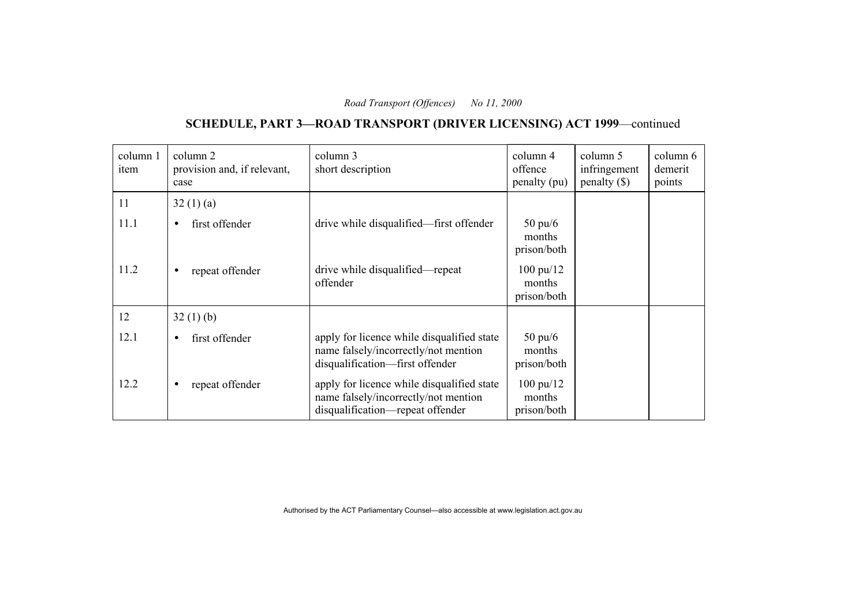# **SCHEDULE, PART 3—ROAD TRANSPORT (DRIVER LICENSING) ACT 1999**—continued

| column 1<br>item | column 2<br>provision and, if relevant,<br>case | column 3<br>short description                                                                                          | column 4<br>offence<br>penalty (pu)          | column 5<br>infringement<br>penalty () | column 6<br>demerit<br>points |
|------------------|-------------------------------------------------|------------------------------------------------------------------------------------------------------------------------|----------------------------------------------|----------------------------------------|-------------------------------|
| 11               | 32(1)(a)                                        |                                                                                                                        |                                              |                                        |                               |
| 11.1             | first offender<br>$\bullet$                     | drive while disqualified—first offender                                                                                | $50 \text{ pu}/6$<br>months<br>prison/both   |                                        |                               |
| 11.2             | repeat offender<br>٠                            | drive while disqualified—repeat<br>offender                                                                            | $100 \text{ pu}/12$<br>months<br>prison/both |                                        |                               |
| 12               | 32(1)(b)                                        |                                                                                                                        |                                              |                                        |                               |
| 12.1             | first offender<br>$\bullet$                     | apply for licence while disqualified state<br>name falsely/incorrectly/not mention<br>disqualification—first offender  | $50 \text{ pu}/6$<br>months<br>prison/both   |                                        |                               |
| 12.2             | repeat offender<br>٠                            | apply for licence while disqualified state<br>name falsely/incorrectly/not mention<br>disqualification-repeat offender | $100 \text{ pu}/12$<br>months<br>prison/both |                                        |                               |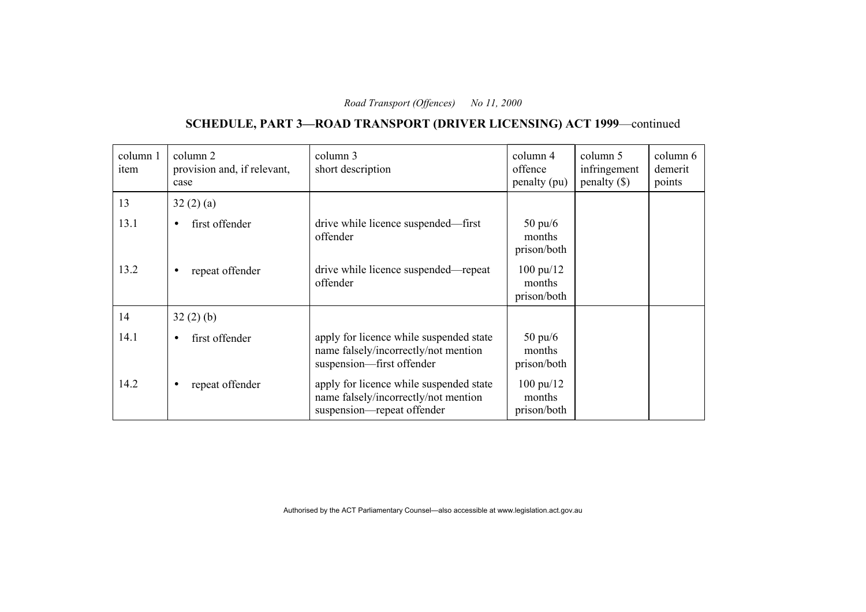# **SCHEDULE, PART 3—ROAD TRANSPORT (DRIVER LICENSING) ACT 1999**—continued

| column 1<br>item | column 2<br>provision and, if relevant,<br>case | column 3<br>short description                                                                                 | column 4<br>offence<br>penalty (pu)          | column 5<br>infringement<br>penalty $(\$)$ | column 6<br>demerit<br>points |
|------------------|-------------------------------------------------|---------------------------------------------------------------------------------------------------------------|----------------------------------------------|--------------------------------------------|-------------------------------|
| 13               | 32(2)(a)                                        |                                                                                                               |                                              |                                            |                               |
| 13.1             | first offender<br>$\bullet$                     | drive while licence suspended—first<br>offender                                                               | $50 \text{ pu}/6$<br>months<br>prison/both   |                                            |                               |
| 13.2             | repeat offender<br>$\bullet$                    | drive while licence suspended—repeat<br>offender                                                              | $100 \text{ pu}/12$<br>months<br>prison/both |                                            |                               |
| 14               | 32(2)(b)                                        |                                                                                                               |                                              |                                            |                               |
| 14.1             | first offender<br>$\bullet$                     | apply for licence while suspended state<br>name falsely/incorrectly/not mention<br>suspension-first offender  | $50 \text{ pu}/6$<br>months<br>prison/both   |                                            |                               |
| 14.2             | repeat offender<br>$\bullet$                    | apply for licence while suspended state<br>name falsely/incorrectly/not mention<br>suspension—repeat offender | $100 \text{ pu}/12$<br>months<br>prison/both |                                            |                               |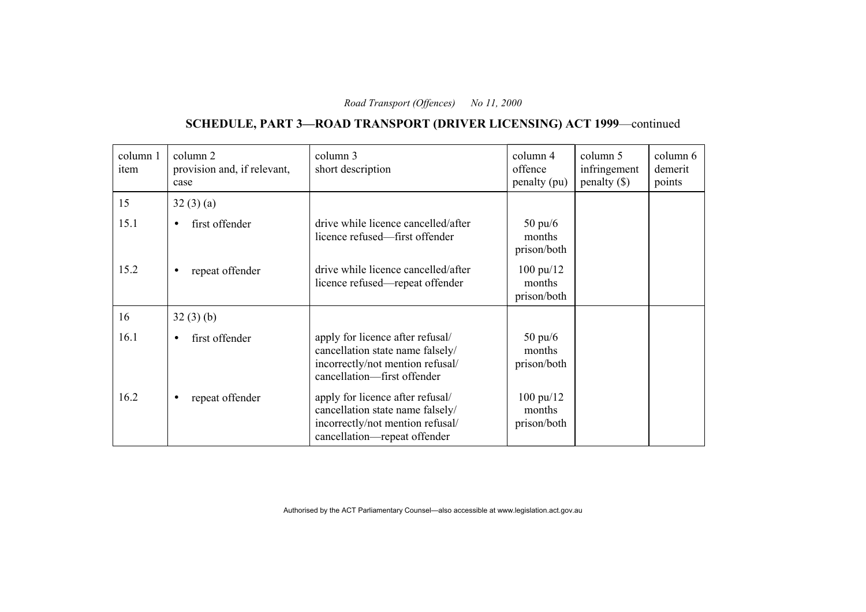# **SCHEDULE, PART 3—ROAD TRANSPORT (DRIVER LICENSING) ACT 1999**—continued

| column 1<br>item | column 2<br>provision and, if relevant,<br>case | column 3<br>short description                                                                                                            | column 4<br>offence<br>penalty (pu)          | column 5<br>infringement<br>$penalty$ (\$) | column 6<br>demerit<br>points |
|------------------|-------------------------------------------------|------------------------------------------------------------------------------------------------------------------------------------------|----------------------------------------------|--------------------------------------------|-------------------------------|
| 15               | 32(3)(a)                                        |                                                                                                                                          |                                              |                                            |                               |
| 15.1             | first offender                                  | drive while licence cancelled/after<br>licence refused—first offender                                                                    | $50 \text{ pu}/6$<br>months<br>prison/both   |                                            |                               |
| 15.2             | repeat offender                                 | drive while licence cancelled/after<br>licence refused—repeat offender                                                                   | $100 \text{ pu}/12$<br>months<br>prison/both |                                            |                               |
| 16               | 32(3)(b)                                        |                                                                                                                                          |                                              |                                            |                               |
| 16.1             | first offender                                  | apply for licence after refusal/<br>cancellation state name falsely/<br>incorrectly/not mention refusal/<br>cancellation-first offender  | $50 \text{ pu}/6$<br>months<br>prison/both   |                                            |                               |
| 16.2             | repeat offender                                 | apply for licence after refusal/<br>cancellation state name falsely/<br>incorrectly/not mention refusal/<br>cancellation—repeat offender | $100 \text{ pu}/12$<br>months<br>prison/both |                                            |                               |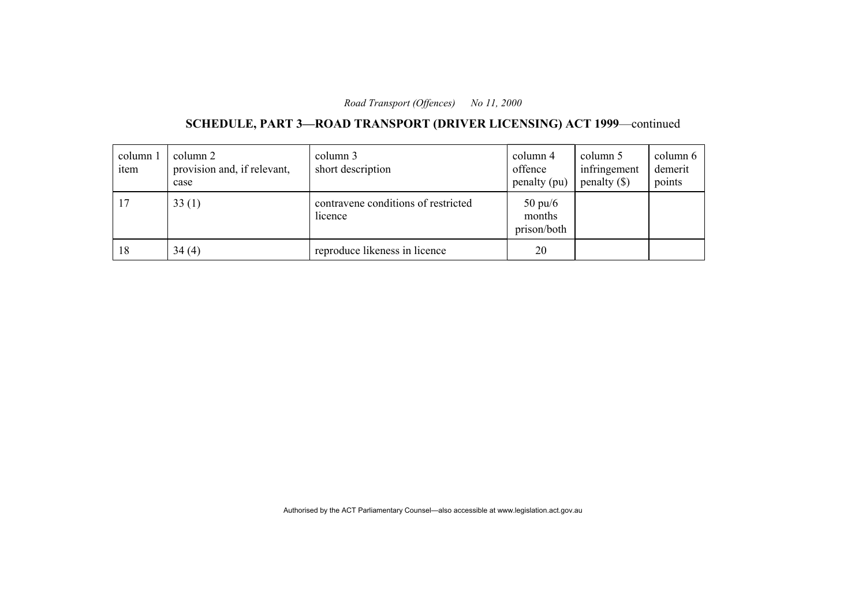# **SCHEDULE, PART 3—ROAD TRANSPORT (DRIVER LICENSING) ACT 1999**—continued

| column 1<br>item | column 2<br>provision and, if relevant,<br>case | column 3<br>short description                  | column 4<br>offence<br>penalty (pu)        | column 5<br>infringement<br>penalty $(\$)$ | column 6<br>demerit<br>points |
|------------------|-------------------------------------------------|------------------------------------------------|--------------------------------------------|--------------------------------------------|-------------------------------|
| 17               | 33(1)                                           | contravene conditions of restricted<br>licence | $50 \text{ pu}/6$<br>months<br>prison/both |                                            |                               |
| 18               | 34(4)                                           | reproduce likeness in licence                  | 20                                         |                                            |                               |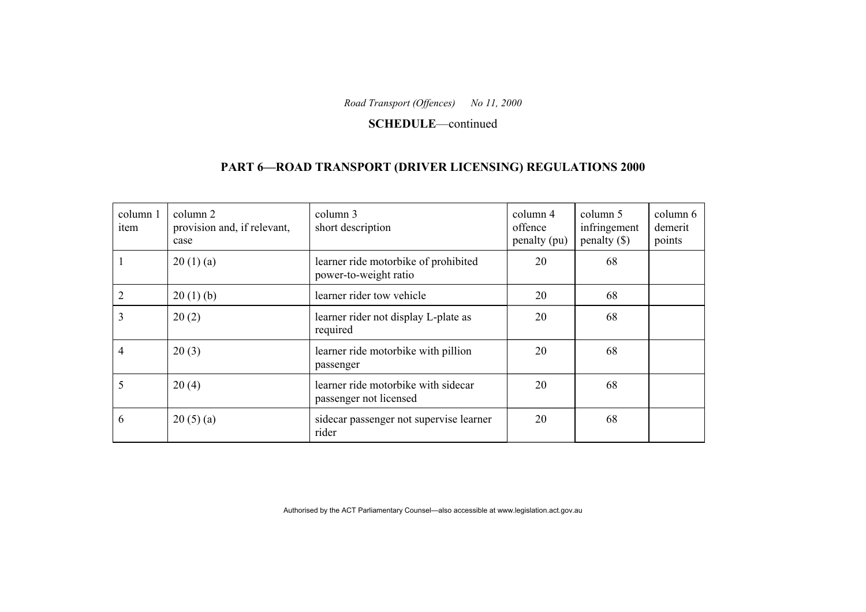#### **SCHEDULE**—continued

# **PART 6—ROAD TRANSPORT (DRIVER LICENSING) REGULATIONS 2000**

| column 1<br>item | column 2<br>provision and, if relevant,<br>case | column 3<br>short description                                 | column 4<br>offence<br>penalty (pu) | column 5<br>infringement<br>$penalty$ (\$) | column 6<br>demerit<br>points |
|------------------|-------------------------------------------------|---------------------------------------------------------------|-------------------------------------|--------------------------------------------|-------------------------------|
|                  | 20(1)(a)                                        | learner ride motorbike of prohibited<br>power-to-weight ratio | 20                                  | 68                                         |                               |
|                  | 20(1)(b)                                        | learner rider tow vehicle                                     | 20                                  | 68                                         |                               |
| 3                | 20(2)                                           | learner rider not display L-plate as<br>required              | 20                                  | 68                                         |                               |
| 4                | 20(3)                                           | learner ride motorbike with pillion<br>passenger              | 20                                  | 68                                         |                               |
| 5                | 20(4)                                           | learner ride motorbike with sidecar<br>passenger not licensed | 20                                  | 68                                         |                               |
| 6                | 20(5)(a)                                        | sidecar passenger not supervise learner<br>rider              | 20                                  | 68                                         |                               |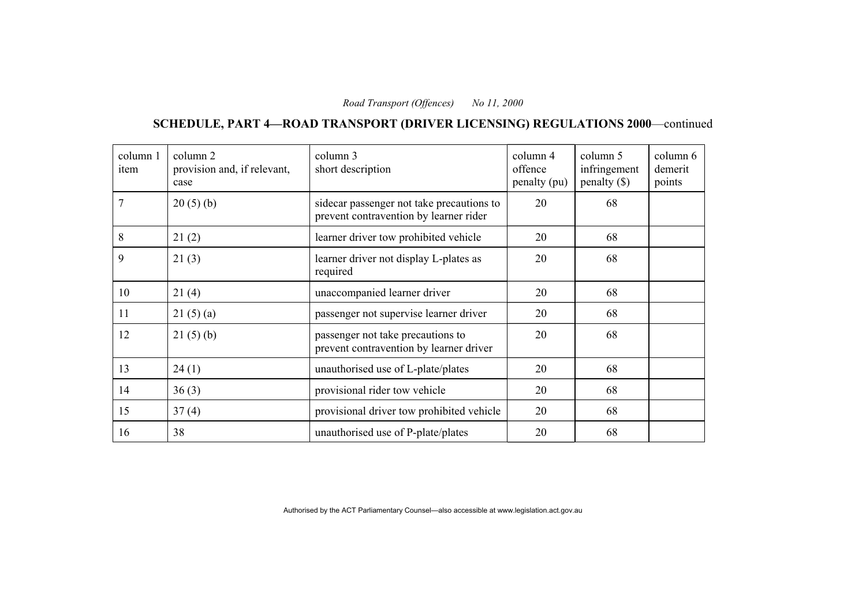# **SCHEDULE, PART 4—ROAD TRANSPORT (DRIVER LICENSING) REGULATIONS 2000**—continued

| column 1<br>item | column 2<br>provision and, if relevant,<br>case | column 3<br>short description                                                       | column 4<br>offence<br>penalty (pu) | column 5<br>infringement<br>penalty $(\$)$ | column 6<br>demerit<br>points |
|------------------|-------------------------------------------------|-------------------------------------------------------------------------------------|-------------------------------------|--------------------------------------------|-------------------------------|
| 7                | 20(5)(b)                                        | sidecar passenger not take precautions to<br>prevent contravention by learner rider | 20                                  | 68                                         |                               |
| 8                | 21(2)                                           | learner driver tow prohibited vehicle                                               | 20                                  | 68                                         |                               |
| 9                | 21(3)                                           | learner driver not display L-plates as<br>required                                  | 20                                  | 68                                         |                               |
| 10               | 21(4)                                           | unaccompanied learner driver                                                        | 20                                  | 68                                         |                               |
| 11               | 21(5)(a)                                        | passenger not supervise learner driver                                              | 20                                  | 68                                         |                               |
| 12               | 21(5)(b)                                        | passenger not take precautions to<br>prevent contravention by learner driver        | 20                                  | 68                                         |                               |
| 13               | 24(1)                                           | unauthorised use of L-plate/plates                                                  | 20                                  | 68                                         |                               |
| 14               | 36(3)                                           | provisional rider tow vehicle                                                       | 20                                  | 68                                         |                               |
| 15               | 37(4)                                           | provisional driver tow prohibited vehicle                                           | 20                                  | 68                                         |                               |
| 16               | 38                                              | unauthorised use of P-plate/plates                                                  | 20                                  | 68                                         |                               |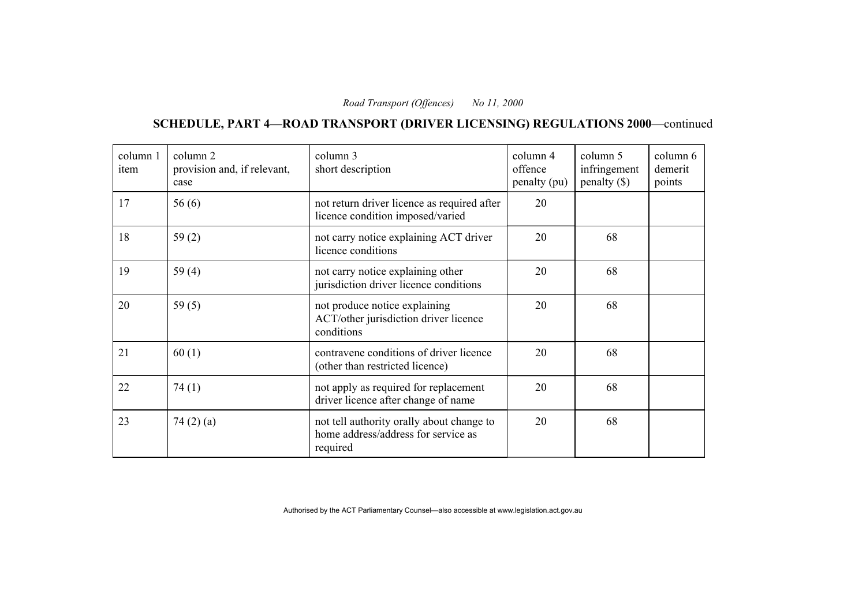**SCHEDULE, PART 4—ROAD TRANSPORT (DRIVER LICENSING) REGULATIONS 2000**—continued

| column 1<br>item | column 2<br>provision and, if relevant,<br>case | column 3<br>short description                                                                | column 4<br>offence<br>penalty (pu) | column 5<br>infringement<br>$penalty$ (\$) | column 6<br>demerit<br>points |
|------------------|-------------------------------------------------|----------------------------------------------------------------------------------------------|-------------------------------------|--------------------------------------------|-------------------------------|
| 17               | 56(6)                                           | not return driver licence as required after<br>licence condition imposed/varied              | 20                                  |                                            |                               |
| 18               | 59(2)                                           | not carry notice explaining ACT driver<br>licence conditions                                 | 20                                  | 68                                         |                               |
| 19               | 59 $(4)$                                        | not carry notice explaining other<br>jurisdiction driver licence conditions                  | 20                                  | 68                                         |                               |
| 20               | 59 $(5)$                                        | not produce notice explaining<br>ACT/other jurisdiction driver licence<br>conditions         | 20                                  | 68                                         |                               |
| 21               | 60(1)                                           | contravene conditions of driver licence<br>(other than restricted licence)                   | 20                                  | 68                                         |                               |
| 22               | 74(1)                                           | not apply as required for replacement<br>driver licence after change of name                 | 20                                  | 68                                         |                               |
| 23               | 74 $(2)$ $(a)$                                  | not tell authority orally about change to<br>home address/address for service as<br>required | 20                                  | 68                                         |                               |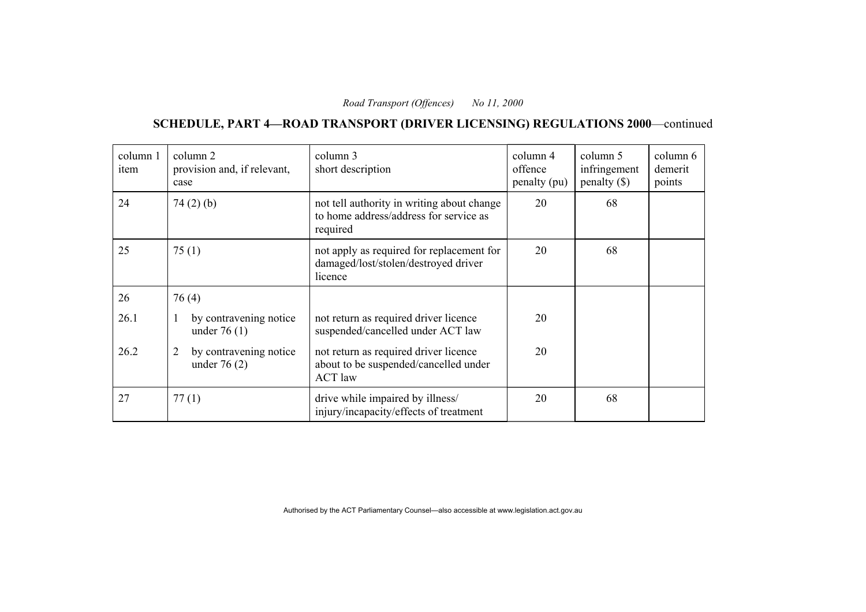# **SCHEDULE, PART 4—ROAD TRANSPORT (DRIVER LICENSING) REGULATIONS 2000**—continued

| column 1<br>item | column 2<br>provision and, if relevant,<br>case | column 3<br>short description                                                                    | column 4<br>offence<br>penalty (pu) | column 5<br>infringement<br>$penalty$ (\$) | column 6<br>demerit<br>points |
|------------------|-------------------------------------------------|--------------------------------------------------------------------------------------------------|-------------------------------------|--------------------------------------------|-------------------------------|
| 24               | 74(2)(b)                                        | not tell authority in writing about change<br>to home address/address for service as<br>required | 20                                  | 68                                         |                               |
| 25               | 75(1)                                           | not apply as required for replacement for<br>damaged/lost/stolen/destroyed driver<br>licence     | 20                                  | 68                                         |                               |
| 26               | 76 (4)                                          |                                                                                                  |                                     |                                            |                               |
| 26.1             | by contravening notice<br>under $76(1)$         | not return as required driver licence<br>suspended/cancelled under ACT law                       | 20                                  |                                            |                               |
| 26.2             | by contravening notice<br>2<br>under $76(2)$    | not return as required driver licence<br>about to be suspended/cancelled under<br><b>ACT</b> law | 20                                  |                                            |                               |
| 27               | 77(1)                                           | drive while impaired by illness/<br>injury/incapacity/effects of treatment                       | 20                                  | 68                                         |                               |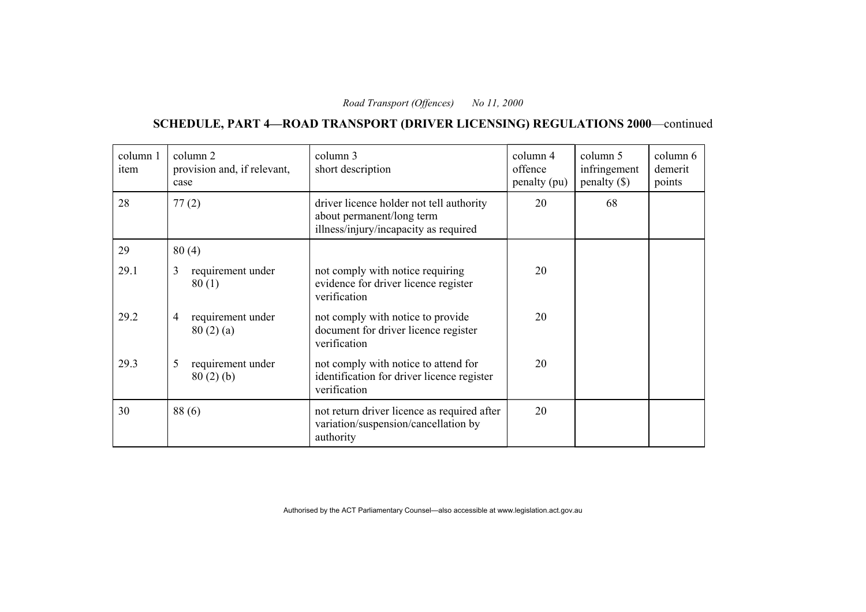# **SCHEDULE, PART 4—ROAD TRANSPORT (DRIVER LICENSING) REGULATIONS 2000**—continued

| column 1<br>item | column 2<br>provision and, if relevant,<br>case | column 3<br>short description                                                                                  | column 4<br>offence<br>penalty (pu) | column 5<br>infringement<br>$penalty$ (\$) | column 6<br>demerit<br>points |
|------------------|-------------------------------------------------|----------------------------------------------------------------------------------------------------------------|-------------------------------------|--------------------------------------------|-------------------------------|
| 28               | 77(2)                                           | driver licence holder not tell authority<br>about permanent/long term<br>illness/injury/incapacity as required | 20                                  | 68                                         |                               |
| 29               | 80(4)                                           |                                                                                                                |                                     |                                            |                               |
| 29.1             | 3<br>requirement under<br>80(1)                 | not comply with notice requiring<br>evidence for driver licence register<br>verification                       | 20                                  |                                            |                               |
| 29.2             | requirement under<br>4<br>80(2)(a)              | not comply with notice to provide<br>document for driver licence register<br>verification                      | 20                                  |                                            |                               |
| 29.3             | requirement under<br>5<br>80(2)(b)              | not comply with notice to attend for<br>identification for driver licence register<br>verification             | 20                                  |                                            |                               |
| 30               | 88(6)                                           | not return driver licence as required after<br>variation/suspension/cancellation by<br>authority               | 20                                  |                                            |                               |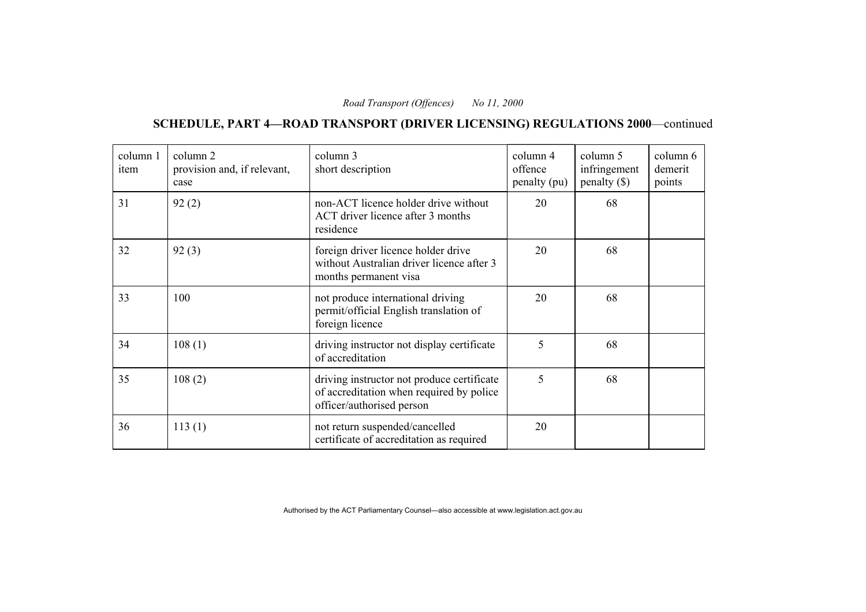# **SCHEDULE, PART 4—ROAD TRANSPORT (DRIVER LICENSING) REGULATIONS 2000**—continued

| column 1<br>item | column 2<br>provision and, if relevant,<br>case | column 3<br>short description                                                                                       | column 4<br>offence<br>penalty (pu) | column 5<br>infringement<br>penalty $(\$)$ | column 6<br>demerit<br>points |
|------------------|-------------------------------------------------|---------------------------------------------------------------------------------------------------------------------|-------------------------------------|--------------------------------------------|-------------------------------|
| 31               | 92(2)                                           | non-ACT licence holder drive without<br>ACT driver licence after 3 months<br>residence                              | 20                                  | 68                                         |                               |
| 32               | 92(3)                                           | foreign driver licence holder drive<br>without Australian driver licence after 3<br>months permanent visa           | 20                                  | 68                                         |                               |
| 33               | 100                                             | not produce international driving<br>permit/official English translation of<br>foreign licence                      | 20                                  | 68                                         |                               |
| 34               | 108(1)                                          | driving instructor not display certificate<br>of accreditation                                                      | 5                                   | 68                                         |                               |
| 35               | 108(2)                                          | driving instructor not produce certificate<br>of accreditation when required by police<br>officer/authorised person | 5                                   | 68                                         |                               |
| 36               | 113(1)                                          | not return suspended/cancelled<br>certificate of accreditation as required                                          | 20                                  |                                            |                               |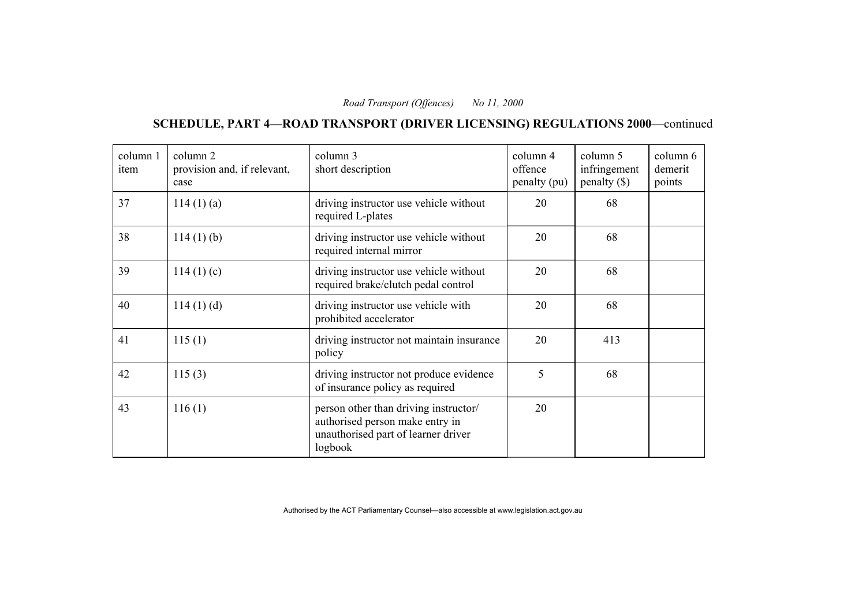# **SCHEDULE, PART 4—ROAD TRANSPORT (DRIVER LICENSING) REGULATIONS 2000**—continued

| column 1<br>item | column 2<br>provision and, if relevant,<br>case | column 3<br>short description                                                                                              | column 4<br>offence<br>penalty (pu) | column 5<br>infringement<br>$penalty$ (\$) | column 6<br>demerit<br>points |
|------------------|-------------------------------------------------|----------------------------------------------------------------------------------------------------------------------------|-------------------------------------|--------------------------------------------|-------------------------------|
| 37               | 114(1)(a)                                       | driving instructor use vehicle without<br>required L-plates                                                                | 20                                  | 68                                         |                               |
| 38               | $114(1)$ (b)                                    | driving instructor use vehicle without<br>required internal mirror                                                         | 20                                  | 68                                         |                               |
| 39               | 114(1)(c)                                       | driving instructor use vehicle without<br>required brake/clutch pedal control                                              | 20                                  | 68                                         |                               |
| 40               | $114(1)$ (d)                                    | driving instructor use vehicle with<br>prohibited accelerator                                                              | 20                                  | 68                                         |                               |
| 41               | 115(1)                                          | driving instructor not maintain insurance<br>policy                                                                        | 20                                  | 413                                        |                               |
| 42               | 115(3)                                          | driving instructor not produce evidence<br>of insurance policy as required                                                 | 5                                   | 68                                         |                               |
| 43               | 116(1)                                          | person other than driving instructor/<br>authorised person make entry in<br>unauthorised part of learner driver<br>logbook | 20                                  |                                            |                               |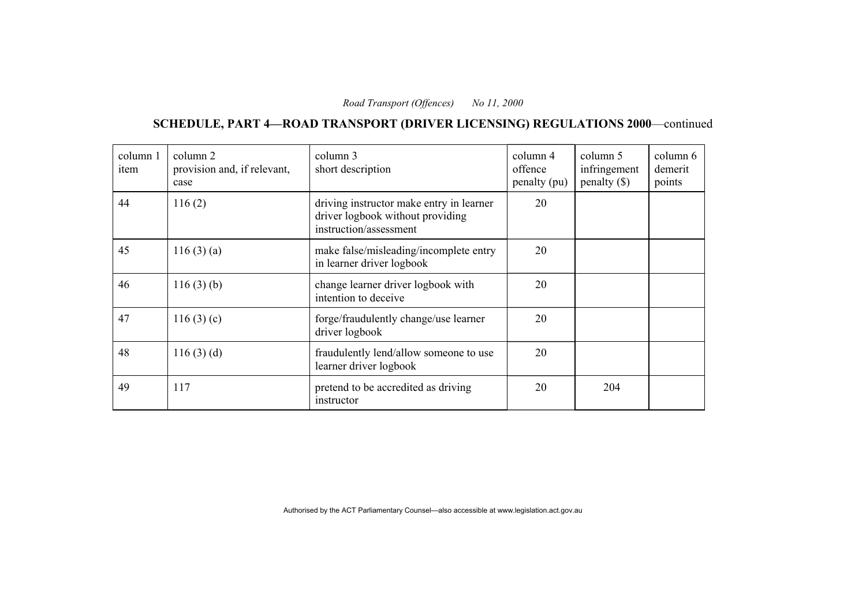# **SCHEDULE, PART 4—ROAD TRANSPORT (DRIVER LICENSING) REGULATIONS 2000**—continued

| column 1<br>item | column 2<br>provision and, if relevant,<br>case | column 3<br>short description                                                                          | column 4<br>offence<br>penalty (pu) | column 5<br>infringement<br>penalty $(\$)$ | column 6<br>demerit<br>points |
|------------------|-------------------------------------------------|--------------------------------------------------------------------------------------------------------|-------------------------------------|--------------------------------------------|-------------------------------|
| 44               | 116(2)                                          | driving instructor make entry in learner<br>driver logbook without providing<br>instruction/assessment | 20                                  |                                            |                               |
| 45               | 116(3)(a)                                       | make false/misleading/incomplete entry<br>in learner driver logbook                                    | 20                                  |                                            |                               |
| 46               | 116(3)(b)                                       | change learner driver logbook with<br>intention to deceive                                             | 20                                  |                                            |                               |
| 47               | 116(3)(c)                                       | forge/fraudulently change/use learner<br>driver logbook                                                | 20                                  |                                            |                               |
| 48               | $116(3)$ (d)                                    | fraudulently lend/allow someone to use<br>learner driver logbook                                       | 20                                  |                                            |                               |
| 49               | 117                                             | pretend to be accredited as driving<br>instructor                                                      | 20                                  | 204                                        |                               |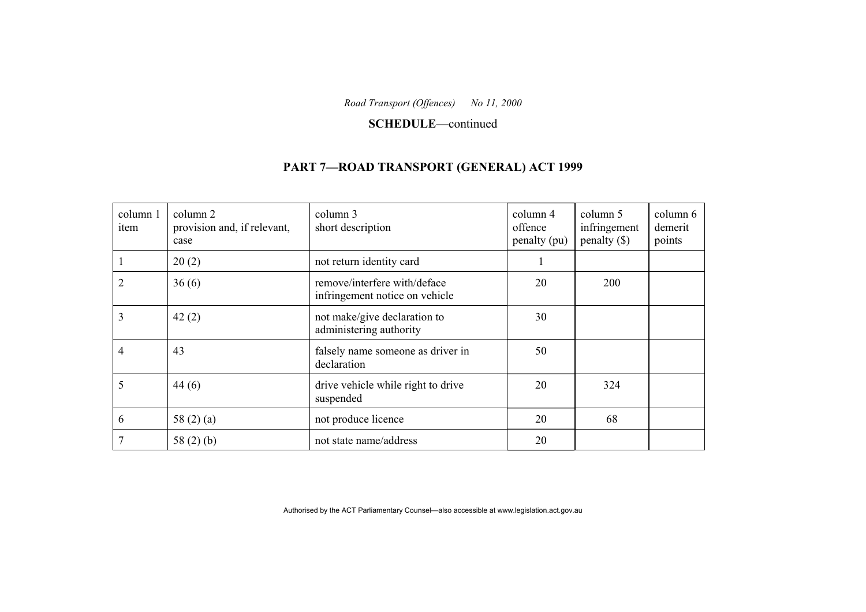**SCHEDULE**—continued

# **PART 7—ROAD TRANSPORT (GENERAL) ACT 1999**

| column 1<br>item | column 2<br>provision and, if relevant,<br>case | column 3<br>short description                                  | column 4<br>offence<br>penalty (pu) | column 5<br>infringement<br>$penalty$ (\$) | column 6<br>demerit<br>points |
|------------------|-------------------------------------------------|----------------------------------------------------------------|-------------------------------------|--------------------------------------------|-------------------------------|
|                  | 20(2)                                           | not return identity card                                       | $\mathbf{L}$                        |                                            |                               |
| 2                | 36(6)                                           | remove/interfere with/deface<br>infringement notice on vehicle | 20                                  | 200                                        |                               |
| 3                | 42(2)                                           | not make/give declaration to<br>administering authority        | 30                                  |                                            |                               |
| 4                | 43                                              | falsely name someone as driver in<br>declaration               | 50                                  |                                            |                               |
| 5                | 44(6)                                           | drive vehicle while right to drive<br>suspended                | 20                                  | 324                                        |                               |
| 6                | 58 $(2)$ $(a)$                                  | not produce licence                                            | 20                                  | 68                                         |                               |
|                  | 58 $(2)$ $(b)$                                  | not state name/address                                         | 20                                  |                                            |                               |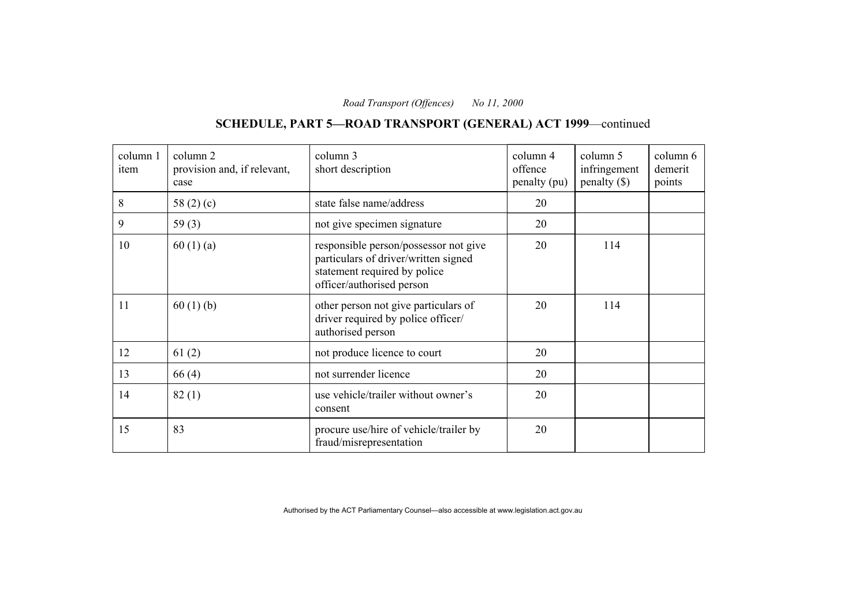# **SCHEDULE, PART 5—ROAD TRANSPORT (GENERAL) ACT 1999**—continued

| column 1<br>item | column 2<br>provision and, if relevant,<br>case | column 3<br>short description                                                                                                              | column 4<br>offence<br>penalty (pu) | column 5<br>infringement<br>$penalty$ (\$) | column 6<br>demerit<br>points |
|------------------|-------------------------------------------------|--------------------------------------------------------------------------------------------------------------------------------------------|-------------------------------------|--------------------------------------------|-------------------------------|
| 8                | 58 $(2)(c)$                                     | state false name/address                                                                                                                   | 20                                  |                                            |                               |
| 9                | 59 $(3)$                                        | not give specimen signature                                                                                                                | 20                                  |                                            |                               |
| 10               | 60(1)(a)                                        | responsible person/possessor not give<br>particulars of driver/written signed<br>statement required by police<br>officer/authorised person | 20                                  | 114                                        |                               |
| 11               | 60(1)(b)                                        | other person not give particulars of<br>driver required by police officer/<br>authorised person                                            | 20                                  | 114                                        |                               |
| 12               | 61(2)                                           | not produce licence to court                                                                                                               | 20                                  |                                            |                               |
| 13               | 66(4)                                           | not surrender licence                                                                                                                      | 20                                  |                                            |                               |
| 14               | 82(1)                                           | use vehicle/trailer without owner's<br>consent                                                                                             | 20                                  |                                            |                               |
| 15               | 83                                              | procure use/hire of vehicle/trailer by<br>fraud/misrepresentation                                                                          | 20                                  |                                            |                               |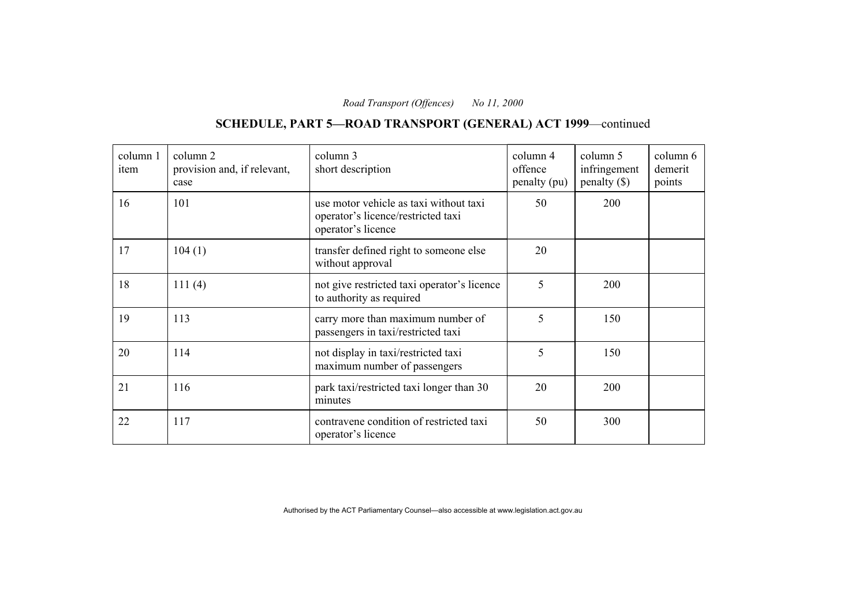# **SCHEDULE, PART 5—ROAD TRANSPORT (GENERAL) ACT 1999**—continued

| column 1<br>item | column 2<br>provision and, if relevant,<br>case | column 3<br>short description                                                                      | column 4<br>offence<br>penalty (pu) | column 5<br>infringement<br>$penalty$ (\$) | column 6<br>demerit<br>points |
|------------------|-------------------------------------------------|----------------------------------------------------------------------------------------------------|-------------------------------------|--------------------------------------------|-------------------------------|
| 16               | 101                                             | use motor vehicle as taxi without taxi<br>operator's licence/restricted taxi<br>operator's licence | 50                                  | 200                                        |                               |
| 17               | 104(1)                                          | transfer defined right to someone else<br>without approval                                         | 20                                  |                                            |                               |
| 18               | 111(4)                                          | not give restricted taxi operator's licence<br>to authority as required                            | 5                                   | 200                                        |                               |
| 19               | 113                                             | carry more than maximum number of<br>passengers in taxi/restricted taxi                            | 5                                   | 150                                        |                               |
| 20               | 114                                             | not display in taxi/restricted taxi<br>maximum number of passengers                                | 5                                   | 150                                        |                               |
| 21               | 116                                             | park taxi/restricted taxi longer than 30<br>minutes                                                | 20                                  | 200                                        |                               |
| 22               | 117                                             | contravene condition of restricted taxi<br>operator's licence                                      | 50                                  | 300                                        |                               |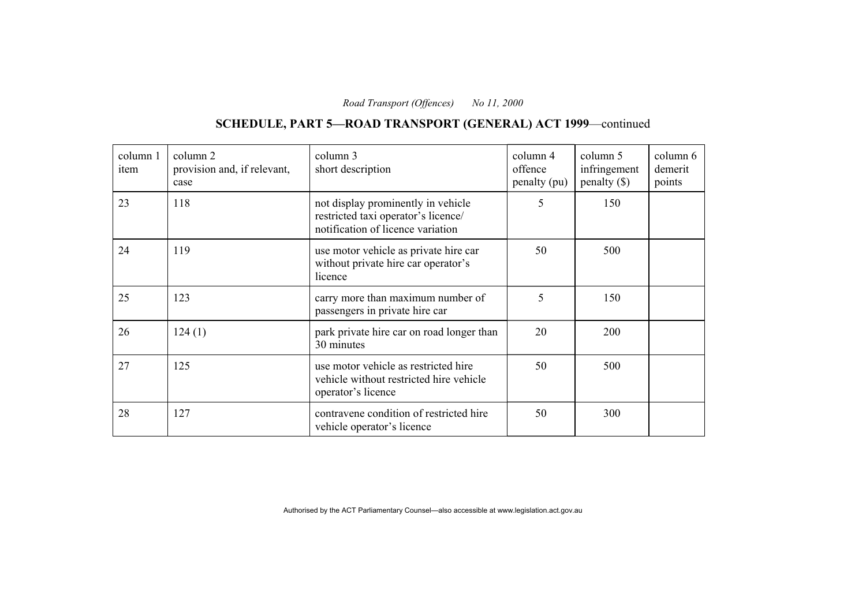# **SCHEDULE, PART 5—ROAD TRANSPORT (GENERAL) ACT 1999**—continued

| column 1<br>item | column 2<br>provision and, if relevant,<br>case | column 3<br>short description                                                                                  | column 4<br>offence<br>penalty (pu) | column 5<br>infringement<br>$penalty$ (\$) | column 6<br>demerit<br>points |
|------------------|-------------------------------------------------|----------------------------------------------------------------------------------------------------------------|-------------------------------------|--------------------------------------------|-------------------------------|
| 23               | 118                                             | not display prominently in vehicle<br>restricted taxi operator's licence/<br>notification of licence variation | 5                                   | 150                                        |                               |
| 24               | 119                                             | use motor vehicle as private hire car<br>without private hire car operator's<br>licence                        | 50                                  | 500                                        |                               |
| 25               | 123                                             | carry more than maximum number of<br>passengers in private hire car                                            | 5                                   | 150                                        |                               |
| 26               | 124(1)                                          | park private hire car on road longer than<br>30 minutes                                                        | 20                                  | 200                                        |                               |
| 27               | 125                                             | use motor vehicle as restricted hire<br>vehicle without restricted hire vehicle<br>operator's licence          | 50                                  | 500                                        |                               |
| 28               | 127                                             | contravene condition of restricted hire<br>vehicle operator's licence                                          | 50                                  | 300                                        |                               |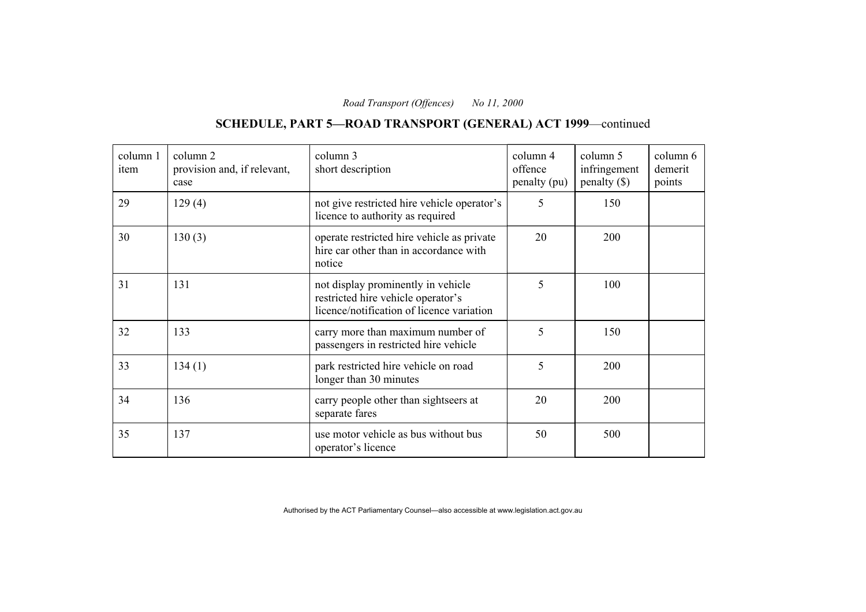# **SCHEDULE, PART 5—ROAD TRANSPORT (GENERAL) ACT 1999**—continued

| column 1<br>item | column 2<br>provision and, if relevant,<br>case | column 3<br>short description                                                                                         | column 4<br>offence<br>penalty (pu) | column 5<br>infringement<br>$penalty$ (\$) | column 6<br>demerit<br>points |
|------------------|-------------------------------------------------|-----------------------------------------------------------------------------------------------------------------------|-------------------------------------|--------------------------------------------|-------------------------------|
| 29               | 129(4)                                          | not give restricted hire vehicle operator's<br>licence to authority as required                                       | 5                                   | 150                                        |                               |
| 30               | 130(3)                                          | operate restricted hire vehicle as private<br>hire car other than in accordance with<br>notice                        | 20                                  | 200                                        |                               |
| 31               | 131                                             | not display prominently in vehicle<br>restricted hire vehicle operator's<br>licence/notification of licence variation | 5                                   | 100                                        |                               |
| 32               | 133                                             | carry more than maximum number of<br>passengers in restricted hire vehicle                                            | 5                                   | 150                                        |                               |
| 33               | 134(1)                                          | park restricted hire vehicle on road<br>longer than 30 minutes                                                        | 5                                   | 200                                        |                               |
| 34               | 136                                             | carry people other than sightseers at<br>separate fares                                                               | 20                                  | 200                                        |                               |
| 35               | 137                                             | use motor vehicle as bus without bus<br>operator's licence                                                            | 50                                  | 500                                        |                               |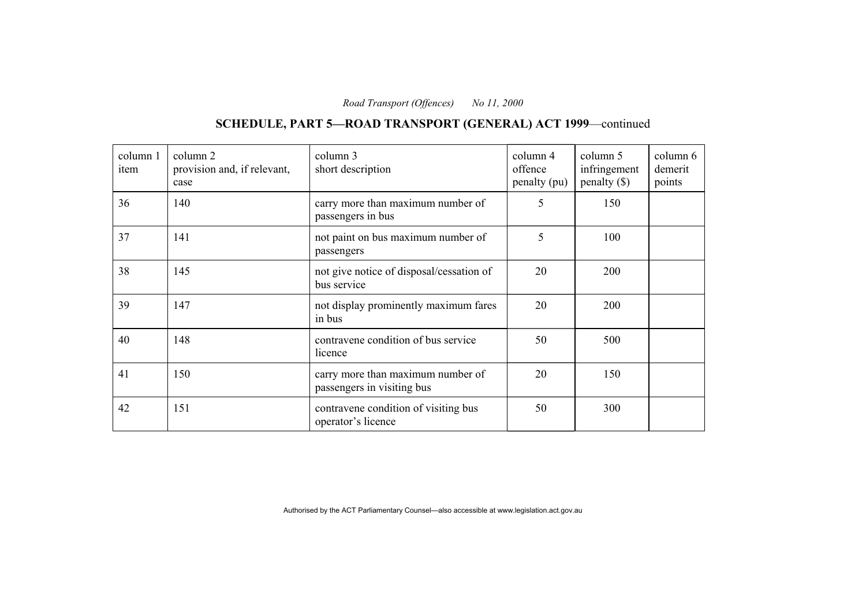# **SCHEDULE, PART 5—ROAD TRANSPORT (GENERAL) ACT 1999**—continued

| column 1<br>item | column 2<br>provision and, if relevant,<br>case | column 3<br>short description                                   | column 4<br>offence<br>penalty (pu) | column 5<br>infringement<br>$penalty$ (\$) | column 6<br>demerit<br>points |
|------------------|-------------------------------------------------|-----------------------------------------------------------------|-------------------------------------|--------------------------------------------|-------------------------------|
| 36               | 140                                             | carry more than maximum number of<br>passengers in bus          | 5                                   | 150                                        |                               |
| 37               | 141                                             | not paint on bus maximum number of<br>passengers                | 5                                   | 100                                        |                               |
| 38               | 145                                             | not give notice of disposal/cessation of<br>bus service         | 20                                  | 200                                        |                               |
| 39               | 147                                             | not display prominently maximum fares<br>in bus                 | 20                                  | 200                                        |                               |
| 40               | 148                                             | contravene condition of bus service<br>licence                  | 50                                  | 500                                        |                               |
| 41               | 150                                             | carry more than maximum number of<br>passengers in visiting bus | 20                                  | 150                                        |                               |
| 42               | 151                                             | contravene condition of visiting bus<br>operator's licence      | 50                                  | 300                                        |                               |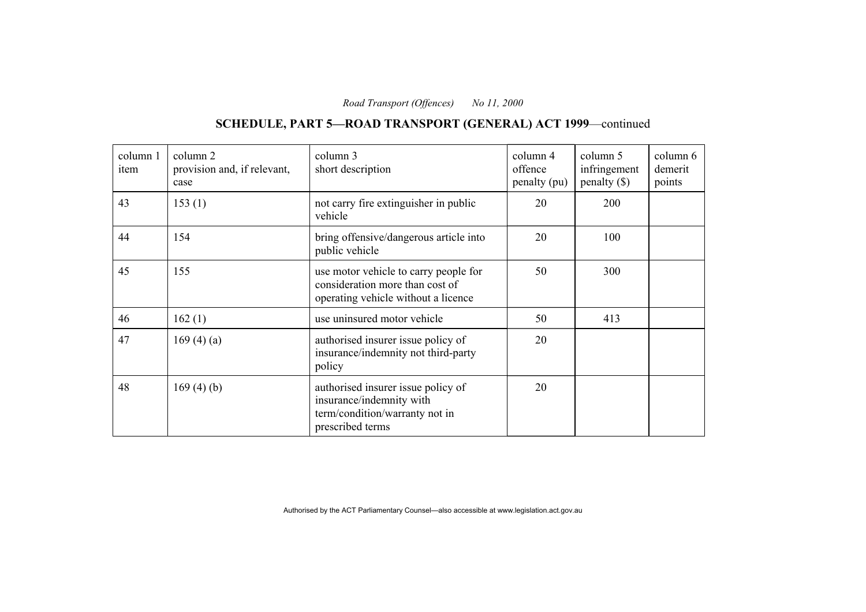# **SCHEDULE, PART 5—ROAD TRANSPORT (GENERAL) ACT 1999**—continued

| column 1<br>item | column 2<br>provision and, if relevant,<br>case | column 3<br>short description                                                                                        | column 4<br>offence<br>penalty (pu) | column 5<br>infringement<br>$penalty$ (\$) | column 6<br>demerit<br>points |
|------------------|-------------------------------------------------|----------------------------------------------------------------------------------------------------------------------|-------------------------------------|--------------------------------------------|-------------------------------|
| 43               | 153(1)                                          | not carry fire extinguisher in public<br>vehicle                                                                     | 20                                  | 200                                        |                               |
| 44               | 154                                             | bring offensive/dangerous article into<br>public vehicle                                                             | 20                                  | 100                                        |                               |
| 45               | 155                                             | use motor vehicle to carry people for<br>consideration more than cost of<br>operating vehicle without a licence      | 50                                  | 300                                        |                               |
| 46               | 162(1)                                          | use uninsured motor vehicle                                                                                          | 50                                  | 413                                        |                               |
| 47               | 169 $(4)$ $(a)$                                 | authorised insurer issue policy of<br>insurance/indemnity not third-party<br>policy                                  | 20                                  |                                            |                               |
| 48               | 169(4)(b)                                       | authorised insurer issue policy of<br>insurance/indemnity with<br>term/condition/warranty not in<br>prescribed terms | 20                                  |                                            |                               |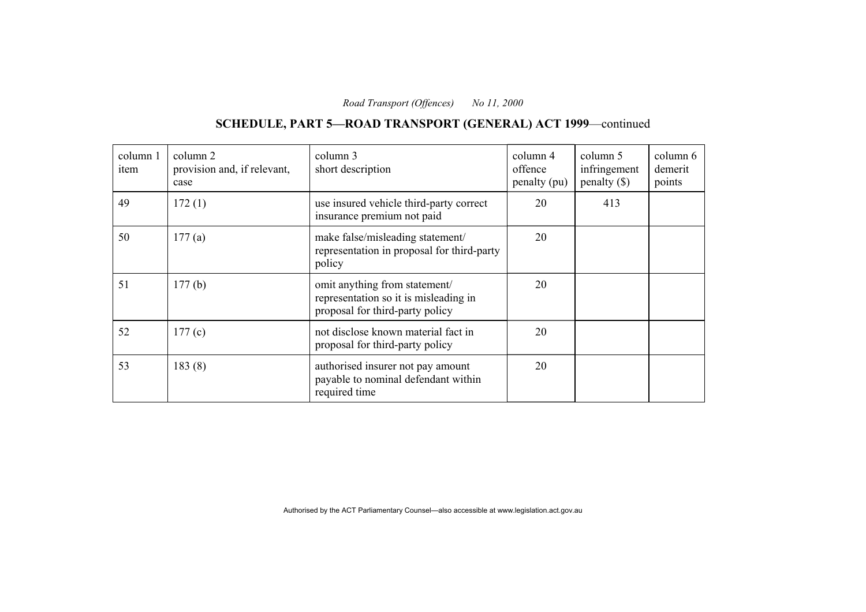# **SCHEDULE, PART 5—ROAD TRANSPORT (GENERAL) ACT 1999**—continued

| column 1<br>item | column 2<br>provision and, if relevant,<br>case | column 3<br>short description                                                                             | column 4<br>offence<br>penalty (pu) | column 5<br>infringement<br>penalty $(\$)$ | column 6<br>demerit<br>points |
|------------------|-------------------------------------------------|-----------------------------------------------------------------------------------------------------------|-------------------------------------|--------------------------------------------|-------------------------------|
| 49               | 172(1)                                          | use insured vehicle third-party correct<br>insurance premium not paid                                     | 20                                  | 413                                        |                               |
| 50               | 177(a)                                          | make false/misleading statement/<br>representation in proposal for third-party<br>policy                  | 20                                  |                                            |                               |
| 51               | 177(b)                                          | omit anything from statement/<br>representation so it is misleading in<br>proposal for third-party policy | 20                                  |                                            |                               |
| 52               | 177(c)                                          | not disclose known material fact in<br>proposal for third-party policy                                    | 20                                  |                                            |                               |
| 53               | 183(8)                                          | authorised insurer not pay amount<br>payable to nominal defendant within<br>required time                 | 20                                  |                                            |                               |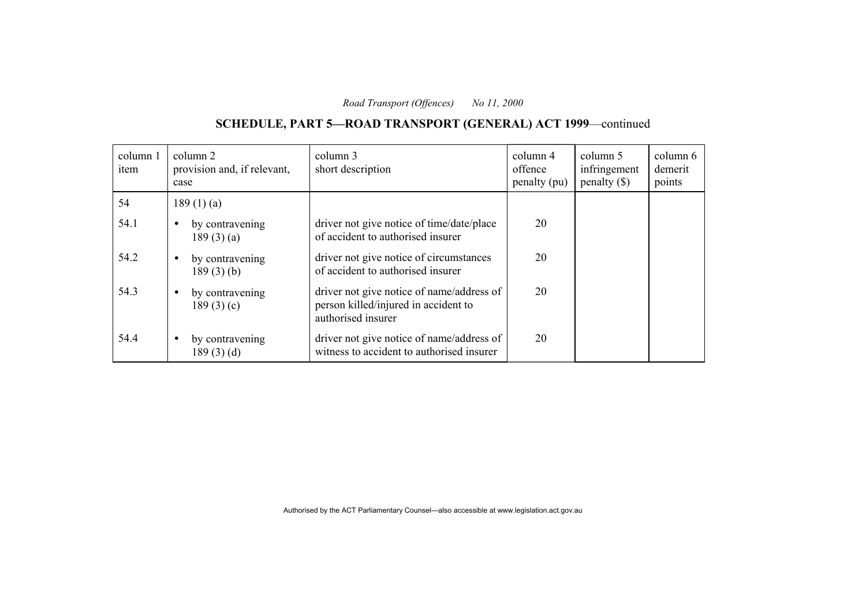# **SCHEDULE, PART 5—ROAD TRANSPORT (GENERAL) ACT 1999**—continued

| column 1<br>item | column 2<br>provision and, if relevant,<br>case | column 3<br>short description                                                                           | column 4<br>offence<br>penalty (pu) | column 5<br>infringement<br>penalty $(\$)$ | column 6<br>demerit<br>points |
|------------------|-------------------------------------------------|---------------------------------------------------------------------------------------------------------|-------------------------------------|--------------------------------------------|-------------------------------|
| 54               | 189(1)(a)                                       |                                                                                                         |                                     |                                            |                               |
| 54.1             | by contravening<br>189(3)(a)                    | driver not give notice of time/date/place<br>of accident to authorised insurer                          | 20                                  |                                            |                               |
| 54.2             | by contravening<br>189(3)(b)                    | driver not give notice of circumstances<br>of accident to authorised insurer                            | 20                                  |                                            |                               |
| 54.3             | by contravening<br>189(3)(c)                    | driver not give notice of name/address of<br>person killed/injured in accident to<br>authorised insurer | 20                                  |                                            |                               |
| 54.4             | by contravening<br>189(3)(d)                    | driver not give notice of name/address of<br>witness to accident to authorised insurer                  | 20                                  |                                            |                               |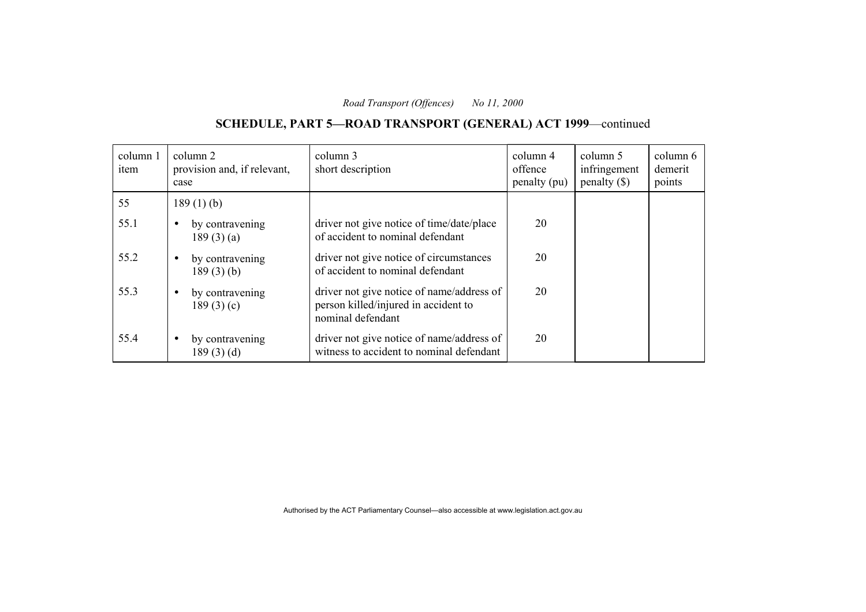# **SCHEDULE, PART 5—ROAD TRANSPORT (GENERAL) ACT 1999**—continued

| column 1<br>item | column 2<br>provision and, if relevant,<br>case | column 3<br>short description                                                                          | column 4<br>offence<br>penalty (pu) | column 5<br>infringement<br>penalty $(\$)$ | column 6<br>demerit<br>points |
|------------------|-------------------------------------------------|--------------------------------------------------------------------------------------------------------|-------------------------------------|--------------------------------------------|-------------------------------|
| 55               | 189(1)(b)                                       |                                                                                                        |                                     |                                            |                               |
| 55.1             | by contravening<br>189(3)(a)                    | driver not give notice of time/date/place<br>of accident to nominal defendant                          | 20                                  |                                            |                               |
| 55.2             | by contravening<br>189(3)(b)                    | driver not give notice of circumstances<br>of accident to nominal defendant                            | 20                                  |                                            |                               |
| 55.3             | by contravening<br>189(3)(c)                    | driver not give notice of name/address of<br>person killed/injured in accident to<br>nominal defendant | 20                                  |                                            |                               |
| 55.4             | by contravening<br>189(3)(d)                    | driver not give notice of name/address of<br>witness to accident to nominal defendant                  | 20                                  |                                            |                               |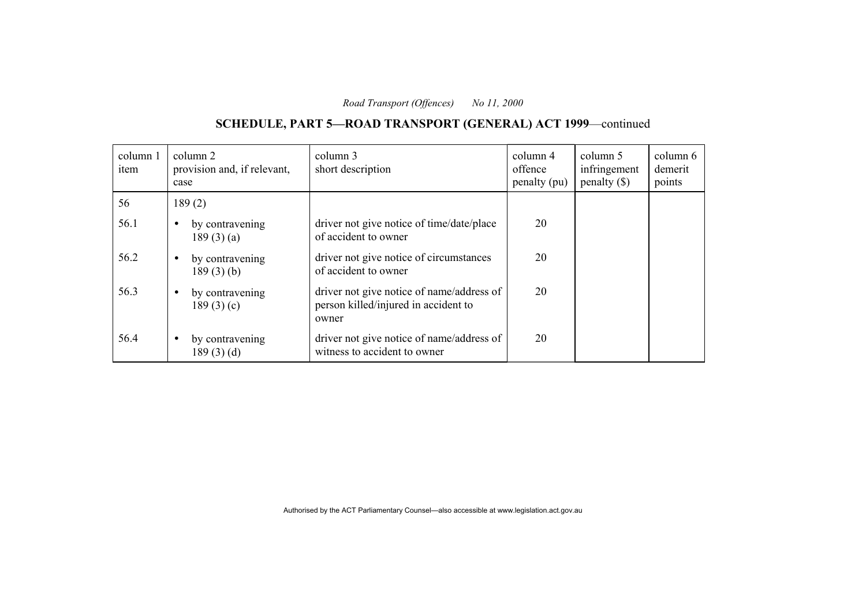# **SCHEDULE, PART 5—ROAD TRANSPORT (GENERAL) ACT 1999**—continued

| column 1<br>item | column 2<br>provision and, if relevant,<br>case | column 3<br>short description                                                              | column 4<br>offence<br>penalty (pu) | column 5<br>infringement<br>penalty $(\$)$ | column 6<br>demerit<br>points |
|------------------|-------------------------------------------------|--------------------------------------------------------------------------------------------|-------------------------------------|--------------------------------------------|-------------------------------|
| 56               | 189(2)                                          |                                                                                            |                                     |                                            |                               |
| 56.1             | by contravening<br>189(3)(a)                    | driver not give notice of time/date/place<br>of accident to owner                          | 20                                  |                                            |                               |
| 56.2             | by contravening<br>$\bullet$<br>189(3)(b)       | driver not give notice of circumstances<br>of accident to owner                            | 20                                  |                                            |                               |
| 56.3             | by contravening<br>189(3)(c)                    | driver not give notice of name/address of<br>person killed/injured in accident to<br>owner | 20                                  |                                            |                               |
| 56.4             | by contravening<br>189(3)(d)                    | driver not give notice of name/address of<br>witness to accident to owner                  | 20                                  |                                            |                               |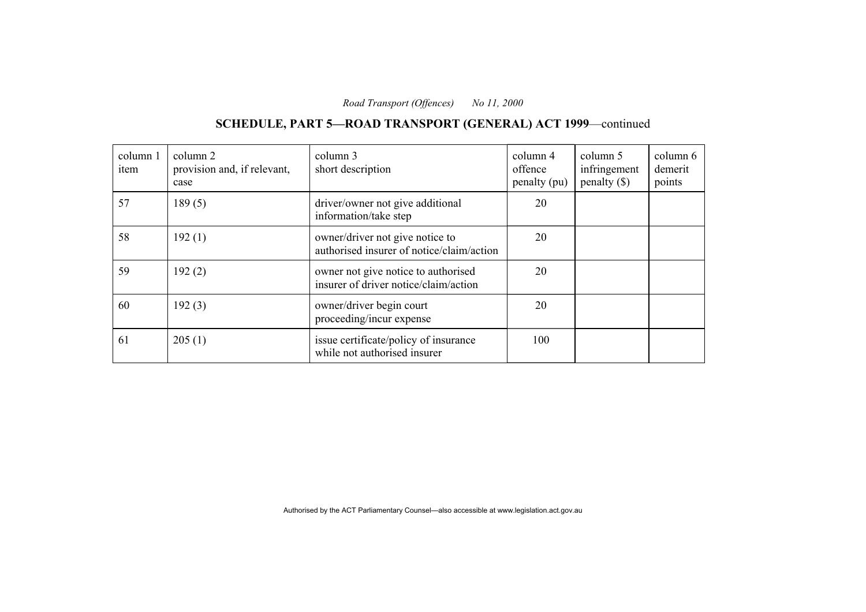# **SCHEDULE, PART 5—ROAD TRANSPORT (GENERAL) ACT 1999**—continued

| column 1<br>item | column 2<br>provision and, if relevant,<br>case | column 3<br>short description                                                | column 4<br>offence<br>penalty (pu) | column 5<br>infringement<br>penalty $(\$)$ | column 6<br>demerit<br>points |
|------------------|-------------------------------------------------|------------------------------------------------------------------------------|-------------------------------------|--------------------------------------------|-------------------------------|
| 57               | 189(5)                                          | driver/owner not give additional<br>information/take step                    | 20                                  |                                            |                               |
| 58               | 192(1)                                          | owner/driver not give notice to<br>authorised insurer of notice/claim/action | 20                                  |                                            |                               |
| 59               | 192(2)                                          | owner not give notice to authorised<br>insurer of driver notice/claim/action | 20                                  |                                            |                               |
| 60               | 192(3)                                          | owner/driver begin court<br>proceeding/incur expense                         | 20                                  |                                            |                               |
| 61               | 205(1)                                          | issue certificate/policy of insurance<br>while not authorised insurer        | 100                                 |                                            |                               |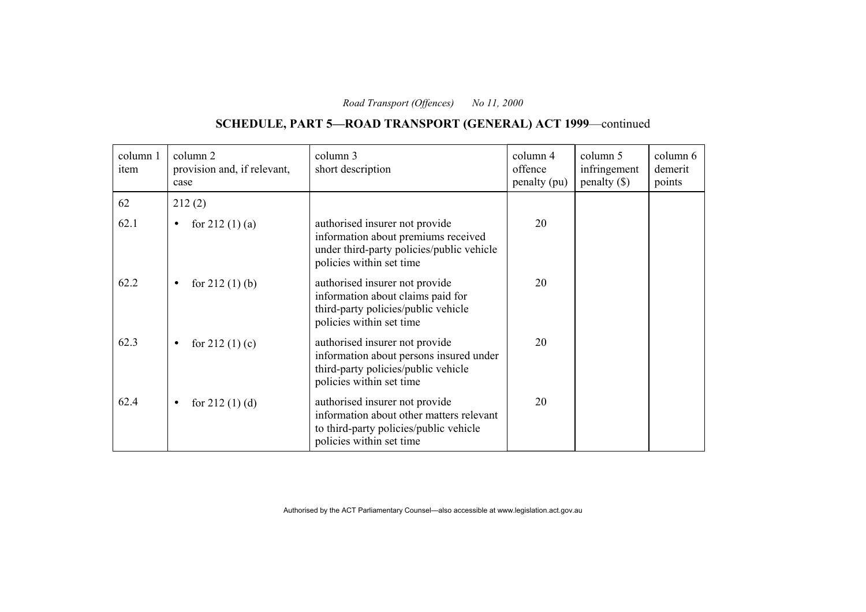# **SCHEDULE, PART 5—ROAD TRANSPORT (GENERAL) ACT 1999**—continued

| column 1<br>item | column 2<br>provision and, if relevant,<br>case | column 3<br>short description                                                                                                                    | column 4<br>offence<br>penalty (pu) | column 5<br>infringement<br>$penalty$ (\$) | column 6<br>demerit<br>points |
|------------------|-------------------------------------------------|--------------------------------------------------------------------------------------------------------------------------------------------------|-------------------------------------|--------------------------------------------|-------------------------------|
| 62               | 212(2)                                          |                                                                                                                                                  |                                     |                                            |                               |
| 62.1             | for $212(1)(a)$<br>$\bullet$                    | authorised insurer not provide<br>information about premiums received<br>under third-party policies/public vehicle<br>policies within set time   | 20                                  |                                            |                               |
| 62.2             | for $212(1)$ (b)<br>$\bullet$                   | authorised insurer not provide<br>information about claims paid for<br>third-party policies/public vehicle<br>policies within set time           | 20                                  |                                            |                               |
| 62.3             | for $212(1)(c)$<br>$\bullet$                    | authorised insurer not provide<br>information about persons insured under<br>third-party policies/public vehicle<br>policies within set time     | 20                                  |                                            |                               |
| 62.4             | for $212(1)(d)$<br>$\bullet$                    | authorised insurer not provide<br>information about other matters relevant<br>to third-party policies/public vehicle<br>policies within set time | 20                                  |                                            |                               |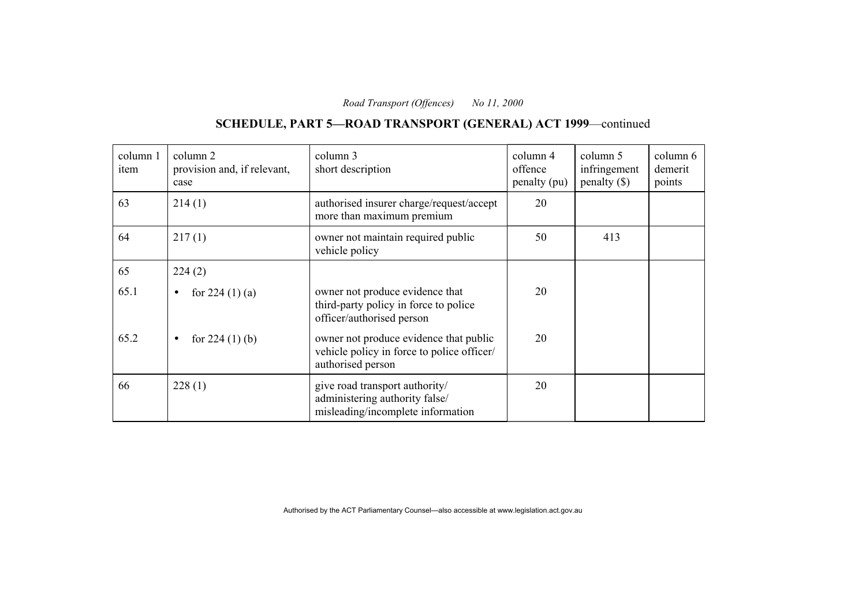# **SCHEDULE, PART 5—ROAD TRANSPORT (GENERAL) ACT 1999**—continued

| column 1<br>item | column 2<br>provision and, if relevant,<br>case | column 3<br>short description                                                                             | column 4<br>offence<br>penalty (pu) | column 5<br>infringement<br>$penalty$ (\$) | column 6<br>demerit<br>points |
|------------------|-------------------------------------------------|-----------------------------------------------------------------------------------------------------------|-------------------------------------|--------------------------------------------|-------------------------------|
| 63               | 214(1)                                          | authorised insurer charge/request/accept<br>more than maximum premium                                     | 20                                  |                                            |                               |
| 64               | 217(1)                                          | owner not maintain required public<br>vehicle policy                                                      | 50                                  | 413                                        |                               |
| 65               | 224(2)                                          |                                                                                                           |                                     |                                            |                               |
| 65.1             | for $224(1)(a)$<br>$\bullet$                    | owner not produce evidence that<br>third-party policy in force to police<br>officer/authorised person     | 20                                  |                                            |                               |
| 65.2             | for $224(1)(b)$<br>$\bullet$                    | owner not produce evidence that public<br>vehicle policy in force to police officer/<br>authorised person | 20                                  |                                            |                               |
| 66               | 228(1)                                          | give road transport authority/<br>administering authority false/<br>misleading/incomplete information     | 20                                  |                                            |                               |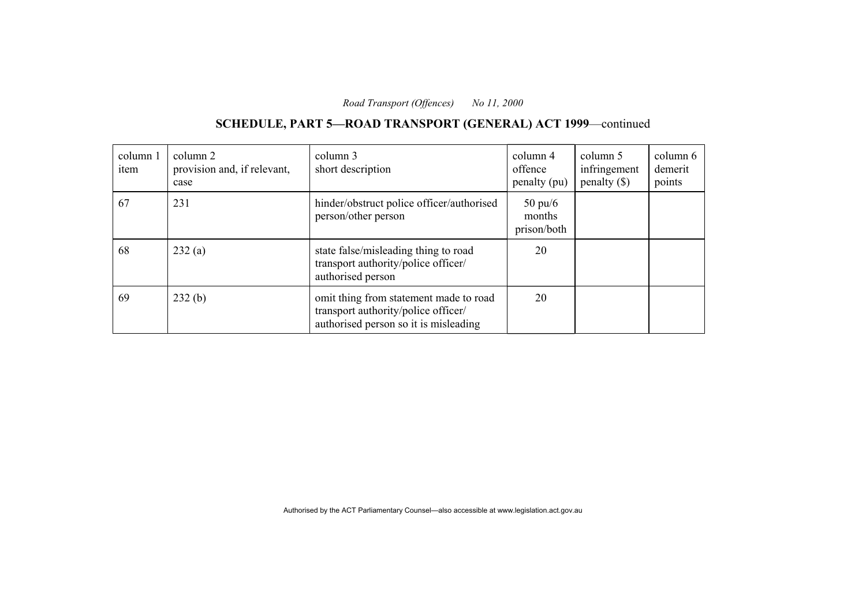# **SCHEDULE, PART 5—ROAD TRANSPORT (GENERAL) ACT 1999**—continued

| column 1<br>item | column 2<br>provision and, if relevant,<br>case | column 3<br>short description                                                                                          | column 4<br>offence<br>penalty (pu)        | column 5<br>infringement<br>$penalty$ (\$) | column 6<br>demerit<br>points |
|------------------|-------------------------------------------------|------------------------------------------------------------------------------------------------------------------------|--------------------------------------------|--------------------------------------------|-------------------------------|
| 67               | 231                                             | hinder/obstruct police officer/authorised<br>person/other person                                                       | $50 \text{ pu}/6$<br>months<br>prison/both |                                            |                               |
| 68               | 232(a)                                          | state false/misleading thing to road<br>transport authority/police officer/<br>authorised person                       | 20                                         |                                            |                               |
| 69               | 232(b)                                          | omit thing from statement made to road<br>transport authority/police officer/<br>authorised person so it is misleading | 20                                         |                                            |                               |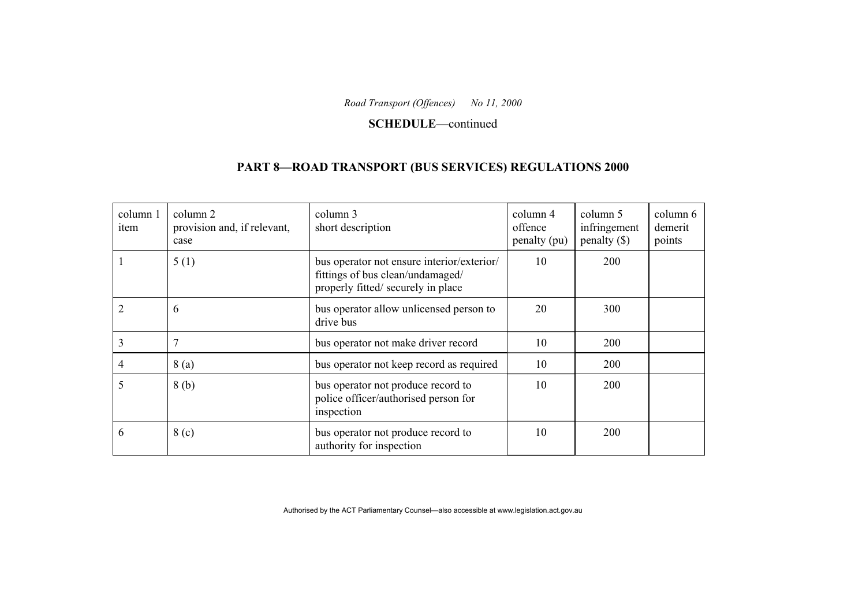**SCHEDULE**—continued

# **PART 8—ROAD TRANSPORT (BUS SERVICES) REGULATIONS 2000**

| column 1<br>item | column 2<br>provision and, if relevant,<br>case | column 3<br>short description                                                                                        | column 4<br>offence<br>penalty (pu) | column 5<br>infringement<br>$penalty$ (\$) | column 6<br>demerit<br>points |
|------------------|-------------------------------------------------|----------------------------------------------------------------------------------------------------------------------|-------------------------------------|--------------------------------------------|-------------------------------|
|                  | 5(1)                                            | bus operator not ensure interior/exterior/<br>fittings of bus clean/undamaged/<br>properly fitted/ securely in place | 10                                  | <b>200</b>                                 |                               |
|                  | 6                                               | bus operator allow unlicensed person to<br>drive bus                                                                 | 20                                  | 300                                        |                               |
| 3                | 7                                               | bus operator not make driver record                                                                                  | 10                                  | 200                                        |                               |
| 4                | 8(a)                                            | bus operator not keep record as required                                                                             | 10                                  | 200                                        |                               |
| 5                | 8(b)                                            | bus operator not produce record to<br>police officer/authorised person for<br>inspection                             | 10                                  | <b>200</b>                                 |                               |
| 6                | 8 <sub>(c)</sub>                                | bus operator not produce record to<br>authority for inspection                                                       | 10                                  | 200                                        |                               |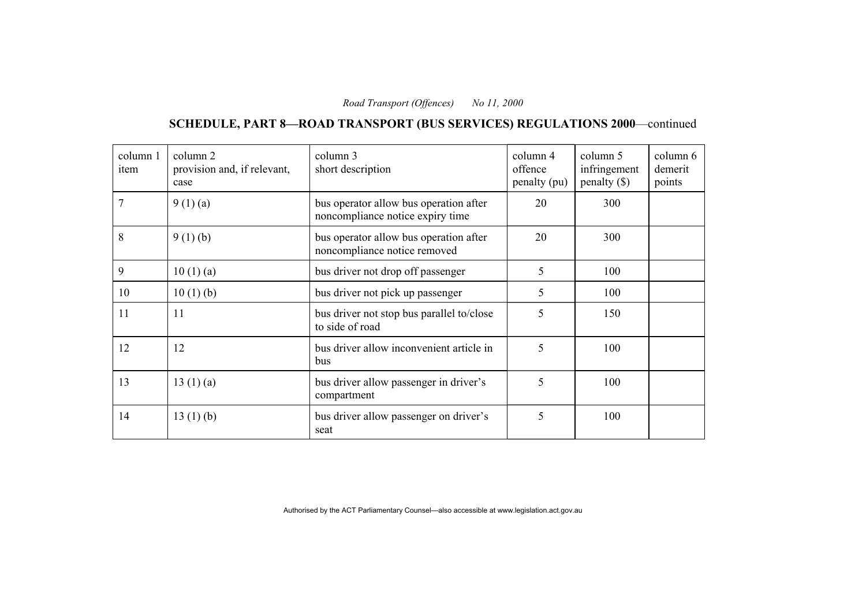**SCHEDULE, PART 8—ROAD TRANSPORT (BUS SERVICES) REGULATIONS 2000**—continued

| column 1<br>item | column 2<br>provision and, if relevant,<br>case | column 3<br>short description                                              | column 4<br>offence<br>penalty (pu) | column 5<br>infringement<br>penalty $(\$)$ | column 6<br>demerit<br>points |
|------------------|-------------------------------------------------|----------------------------------------------------------------------------|-------------------------------------|--------------------------------------------|-------------------------------|
| 7                | 9(1)(a)                                         | bus operator allow bus operation after<br>noncompliance notice expiry time | 20                                  | 300                                        |                               |
| 8                | 9(1)(b)                                         | bus operator allow bus operation after<br>noncompliance notice removed     | 20                                  | 300                                        |                               |
| 9                | 10(1)(a)                                        | bus driver not drop off passenger                                          | 5                                   | 100                                        |                               |
| 10               | 10(1)(b)                                        | bus driver not pick up passenger                                           | 5                                   | 100                                        |                               |
| 11               | 11                                              | bus driver not stop bus parallel to/close<br>to side of road               | 5                                   | 150                                        |                               |
| 12               | 12                                              | bus driver allow inconvenient article in<br>bus                            | 5                                   | 100                                        |                               |
| 13               | 13(1)(a)                                        | bus driver allow passenger in driver's<br>compartment                      | 5                                   | 100                                        |                               |
| 14               | 13(1)(b)                                        | bus driver allow passenger on driver's<br>seat                             | 5                                   | 100                                        |                               |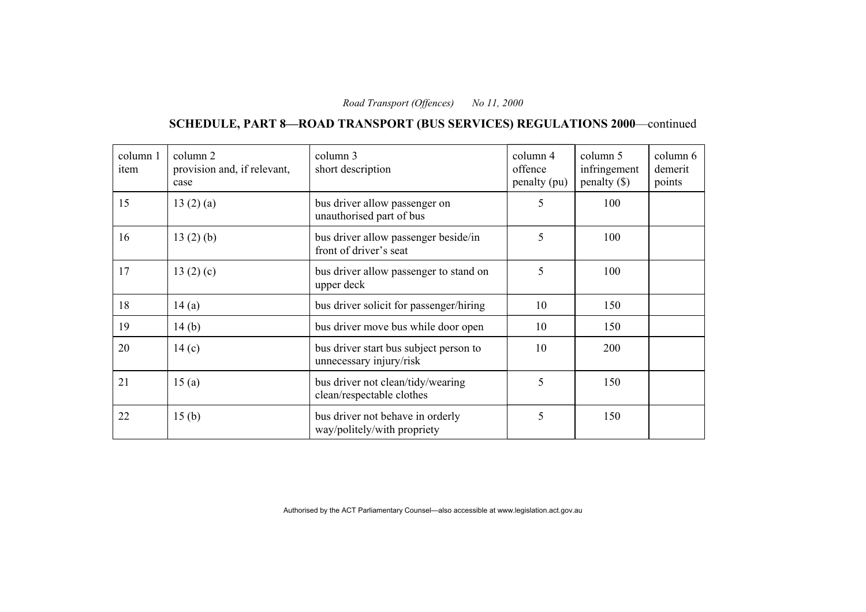**SCHEDULE, PART 8—ROAD TRANSPORT (BUS SERVICES) REGULATIONS 2000**—continued

| column 1<br>item | column 2<br>provision and, if relevant,<br>case | column 3<br>short description                                     | column 4<br>offence<br>penalty (pu) | column 5<br>infringement<br>$penalty$ (\$) | column 6<br>demerit<br>points |
|------------------|-------------------------------------------------|-------------------------------------------------------------------|-------------------------------------|--------------------------------------------|-------------------------------|
| 15               | 13(2)(a)                                        | bus driver allow passenger on<br>unauthorised part of bus         | 5                                   | 100                                        |                               |
| 16               | 13(2)(b)                                        | bus driver allow passenger beside/in<br>front of driver's seat    | 5                                   | 100                                        |                               |
| 17               | 13 $(2)(c)$                                     | bus driver allow passenger to stand on<br>upper deck              | 5                                   | 100                                        |                               |
| 18               | 14(a)                                           | bus driver solicit for passenger/hiring                           | 10                                  | 150                                        |                               |
| 19               | 14(b)                                           | bus driver move bus while door open                               | 10                                  | 150                                        |                               |
| 20               | 14(c)                                           | bus driver start bus subject person to<br>unnecessary injury/risk | 10                                  | 200                                        |                               |
| 21               | 15(a)                                           | bus driver not clean/tidy/wearing<br>clean/respectable clothes    | 5                                   | 150                                        |                               |
| 22               | 15 <sub>(b)</sub>                               | bus driver not behave in orderly<br>way/politely/with propriety   | 5                                   | 150                                        |                               |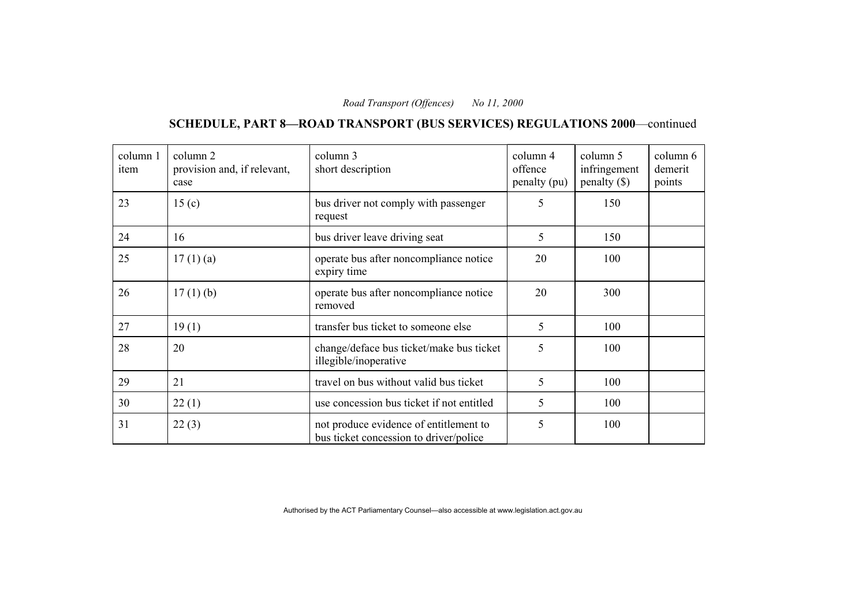# **SCHEDULE, PART 8—ROAD TRANSPORT (BUS SERVICES) REGULATIONS 2000**—continued

| column 1<br>item | column 2<br>provision and, if relevant,<br>case | column 3<br>short description                                                    | column 4<br>offence<br>penalty (pu) | column 5<br>infringement<br>penalty $(\$)$ | column 6<br>demerit<br>points |
|------------------|-------------------------------------------------|----------------------------------------------------------------------------------|-------------------------------------|--------------------------------------------|-------------------------------|
| 23               | 15 <sub>(c)</sub>                               | bus driver not comply with passenger<br>request                                  | 5                                   | 150                                        |                               |
| 24               | 16                                              | bus driver leave driving seat                                                    | 5                                   | 150                                        |                               |
| 25               | 17(1)(a)                                        | operate bus after noncompliance notice<br>expiry time                            | 20                                  | 100                                        |                               |
| 26               | $17(1)$ (b)                                     | operate bus after noncompliance notice<br>removed                                | 20                                  | 300                                        |                               |
| 27               | 19(1)                                           | transfer bus ticket to someone else                                              | 5                                   | 100                                        |                               |
| 28               | 20                                              | change/deface bus ticket/make bus ticket<br>illegible/inoperative                | 5                                   | 100                                        |                               |
| 29               | 21                                              | travel on bus without valid bus ticket                                           | 5                                   | 100                                        |                               |
| 30               | 22(1)                                           | use concession bus ticket if not entitled                                        | 5                                   | 100                                        |                               |
| 31               | 22(3)                                           | not produce evidence of entitlement to<br>bus ticket concession to driver/police | 5                                   | 100                                        |                               |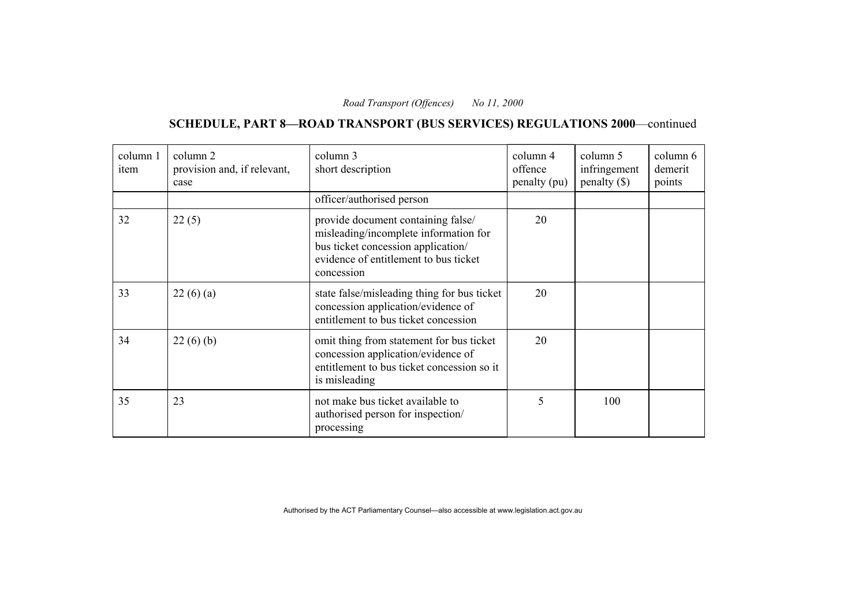# **SCHEDULE, PART 8—ROAD TRANSPORT (BUS SERVICES) REGULATIONS 2000**—continued

| column 1<br>item | column 2<br>provision and, if relevant,<br>case | column 3<br>short description                                                                                                                                            | column 4<br>offence<br>penalty (pu) | column 5<br>infringement<br>penalty $(\$)$ | column 6<br>demerit<br>points |
|------------------|-------------------------------------------------|--------------------------------------------------------------------------------------------------------------------------------------------------------------------------|-------------------------------------|--------------------------------------------|-------------------------------|
|                  |                                                 | officer/authorised person                                                                                                                                                |                                     |                                            |                               |
| 32               | 22(5)                                           | provide document containing false/<br>misleading/incomplete information for<br>bus ticket concession application/<br>evidence of entitlement to bus ticket<br>concession | 20                                  |                                            |                               |
| 33               | 22(6)(a)                                        | state false/misleading thing for bus ticket<br>concession application/evidence of<br>entitlement to bus ticket concession                                                | 20                                  |                                            |                               |
| 34               | 22(6)(b)                                        | omit thing from statement for bus ticket<br>concession application/evidence of<br>entitlement to bus ticket concession so it<br>is misleading                            | 20                                  |                                            |                               |
| 35               | 23                                              | not make bus ticket available to<br>authorised person for inspection/<br>processing                                                                                      | 5                                   | 100                                        |                               |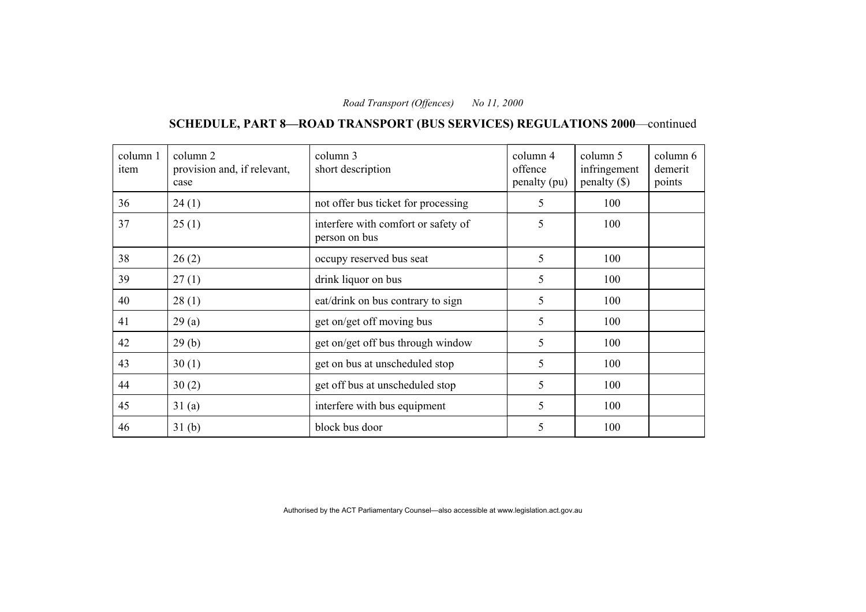**SCHEDULE, PART 8—ROAD TRANSPORT (BUS SERVICES) REGULATIONS 2000**—continued

| column 1<br>item | column 2<br>provision and, if relevant,<br>case | column 3<br>short description                        | column 4<br>offence<br>penalty (pu) | column 5<br>infringement<br>penalty $(\$)$ | column 6<br>demerit<br>points |
|------------------|-------------------------------------------------|------------------------------------------------------|-------------------------------------|--------------------------------------------|-------------------------------|
| 36               | 24(1)                                           | not offer bus ticket for processing                  | 5                                   | 100                                        |                               |
| 37               | 25(1)                                           | interfere with comfort or safety of<br>person on bus | 5                                   | 100                                        |                               |
| 38               | 26(2)                                           | occupy reserved bus seat                             | 5                                   | 100                                        |                               |
| 39               | 27(1)                                           | drink liquor on bus                                  | 5                                   | 100                                        |                               |
| 40               | 28(1)                                           | eat/drink on bus contrary to sign                    | 5                                   | 100                                        |                               |
| 41               | 29(a)                                           | get on/get off moving bus                            | 5                                   | 100                                        |                               |
| 42               | 29(b)                                           | get on/get off bus through window                    | 5                                   | 100                                        |                               |
| 43               | 30(1)                                           | get on bus at unscheduled stop                       | 5                                   | 100                                        |                               |
| 44               | 30(2)                                           | get off bus at unscheduled stop                      | 5                                   | 100                                        |                               |
| 45               | 31(a)                                           | interfere with bus equipment                         | 5                                   | 100                                        |                               |
| 46               | 31 <sub>(b)</sub>                               | block bus door                                       | 5                                   | 100                                        |                               |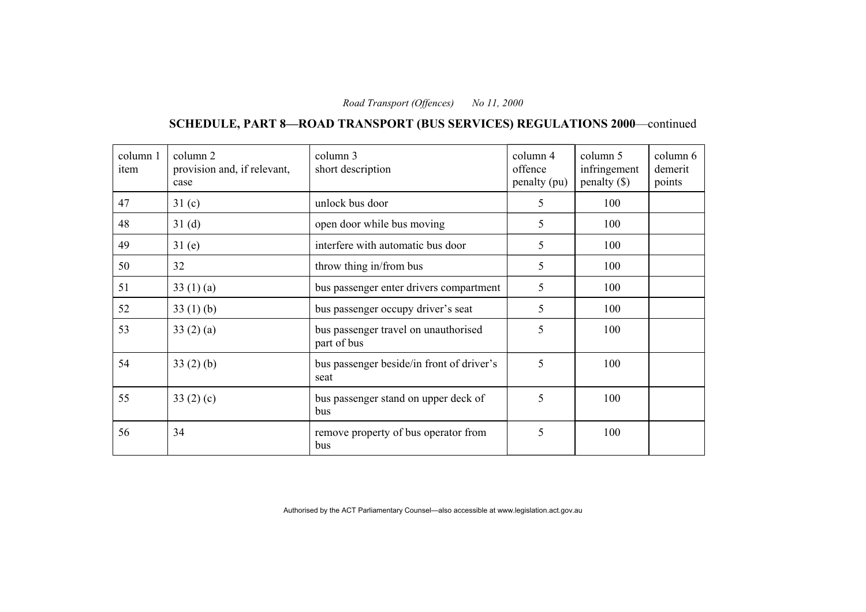**SCHEDULE, PART 8—ROAD TRANSPORT (BUS SERVICES) REGULATIONS 2000**—continued

| column 1<br>item | column 2<br>provision and, if relevant,<br>case | column 3<br>short description                       | column 4<br>offence<br>penalty (pu) | column 5<br>infringement<br>penalty $(\$)$ | column 6<br>demerit<br>points |
|------------------|-------------------------------------------------|-----------------------------------------------------|-------------------------------------|--------------------------------------------|-------------------------------|
| 47               | 31 <sub>(c)</sub>                               | unlock bus door                                     | 5                                   | 100                                        |                               |
| 48               | 31(d)                                           | open door while bus moving                          | 5                                   | 100                                        |                               |
| 49               | 31(e)                                           | interfere with automatic bus door                   | 5                                   | 100                                        |                               |
| 50               | 32                                              | throw thing in/from bus                             | 5                                   | 100                                        |                               |
| 51               | 33 $(1)(a)$                                     | bus passenger enter drivers compartment             | 5                                   | 100                                        |                               |
| 52               | 33(1)(b)                                        | bus passenger occupy driver's seat                  | 5                                   | 100                                        |                               |
| 53               | 33(2)(a)                                        | bus passenger travel on unauthorised<br>part of bus | 5                                   | 100                                        |                               |
| 54               | 33(2)(b)                                        | bus passenger beside/in front of driver's<br>seat   | 5                                   | 100                                        |                               |
| 55               | 33 $(2)$ $(c)$                                  | bus passenger stand on upper deck of<br>bus         | 5                                   | 100                                        |                               |
| 56               | 34                                              | remove property of bus operator from<br>bus         | 5                                   | 100                                        |                               |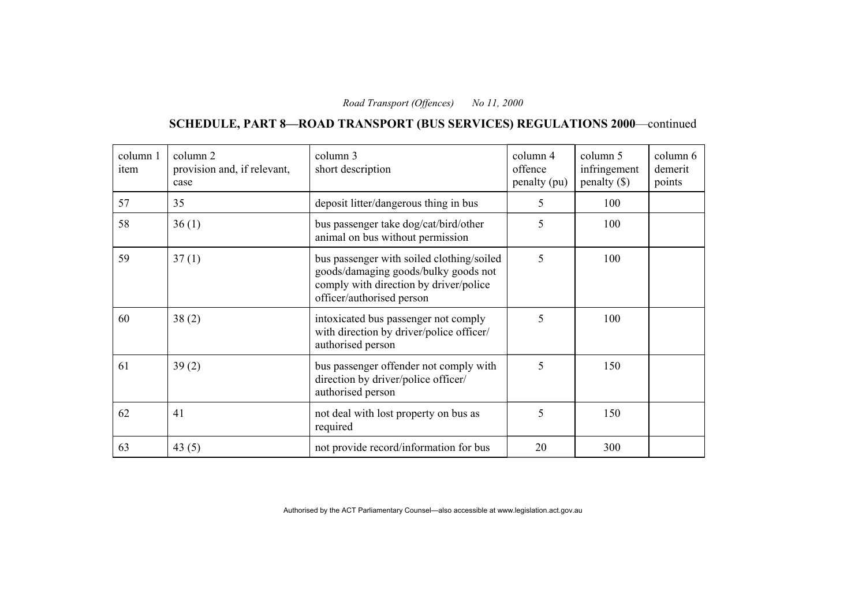**SCHEDULE, PART 8—ROAD TRANSPORT (BUS SERVICES) REGULATIONS 2000**—continued

| column 1<br>item | column 2<br>provision and, if relevant,<br>case | column 3<br>short description                                                                                                                            | column 4<br>offence<br>penalty (pu) | column 5<br>infringement<br>$penalty$ (\$) | column 6<br>demerit<br>points |
|------------------|-------------------------------------------------|----------------------------------------------------------------------------------------------------------------------------------------------------------|-------------------------------------|--------------------------------------------|-------------------------------|
| 57               | 35                                              | deposit litter/dangerous thing in bus                                                                                                                    | 5                                   | 100                                        |                               |
| 58               | 36(1)                                           | bus passenger take dog/cat/bird/other<br>animal on bus without permission                                                                                | 5                                   | 100                                        |                               |
| 59               | 37(1)                                           | bus passenger with soiled clothing/soiled<br>goods/damaging goods/bulky goods not<br>comply with direction by driver/police<br>officer/authorised person | 5                                   | 100                                        |                               |
| 60               | 38(2)                                           | intoxicated bus passenger not comply<br>with direction by driver/police officer/<br>authorised person                                                    | 5                                   | 100                                        |                               |
| 61               | 39(2)                                           | bus passenger offender not comply with<br>direction by driver/police officer/<br>authorised person                                                       | 5                                   | 150                                        |                               |
| 62               | 41                                              | not deal with lost property on bus as<br>required                                                                                                        | 5                                   | 150                                        |                               |
| 63               | 43(5)                                           | not provide record/information for bus                                                                                                                   | 20                                  | 300                                        |                               |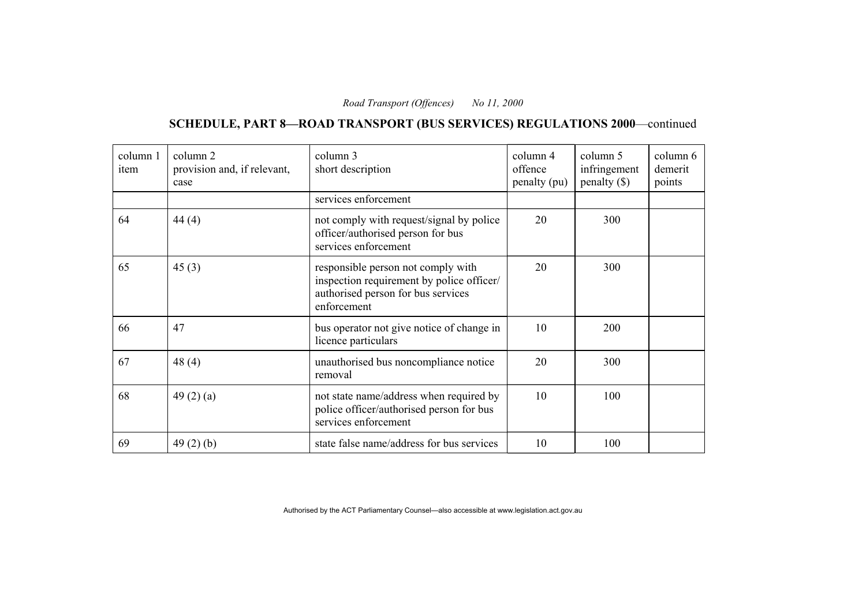# **SCHEDULE, PART 8—ROAD TRANSPORT (BUS SERVICES) REGULATIONS 2000**—continued

| column 1<br>item | column 2<br>provision and, if relevant,<br>case | column 3<br>short description                                                                                                        | column 4<br>offence<br>penalty (pu) | column 5<br>infringement<br>$penalty$ (\$) | column 6<br>demerit<br>points |
|------------------|-------------------------------------------------|--------------------------------------------------------------------------------------------------------------------------------------|-------------------------------------|--------------------------------------------|-------------------------------|
|                  |                                                 | services enforcement                                                                                                                 |                                     |                                            |                               |
| 64               | 44(4)                                           | not comply with request/signal by police<br>officer/authorised person for bus<br>services enforcement                                | 20                                  | 300                                        |                               |
| 65               | 45(3)                                           | responsible person not comply with<br>inspection requirement by police officer/<br>authorised person for bus services<br>enforcement | 20                                  | 300                                        |                               |
| 66               | 47                                              | bus operator not give notice of change in<br>licence particulars                                                                     | 10                                  | 200                                        |                               |
| 67               | 48 $(4)$                                        | unauthorised bus noncompliance notice<br>removal                                                                                     | 20                                  | 300                                        |                               |
| 68               | 49 $(2)$ $(a)$                                  | not state name/address when required by<br>police officer/authorised person for bus<br>services enforcement                          | 10                                  | 100                                        |                               |
| 69               | 49(2)(b)                                        | state false name/address for bus services                                                                                            | 10                                  | 100                                        |                               |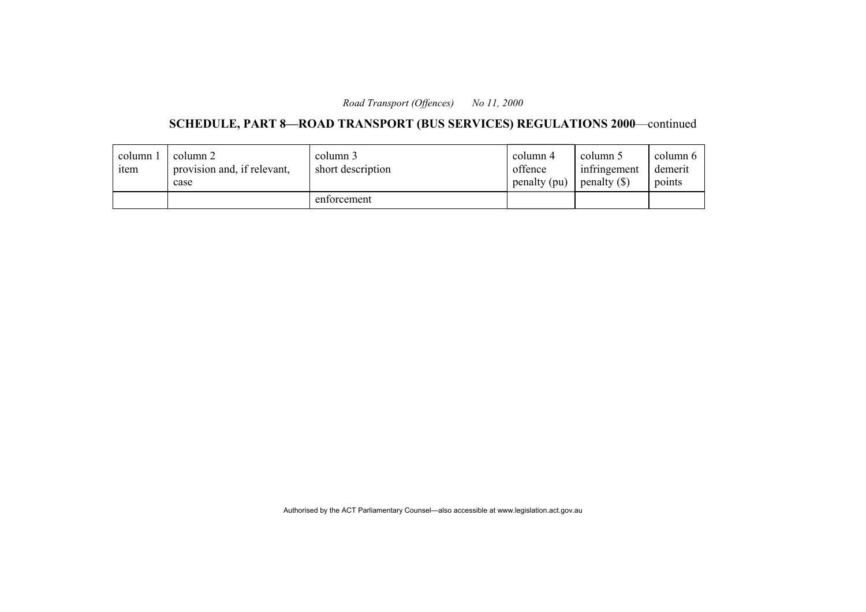# **SCHEDULE, PART 8—ROAD TRANSPORT (BUS SERVICES) REGULATIONS 2000**—continued

| column 1<br>item | column 2<br>provision and, if relevant,<br>case | column 3<br>short description | column 4<br>offence<br>penalty (pu) | column 5<br>infringement<br>penalty $(\$\)$ | column 6<br>demerit<br>points |
|------------------|-------------------------------------------------|-------------------------------|-------------------------------------|---------------------------------------------|-------------------------------|
|                  |                                                 | enforcement                   |                                     |                                             |                               |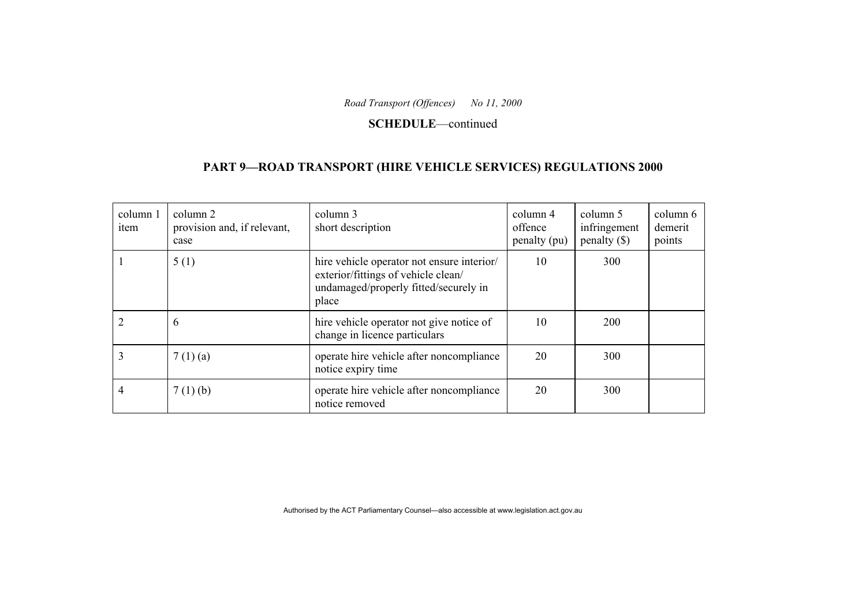### **SCHEDULE**—continued

# **PART 9—ROAD TRANSPORT (HIRE VEHICLE SERVICES) REGULATIONS 2000**

| column 1<br>item | column 2<br>provision and, if relevant,<br>case | column 3<br>short description                                                                                                       | column 4<br>offence<br>penalty (pu) | column 5<br>infringement<br>$penalty$ (\$) | column 6<br>demerit<br>points |
|------------------|-------------------------------------------------|-------------------------------------------------------------------------------------------------------------------------------------|-------------------------------------|--------------------------------------------|-------------------------------|
|                  | 5(1)                                            | hire vehicle operator not ensure interior/<br>exterior/fittings of vehicle clean/<br>undamaged/properly fitted/securely in<br>place | 10                                  | 300                                        |                               |
| $\overline{2}$   | 6                                               | hire vehicle operator not give notice of<br>change in licence particulars                                                           | 10                                  | 200                                        |                               |
|                  | 7(1)(a)                                         | operate hire vehicle after noncompliance<br>notice expiry time                                                                      | 20                                  | 300                                        |                               |
| 4                | 7(1)(b)                                         | operate hire vehicle after noncompliance<br>notice removed                                                                          | 20                                  | 300                                        |                               |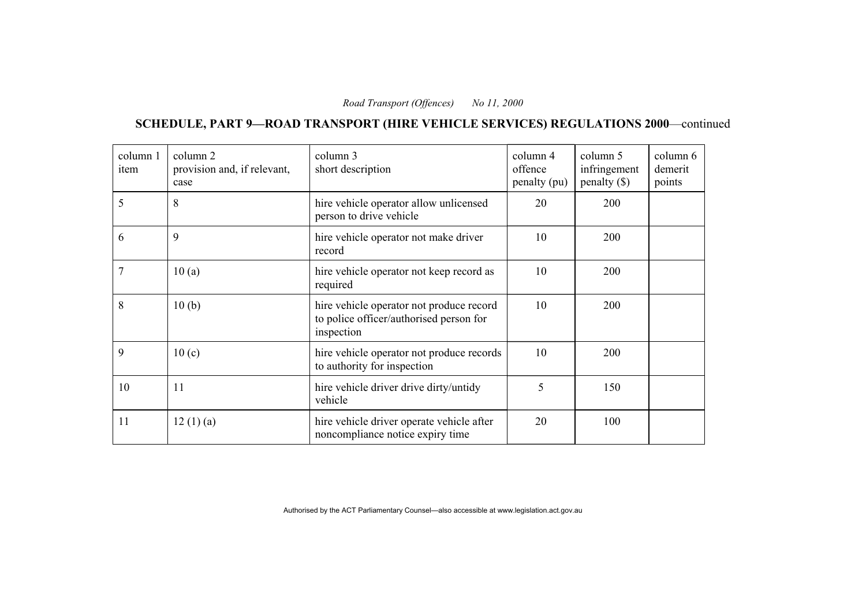**SCHEDULE, PART 9—ROAD TRANSPORT (HIRE VEHICLE SERVICES) REGULATIONS 2000**—continued

| column 1<br>item | column 2<br>provision and, if relevant,<br>case | column 3<br>short description                                                                     | column 4<br>offence<br>penalty (pu) | column 5<br>infringement<br>penalty $(\$)$ | column 6<br>demerit<br>points |
|------------------|-------------------------------------------------|---------------------------------------------------------------------------------------------------|-------------------------------------|--------------------------------------------|-------------------------------|
| 5                | 8                                               | hire vehicle operator allow unlicensed<br>person to drive vehicle                                 | 20                                  | 200                                        |                               |
| 6                | 9                                               | hire vehicle operator not make driver<br>record                                                   | 10                                  | 200                                        |                               |
| $\overline{7}$   | 10(a)                                           | hire vehicle operator not keep record as<br>required                                              | 10                                  | 200                                        |                               |
| 8                | 10(b)                                           | hire vehicle operator not produce record<br>to police officer/authorised person for<br>inspection | 10                                  | 200                                        |                               |
| 9                | 10(c)                                           | hire vehicle operator not produce records<br>to authority for inspection                          | 10                                  | 200                                        |                               |
| 10               | 11                                              | hire vehicle driver drive dirty/untidy<br>vehicle                                                 | 5                                   | 150                                        |                               |
| 11               | 12(1)(a)                                        | hire vehicle driver operate vehicle after<br>noncompliance notice expiry time                     | 20                                  | 100                                        |                               |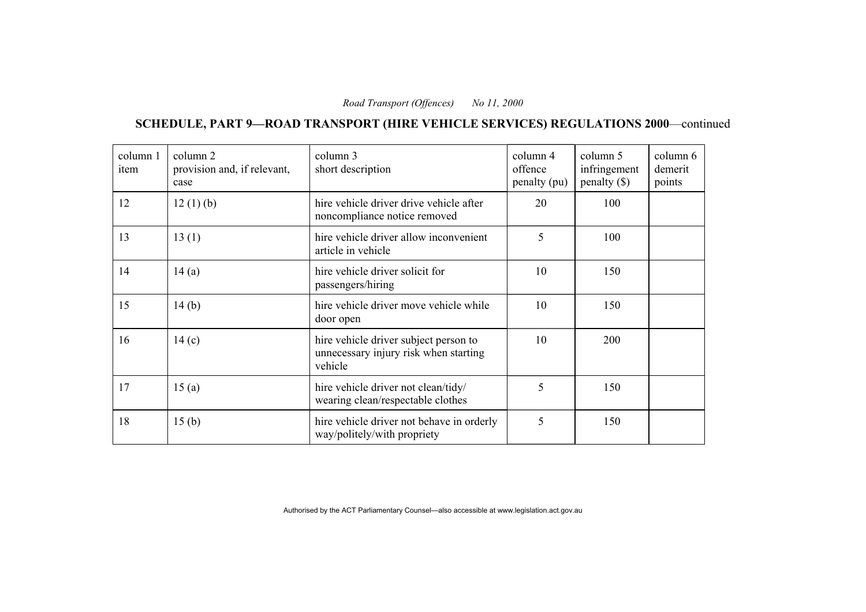**SCHEDULE, PART 9—ROAD TRANSPORT (HIRE VEHICLE SERVICES) REGULATIONS 2000**—continued

| column 1<br>item | column 2<br>provision and, if relevant,<br>case | column 3<br>short description                                                             | column 4<br>offence<br>penalty (pu) | column 5<br>infringement<br>$penalty$ (\$) | column 6<br>demerit<br>points |
|------------------|-------------------------------------------------|-------------------------------------------------------------------------------------------|-------------------------------------|--------------------------------------------|-------------------------------|
| 12               | 12(1)(b)                                        | hire vehicle driver drive vehicle after<br>noncompliance notice removed                   | 20                                  | 100                                        |                               |
| 13               | 13(1)                                           | hire vehicle driver allow inconvenient<br>article in vehicle                              | 5                                   | 100                                        |                               |
| 14               | 14(a)                                           | hire vehicle driver solicit for<br>passengers/hiring                                      | 10                                  | 150                                        |                               |
| 15               | 14(b)                                           | hire vehicle driver move vehicle while<br>door open                                       | 10                                  | 150                                        |                               |
| 16               | 14(c)                                           | hire vehicle driver subject person to<br>unnecessary injury risk when starting<br>vehicle | 10                                  | 200                                        |                               |
| 17               | 15(a)                                           | hire vehicle driver not clean/tidy/<br>wearing clean/respectable clothes                  | 5                                   | 150                                        |                               |
| 18               | 15 <sub>(b)</sub>                               | hire vehicle driver not behave in orderly<br>way/politely/with propriety                  | 5                                   | 150                                        |                               |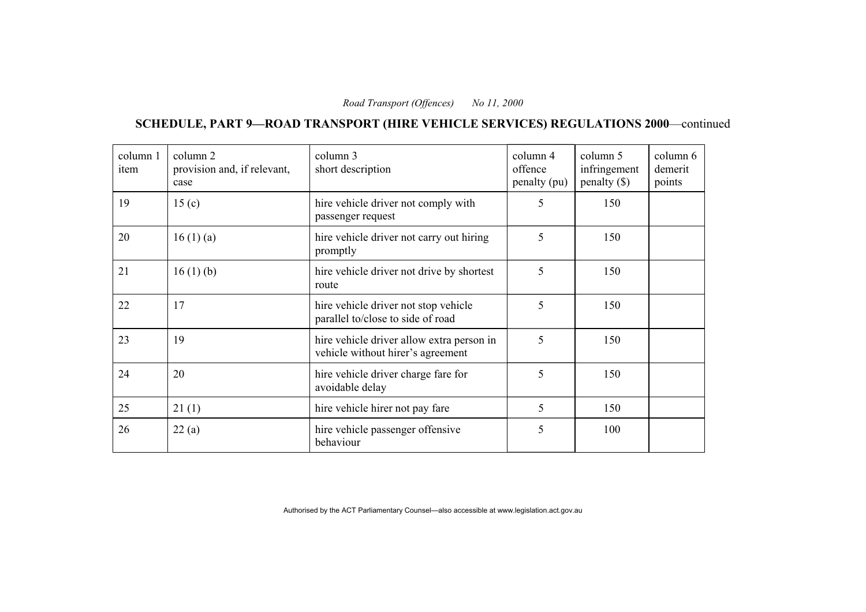**SCHEDULE, PART 9—ROAD TRANSPORT (HIRE VEHICLE SERVICES) REGULATIONS 2000**—continued

| column 1<br>item | column 2<br>provision and, if relevant,<br>case | column 3<br>short description                                                  | column 4<br>offence<br>penalty (pu) | column 5<br>infringement<br>penalty $(\$)$ | column 6<br>demerit<br>points |
|------------------|-------------------------------------------------|--------------------------------------------------------------------------------|-------------------------------------|--------------------------------------------|-------------------------------|
| 19               | 15 <sub>(c)</sub>                               | hire vehicle driver not comply with<br>passenger request                       | 5                                   | 150                                        |                               |
| 20               | 16(1)(a)                                        | hire vehicle driver not carry out hiring<br>promptly                           | 5                                   | 150                                        |                               |
| 21               | 16(1)(b)                                        | hire vehicle driver not drive by shortest<br>route                             | 5                                   | 150                                        |                               |
| 22               | 17                                              | hire vehicle driver not stop vehicle<br>parallel to/close to side of road      | 5                                   | 150                                        |                               |
| 23               | 19                                              | hire vehicle driver allow extra person in<br>vehicle without hirer's agreement | 5                                   | 150                                        |                               |
| 24               | 20                                              | hire vehicle driver charge fare for<br>avoidable delay                         | 5                                   | 150                                        |                               |
| 25               | 21(1)                                           | hire vehicle hirer not pay fare                                                | 5                                   | 150                                        |                               |
| 26               | 22(a)                                           | hire vehicle passenger offensive<br>behaviour                                  | 5                                   | 100                                        |                               |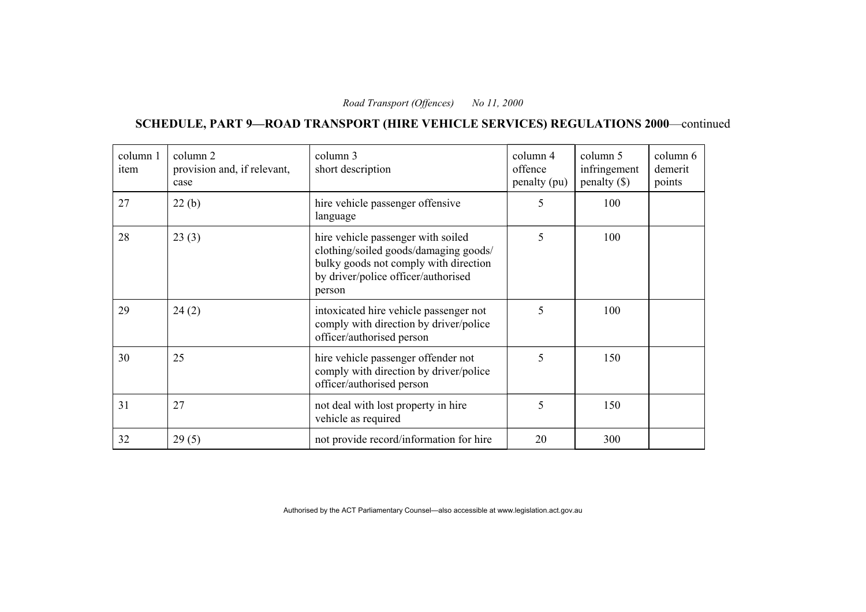**SCHEDULE, PART 9—ROAD TRANSPORT (HIRE VEHICLE SERVICES) REGULATIONS 2000**—continued

| column 1<br>item | column 2<br>provision and, if relevant,<br>case | column 3<br>short description                                                                                                                                         | column 4<br>offence<br>penalty (pu) | column 5<br>infringement<br>penalty $(\$)$ | column 6<br>demerit<br>points |
|------------------|-------------------------------------------------|-----------------------------------------------------------------------------------------------------------------------------------------------------------------------|-------------------------------------|--------------------------------------------|-------------------------------|
| 27               | 22(b)                                           | hire vehicle passenger offensive<br>language                                                                                                                          | 5                                   | 100                                        |                               |
| 28               | 23(3)                                           | hire vehicle passenger with soiled<br>clothing/soiled goods/damaging goods/<br>bulky goods not comply with direction<br>by driver/police officer/authorised<br>person | 5                                   | 100                                        |                               |
| 29               | 24(2)                                           | intoxicated hire vehicle passenger not<br>comply with direction by driver/police<br>officer/authorised person                                                         | 5                                   | 100                                        |                               |
| 30               | 25                                              | hire vehicle passenger offender not<br>comply with direction by driver/police<br>officer/authorised person                                                            | 5                                   | 150                                        |                               |
| 31               | 27                                              | not deal with lost property in hire<br>vehicle as required                                                                                                            | 5                                   | 150                                        |                               |
| 32               | 29(5)                                           | not provide record/information for hire                                                                                                                               | 20                                  | 300                                        |                               |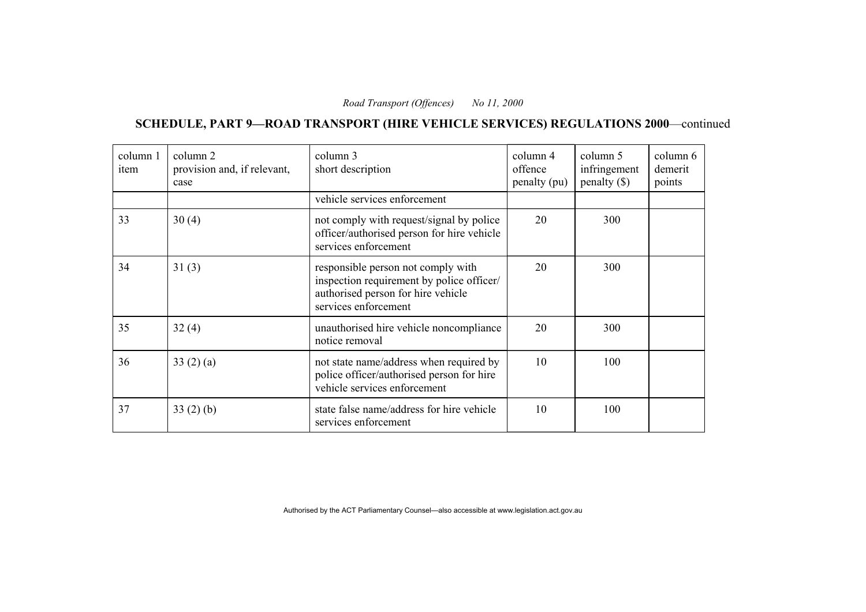**SCHEDULE, PART 9—ROAD TRANSPORT (HIRE VEHICLE SERVICES) REGULATIONS 2000**—continued

| column 1<br>item | column 2<br>provision and, if relevant,<br>case | column 3<br>short description                                                                                                                 | column 4<br>offence<br>penalty (pu) | column 5<br>infringement<br>$penalty$ (\$) | column 6<br>demerit<br>points |
|------------------|-------------------------------------------------|-----------------------------------------------------------------------------------------------------------------------------------------------|-------------------------------------|--------------------------------------------|-------------------------------|
|                  |                                                 | vehicle services enforcement                                                                                                                  |                                     |                                            |                               |
| 33               | 30(4)                                           | not comply with request/signal by police<br>officer/authorised person for hire vehicle<br>services enforcement                                | 20                                  | 300                                        |                               |
| 34               | 31(3)                                           | responsible person not comply with<br>inspection requirement by police officer/<br>authorised person for hire vehicle<br>services enforcement | 20                                  | 300                                        |                               |
| 35               | 32(4)                                           | unauthorised hire vehicle noncompliance<br>notice removal                                                                                     | 20                                  | 300                                        |                               |
| 36               | 33(2)(a)                                        | not state name/address when required by<br>police officer/authorised person for hire<br>vehicle services enforcement                          | 10                                  | 100                                        |                               |
| 37               | 33(2)(b)                                        | state false name/address for hire vehicle<br>services enforcement                                                                             | 10                                  | 100                                        |                               |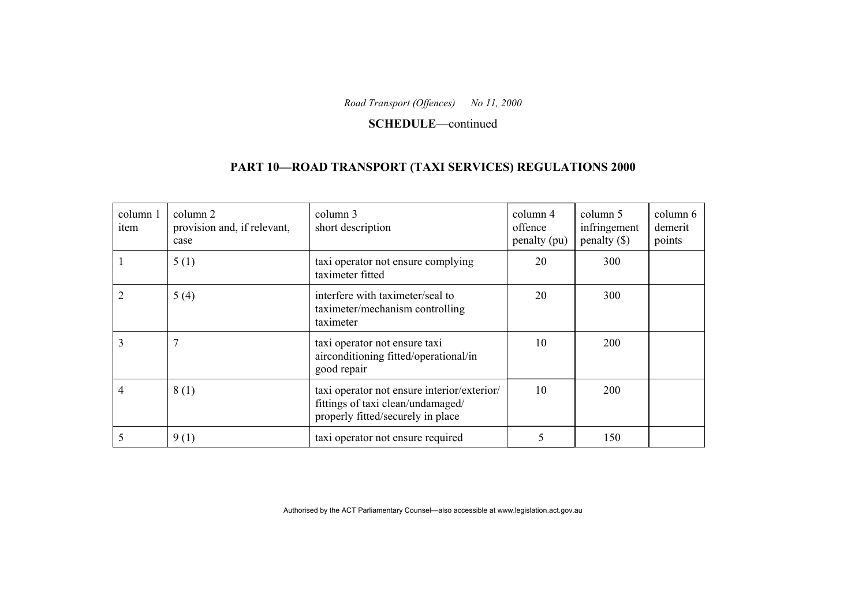**SCHEDULE**—continued

# **PART 10—ROAD TRANSPORT (TAXI SERVICES) REGULATIONS 2000**

| column 1<br>item | column 2<br>provision and, if relevant,<br>case | column 3<br>short description                                                                                         | column 4<br>offence<br>penalty (pu) | column 5<br>infringement<br>$penalty$ (\$) | column 6<br>demerit<br>points |
|------------------|-------------------------------------------------|-----------------------------------------------------------------------------------------------------------------------|-------------------------------------|--------------------------------------------|-------------------------------|
|                  | 5(1)                                            | taxi operator not ensure complying<br>taximeter fitted                                                                | 20                                  | 300                                        |                               |
|                  | 5(4)                                            | interfere with taximeter/seal to<br>taximeter/mechanism controlling<br>taximeter                                      | 20                                  | 300                                        |                               |
| 3                | 7                                               | taxi operator not ensure taxi<br>airconditioning fitted/operational/in<br>good repair                                 | 10                                  | 200                                        |                               |
| 4                | 8(1)                                            | taxi operator not ensure interior/exterior/<br>fittings of taxi clean/undamaged/<br>properly fitted/securely in place | 10                                  | 200                                        |                               |
|                  | 9(1)                                            | taxi operator not ensure required                                                                                     | 5                                   | 150                                        |                               |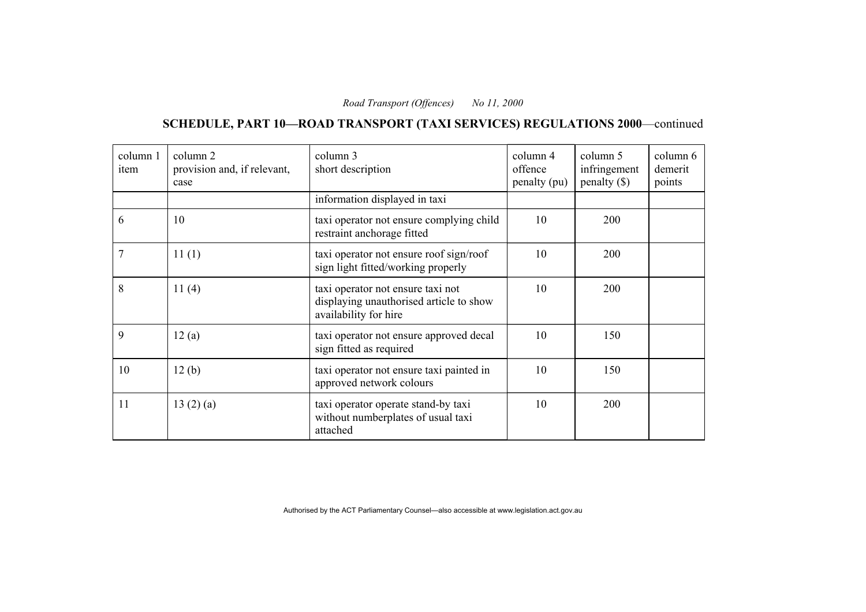# **SCHEDULE, PART 10—ROAD TRANSPORT (TAXI SERVICES) REGULATIONS 2000**—continued

| column 1<br>item | column 2<br>provision and, if relevant,<br>case | column 3<br>short description                                                                         | column 4<br>offence<br>penalty (pu) | column 5<br>infringement<br>$penalty$ (\$) | column 6<br>demerit<br>points |
|------------------|-------------------------------------------------|-------------------------------------------------------------------------------------------------------|-------------------------------------|--------------------------------------------|-------------------------------|
|                  |                                                 | information displayed in taxi                                                                         |                                     |                                            |                               |
| 6                | 10                                              | taxi operator not ensure complying child<br>restraint anchorage fitted                                | 10                                  | 200                                        |                               |
| $\overline{7}$   | 11(1)                                           | taxi operator not ensure roof sign/roof<br>sign light fitted/working properly                         | 10                                  | 200                                        |                               |
| 8                | 11(4)                                           | taxi operator not ensure taxi not<br>displaying unauthorised article to show<br>availability for hire | 10                                  | 200                                        |                               |
| 9                | 12(a)                                           | taxi operator not ensure approved decal<br>sign fitted as required                                    | 10                                  | 150                                        |                               |
| 10               | 12(b)                                           | taxi operator not ensure taxi painted in<br>approved network colours                                  | 10                                  | 150                                        |                               |
| 11               | 13(2)(a)                                        | taxi operator operate stand-by taxi<br>without numberplates of usual taxi<br>attached                 | 10                                  | <b>200</b>                                 |                               |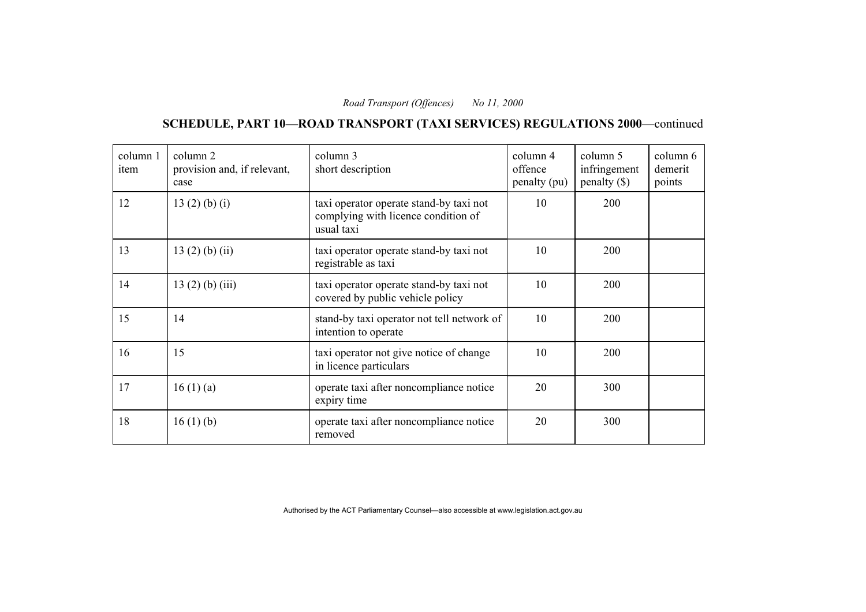# **SCHEDULE, PART 10—ROAD TRANSPORT (TAXI SERVICES) REGULATIONS 2000**—continued

| column 1<br>item | column 2<br>provision and, if relevant,<br>case | column 3<br>short description                                                                | column 4<br>offence<br>penalty (pu) | column 5<br>infringement<br>$penalty (\$))$ | column 6<br>demerit<br>points |
|------------------|-------------------------------------------------|----------------------------------------------------------------------------------------------|-------------------------------------|---------------------------------------------|-------------------------------|
| 12               | 13(2)(b)(i)                                     | taxi operator operate stand-by taxi not<br>complying with licence condition of<br>usual taxi | 10                                  | 200                                         |                               |
| 13               | $13(2)$ (b) (ii)                                | taxi operator operate stand-by taxi not<br>registrable as taxi                               | 10                                  | 200                                         |                               |
| 14               | $13(2)$ (b) (iii)                               | taxi operator operate stand-by taxi not<br>covered by public vehicle policy                  | 10                                  | 200                                         |                               |
| 15               | 14                                              | stand-by taxi operator not tell network of<br>intention to operate                           | 10                                  | 200                                         |                               |
| 16               | 15                                              | taxi operator not give notice of change<br>in licence particulars                            | 10                                  | 200                                         |                               |
| 17               | 16(1)(a)                                        | operate taxi after noncompliance notice<br>expiry time                                       | 20                                  | 300                                         |                               |
| 18               | 16(1)(b)                                        | operate taxi after noncompliance notice<br>removed                                           | 20                                  | 300                                         |                               |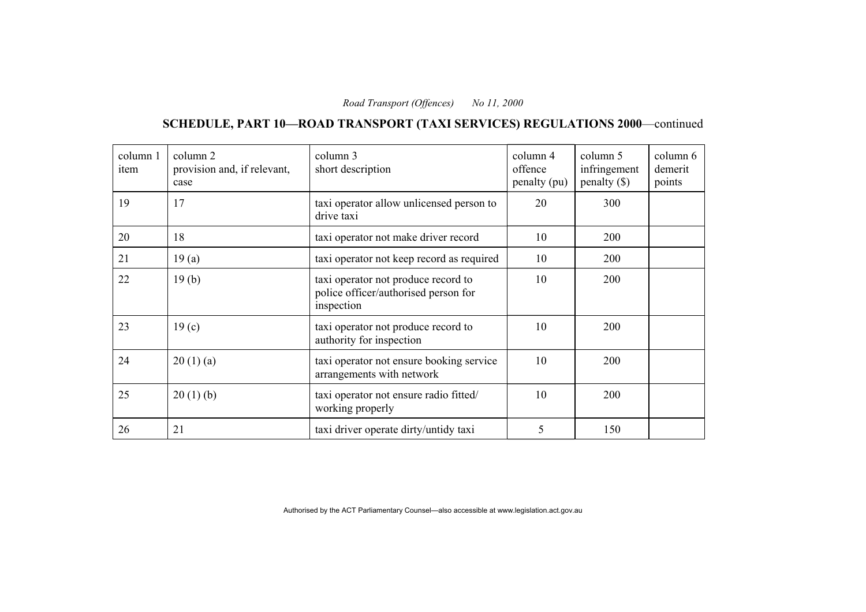# **SCHEDULE, PART 10—ROAD TRANSPORT (TAXI SERVICES) REGULATIONS 2000**—continued

| column 1<br>item | column 2<br>provision and, if relevant,<br>case | column 3<br>short description                                                             | column 4<br>offence<br>penalty (pu) | column 5<br>infringement<br>$penalty$ (\$) | column 6<br>demerit<br>points |
|------------------|-------------------------------------------------|-------------------------------------------------------------------------------------------|-------------------------------------|--------------------------------------------|-------------------------------|
| 19               | 17                                              | taxi operator allow unlicensed person to<br>drive taxi                                    | 20                                  | 300                                        |                               |
| 20               | 18                                              | taxi operator not make driver record                                                      | 10                                  | 200                                        |                               |
| 21               | 19(a)                                           | taxi operator not keep record as required                                                 | 10                                  | 200                                        |                               |
| 22               | 19(b)                                           | taxi operator not produce record to<br>police officer/authorised person for<br>inspection | 10                                  | 200                                        |                               |
| 23               | 19 <sub>(c)</sub>                               | taxi operator not produce record to<br>authority for inspection                           | 10                                  | 200                                        |                               |
| 24               | 20(1)(a)                                        | taxi operator not ensure booking service<br>arrangements with network                     | 10                                  | <b>200</b>                                 |                               |
| 25               | 20(1)(b)                                        | taxi operator not ensure radio fitted/<br>working properly                                | 10                                  | 200                                        |                               |
| 26               | 21                                              | taxi driver operate dirty/untidy taxi                                                     | 5                                   | 150                                        |                               |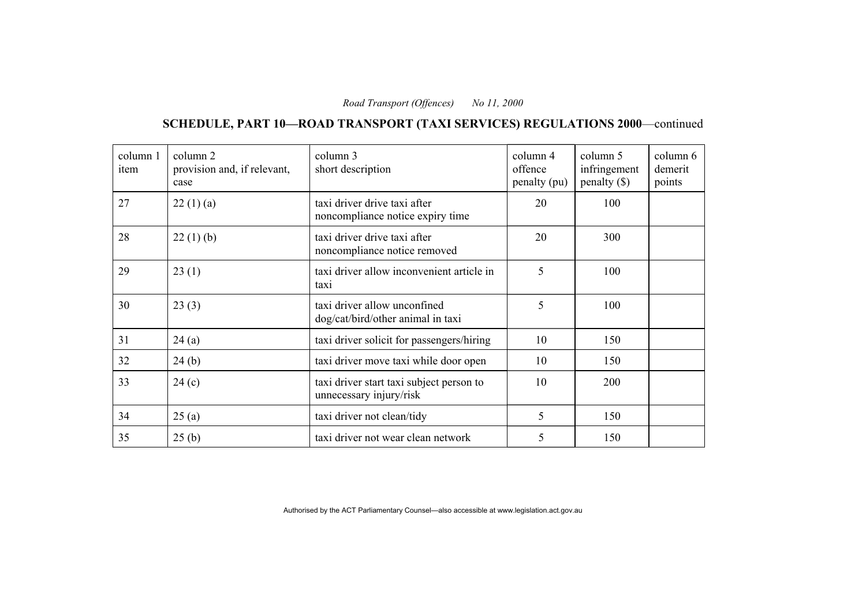# **SCHEDULE, PART 10—ROAD TRANSPORT (TAXI SERVICES) REGULATIONS 2000**—continued

| column 1<br>item | column 2<br>provision and, if relevant,<br>case | column 3<br>short description                                       | column 4<br>offence<br>penalty (pu) | column 5<br>infringement<br>$penalty$ (\$) | column 6<br>demerit<br>points |
|------------------|-------------------------------------------------|---------------------------------------------------------------------|-------------------------------------|--------------------------------------------|-------------------------------|
| 27               | 22(1)(a)                                        | taxi driver drive taxi after<br>noncompliance notice expiry time    | 20                                  | 100                                        |                               |
| 28               | 22(1)(b)                                        | taxi driver drive taxi after<br>noncompliance notice removed        | 20                                  | 300                                        |                               |
| 29               | 23(1)                                           | taxi driver allow inconvenient article in<br>taxi                   | 5                                   | 100                                        |                               |
| 30               | 23(3)                                           | taxi driver allow unconfined<br>dog/cat/bird/other animal in taxi   | 5                                   | 100                                        |                               |
| 31               | 24(a)                                           | taxi driver solicit for passengers/hiring                           | 10                                  | 150                                        |                               |
| 32               | 24(b)                                           | taxi driver move taxi while door open                               | 10                                  | 150                                        |                               |
| 33               | 24(c)                                           | taxi driver start taxi subject person to<br>unnecessary injury/risk | 10                                  | 200                                        |                               |
| 34               | 25(a)                                           | taxi driver not clean/tidy                                          | 5                                   | 150                                        |                               |
| 35               | 25(b)                                           | taxi driver not wear clean network                                  | 5                                   | 150                                        |                               |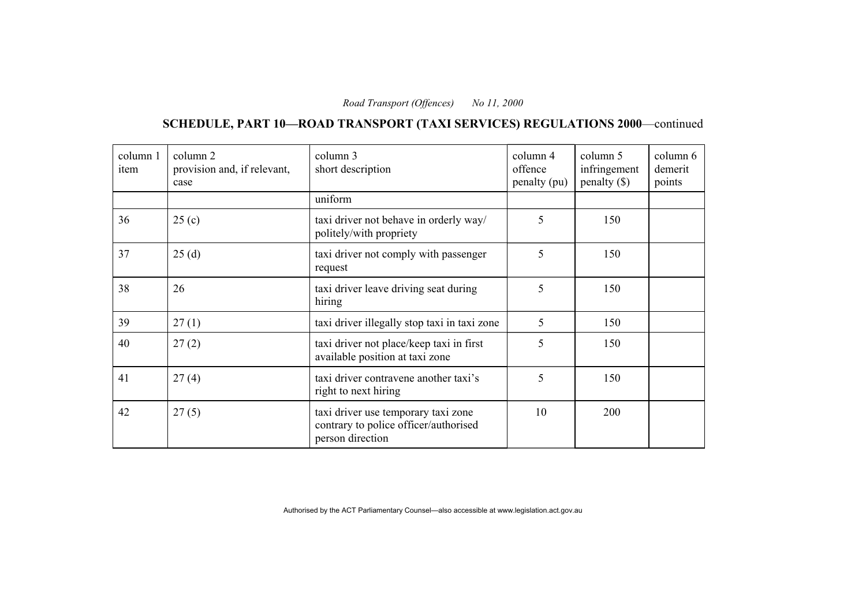# **SCHEDULE, PART 10—ROAD TRANSPORT (TAXI SERVICES) REGULATIONS 2000**—continued

| column 1<br>item | column 2<br>provision and, if relevant,<br>case | column 3<br>short description                                                                    | column 4<br>offence<br>penalty (pu) | column 5<br>infringement<br>penalty $(\$)$ | column 6<br>demerit<br>points |
|------------------|-------------------------------------------------|--------------------------------------------------------------------------------------------------|-------------------------------------|--------------------------------------------|-------------------------------|
|                  |                                                 | uniform                                                                                          |                                     |                                            |                               |
| 36               | 25(c)                                           | taxi driver not behave in orderly way/<br>politely/with propriety                                | 5                                   | 150                                        |                               |
| 37               | 25(d)                                           | taxi driver not comply with passenger<br>request                                                 | 5                                   | 150                                        |                               |
| 38               | 26                                              | taxi driver leave driving seat during<br>hiring                                                  | 5                                   | 150                                        |                               |
| 39               | 27(1)                                           | taxi driver illegally stop taxi in taxi zone                                                     | 5                                   | 150                                        |                               |
| 40               | 27(2)                                           | taxi driver not place/keep taxi in first<br>available position at taxi zone                      | 5                                   | 150                                        |                               |
| 41               | 27(4)                                           | taxi driver contravene another taxi's<br>right to next hiring                                    | 5                                   | 150                                        |                               |
| 42               | 27(5)                                           | taxi driver use temporary taxi zone<br>contrary to police officer/authorised<br>person direction | 10                                  | 200                                        |                               |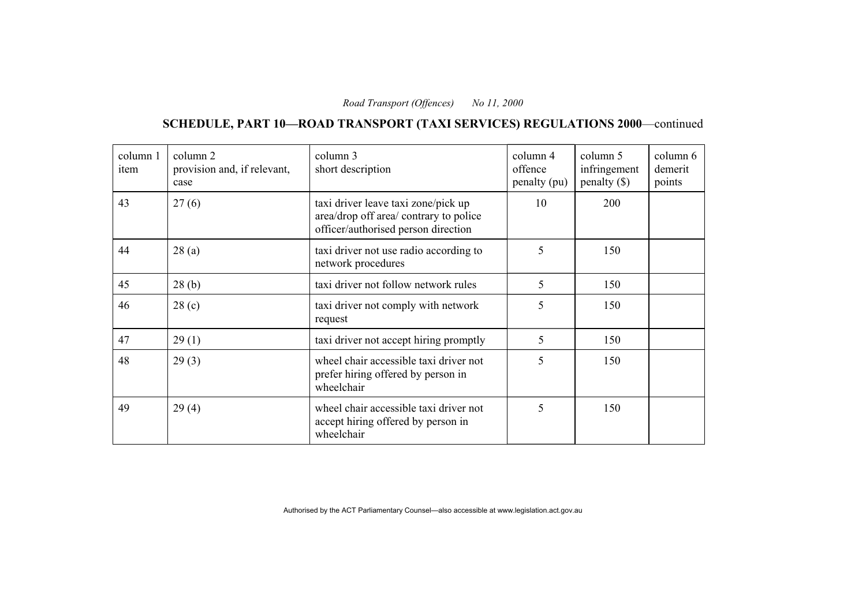# **SCHEDULE, PART 10—ROAD TRANSPORT (TAXI SERVICES) REGULATIONS 2000**—continued

| column 1<br>item | column 2<br>provision and, if relevant,<br>case | column 3<br>short description                                                                                        | column 4<br>offence<br>penalty (pu) | column 5<br>infringement<br>$penalty$ (\$) | column 6<br>demerit<br>points |
|------------------|-------------------------------------------------|----------------------------------------------------------------------------------------------------------------------|-------------------------------------|--------------------------------------------|-------------------------------|
| 43               | 27(6)                                           | taxi driver leave taxi zone/pick up<br>area/drop off area/ contrary to police<br>officer/authorised person direction | 10                                  | 200                                        |                               |
| 44               | 28(a)                                           | taxi driver not use radio according to<br>network procedures                                                         | 5                                   | 150                                        |                               |
| 45               | 28(b)                                           | taxi driver not follow network rules                                                                                 | 5                                   | 150                                        |                               |
| 46               | 28 <sub>(c)</sub>                               | taxi driver not comply with network<br>request                                                                       | 5                                   | 150                                        |                               |
| 47               | 29(1)                                           | taxi driver not accept hiring promptly                                                                               | 5                                   | 150                                        |                               |
| 48               | 29(3)                                           | wheel chair accessible taxi driver not<br>prefer hiring offered by person in<br>wheelchair                           | 5                                   | 150                                        |                               |
| 49               | 29(4)                                           | wheel chair accessible taxi driver not<br>accept hiring offered by person in<br>wheelchair                           | 5                                   | 150                                        |                               |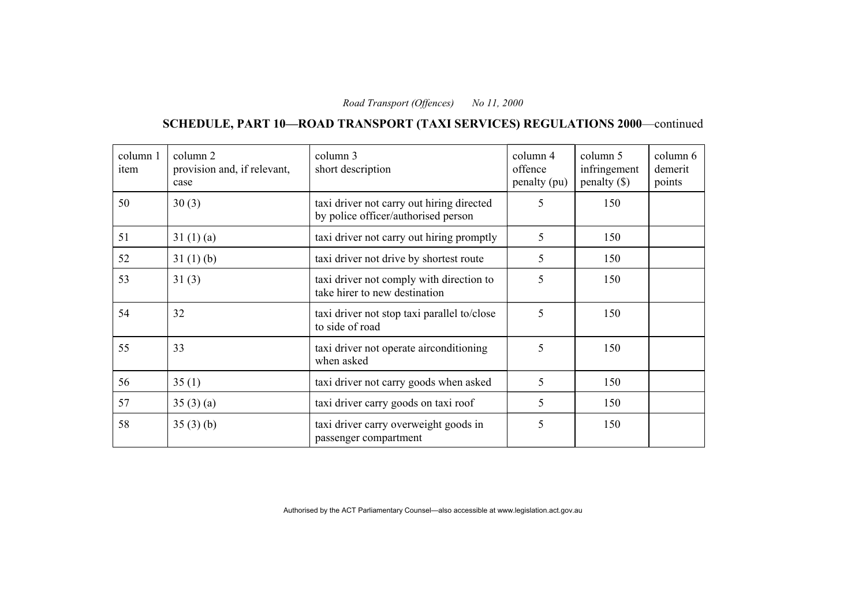# **SCHEDULE, PART 10—ROAD TRANSPORT (TAXI SERVICES) REGULATIONS 2000**—continued

| column 1<br>item | column 2<br>provision and, if relevant,<br>case | column 3<br>short description                                                    | column 4<br>offence<br>penalty (pu) | column 5<br>infringement<br>$penalty$ (\$) | column 6<br>demerit<br>points |
|------------------|-------------------------------------------------|----------------------------------------------------------------------------------|-------------------------------------|--------------------------------------------|-------------------------------|
| 50               | 30(3)                                           | taxi driver not carry out hiring directed<br>by police officer/authorised person | 5                                   | 150                                        |                               |
| 51               | 31(1)(a)                                        | taxi driver not carry out hiring promptly                                        | 5                                   | 150                                        |                               |
| 52               | 31(1)(b)                                        | taxi driver not drive by shortest route                                          | 5                                   | 150                                        |                               |
| 53               | 31(3)                                           | taxi driver not comply with direction to<br>take hirer to new destination        | 5                                   | 150                                        |                               |
| 54               | 32                                              | taxi driver not stop taxi parallel to/close<br>to side of road                   | 5                                   | 150                                        |                               |
| 55               | 33                                              | taxi driver not operate airconditioning<br>when asked                            | 5                                   | 150                                        |                               |
| 56               | 35(1)                                           | taxi driver not carry goods when asked                                           | 5                                   | 150                                        |                               |
| 57               | 35(3)(a)                                        | taxi driver carry goods on taxi roof                                             | 5                                   | 150                                        |                               |
| 58               | 35(3)(b)                                        | taxi driver carry overweight goods in<br>passenger compartment                   | 5                                   | 150                                        |                               |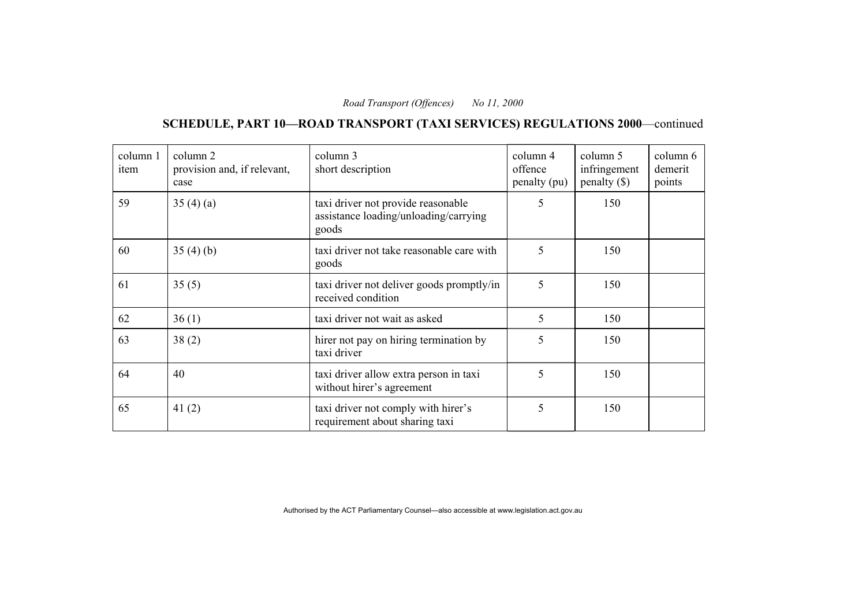# **SCHEDULE, PART 10—ROAD TRANSPORT (TAXI SERVICES) REGULATIONS 2000**—continued

| column 1<br>item | column 2<br>provision and, if relevant,<br>case | column 3<br>short description                                                        | column 4<br>offence<br>penalty (pu) | column 5<br>infringement<br>penalty $(\$)$ | column 6<br>demerit<br>points |
|------------------|-------------------------------------------------|--------------------------------------------------------------------------------------|-------------------------------------|--------------------------------------------|-------------------------------|
| 59               | 35(4)(a)                                        | taxi driver not provide reasonable<br>assistance loading/unloading/carrying<br>goods | 5                                   | 150                                        |                               |
| 60               | 35(4)(b)                                        | taxi driver not take reasonable care with<br>goods                                   | 5                                   | 150                                        |                               |
| 61               | 35(5)                                           | taxi driver not deliver goods promptly/in<br>received condition                      | 5                                   | 150                                        |                               |
| 62               | 36(1)                                           | taxi driver not wait as asked                                                        | 5                                   | 150                                        |                               |
| 63               | 38(2)                                           | hirer not pay on hiring termination by<br>taxi driver                                | 5                                   | 150                                        |                               |
| 64               | 40                                              | taxi driver allow extra person in taxi<br>without hirer's agreement                  | 5                                   | 150                                        |                               |
| 65               | 41 $(2)$                                        | taxi driver not comply with hirer's<br>requirement about sharing taxi                | 5                                   | 150                                        |                               |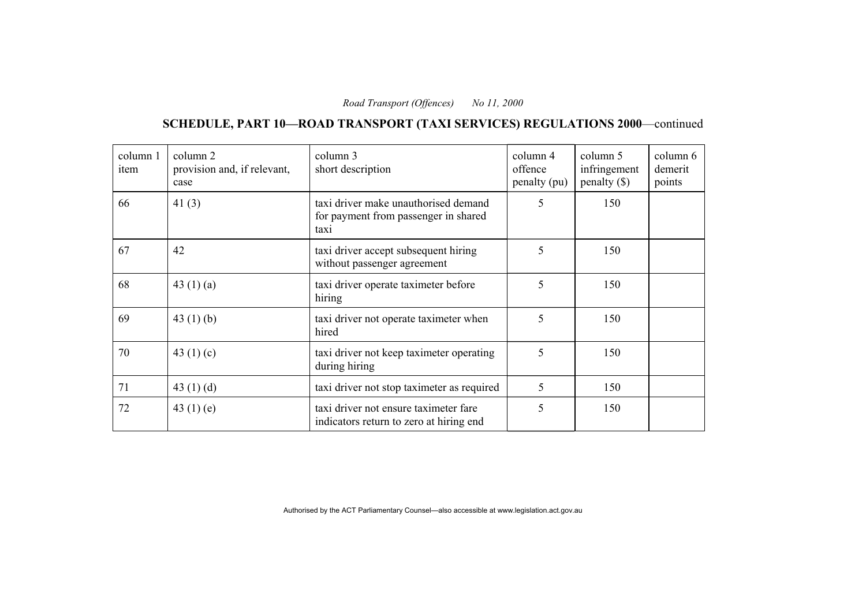# **SCHEDULE, PART 10—ROAD TRANSPORT (TAXI SERVICES) REGULATIONS 2000**—continued

| column 1<br>item | column 2<br>provision and, if relevant,<br>case | column 3<br>short description                                                        | column 4<br>offence<br>penalty (pu) | column 5<br>infringement<br>penalty $(\$)$ | column 6<br>demerit<br>points |
|------------------|-------------------------------------------------|--------------------------------------------------------------------------------------|-------------------------------------|--------------------------------------------|-------------------------------|
| 66               | 41 $(3)$                                        | taxi driver make unauthorised demand<br>for payment from passenger in shared<br>taxi | 5                                   | 150                                        |                               |
| 67               | 42                                              | taxi driver accept subsequent hiring<br>without passenger agreement                  | 5                                   | 150                                        |                               |
| 68               | 43 $(1)(a)$                                     | taxi driver operate taximeter before<br>hiring                                       | 5                                   | 150                                        |                               |
| 69               | 43 $(1)$ $(b)$                                  | taxi driver not operate taximeter when<br>hired                                      | 5                                   | 150                                        |                               |
| 70               | 43 $(1)(c)$                                     | taxi driver not keep taximeter operating<br>during hiring                            | 5                                   | 150                                        |                               |
| 71               | 43 $(1)(d)$                                     | taxi driver not stop taximeter as required                                           | 5                                   | 150                                        |                               |
| 72               | 43 $(1)$ $(e)$                                  | taxi driver not ensure taximeter fare<br>indicators return to zero at hiring end     | 5                                   | 150                                        |                               |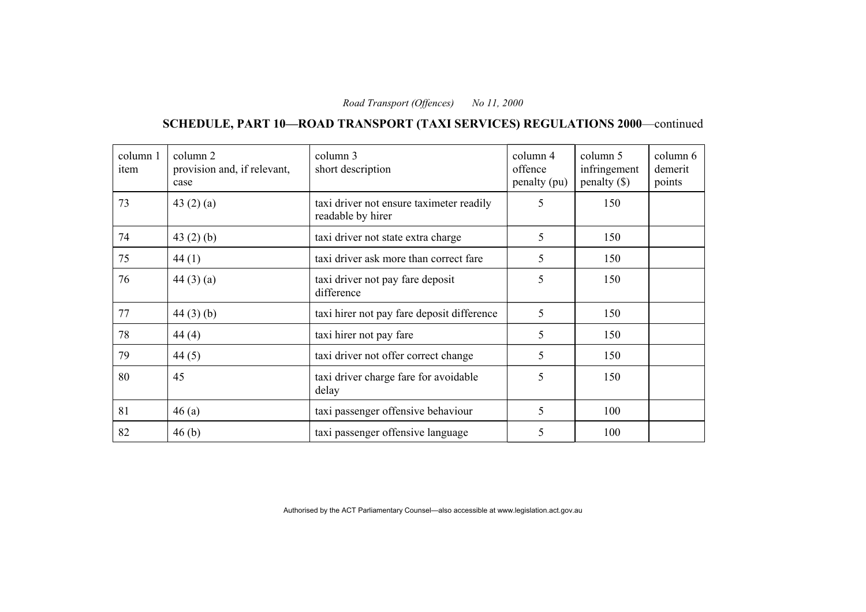# **SCHEDULE, PART 10—ROAD TRANSPORT (TAXI SERVICES) REGULATIONS 2000**—continued

| column 1<br>item | column 2<br>provision and, if relevant,<br>case | column 3<br>short description                                 | column 4<br>offence<br>penalty (pu) | column 5<br>infringement<br>$penalty$ (\$) | column 6<br>demerit<br>points |
|------------------|-------------------------------------------------|---------------------------------------------------------------|-------------------------------------|--------------------------------------------|-------------------------------|
| 73               | 43 $(2)$ $(a)$                                  | taxi driver not ensure taximeter readily<br>readable by hirer | 5                                   | 150                                        |                               |
| 74               | 43(2)(b)                                        | taxi driver not state extra charge                            | 5                                   | 150                                        |                               |
| 75               | 44(1)                                           | taxi driver ask more than correct fare                        | 5                                   | 150                                        |                               |
| 76               | 44(3)(a)                                        | taxi driver not pay fare deposit<br>difference                | 5                                   | 150                                        |                               |
| 77               | 44(3)(b)                                        | taxi hirer not pay fare deposit difference                    | 5                                   | 150                                        |                               |
| 78               | 44(4)                                           | taxi hirer not pay fare                                       | 5                                   | 150                                        |                               |
| 79               | 44(5)                                           | taxi driver not offer correct change                          | 5                                   | 150                                        |                               |
| 80               | 45                                              | taxi driver charge fare for avoidable<br>delay                | 5                                   | 150                                        |                               |
| 81               | 46(a)                                           | taxi passenger offensive behaviour                            | 5                                   | 100                                        |                               |
| 82               | 46(b)                                           | taxi passenger offensive language                             | 5                                   | 100                                        |                               |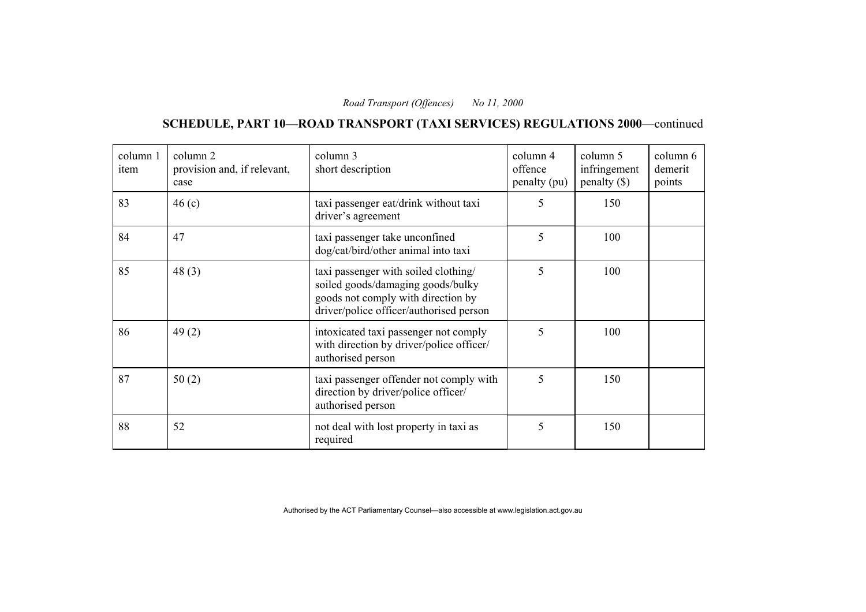# **SCHEDULE, PART 10—ROAD TRANSPORT (TAXI SERVICES) REGULATIONS 2000**—continued

| column 1<br>item | column 2<br>provision and, if relevant,<br>case | column 3<br>short description                                                                                                                              | column 4<br>offence<br>penalty (pu) | column 5<br>infringement<br>$penalty$ (\$) | column 6<br>demerit<br>points |
|------------------|-------------------------------------------------|------------------------------------------------------------------------------------------------------------------------------------------------------------|-------------------------------------|--------------------------------------------|-------------------------------|
| 83               | 46(c)                                           | taxi passenger eat/drink without taxi<br>driver's agreement                                                                                                | 5                                   | 150                                        |                               |
| 84               | 47                                              | taxi passenger take unconfined<br>dog/cat/bird/other animal into taxi                                                                                      | 5                                   | 100                                        |                               |
| 85               | 48 $(3)$                                        | taxi passenger with soiled clothing/<br>soiled goods/damaging goods/bulky<br>goods not comply with direction by<br>driver/police officer/authorised person | 5                                   | 100                                        |                               |
| 86               | 49(2)                                           | intoxicated taxi passenger not comply<br>with direction by driver/police officer/<br>authorised person                                                     | 5                                   | 100                                        |                               |
| 87               | 50(2)                                           | taxi passenger offender not comply with<br>direction by driver/police officer/<br>authorised person                                                        | 5                                   | 150                                        |                               |
| 88               | 52                                              | not deal with lost property in taxi as<br>required                                                                                                         | 5                                   | 150                                        |                               |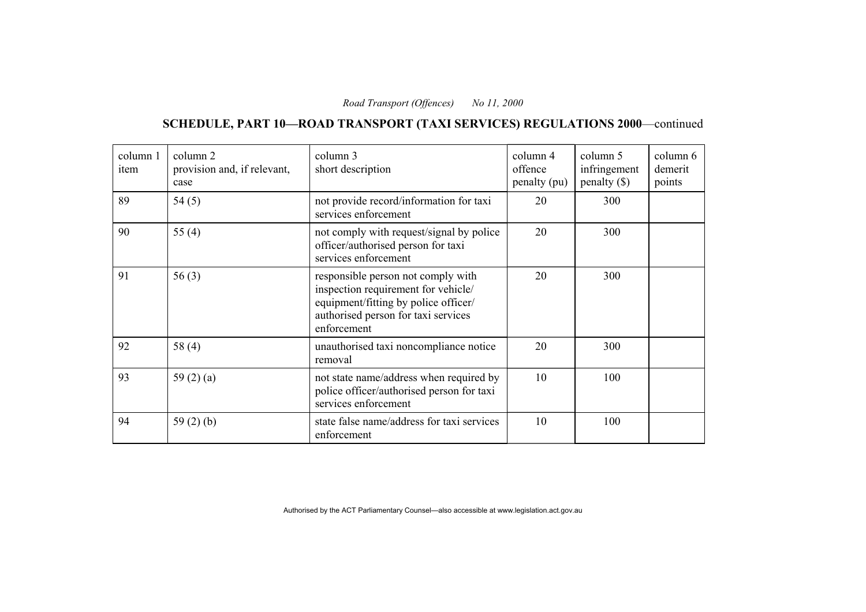# **SCHEDULE, PART 10—ROAD TRANSPORT (TAXI SERVICES) REGULATIONS 2000**—continued

| column 1<br>item | column 2<br>provision and, if relevant,<br>case | column 3<br>short description                                                                                                                                           | column 4<br>offence<br>penalty (pu) | column 5<br>infringement<br>$penalty$ (\$) | column 6<br>demerit<br>points |
|------------------|-------------------------------------------------|-------------------------------------------------------------------------------------------------------------------------------------------------------------------------|-------------------------------------|--------------------------------------------|-------------------------------|
| 89               | 54(5)                                           | not provide record/information for taxi<br>services enforcement                                                                                                         | 20                                  | 300                                        |                               |
| 90               | 55 $(4)$                                        | not comply with request/signal by police<br>officer/authorised person for taxi<br>services enforcement                                                                  | 20                                  | 300                                        |                               |
| 91               | 56(3)                                           | responsible person not comply with<br>inspection requirement for vehicle/<br>equipment/fitting by police officer/<br>authorised person for taxi services<br>enforcement | 20                                  | 300                                        |                               |
| 92               | 58 $(4)$                                        | unauthorised taxi noncompliance notice<br>removal                                                                                                                       | 20                                  | 300                                        |                               |
| 93               | 59 $(2)$ $(a)$                                  | not state name/address when required by<br>police officer/authorised person for taxi<br>services enforcement                                                            | 10                                  | 100                                        |                               |
| 94               | 59 $(2)$ $(b)$                                  | state false name/address for taxi services<br>enforcement                                                                                                               | 10                                  | 100                                        |                               |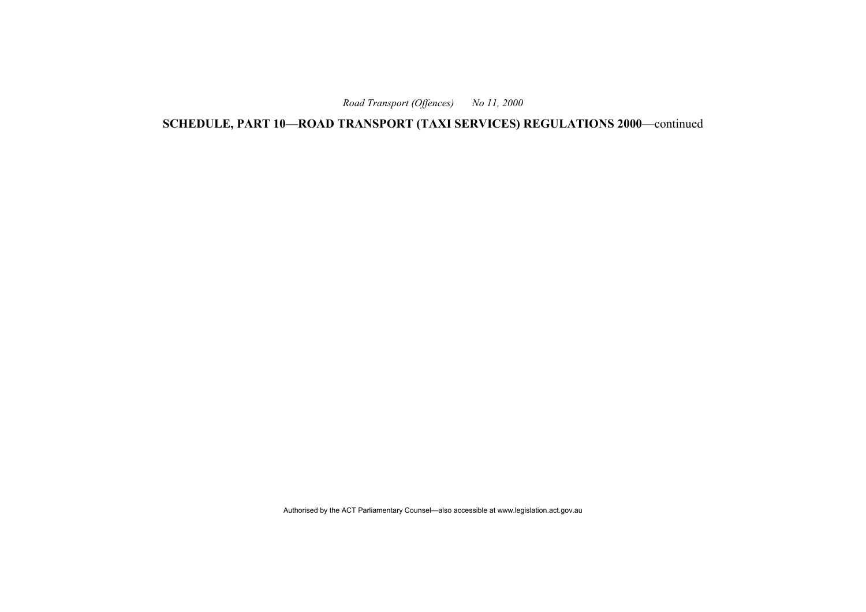**SCHEDULE, PART 10—ROAD TRANSPORT (TAXI SERVICES) REGULATIONS 2000**—continued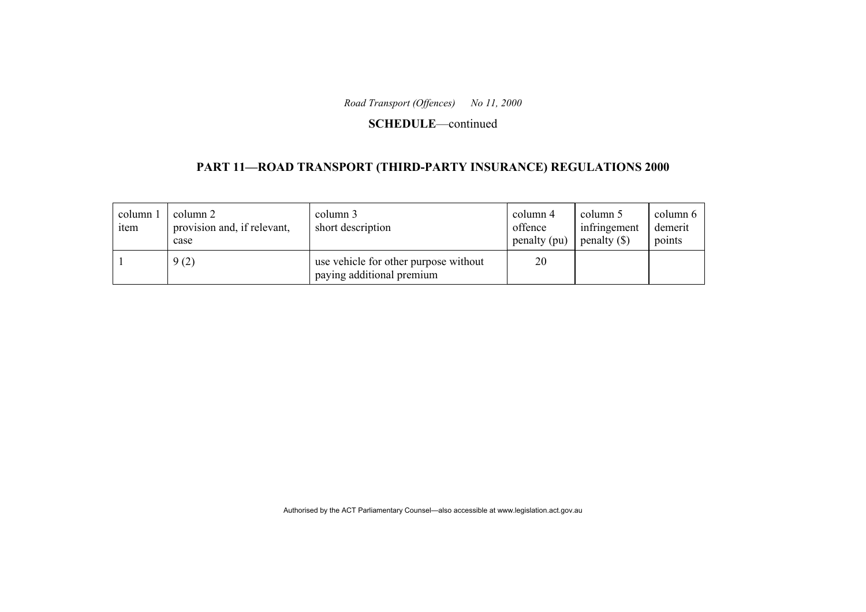#### **SCHEDULE**—continued

### **PART 11—ROAD TRANSPORT (THIRD-PARTY INSURANCE) REGULATIONS 2000**

| column 1<br>item | column 2<br>provision and, if relevant,<br>case | column 3<br>short description                                      | column 4<br>offence<br>penalty (pu) | column 5<br>infringement<br>penalty $(\$)$ | column 6<br>demerit<br>points |
|------------------|-------------------------------------------------|--------------------------------------------------------------------|-------------------------------------|--------------------------------------------|-------------------------------|
|                  | 9(2)                                            | use vehicle for other purpose without<br>paying additional premium | 20                                  |                                            |                               |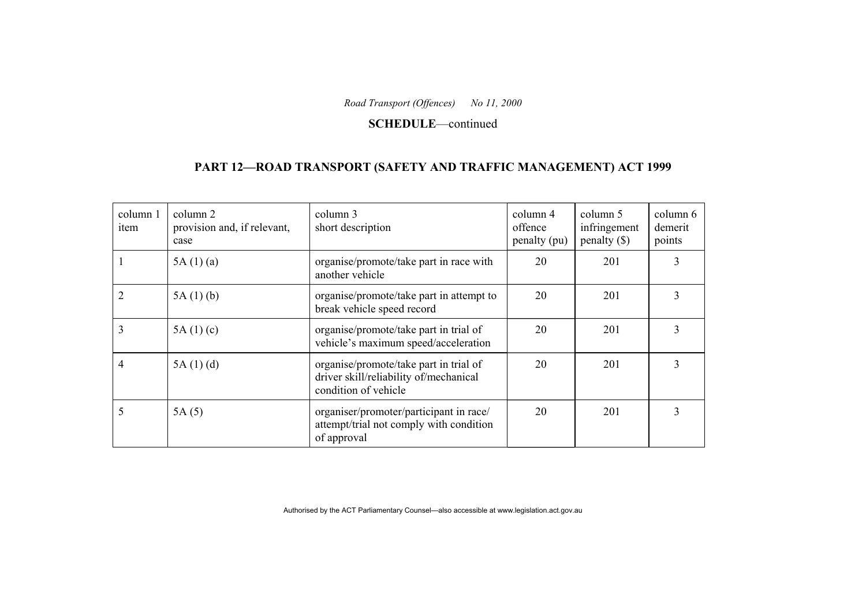#### **SCHEDULE**—continued

### **PART 12—ROAD TRANSPORT (SAFETY AND TRAFFIC MANAGEMENT) ACT 1999**

| column 1<br>item | column 2<br>provision and, if relevant,<br>case | column 3<br>short description                                                                            | column 4<br>offence<br>penalty (pu) | column 5<br>infringement<br>$penalty$ (\$) | column 6<br>demerit<br>points |
|------------------|-------------------------------------------------|----------------------------------------------------------------------------------------------------------|-------------------------------------|--------------------------------------------|-------------------------------|
|                  | 5A(1)(a)                                        | organise/promote/take part in race with<br>another vehicle                                               | 20                                  | 201                                        | 3                             |
|                  | 5A(1)(b)                                        | organise/promote/take part in attempt to<br>break vehicle speed record                                   | 20                                  | 201                                        | 3                             |
| 3                | 5A $(1)(c)$                                     | organise/promote/take part in trial of<br>vehicle's maximum speed/acceleration                           | 20                                  | 201                                        | 3                             |
| 4                | 5A(1)(d)                                        | organise/promote/take part in trial of<br>driver skill/reliability of/mechanical<br>condition of vehicle | 20                                  | 201                                        | 3                             |
| 5                | 5A(5)                                           | organiser/promoter/participant in race/<br>attempt/trial not comply with condition<br>of approval        | 20                                  | 201                                        | 3                             |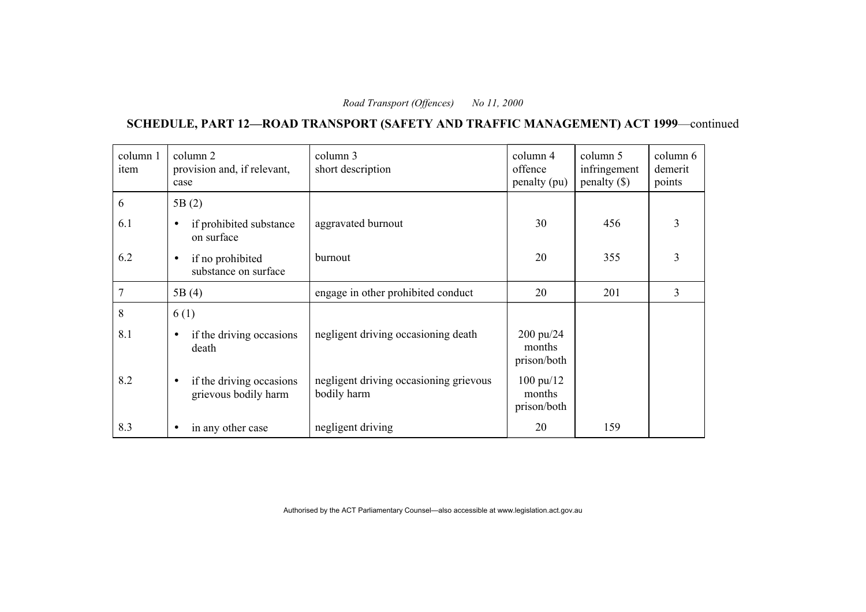# **SCHEDULE, PART 12—ROAD TRANSPORT (SAFETY AND TRAFFIC MANAGEMENT) ACT 1999**—continued

| column 1<br>item | column 2<br>provision and, if relevant,<br>case               | column 3<br>short description                         | column 4<br>offence<br>penalty (pu)          | column 5<br>infringement<br>$penalty$ (\$) | column 6<br>demerit<br>points |
|------------------|---------------------------------------------------------------|-------------------------------------------------------|----------------------------------------------|--------------------------------------------|-------------------------------|
| 6                | 5B(2)                                                         |                                                       |                                              |                                            |                               |
| 6.1              | if prohibited substance<br>$\bullet$<br>on surface            | aggravated burnout                                    | 30                                           | 456                                        | 3                             |
| 6.2              | if no prohibited<br>$\bullet$<br>substance on surface         | burnout                                               | 20                                           | 355                                        | 3                             |
| 7                | 5B(4)                                                         | engage in other prohibited conduct                    | 20                                           | 201                                        | 3                             |
| 8                | 6(1)                                                          |                                                       |                                              |                                            |                               |
| 8.1              | if the driving occasions<br>$\bullet$<br>death                | negligent driving occasioning death                   | $200 \text{ pu}/24$<br>months<br>prison/both |                                            |                               |
| 8.2              | if the driving occasions<br>$\bullet$<br>grievous bodily harm | negligent driving occasioning grievous<br>bodily harm | $100 \text{ pu}/12$<br>months<br>prison/both |                                            |                               |
| 8.3              | in any other case                                             | negligent driving                                     | 20                                           | 159                                        |                               |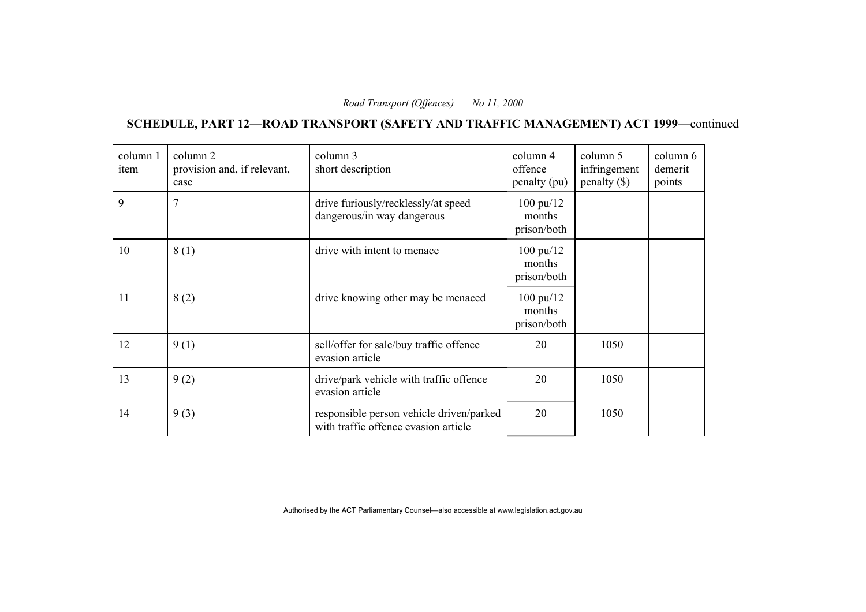# **SCHEDULE, PART 12—ROAD TRANSPORT (SAFETY AND TRAFFIC MANAGEMENT) ACT 1999**—continued

| column 1<br>item | column 2<br>provision and, if relevant,<br>case | column 3<br>short description                                                    | column 4<br>offence<br>penalty (pu)          | column 5<br>infringement<br>$penalty$ (\$) | column 6<br>demerit<br>points |
|------------------|-------------------------------------------------|----------------------------------------------------------------------------------|----------------------------------------------|--------------------------------------------|-------------------------------|
| 9                | 7                                               | drive furiously/recklessly/at speed<br>dangerous/in way dangerous                | 100 pu/12<br>months<br>prison/both           |                                            |                               |
| 10               | 8(1)                                            | drive with intent to menace                                                      | 100 pu/12<br>months<br>prison/both           |                                            |                               |
| 11               | 8(2)                                            | drive knowing other may be menaced                                               | $100 \text{ pu}/12$<br>months<br>prison/both |                                            |                               |
| 12               | 9(1)                                            | sell/offer for sale/buy traffic offence<br>evasion article                       | 20                                           | 1050                                       |                               |
| 13               | 9(2)                                            | drive/park vehicle with traffic offence<br>evasion article                       | 20                                           | 1050                                       |                               |
| 14               | 9(3)                                            | responsible person vehicle driven/parked<br>with traffic offence evasion article | 20                                           | 1050                                       |                               |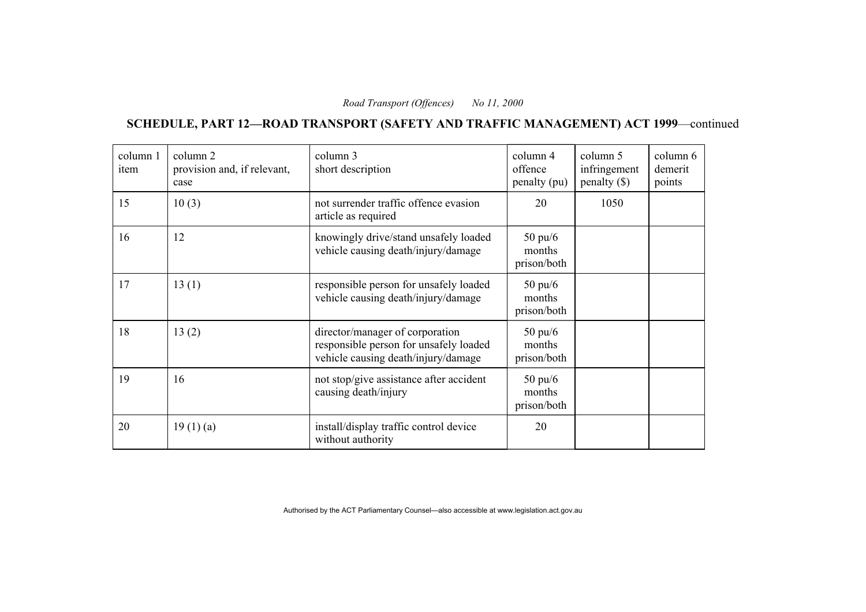**SCHEDULE, PART 12—ROAD TRANSPORT (SAFETY AND TRAFFIC MANAGEMENT) ACT 1999**—continued

| column 1<br>item | column 2<br>provision and, if relevant,<br>case | column 3<br>short description                                                                                    | column 4<br>offence<br>penalty (pu)        | column 5<br>infringement<br>$penalty$ (\$) | column 6<br>demerit<br>points |
|------------------|-------------------------------------------------|------------------------------------------------------------------------------------------------------------------|--------------------------------------------|--------------------------------------------|-------------------------------|
| 15               | 10(3)                                           | not surrender traffic offence evasion<br>article as required                                                     | 20                                         | 1050                                       |                               |
| 16               | 12                                              | knowingly drive/stand unsafely loaded<br>vehicle causing death/injury/damage                                     | $50 \text{ pu}/6$<br>months<br>prison/both |                                            |                               |
| 17               | 13(1)                                           | responsible person for unsafely loaded<br>vehicle causing death/injury/damage                                    | $50 \text{ pu}/6$<br>months<br>prison/both |                                            |                               |
| 18               | 13(2)                                           | director/manager of corporation<br>responsible person for unsafely loaded<br>vehicle causing death/injury/damage | $50 \text{ pu}/6$<br>months<br>prison/both |                                            |                               |
| 19               | 16                                              | not stop/give assistance after accident<br>causing death/injury                                                  | $50 \text{ pu}/6$<br>months<br>prison/both |                                            |                               |
| 20               | 19(1)(a)                                        | install/display traffic control device<br>without authority                                                      | 20                                         |                                            |                               |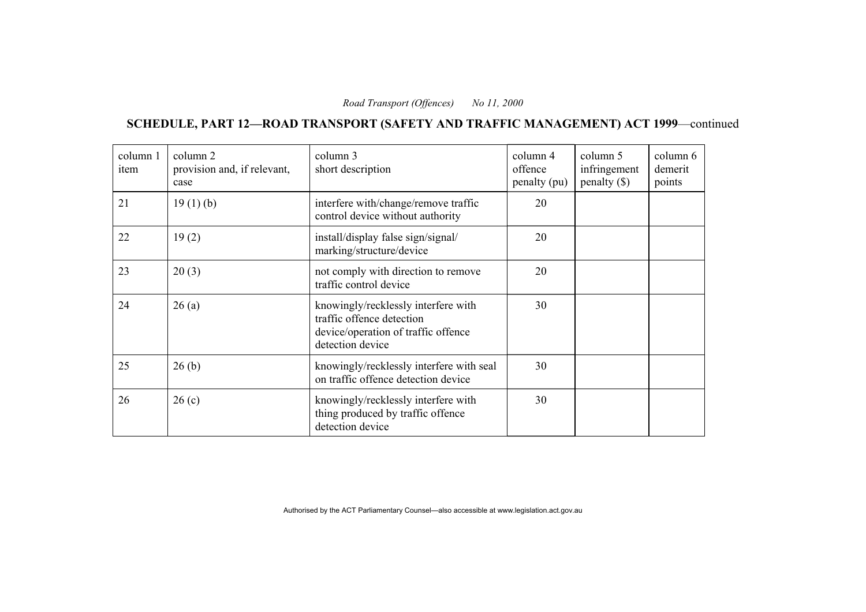**SCHEDULE, PART 12—ROAD TRANSPORT (SAFETY AND TRAFFIC MANAGEMENT) ACT 1999**—continued

| column 1<br>item | column 2<br>provision and, if relevant,<br>case | column 3<br>short description                                                                                               | column 4<br>offence<br>penalty (pu) | column 5<br>infringement<br>$penalty$ (\$) | column 6<br>demerit<br>points |
|------------------|-------------------------------------------------|-----------------------------------------------------------------------------------------------------------------------------|-------------------------------------|--------------------------------------------|-------------------------------|
| 21               | 19(1)(b)                                        | interfere with/change/remove traffic<br>control device without authority                                                    | 20                                  |                                            |                               |
| 22               | 19(2)                                           | install/display false sign/signal/<br>marking/structure/device                                                              | 20                                  |                                            |                               |
| 23               | 20(3)                                           | not comply with direction to remove<br>traffic control device                                                               | 20                                  |                                            |                               |
| 24               | 26(a)                                           | knowingly/recklessly interfere with<br>traffic offence detection<br>device/operation of traffic offence<br>detection device | 30                                  |                                            |                               |
| 25               | 26(b)                                           | knowingly/recklessly interfere with seal<br>on traffic offence detection device                                             | 30                                  |                                            |                               |
| 26               | 26(c)                                           | knowingly/recklessly interfere with<br>thing produced by traffic offence<br>detection device                                | 30                                  |                                            |                               |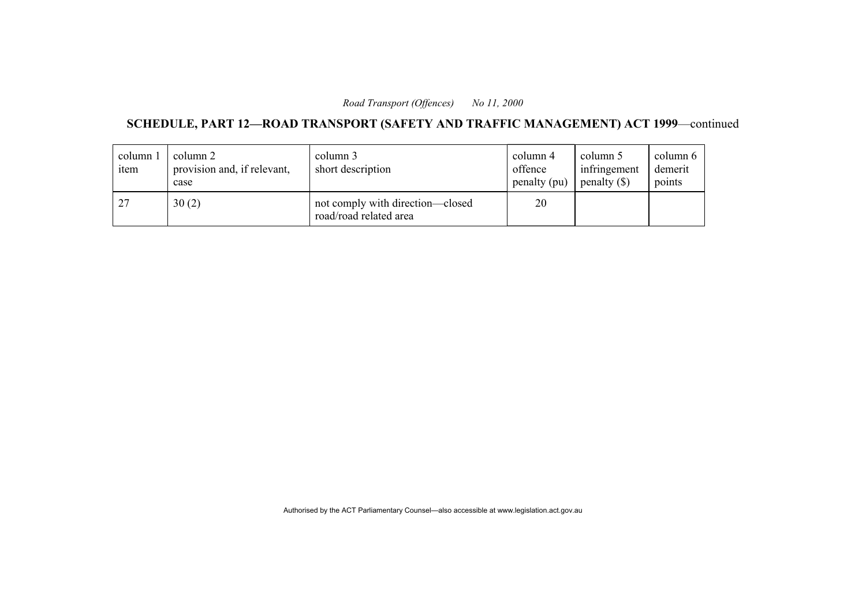# **SCHEDULE, PART 12—ROAD TRANSPORT (SAFETY AND TRAFFIC MANAGEMENT) ACT 1999**—continued

| column 1<br>item | column 2<br>provision and, if relevant,<br>case | column 3<br>short description                              | column 4<br>offence<br>penalty (pu) | column 5<br>infringement<br>penalty $(S)$ | column 6<br>demerit<br>points |
|------------------|-------------------------------------------------|------------------------------------------------------------|-------------------------------------|-------------------------------------------|-------------------------------|
| 27               | 30(2)                                           | not comply with direction-closed<br>road/road related area | 20                                  |                                           |                               |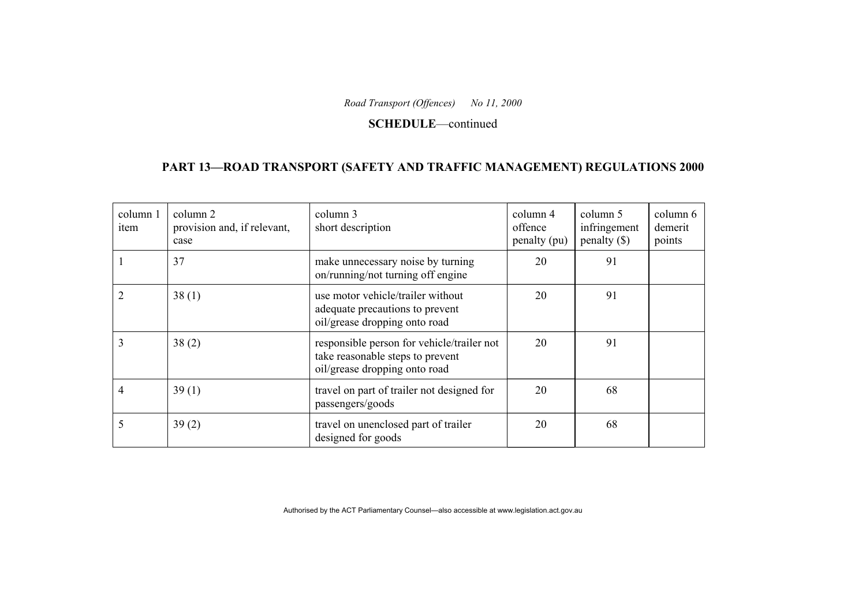#### **SCHEDULE**—continued

### **PART 13—ROAD TRANSPORT (SAFETY AND TRAFFIC MANAGEMENT) REGULATIONS 2000**

| column 1<br>item | column 2<br>provision and, if relevant,<br>case | column 3<br>short description                                                                                   | column 4<br>offence<br>penalty (pu) | column 5<br>infringement<br>$penalty$ (\$) | column 6<br>demerit<br>points |
|------------------|-------------------------------------------------|-----------------------------------------------------------------------------------------------------------------|-------------------------------------|--------------------------------------------|-------------------------------|
|                  | 37                                              | make unnecessary noise by turning<br>on/running/not turning off engine                                          | 20                                  | 91                                         |                               |
|                  | 38(1)                                           | use motor vehicle/trailer without<br>adequate precautions to prevent<br>oil/grease dropping onto road           | 20                                  | 91                                         |                               |
| 3                | 38(2)                                           | responsible person for vehicle/trailer not<br>take reasonable steps to prevent<br>oil/grease dropping onto road | 20                                  | 91                                         |                               |
| 4                | 39(1)                                           | travel on part of trailer not designed for<br>passengers/goods                                                  | 20                                  | 68                                         |                               |
| 5                | 39(2)                                           | travel on unenclosed part of trailer<br>designed for goods                                                      | 20                                  | 68                                         |                               |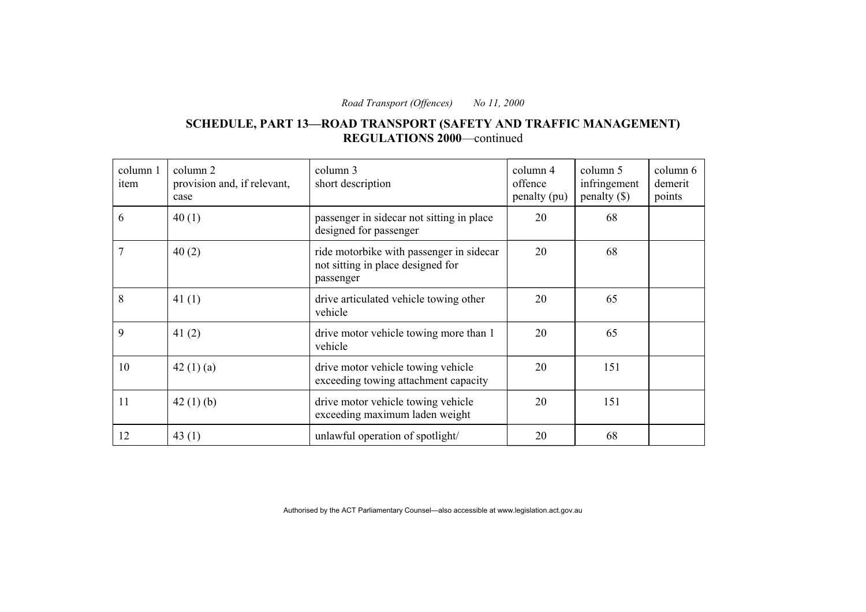### **SCHEDULE, PART 13—ROAD TRANSPORT (SAFETY AND TRAFFIC MANAGEMENT) REGULATIONS 2000**—continued

| column 1<br>item | column 2<br>provision and, if relevant,<br>case | column 3<br>short description                                                              | column 4<br>offence<br>penalty (pu) | column 5<br>infringement<br>$penalty$ (\$) | column 6<br>demerit<br>points |
|------------------|-------------------------------------------------|--------------------------------------------------------------------------------------------|-------------------------------------|--------------------------------------------|-------------------------------|
| 6                | 40(1)                                           | passenger in sidecar not sitting in place<br>designed for passenger                        | 20                                  | 68                                         |                               |
| 7                | 40(2)                                           | ride motorbike with passenger in sidecar<br>not sitting in place designed for<br>passenger | 20                                  | 68                                         |                               |
| 8                | 41 $(1)$                                        | drive articulated vehicle towing other<br>vehicle                                          | 20                                  | 65                                         |                               |
| 9                | 41 $(2)$                                        | drive motor vehicle towing more than 1<br>vehicle                                          | 20                                  | 65                                         |                               |
| 10               | 42 $(1)$ $(a)$                                  | drive motor vehicle towing vehicle<br>exceeding towing attachment capacity                 | 20                                  | 151                                        |                               |
| 11               | 42 $(1)$ $(b)$                                  | drive motor vehicle towing vehicle<br>exceeding maximum laden weight                       | 20                                  | 151                                        |                               |
| 12               | 43(1)                                           | unlawful operation of spotlight/                                                           | 20                                  | 68                                         |                               |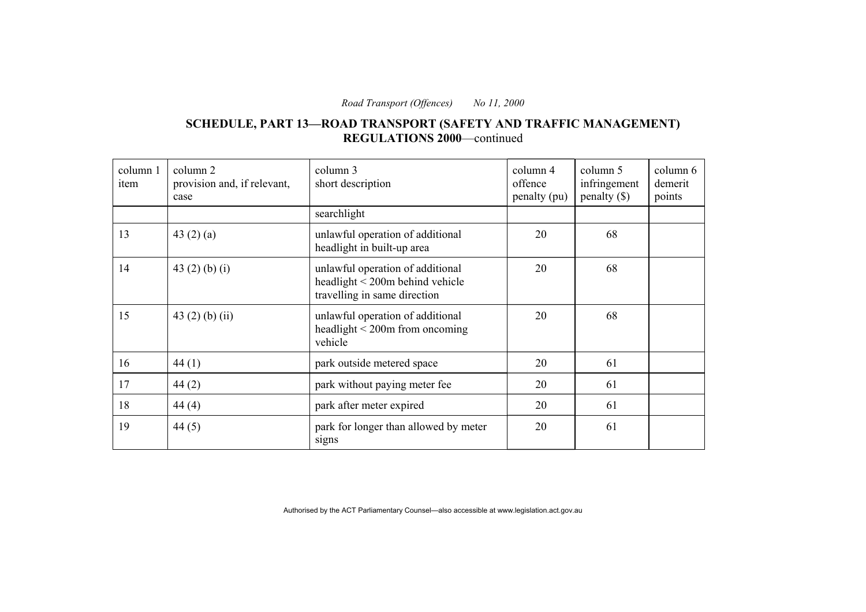### **SCHEDULE, PART 13—ROAD TRANSPORT (SAFETY AND TRAFFIC MANAGEMENT) REGULATIONS 2000**—continued

| column 1<br>item | column 2<br>provision and, if relevant,<br>case | column 3<br>short description                                                                            | column 4<br>offence<br>penalty (pu) | column 5<br>infringement<br>$penalty$ (\$) | column 6<br>demerit<br>points |
|------------------|-------------------------------------------------|----------------------------------------------------------------------------------------------------------|-------------------------------------|--------------------------------------------|-------------------------------|
|                  |                                                 | searchlight                                                                                              |                                     |                                            |                               |
| 13               | 43 $(2)$ $(a)$                                  | unlawful operation of additional<br>headlight in built-up area                                           | 20                                  | 68                                         |                               |
| 14               | 43 $(2)$ $(b)$ $(i)$                            | unlawful operation of additional<br>headlight $\leq$ 200m behind vehicle<br>travelling in same direction | 20                                  | 68                                         |                               |
| 15               | 43 $(2)$ $(b)$ $(ii)$                           | unlawful operation of additional<br>headlight $\leq$ 200m from oncoming<br>vehicle                       | 20                                  | 68                                         |                               |
| 16               | 44(1)                                           | park outside metered space                                                                               | 20                                  | 61                                         |                               |
| 17               | 44(2)                                           | park without paying meter fee                                                                            | 20                                  | 61                                         |                               |
| 18               | 44(4)                                           | park after meter expired                                                                                 | 20                                  | 61                                         |                               |
| 19               | 44 $(5)$                                        | park for longer than allowed by meter<br>signs                                                           | 20                                  | 61                                         |                               |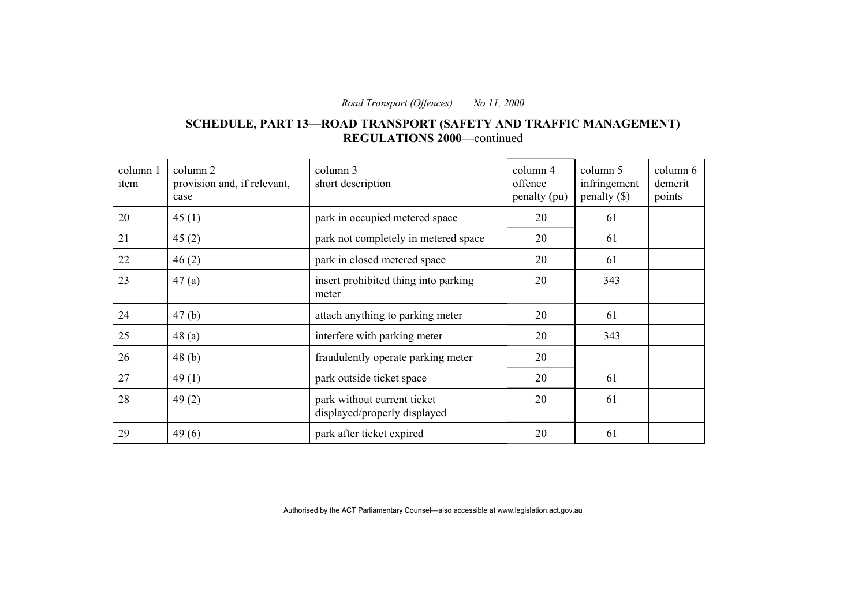### **SCHEDULE, PART 13—ROAD TRANSPORT (SAFETY AND TRAFFIC MANAGEMENT) REGULATIONS 2000**—continued

| column 1<br>item | column 2<br>provision and, if relevant,<br>case | column 3<br>short description                               | column 4<br>offence<br>penalty (pu) | column 5<br>infringement<br>$penalty$ (\$) | column 6<br>demerit<br>points |
|------------------|-------------------------------------------------|-------------------------------------------------------------|-------------------------------------|--------------------------------------------|-------------------------------|
| 20               | 45(1)                                           | park in occupied metered space                              | 20                                  | 61                                         |                               |
| 21               | 45(2)                                           | park not completely in metered space                        | 20                                  | 61                                         |                               |
| 22               | 46(2)                                           | park in closed metered space                                | 20                                  | 61                                         |                               |
| 23               | 47(a)                                           | insert prohibited thing into parking<br>meter               | 20                                  | 343                                        |                               |
| 24               | 47(b)                                           | attach anything to parking meter                            | 20                                  | 61                                         |                               |
| 25               | 48(a)                                           | interfere with parking meter                                | 20                                  | 343                                        |                               |
| 26               | 48(b)                                           | fraudulently operate parking meter                          | 20                                  |                                            |                               |
| 27               | 49(1)                                           | park outside ticket space                                   | 20                                  | 61                                         |                               |
| 28               | 49(2)                                           | park without current ticket<br>displayed/properly displayed | 20                                  | 61                                         |                               |
| 29               | 49(6)                                           | park after ticket expired                                   | 20                                  | 61                                         |                               |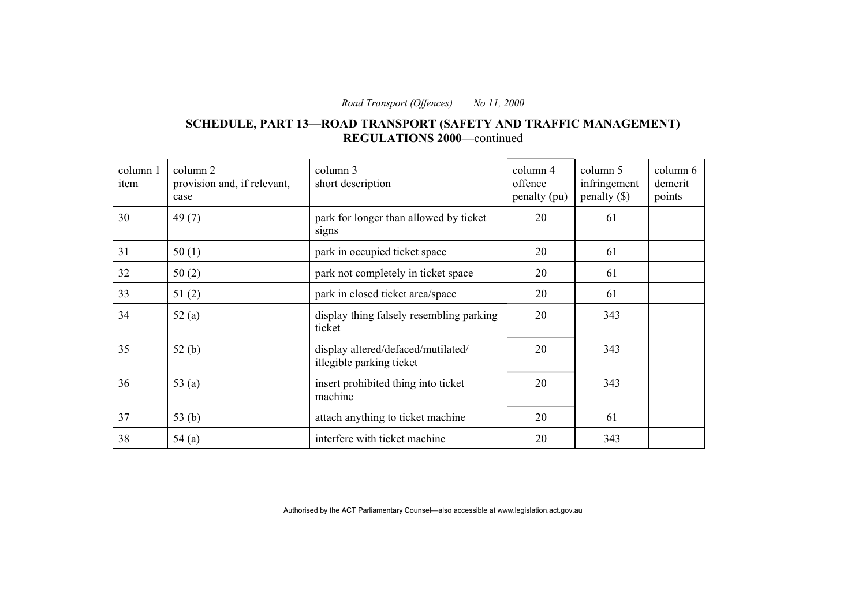### **SCHEDULE, PART 13—ROAD TRANSPORT (SAFETY AND TRAFFIC MANAGEMENT) REGULATIONS 2000**—continued

| column 1<br>item | column 2<br>provision and, if relevant,<br>case | column 3<br>short description                                  | column 4<br>offence<br>penalty (pu) | column 5<br>infringement<br>penalty $(\$)$ | column 6<br>demerit<br>points |
|------------------|-------------------------------------------------|----------------------------------------------------------------|-------------------------------------|--------------------------------------------|-------------------------------|
| 30               | 49(7)                                           | park for longer than allowed by ticket<br>signs                | 20                                  | 61                                         |                               |
| 31               | 50(1)                                           | park in occupied ticket space                                  | 20                                  | 61                                         |                               |
| 32               | 50(2)                                           | park not completely in ticket space                            | 20                                  | 61                                         |                               |
| 33               | 51(2)                                           | park in closed ticket area/space                               | 20                                  | 61                                         |                               |
| 34               | 52(a)                                           | display thing falsely resembling parking<br>ticket             | 20                                  | 343                                        |                               |
| 35               | 52(b)                                           | display altered/defaced/mutilated/<br>illegible parking ticket | 20                                  | 343                                        |                               |
| 36               | 53 $(a)$                                        | insert prohibited thing into ticket<br>machine                 | 20                                  | 343                                        |                               |
| 37               | 53 <sub>(b)</sub>                               | attach anything to ticket machine                              | 20                                  | 61                                         |                               |
| 38               | 54(a)                                           | interfere with ticket machine                                  | 20                                  | 343                                        |                               |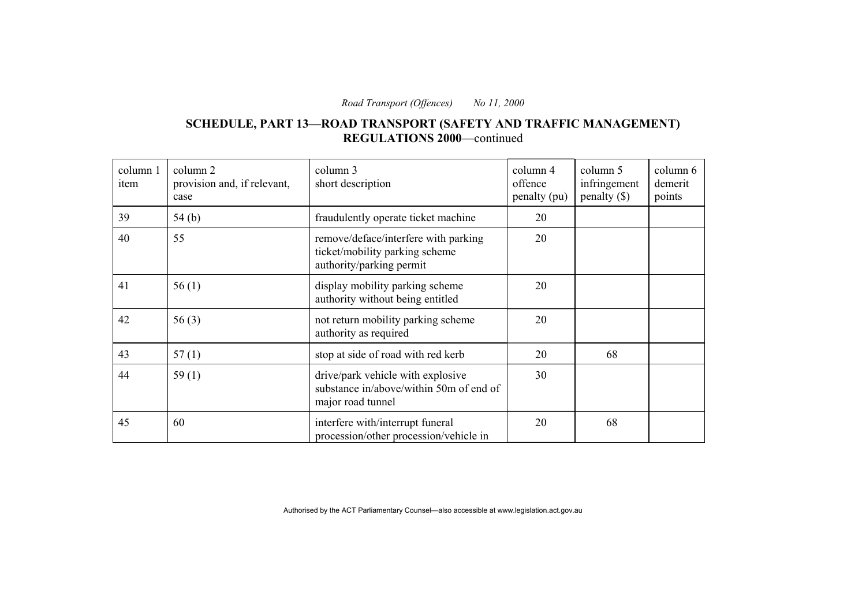### **SCHEDULE, PART 13—ROAD TRANSPORT (SAFETY AND TRAFFIC MANAGEMENT) REGULATIONS 2000**—continued

| column 1<br>item | column 2<br>provision and, if relevant,<br>case | column 3<br>short description                                                                      | column 4<br>offence<br>penalty (pu) | column 5<br>infringement<br>penalty $(\$)$ | column 6<br>demerit<br>points |
|------------------|-------------------------------------------------|----------------------------------------------------------------------------------------------------|-------------------------------------|--------------------------------------------|-------------------------------|
| 39               | 54(b)                                           | fraudulently operate ticket machine                                                                | 20                                  |                                            |                               |
| 40               | 55                                              | remove/deface/interfere with parking<br>ticket/mobility parking scheme<br>authority/parking permit | 20                                  |                                            |                               |
| 41               | 56(1)                                           | display mobility parking scheme<br>authority without being entitled                                | 20                                  |                                            |                               |
| 42               | 56(3)                                           | not return mobility parking scheme<br>authority as required                                        | 20                                  |                                            |                               |
| 43               | 57(1)                                           | stop at side of road with red kerb                                                                 | 20                                  | 68                                         |                               |
| 44               | 59(1)                                           | drive/park vehicle with explosive<br>substance in/above/within 50m of end of<br>major road tunnel  | 30                                  |                                            |                               |
| 45               | 60                                              | interfere with/interrupt funeral<br>procession/other procession/vehicle in                         | 20                                  | 68                                         |                               |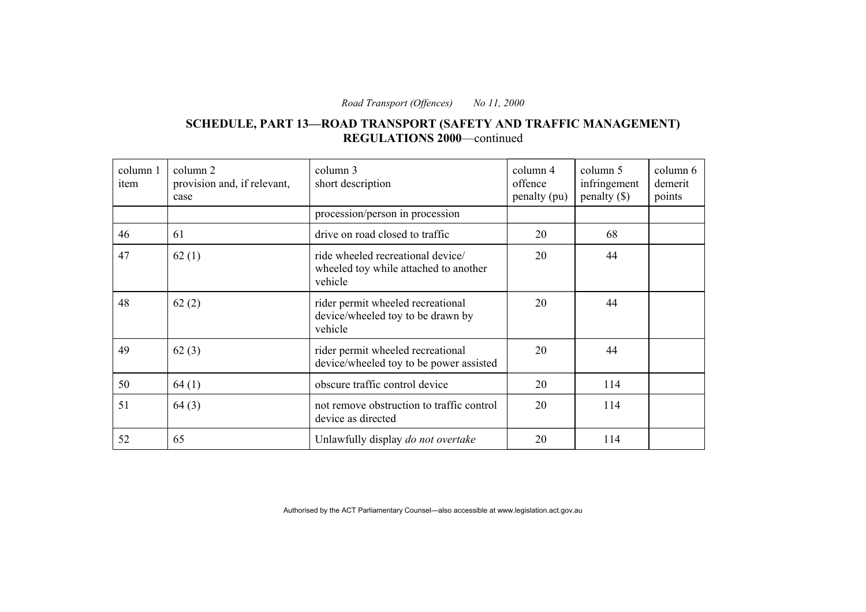### **SCHEDULE, PART 13—ROAD TRANSPORT (SAFETY AND TRAFFIC MANAGEMENT) REGULATIONS 2000**—continued

| column 1<br>item | column 2<br>provision and, if relevant,<br>case | column 3<br>short description                                                         | column 4<br>offence<br>penalty (pu) | column 5<br>infringement<br>$penalty$ (\$) | column 6<br>demerit<br>points |
|------------------|-------------------------------------------------|---------------------------------------------------------------------------------------|-------------------------------------|--------------------------------------------|-------------------------------|
|                  |                                                 | procession/person in procession                                                       |                                     |                                            |                               |
| 46               | 61                                              | drive on road closed to traffic                                                       | 20                                  | 68                                         |                               |
| 47               | 62(1)                                           | ride wheeled recreational device/<br>wheeled toy while attached to another<br>vehicle | 20                                  | 44                                         |                               |
| 48               | 62(2)                                           | rider permit wheeled recreational<br>device/wheeled toy to be drawn by<br>vehicle     | 20                                  | 44                                         |                               |
| 49               | 62(3)                                           | rider permit wheeled recreational<br>device/wheeled toy to be power assisted          | 20                                  | 44                                         |                               |
| 50               | 64(1)                                           | obscure traffic control device                                                        | 20                                  | 114                                        |                               |
| 51               | 64(3)                                           | not remove obstruction to traffic control<br>device as directed                       | 20                                  | 114                                        |                               |
| 52               | 65                                              | Unlawfully display do not overtake                                                    | 20                                  | 114                                        |                               |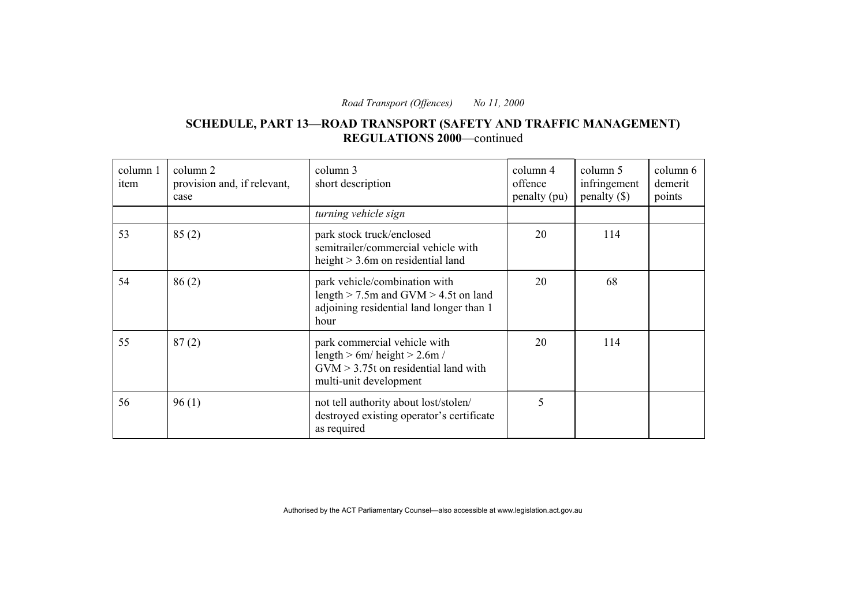### **SCHEDULE, PART 13—ROAD TRANSPORT (SAFETY AND TRAFFIC MANAGEMENT) REGULATIONS 2000**—continued

| column 1<br>item | column 2<br>provision and, if relevant,<br>case | column 3<br>short description                                                                                                        | column 4<br>offence<br>penalty (pu) | column 5<br>infringement<br>$penalty$ (\$) | column 6<br>demerit<br>points |
|------------------|-------------------------------------------------|--------------------------------------------------------------------------------------------------------------------------------------|-------------------------------------|--------------------------------------------|-------------------------------|
|                  |                                                 | turning vehicle sign                                                                                                                 |                                     |                                            |                               |
| 53               | 85(2)                                           | park stock truck/enclosed<br>semitrailer/commercial vehicle with<br>height $> 3.6$ m on residential land                             | 20                                  | 114                                        |                               |
| 54               | 86(2)                                           | park vehicle/combination with<br>length $>$ 7.5m and GVM $>$ 4.5t on land<br>adjoining residential land longer than 1<br>hour        | 20                                  | 68                                         |                               |
| 55               | 87(2)                                           | park commercial vehicle with<br>length $> 6m/h$ eight $> 2.6m/h$<br>$GVM > 3.75t$ on residential land with<br>multi-unit development | 20                                  | 114                                        |                               |
| 56               | 96(1)                                           | not tell authority about lost/stolen/<br>destroyed existing operator's certificate<br>as required                                    | 5                                   |                                            |                               |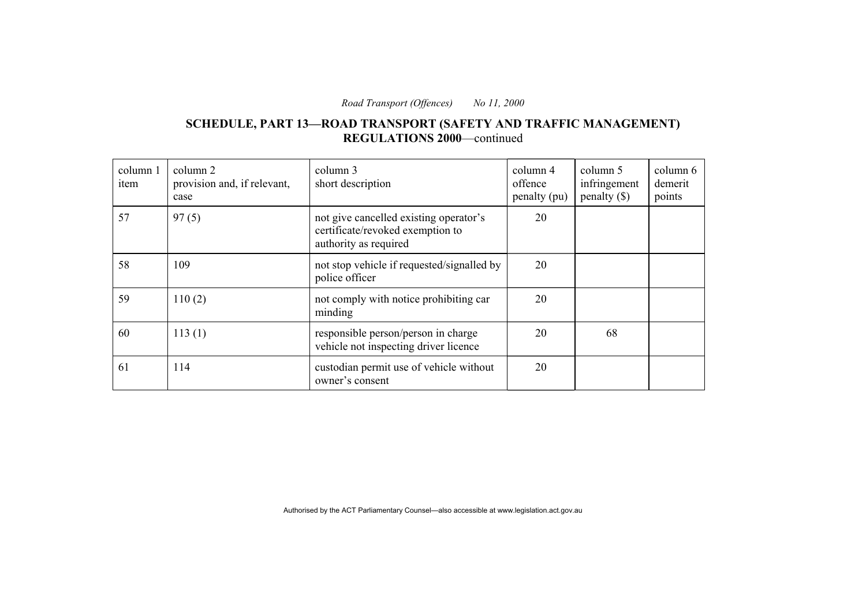### **SCHEDULE, PART 13—ROAD TRANSPORT (SAFETY AND TRAFFIC MANAGEMENT) REGULATIONS 2000**—continued

| column 1<br>item | column 2<br>provision and, if relevant,<br>case | column 3<br>short description                                                                       | column 4<br>offence<br>penalty (pu) | column 5<br>infringement<br>penalty $(\$)$ | column 6<br>demerit<br>points |
|------------------|-------------------------------------------------|-----------------------------------------------------------------------------------------------------|-------------------------------------|--------------------------------------------|-------------------------------|
| 57               | 97(5)                                           | not give cancelled existing operator's<br>certificate/revoked exemption to<br>authority as required | 20                                  |                                            |                               |
| 58               | 109                                             | not stop vehicle if requested/signalled by<br>police officer                                        | 20                                  |                                            |                               |
| 59               | 110(2)                                          | not comply with notice prohibiting car<br>minding                                                   | 20                                  |                                            |                               |
| 60               | 113(1)                                          | responsible person/person in charge<br>vehicle not inspecting driver licence                        | 20                                  | 68                                         |                               |
| 61               | 114                                             | custodian permit use of vehicle without<br>owner's consent                                          | 20                                  |                                            |                               |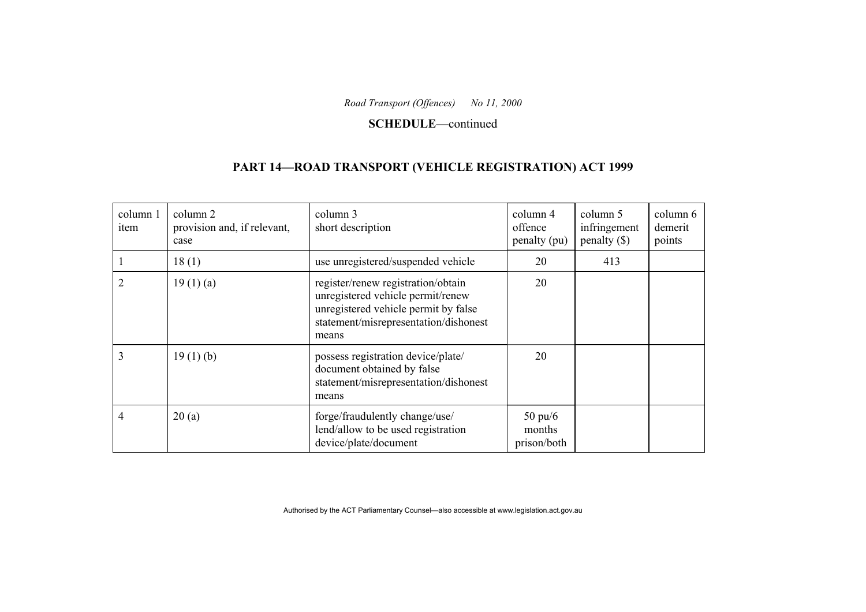#### **SCHEDULE**—continued

# **PART 14—ROAD TRANSPORT (VEHICLE REGISTRATION) ACT 1999**

| column 1<br>item | column 2<br>provision and, if relevant,<br>case | column 3<br>short description                                                                                                                                     | column 4<br>offence<br>penalty (pu)        | column 5<br>infringement<br>$penalty$ (\$) | column 6<br>demerit<br>points |
|------------------|-------------------------------------------------|-------------------------------------------------------------------------------------------------------------------------------------------------------------------|--------------------------------------------|--------------------------------------------|-------------------------------|
|                  | 18(1)                                           | use unregistered/suspended vehicle                                                                                                                                | 20                                         | 413                                        |                               |
| 2                | 19(1)(a)                                        | register/renew registration/obtain<br>unregistered vehicle permit/renew<br>unregistered vehicle permit by false<br>statement/misrepresentation/dishonest<br>means | 20                                         |                                            |                               |
| 3                | 19(1)(b)                                        | possess registration device/plate/<br>document obtained by false<br>statement/misrepresentation/dishonest<br>means                                                | 20                                         |                                            |                               |
| 4                | 20(a)                                           | forge/fraudulently change/use/<br>lend/allow to be used registration<br>device/plate/document                                                                     | $50 \text{ pu}/6$<br>months<br>prison/both |                                            |                               |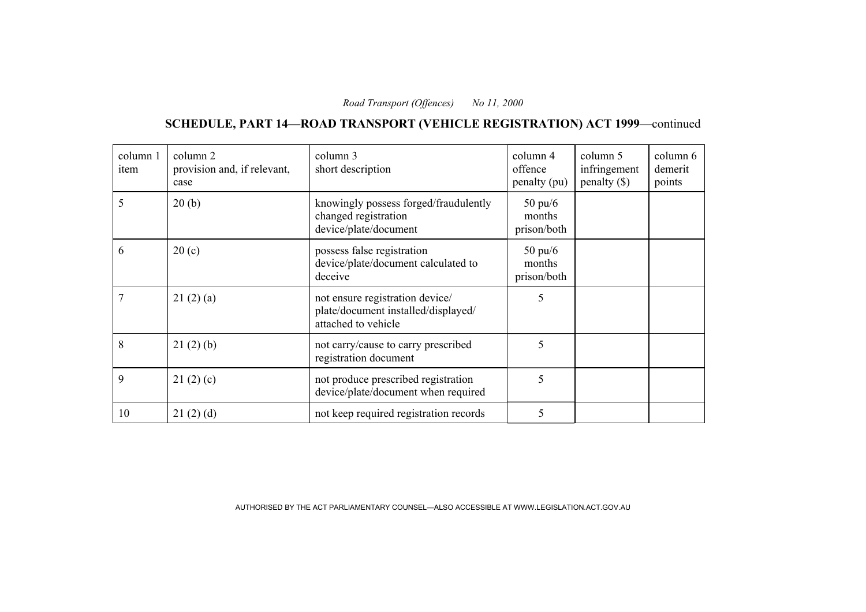# **SCHEDULE, PART 14—ROAD TRANSPORT (VEHICLE REGISTRATION) ACT 1999**—continued

| column 1<br>item | column 2<br>provision and, if relevant,<br>case | column 3<br>short description                                                                 | column 4<br>offence<br>penalty (pu)        | column 5<br>infringement<br>penalty $(\$)$ | column 6<br>demerit<br>points |
|------------------|-------------------------------------------------|-----------------------------------------------------------------------------------------------|--------------------------------------------|--------------------------------------------|-------------------------------|
| 5                | 20(b)                                           | knowingly possess forged/fraudulently<br>changed registration<br>device/plate/document        | $50 \text{ pu}/6$<br>months<br>prison/both |                                            |                               |
| 6                | 20(c)                                           | possess false registration<br>device/plate/document calculated to<br>deceive                  | $50 \text{ pu}/6$<br>months<br>prison/both |                                            |                               |
|                  | 21(2)(a)                                        | not ensure registration device/<br>plate/document installed/displayed/<br>attached to vehicle | 5                                          |                                            |                               |
| 8                | 21(2)(b)                                        | not carry/cause to carry prescribed<br>registration document                                  | 5                                          |                                            |                               |
| 9                | 21(2)(c)                                        | not produce prescribed registration<br>device/plate/document when required                    | 5                                          |                                            |                               |
| 10               | 21(2)(d)                                        | not keep required registration records                                                        | 5                                          |                                            |                               |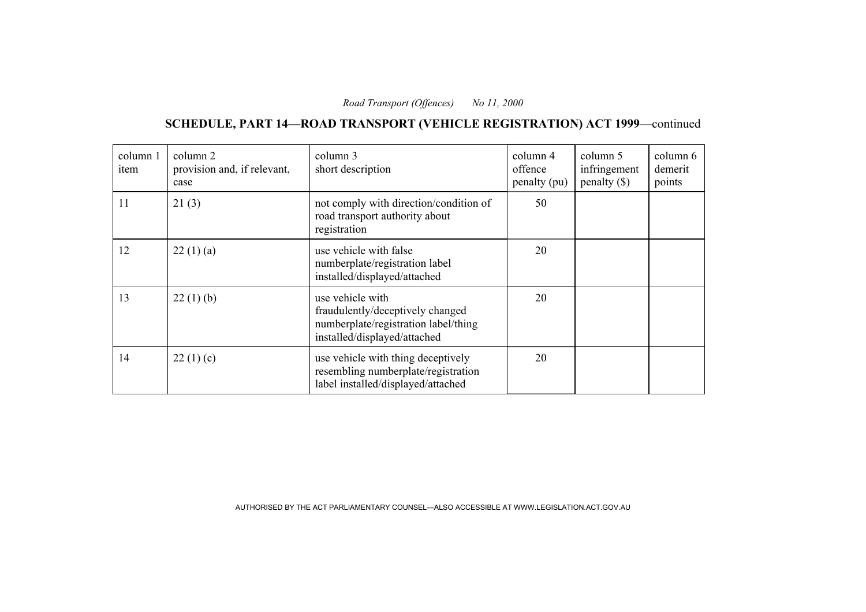# **SCHEDULE, PART 14—ROAD TRANSPORT (VEHICLE REGISTRATION) ACT 1999**—continued

| column 1<br>item | column 2<br>provision and, if relevant,<br>case | column 3<br>short description                                                                                                | column 4<br>offence<br>penalty (pu) | column 5<br>infringement<br>penalty $(\$)$ | column 6<br>demerit<br>points |
|------------------|-------------------------------------------------|------------------------------------------------------------------------------------------------------------------------------|-------------------------------------|--------------------------------------------|-------------------------------|
| 11               | 21(3)                                           | not comply with direction/condition of<br>road transport authority about<br>registration                                     | 50                                  |                                            |                               |
| 12               | 22(1)(a)                                        | use vehicle with false<br>numberplate/registration label<br>installed/displayed/attached                                     | 20                                  |                                            |                               |
| 13               | 22(1)(b)                                        | use vehicle with<br>fraudulently/deceptively changed<br>numberplate/registration label/thing<br>installed/displayed/attached | 20                                  |                                            |                               |
| 14               | 22(1)(c)                                        | use vehicle with thing deceptively<br>resembling numberplate/registration<br>label installed/displayed/attached              | 20                                  |                                            |                               |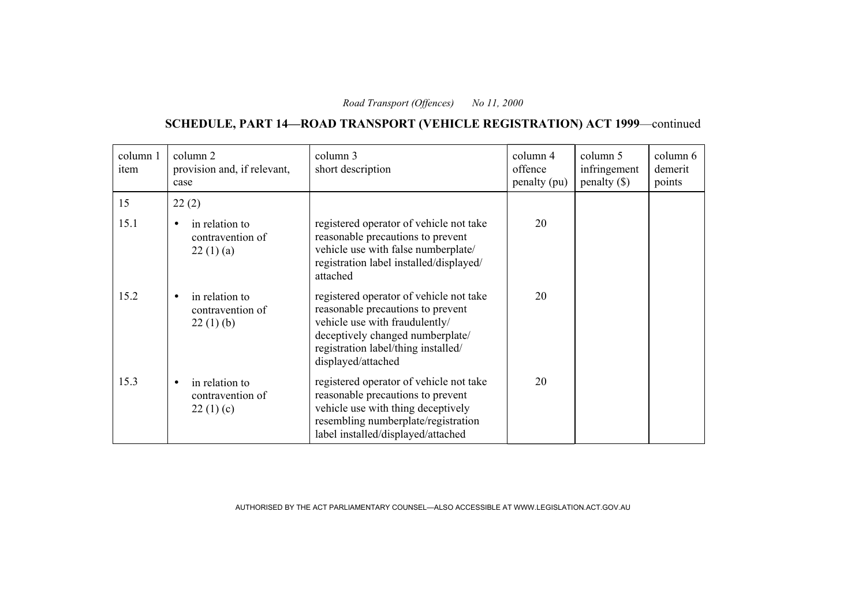# **SCHEDULE, PART 14—ROAD TRANSPORT (VEHICLE REGISTRATION) ACT 1999**—continued

| column 1<br>item | column 2<br>provision and, if relevant,<br>case             | column 3<br>short description                                                                                                                                                                                   | column 4<br>offence<br>penalty (pu) | column 5<br>infringement<br>penalty $(\$)$ | column 6<br>demerit<br>points |
|------------------|-------------------------------------------------------------|-----------------------------------------------------------------------------------------------------------------------------------------------------------------------------------------------------------------|-------------------------------------|--------------------------------------------|-------------------------------|
| 15               | 22(2)                                                       |                                                                                                                                                                                                                 |                                     |                                            |                               |
| 15.1             | in relation to<br>contravention of<br>22(1)(a)              | registered operator of vehicle not take<br>reasonable precautions to prevent<br>vehicle use with false numberplate/<br>registration label installed/displayed/<br>attached                                      | 20                                  |                                            |                               |
| 15.2             | in relation to<br>$\bullet$<br>contravention of<br>22(1)(b) | registered operator of vehicle not take<br>reasonable precautions to prevent<br>vehicle use with fraudulently/<br>deceptively changed numberplate/<br>registration label/thing installed/<br>displayed/attached | 20                                  |                                            |                               |
| 15.3             | in relation to<br>contravention of<br>22(1)(c)              | registered operator of vehicle not take<br>reasonable precautions to prevent<br>vehicle use with thing deceptively<br>resembling numberplate/registration<br>label installed/displayed/attached                 | 20                                  |                                            |                               |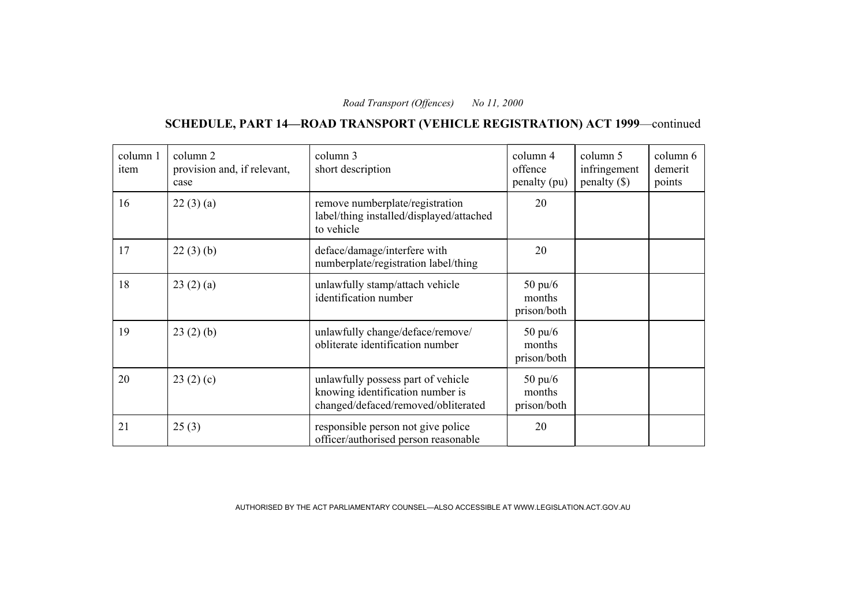# **SCHEDULE, PART 14—ROAD TRANSPORT (VEHICLE REGISTRATION) ACT 1999**—continued

| column 1<br>item | column 2<br>provision and, if relevant,<br>case | column 3<br>short description                                                                                 | column 4<br>offence<br>penalty (pu)        | column 5<br>infringement<br>penalty () | column 6<br>demerit<br>points |
|------------------|-------------------------------------------------|---------------------------------------------------------------------------------------------------------------|--------------------------------------------|----------------------------------------|-------------------------------|
| 16               | 22(3)(a)                                        | remove numberplate/registration<br>label/thing installed/displayed/attached<br>to vehicle                     | 20                                         |                                        |                               |
| 17               | 22(3)(b)                                        | deface/damage/interfere with<br>numberplate/registration label/thing                                          | 20                                         |                                        |                               |
| 18               | 23(2)(a)                                        | unlawfully stamp/attach vehicle<br>identification number                                                      | $50 \text{ pu}/6$<br>months<br>prison/both |                                        |                               |
| 19               | 23(2)(b)                                        | unlawfully change/deface/remove/<br>obliterate identification number                                          | $50 \text{ pu}/6$<br>months<br>prison/both |                                        |                               |
| 20               | 23(2)(c)                                        | unlawfully possess part of vehicle<br>knowing identification number is<br>changed/defaced/removed/obliterated | $50 \text{ pu}/6$<br>months<br>prison/both |                                        |                               |
| 21               | 25(3)                                           | responsible person not give police<br>officer/authorised person reasonable                                    | 20                                         |                                        |                               |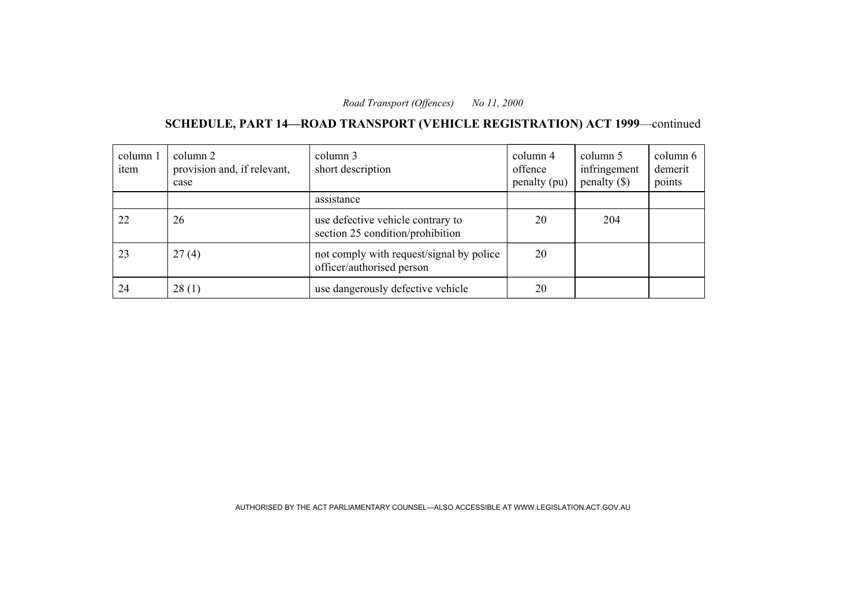**SCHEDULE, PART 14—ROAD TRANSPORT (VEHICLE REGISTRATION) ACT 1999**—continued

| column 1<br>item | column 2<br>provision and, if relevant,<br>case | column 3<br>short description                                         | column 4<br>offence<br>penalty (pu) | column 5<br>infringement<br>penalty $(\$)$ | column 6<br>demerit<br>points |
|------------------|-------------------------------------------------|-----------------------------------------------------------------------|-------------------------------------|--------------------------------------------|-------------------------------|
|                  |                                                 | assistance                                                            |                                     |                                            |                               |
| 22               | 26                                              | use defective vehicle contrary to<br>section 25 condition/prohibition | 20                                  | 204                                        |                               |
| 23               | 27(4)                                           | not comply with request/signal by police<br>officer/authorised person | 20                                  |                                            |                               |
| 24               | 28(1)                                           | use dangerously defective vehicle                                     | 20                                  |                                            |                               |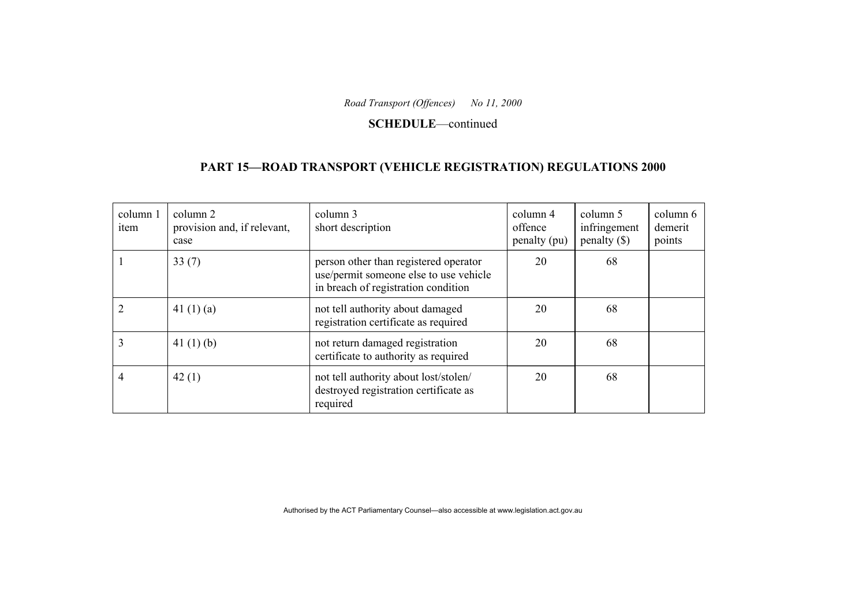#### **SCHEDULE**—continued

# **PART 15—ROAD TRANSPORT (VEHICLE REGISTRATION) REGULATIONS 2000**

| column 1<br>item | column 2<br>provision and, if relevant,<br>case | column 3<br>short description                                                                                          | column 4<br>offence<br>penalty (pu) | column 5<br>infringement<br>$penalty$ (\$) | column 6<br>demerit<br>points |
|------------------|-------------------------------------------------|------------------------------------------------------------------------------------------------------------------------|-------------------------------------|--------------------------------------------|-------------------------------|
|                  | 33(7)                                           | person other than registered operator<br>use/permit someone else to use vehicle<br>in breach of registration condition | 20                                  | 68                                         |                               |
|                  | 41 $(1)(a)$                                     | not tell authority about damaged<br>registration certificate as required                                               | 20                                  | 68                                         |                               |
| 3                | 41 $(1)$ $(b)$                                  | not return damaged registration<br>certificate to authority as required                                                | 20                                  | 68                                         |                               |
| 4                | 42(1)                                           | not tell authority about lost/stolen/<br>destroyed registration certificate as<br>required                             | 20                                  | 68                                         |                               |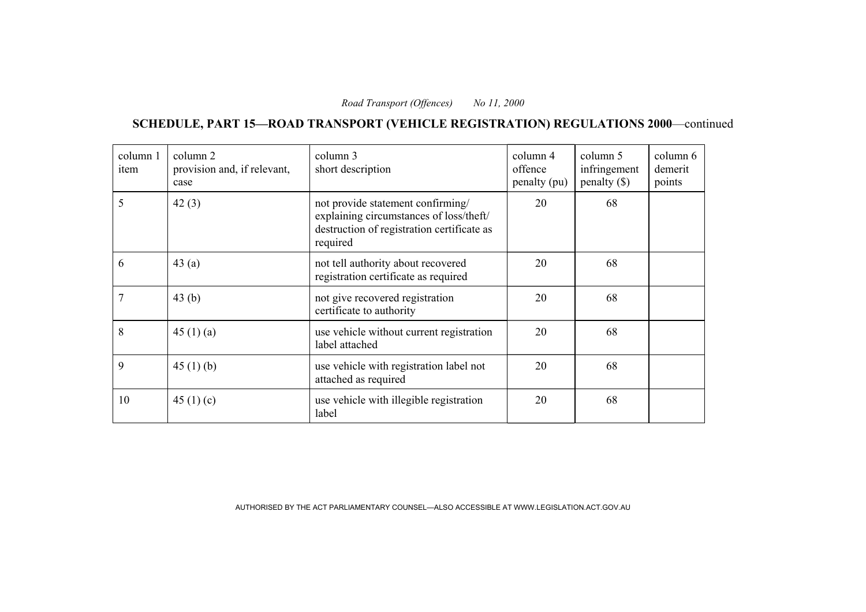**SCHEDULE, PART 15—ROAD TRANSPORT (VEHICLE REGISTRATION) REGULATIONS 2000**—continued

| column 1<br>item | column 2<br>provision and, if relevant,<br>case | column 3<br>short description                                                                                                          | column 4<br>offence<br>penalty (pu) | column 5<br>infringement<br>$penalty$ (\$) | column 6<br>demerit<br>points |
|------------------|-------------------------------------------------|----------------------------------------------------------------------------------------------------------------------------------------|-------------------------------------|--------------------------------------------|-------------------------------|
| 5                | 42(3)                                           | not provide statement confirming/<br>explaining circumstances of loss/theft/<br>destruction of registration certificate as<br>required | 20                                  | 68                                         |                               |
| 6                | 43(a)                                           | not tell authority about recovered<br>registration certificate as required                                                             | 20                                  | 68                                         |                               |
|                  | 43 $(b)$                                        | not give recovered registration<br>certificate to authority                                                                            | 20                                  | 68                                         |                               |
| 8                | 45 $(1)$ $(a)$                                  | use vehicle without current registration<br>label attached                                                                             | 20                                  | 68                                         |                               |
| 9                | 45 $(1)$ $(b)$                                  | use vehicle with registration label not<br>attached as required                                                                        | 20                                  | 68                                         |                               |
| 10               | 45 $(1)(c)$                                     | use vehicle with illegible registration<br>label                                                                                       | 20                                  | 68                                         |                               |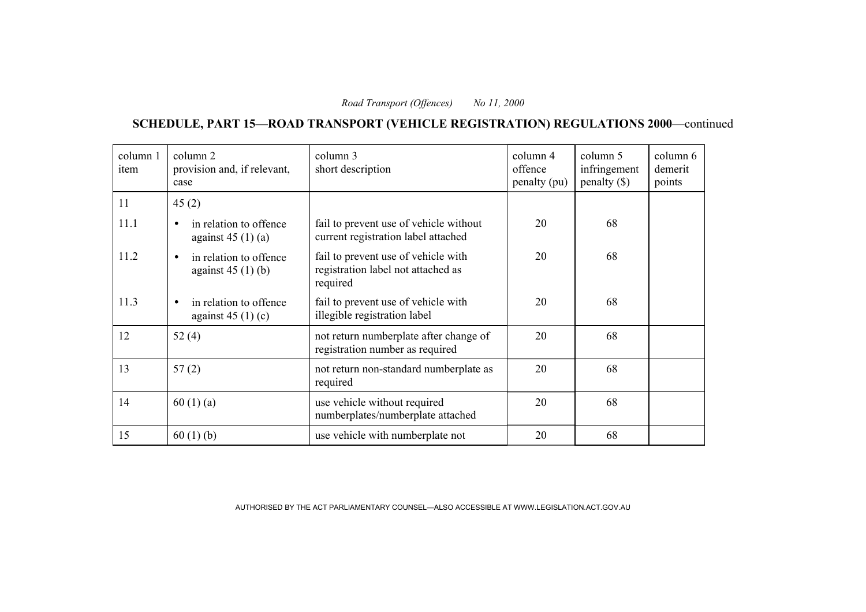**SCHEDULE, PART 15—ROAD TRANSPORT (VEHICLE REGISTRATION) REGULATIONS 2000**—continued

| column 1<br>item | column 2<br>provision and, if relevant,<br>case           | column 3<br>short description                                                         | column 4<br>offence<br>penalty (pu) | column 5<br>infringement<br>penalty () | column 6<br>demerit<br>points |
|------------------|-----------------------------------------------------------|---------------------------------------------------------------------------------------|-------------------------------------|----------------------------------------|-------------------------------|
| 11               | 45(2)                                                     |                                                                                       |                                     |                                        |                               |
| 11.1             | in relation to offence<br>$\bullet$<br>against $45(1)(a)$ | fail to prevent use of vehicle without<br>current registration label attached         | 20                                  | 68                                     |                               |
| 11.2             | in relation to offence<br>$\bullet$<br>against $45(1)(b)$ | fail to prevent use of vehicle with<br>registration label not attached as<br>required | 20                                  | 68                                     |                               |
| 11.3             | in relation to offence<br>$\bullet$<br>against $45(1)(c)$ | fail to prevent use of vehicle with<br>illegible registration label                   | 20                                  | 68                                     |                               |
| 12               | 52(4)                                                     | not return numberplate after change of<br>registration number as required             | 20                                  | 68                                     |                               |
| 13               | 57(2)                                                     | not return non-standard numberplate as<br>required                                    | 20                                  | 68                                     |                               |
| 14               | 60(1)(a)                                                  | use vehicle without required<br>numberplates/numberplate attached                     | 20                                  | 68                                     |                               |
| 15               | 60(1)(b)                                                  | use vehicle with numberplate not                                                      | 20                                  | 68                                     |                               |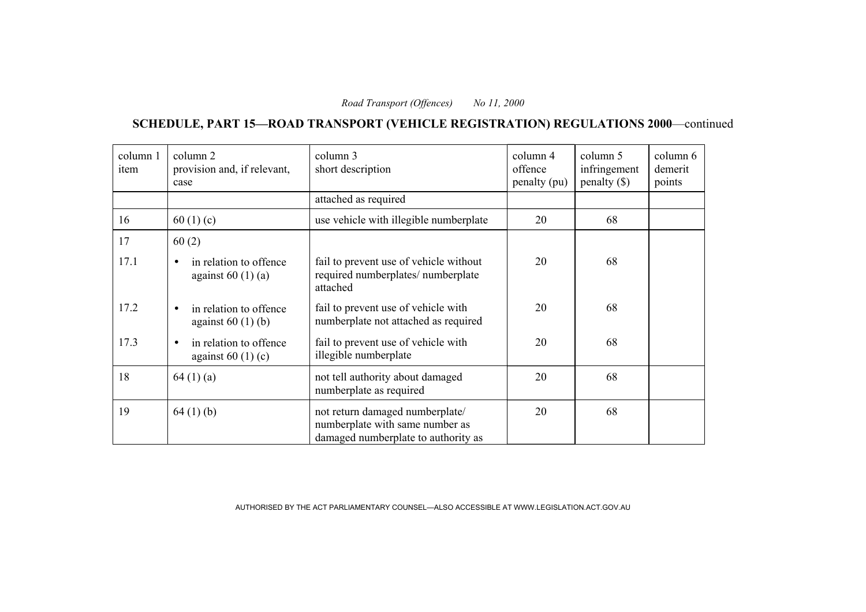**SCHEDULE, PART 15—ROAD TRANSPORT (VEHICLE REGISTRATION) REGULATIONS 2000**—continued

| column 1<br>item | column 2<br>provision and, if relevant,<br>case | column 3<br>short description                                                                             | column 4<br>offence<br>penalty (pu) | column 5<br>infringement<br>$penalty$ (\$) | column 6<br>demerit<br>points |
|------------------|-------------------------------------------------|-----------------------------------------------------------------------------------------------------------|-------------------------------------|--------------------------------------------|-------------------------------|
|                  |                                                 | attached as required                                                                                      |                                     |                                            |                               |
| 16               | 60 $(1)(c)$                                     | use vehicle with illegible numberplate                                                                    | 20                                  | 68                                         |                               |
| 17               | 60(2)                                           |                                                                                                           |                                     |                                            |                               |
| 17.1             | in relation to offence<br>against $60(1)(a)$    | fail to prevent use of vehicle without<br>required numberplates/ numberplate<br>attached                  | 20                                  | 68                                         |                               |
| 17.2             | in relation to offence<br>against $60(1)(b)$    | fail to prevent use of vehicle with<br>numberplate not attached as required                               | 20                                  | 68                                         |                               |
| 17.3             | in relation to offence<br>against $60(1)(c)$    | fail to prevent use of vehicle with<br>illegible numberplate                                              | 20                                  | 68                                         |                               |
| 18               | 64(1)(a)                                        | not tell authority about damaged<br>numberplate as required                                               | 20                                  | 68                                         |                               |
| 19               | 64(1)(b)                                        | not return damaged numberplate/<br>numberplate with same number as<br>damaged numberplate to authority as | 20                                  | 68                                         |                               |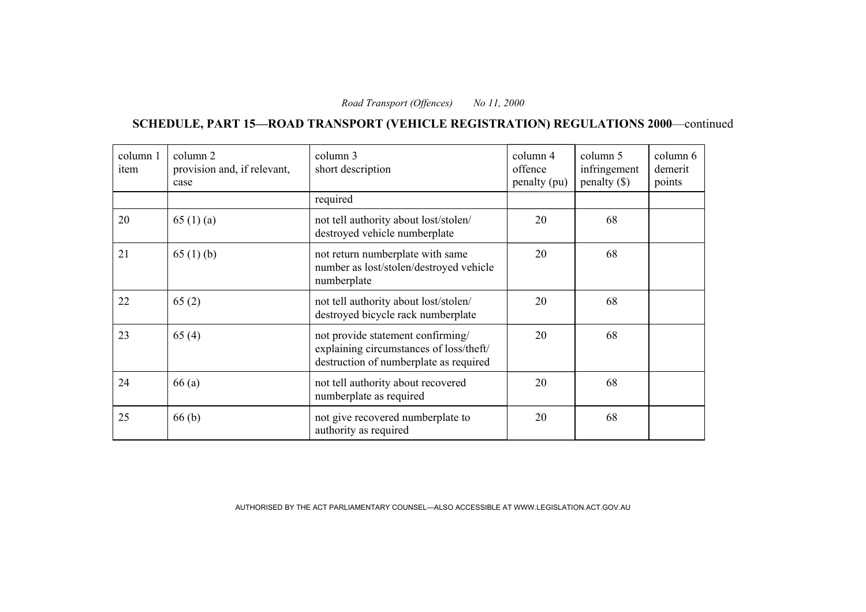**SCHEDULE, PART 15—ROAD TRANSPORT (VEHICLE REGISTRATION) REGULATIONS 2000**—continued

| column 1<br>item | column 2<br>provision and, if relevant,<br>case | column 3<br>short description                                                                                          | column 4<br>offence<br>penalty (pu) | column 5<br>infringement<br>$penalty$ (\$) | column 6<br>demerit<br>points |
|------------------|-------------------------------------------------|------------------------------------------------------------------------------------------------------------------------|-------------------------------------|--------------------------------------------|-------------------------------|
|                  |                                                 | required                                                                                                               |                                     |                                            |                               |
| 20               | 65(1)(a)                                        | not tell authority about lost/stolen/<br>destroyed vehicle numberplate                                                 | 20                                  | 68                                         |                               |
| 21               | 65 $(1)$ (b)                                    | not return numberplate with same<br>number as lost/stolen/destroyed vehicle<br>numberplate                             | 20                                  | 68                                         |                               |
| 22               | 65(2)                                           | not tell authority about lost/stolen/<br>destroyed bicycle rack numberplate                                            | 20                                  | 68                                         |                               |
| 23               | 65(4)                                           | not provide statement confirming/<br>explaining circumstances of loss/theft/<br>destruction of numberplate as required | 20                                  | 68                                         |                               |
| 24               | 66(a)                                           | not tell authority about recovered<br>numberplate as required                                                          | 20                                  | 68                                         |                               |
| 25               | 66(b)                                           | not give recovered numberplate to<br>authority as required                                                             | 20                                  | 68                                         |                               |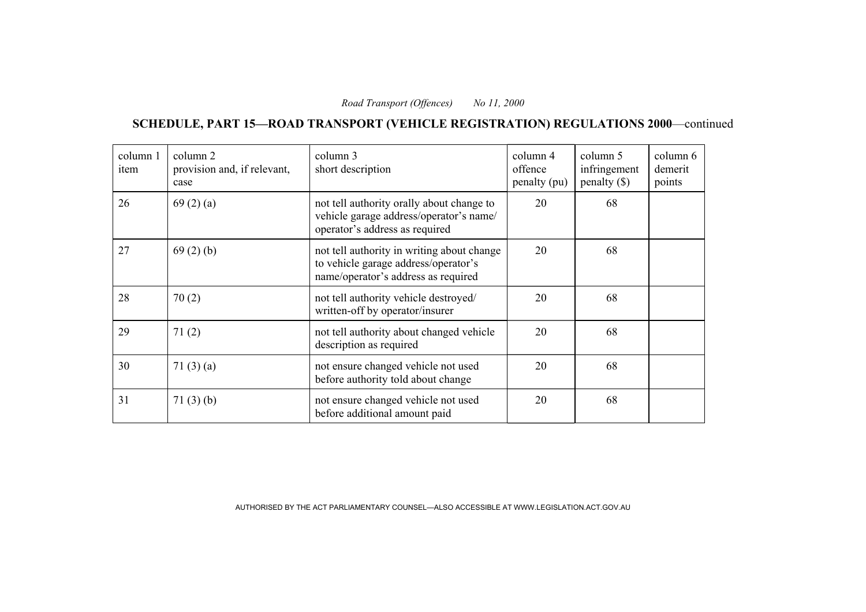**SCHEDULE, PART 15—ROAD TRANSPORT (VEHICLE REGISTRATION) REGULATIONS 2000**—continued

| column 1<br>item | column 2<br>provision and, if relevant,<br>case | column 3<br>short description                                                                                             | column 4<br>offence<br>penalty (pu) | column 5<br>infringement<br>penalty $(\$)$ | column 6<br>demerit<br>points |
|------------------|-------------------------------------------------|---------------------------------------------------------------------------------------------------------------------------|-------------------------------------|--------------------------------------------|-------------------------------|
| 26               | 69(2)(a)                                        | not tell authority orally about change to<br>vehicle garage address/operator's name/<br>operator's address as required    | 20                                  | 68                                         |                               |
| 27               | 69(2)(b)                                        | not tell authority in writing about change<br>to vehicle garage address/operator's<br>name/operator's address as required | 20                                  | 68                                         |                               |
| 28               | 70(2)                                           | not tell authority vehicle destroyed/<br>written-off by operator/insurer                                                  | 20                                  | 68                                         |                               |
| 29               | 71(2)                                           | not tell authority about changed vehicle<br>description as required                                                       | 20                                  | 68                                         |                               |
| 30               | 71 $(3)(a)$                                     | not ensure changed vehicle not used<br>before authority told about change                                                 | 20                                  | 68                                         |                               |
| 31               | 71(3)(b)                                        | not ensure changed vehicle not used<br>before additional amount paid                                                      | 20                                  | 68                                         |                               |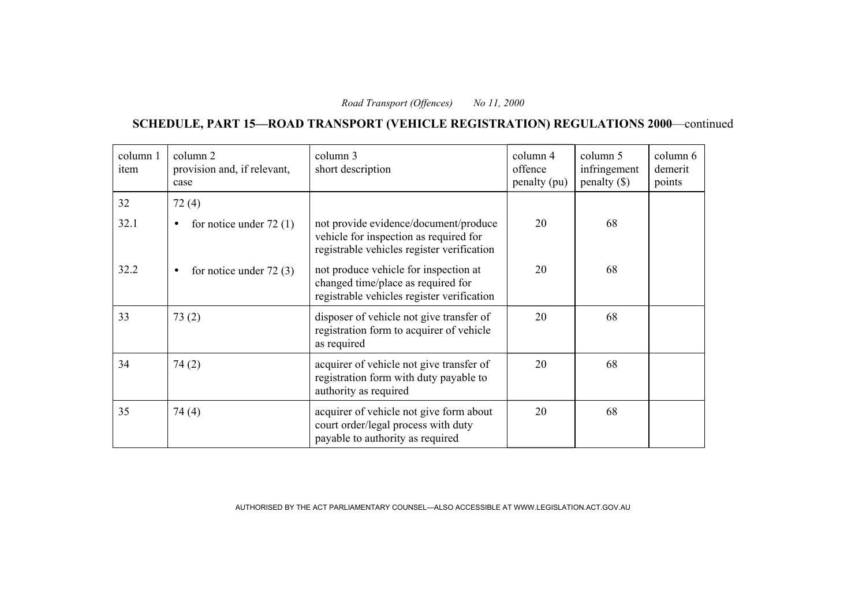**SCHEDULE, PART 15—ROAD TRANSPORT (VEHICLE REGISTRATION) REGULATIONS 2000**—continued

| column 1<br>item | column 2<br>provision and, if relevant,<br>case | column 3<br>short description                                                                                                 | column 4<br>offence<br>penalty (pu) | column 5<br>infringement<br>$penalty$ (\$) | column 6<br>demerit<br>points |
|------------------|-------------------------------------------------|-------------------------------------------------------------------------------------------------------------------------------|-------------------------------------|--------------------------------------------|-------------------------------|
| 32               | 72(4)                                           |                                                                                                                               |                                     |                                            |                               |
| 32.1             | for notice under $72(1)$<br>$\bullet$           | not provide evidence/document/produce<br>vehicle for inspection as required for<br>registrable vehicles register verification | 20                                  | 68                                         |                               |
| 32.2             | for notice under $72(3)$                        | not produce vehicle for inspection at<br>changed time/place as required for<br>registrable vehicles register verification     | 20                                  | 68                                         |                               |
| 33               | 73(2)                                           | disposer of vehicle not give transfer of<br>registration form to acquirer of vehicle<br>as required                           | 20                                  | 68                                         |                               |
| 34               | 74(2)                                           | acquirer of vehicle not give transfer of<br>registration form with duty payable to<br>authority as required                   | 20                                  | 68                                         |                               |
| 35               | 74(4)                                           | acquirer of vehicle not give form about<br>court order/legal process with duty<br>payable to authority as required            | 20                                  | 68                                         |                               |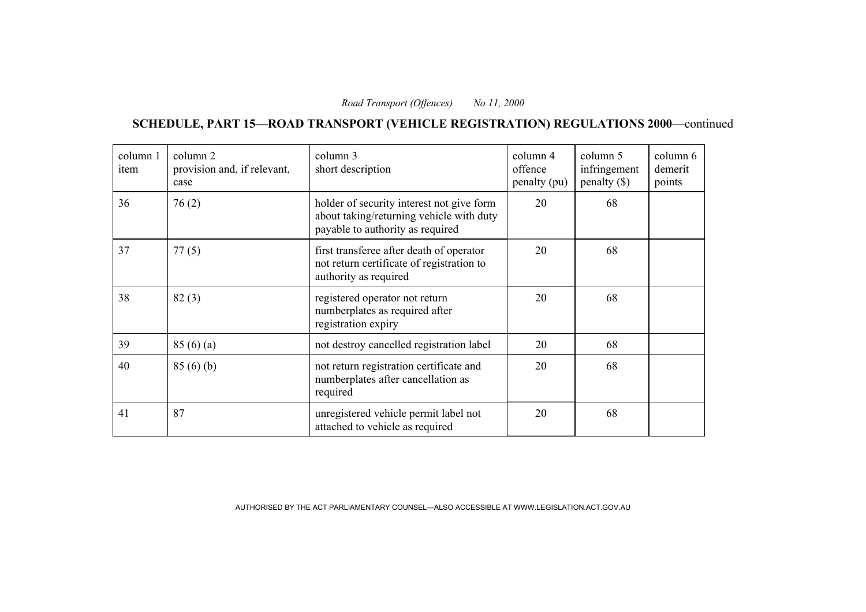**SCHEDULE, PART 15—ROAD TRANSPORT (VEHICLE REGISTRATION) REGULATIONS 2000**—continued

| column 1<br>item | column 2<br>provision and, if relevant,<br>case | column 3<br>short description                                                                                             | column 4<br>offence<br>penalty (pu) | column 5<br>infringement<br>$penalty$ (\$) | column 6<br>demerit<br>points |
|------------------|-------------------------------------------------|---------------------------------------------------------------------------------------------------------------------------|-------------------------------------|--------------------------------------------|-------------------------------|
| 36               | 76(2)                                           | holder of security interest not give form<br>about taking/returning vehicle with duty<br>payable to authority as required | 20                                  | 68                                         |                               |
| 37               | 77(5)                                           | first transferee after death of operator<br>not return certificate of registration to<br>authority as required            | 20                                  | 68                                         |                               |
| 38               | 82(3)                                           | registered operator not return<br>numberplates as required after<br>registration expiry                                   | 20                                  | 68                                         |                               |
| 39               | 85(6)(a)                                        | not destroy cancelled registration label                                                                                  | 20                                  | 68                                         |                               |
| 40               | 85(6)(b)                                        | not return registration certificate and<br>numberplates after cancellation as<br>required                                 | 20                                  | 68                                         |                               |
| 41               | 87                                              | unregistered vehicle permit label not<br>attached to vehicle as required                                                  | 20                                  | 68                                         |                               |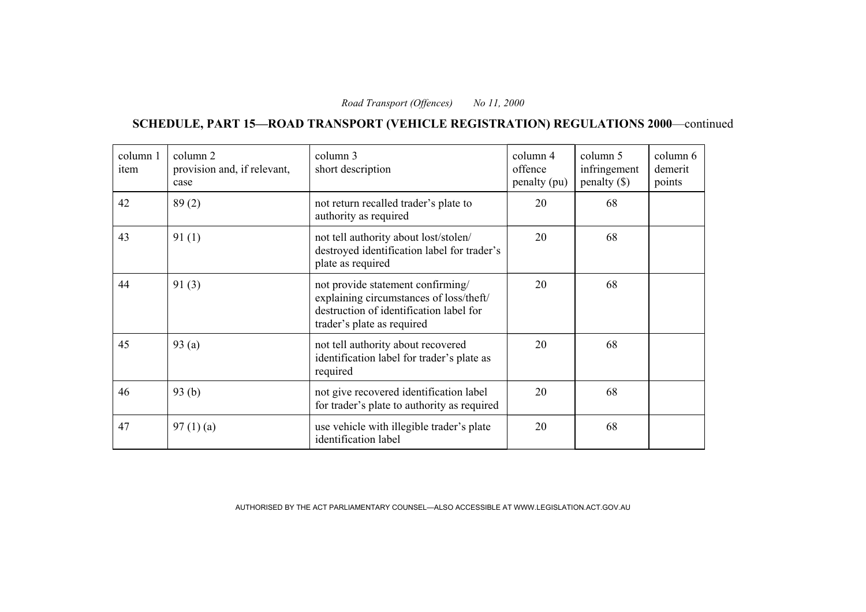**SCHEDULE, PART 15—ROAD TRANSPORT (VEHICLE REGISTRATION) REGULATIONS 2000**—continued

| column 1<br>item | column 2<br>provision and, if relevant,<br>case | column 3<br>short description                                                                                                                         | column 4<br>offence<br>penalty (pu) | column 5<br>infringement<br>penalty $(\$)$ | column 6<br>demerit<br>points |
|------------------|-------------------------------------------------|-------------------------------------------------------------------------------------------------------------------------------------------------------|-------------------------------------|--------------------------------------------|-------------------------------|
| 42               | 89(2)                                           | not return recalled trader's plate to<br>authority as required                                                                                        | 20                                  | 68                                         |                               |
| 43               | 91(1)                                           | not tell authority about lost/stolen/<br>destroyed identification label for trader's<br>plate as required                                             | 20                                  | 68                                         |                               |
| 44               | 91(3)                                           | not provide statement confirming/<br>explaining circumstances of loss/theft/<br>destruction of identification label for<br>trader's plate as required | 20                                  | 68                                         |                               |
| 45               | 93(a)                                           | not tell authority about recovered<br>identification label for trader's plate as<br>required                                                          | 20                                  | 68                                         |                               |
| 46               | 93(b)                                           | not give recovered identification label<br>for trader's plate to authority as required                                                                | 20                                  | 68                                         |                               |
| 47               | 97(1)(a)                                        | use vehicle with illegible trader's plate<br>identification label                                                                                     | 20                                  | 68                                         |                               |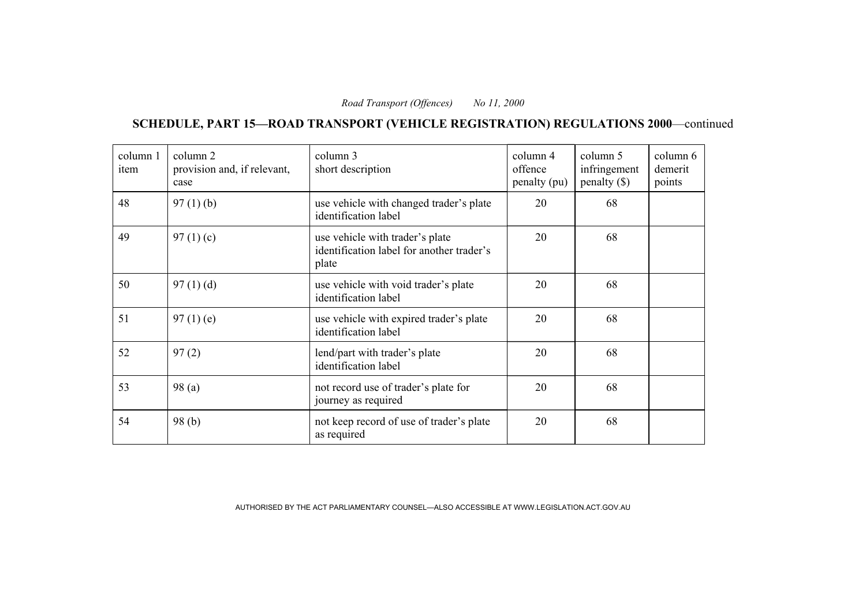**SCHEDULE, PART 15—ROAD TRANSPORT (VEHICLE REGISTRATION) REGULATIONS 2000**—continued

| column 1<br>item | column 2<br>provision and, if relevant,<br>case | column 3<br>short description                                                         | column 4<br>offence<br>penalty (pu) | column 5<br>infringement<br>$penalty$ (\$) | column 6<br>demerit<br>points |
|------------------|-------------------------------------------------|---------------------------------------------------------------------------------------|-------------------------------------|--------------------------------------------|-------------------------------|
| 48               | $97(1)$ (b)                                     | use vehicle with changed trader's plate<br>identification label                       | 20                                  | 68                                         |                               |
| 49               | 97 $(1)(c)$                                     | use vehicle with trader's plate<br>identification label for another trader's<br>plate | 20                                  | 68                                         |                               |
| 50               | 97(1)(d)                                        | use vehicle with void trader's plate<br>identification label                          | 20                                  | 68                                         |                               |
| 51               | $97(1)$ (e)                                     | use vehicle with expired trader's plate<br>identification label                       | 20                                  | 68                                         |                               |
| 52               | 97(2)                                           | lend/part with trader's plate<br>identification label                                 | 20                                  | 68                                         |                               |
| 53               | 98(a)                                           | not record use of trader's plate for<br>journey as required                           | 20                                  | 68                                         |                               |
| 54               | 98(b)                                           | not keep record of use of trader's plate<br>as required                               | 20                                  | 68                                         |                               |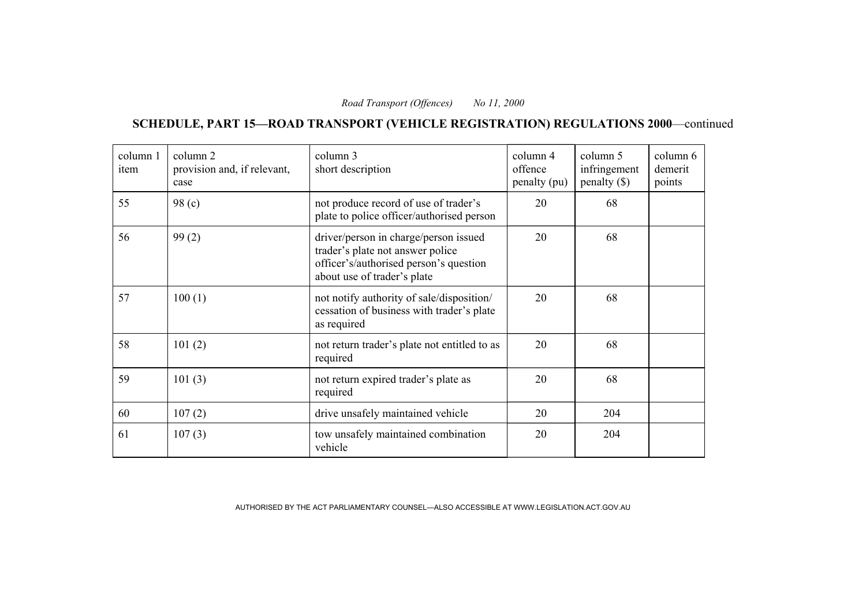**SCHEDULE, PART 15—ROAD TRANSPORT (VEHICLE REGISTRATION) REGULATIONS 2000**—continued

| column 1<br>item | column 2<br>provision and, if relevant,<br>case | column 3<br>short description                                                                                                                      | column 4<br>offence<br>penalty (pu) | column 5<br>infringement<br>$penalty$ (\$) | column 6<br>demerit<br>points |
|------------------|-------------------------------------------------|----------------------------------------------------------------------------------------------------------------------------------------------------|-------------------------------------|--------------------------------------------|-------------------------------|
| 55               | 98 <sub>(c)</sub>                               | not produce record of use of trader's<br>plate to police officer/authorised person                                                                 | 20                                  | 68                                         |                               |
| 56               | 99(2)                                           | driver/person in charge/person issued<br>trader's plate not answer police<br>officer's/authorised person's question<br>about use of trader's plate | 20                                  | 68                                         |                               |
| 57               | 100(1)                                          | not notify authority of sale/disposition/<br>cessation of business with trader's plate<br>as required                                              | 20                                  | 68                                         |                               |
| 58               | 101(2)                                          | not return trader's plate not entitled to as<br>required                                                                                           | 20                                  | 68                                         |                               |
| 59               | 101(3)                                          | not return expired trader's plate as<br>required                                                                                                   | 20                                  | 68                                         |                               |
| 60               | 107(2)                                          | drive unsafely maintained vehicle                                                                                                                  | 20                                  | 204                                        |                               |
| 61               | 107(3)                                          | tow unsafely maintained combination<br>vehicle                                                                                                     | 20                                  | 204                                        |                               |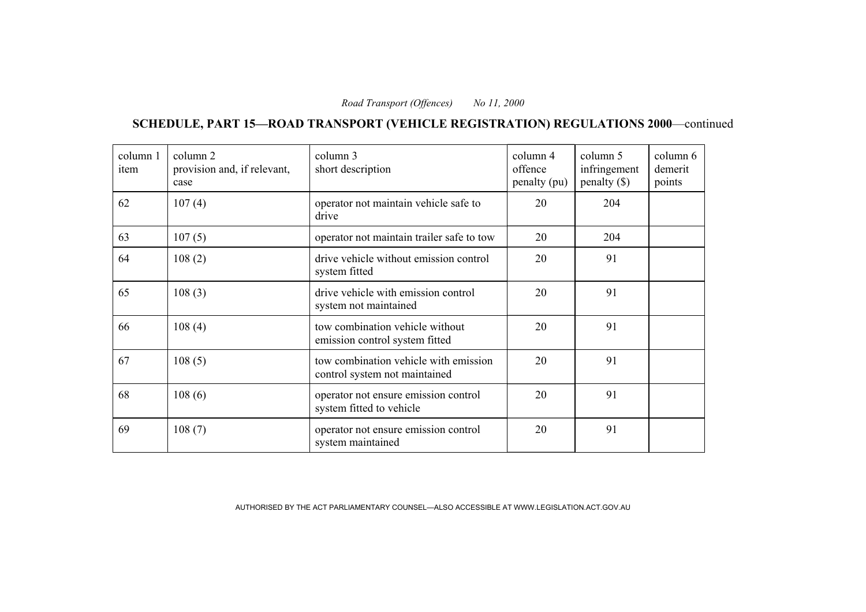**SCHEDULE, PART 15—ROAD TRANSPORT (VEHICLE REGISTRATION) REGULATIONS 2000**—continued

| column 1<br>item | column 2<br>provision and, if relevant,<br>case | column 3<br>short description                                          | column 4<br>offence<br>penalty (pu) | column 5<br>infringement<br>penalty $(\$)$ | column 6<br>demerit<br>points |
|------------------|-------------------------------------------------|------------------------------------------------------------------------|-------------------------------------|--------------------------------------------|-------------------------------|
| 62               | 107(4)                                          | operator not maintain vehicle safe to<br>drive                         | 20                                  | 204                                        |                               |
| 63               | 107(5)                                          | operator not maintain trailer safe to tow                              | 20                                  | 204                                        |                               |
| 64               | 108(2)                                          | drive vehicle without emission control<br>system fitted                | 20                                  | 91                                         |                               |
| 65               | 108(3)                                          | drive vehicle with emission control<br>system not maintained           | 20                                  | 91                                         |                               |
| 66               | 108(4)                                          | tow combination vehicle without<br>emission control system fitted      | 20                                  | 91                                         |                               |
| 67               | 108(5)                                          | tow combination vehicle with emission<br>control system not maintained | 20                                  | 91                                         |                               |
| 68               | 108(6)                                          | operator not ensure emission control<br>system fitted to vehicle       | 20                                  | 91                                         |                               |
| 69               | 108(7)                                          | operator not ensure emission control<br>system maintained              | 20                                  | 91                                         |                               |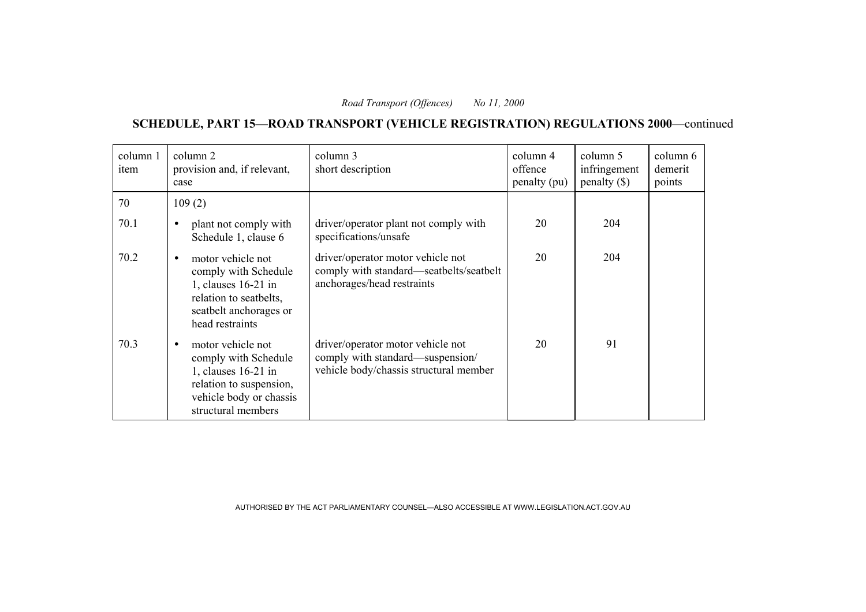**SCHEDULE, PART 15—ROAD TRANSPORT (VEHICLE REGISTRATION) REGULATIONS 2000**—continued

| column 1<br>item | column 2<br>provision and, if relevant,<br>case                                                                                              | column 3<br>short description                                                                                   | column 4<br>offence<br>penalty (pu) | column 5<br>infringement<br>$penalty$ (\$) | column 6<br>demerit<br>points |
|------------------|----------------------------------------------------------------------------------------------------------------------------------------------|-----------------------------------------------------------------------------------------------------------------|-------------------------------------|--------------------------------------------|-------------------------------|
| 70               | 109(2)                                                                                                                                       |                                                                                                                 |                                     |                                            |                               |
| 70.1             | plant not comply with<br>Schedule 1, clause 6                                                                                                | driver/operator plant not comply with<br>specifications/unsafe                                                  | 20                                  | 204                                        |                               |
| 70.2             | motor vehicle not<br>comply with Schedule<br>1, clauses 16-21 in<br>relation to seatbelts,<br>seatbelt anchorages or<br>head restraints      | driver/operator motor vehicle not<br>comply with standard—seatbelts/seatbelt<br>anchorages/head restraints      | 20                                  | 204                                        |                               |
| 70.3             | motor vehicle not<br>comply with Schedule<br>1, clauses 16-21 in<br>relation to suspension,<br>vehicle body or chassis<br>structural members | driver/operator motor vehicle not<br>comply with standard—suspension/<br>vehicle body/chassis structural member | 20                                  | 91                                         |                               |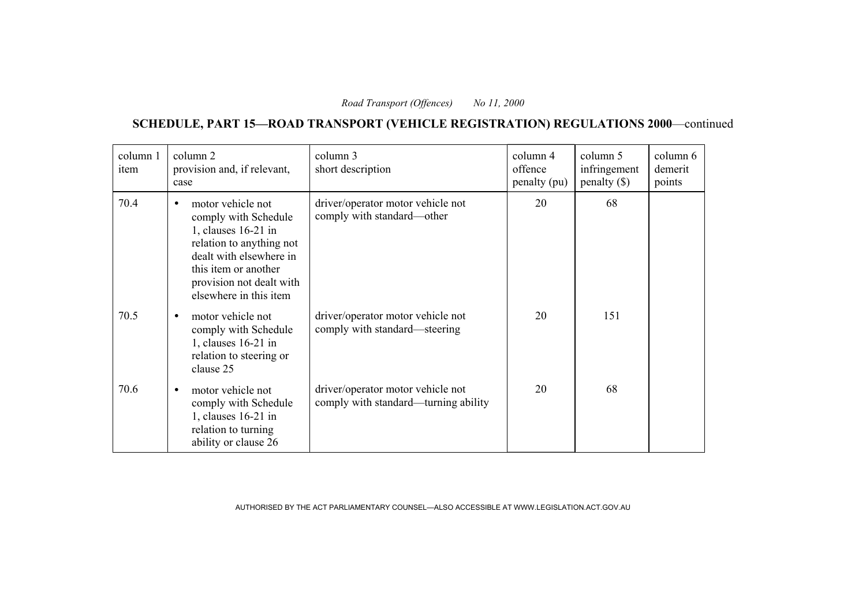**SCHEDULE, PART 15—ROAD TRANSPORT (VEHICLE REGISTRATION) REGULATIONS 2000**—continued

| column 1<br>item | column 2<br>provision and, if relevant,<br>case                                                                                                                                                                    | column 3<br>short description                                             | column 4<br>offence<br>penalty (pu) | column 5<br>infringement<br>penalty $(\$)$ | column 6<br>demerit<br>points |
|------------------|--------------------------------------------------------------------------------------------------------------------------------------------------------------------------------------------------------------------|---------------------------------------------------------------------------|-------------------------------------|--------------------------------------------|-------------------------------|
| 70.4             | motor vehicle not<br>$\bullet$<br>comply with Schedule<br>1, clauses 16-21 in<br>relation to anything not<br>dealt with elsewhere in<br>this item or another<br>provision not dealt with<br>elsewhere in this item | driver/operator motor vehicle not<br>comply with standard—other           | 20                                  | 68                                         |                               |
| 70.5             | motor vehicle not<br>$\bullet$<br>comply with Schedule<br>1, clauses 16-21 in<br>relation to steering or<br>clause 25                                                                                              | driver/operator motor vehicle not<br>comply with standard—steering        | 20                                  | 151                                        |                               |
| 70.6             | motor vehicle not<br>$\bullet$<br>comply with Schedule<br>1, clauses 16-21 in<br>relation to turning<br>ability or clause 26                                                                                       | driver/operator motor vehicle not<br>comply with standard—turning ability | 20                                  | 68                                         |                               |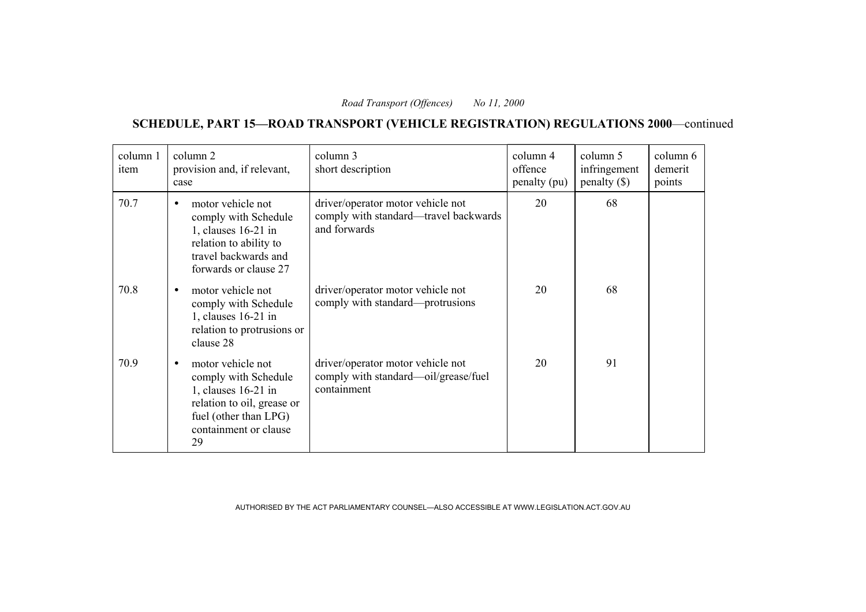**SCHEDULE, PART 15—ROAD TRANSPORT (VEHICLE REGISTRATION) REGULATIONS 2000**—continued

| column 1<br>item | column 2<br>provision and, if relevant,<br>case                                                                                                                     | column 3<br>short description                                                              | column 4<br>offence<br>penalty (pu) | column 5<br>infringement<br>$penalty$ (\$) | column 6<br>demerit<br>points |
|------------------|---------------------------------------------------------------------------------------------------------------------------------------------------------------------|--------------------------------------------------------------------------------------------|-------------------------------------|--------------------------------------------|-------------------------------|
| 70.7             | motor vehicle not<br>$\bullet$<br>comply with Schedule<br>1, clauses 16-21 in<br>relation to ability to<br>travel backwards and<br>forwards or clause 27            | driver/operator motor vehicle not<br>comply with standard—travel backwards<br>and forwards | 20                                  | 68                                         |                               |
| 70.8             | motor vehicle not<br>$\bullet$<br>comply with Schedule<br>1, clauses 16-21 in<br>relation to protrusions or<br>clause 28                                            | driver/operator motor vehicle not<br>comply with standard—protrusions                      | 20                                  | 68                                         |                               |
| 70.9             | motor vehicle not<br>$\bullet$<br>comply with Schedule<br>1, clauses 16-21 in<br>relation to oil, grease or<br>fuel (other than LPG)<br>containment or clause<br>29 | driver/operator motor vehicle not<br>comply with standard—oil/grease/fuel<br>containment   | 20                                  | 91                                         |                               |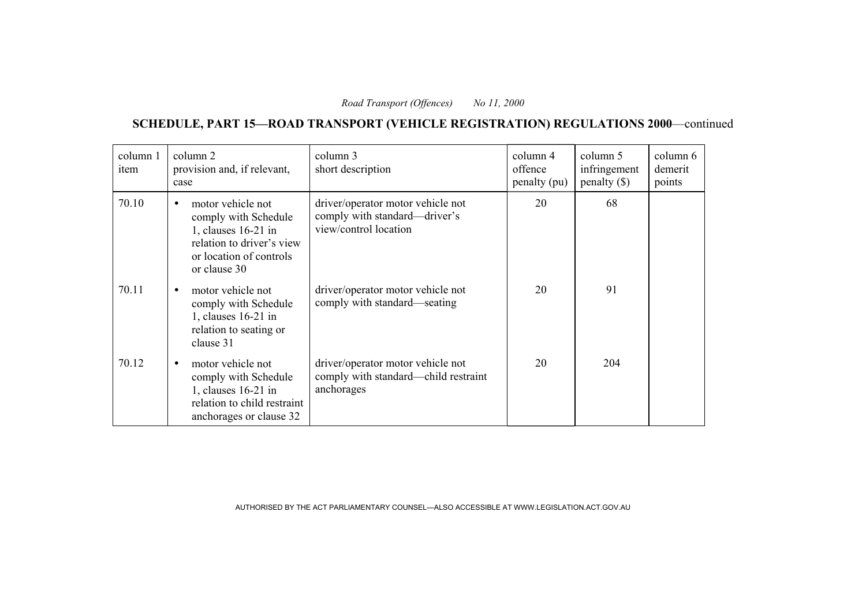**SCHEDULE, PART 15—ROAD TRANSPORT (VEHICLE REGISTRATION) REGULATIONS 2000**—continued

| column 1<br>item | column 2<br>provision and, if relevant,<br>case                                                                                          | column 3<br>short description                                                               | column 4<br>offence<br>penalty (pu) | column 5<br>infringement<br>$penalty$ (\$) | column 6<br>demerit<br>points |
|------------------|------------------------------------------------------------------------------------------------------------------------------------------|---------------------------------------------------------------------------------------------|-------------------------------------|--------------------------------------------|-------------------------------|
| 70.10            | motor vehicle not<br>comply with Schedule<br>1, clauses 16-21 in<br>relation to driver's view<br>or location of controls<br>or clause 30 | driver/operator motor vehicle not<br>comply with standard—driver's<br>view/control location | 20                                  | 68                                         |                               |
| 70.11            | motor vehicle not<br>comply with Schedule<br>1, clauses 16-21 in<br>relation to seating or<br>clause 31                                  | driver/operator motor vehicle not<br>comply with standard—seating                           | 20                                  | 91                                         |                               |
| 70.12            | motor vehicle not<br>comply with Schedule<br>1, clauses 16-21 in<br>relation to child restraint<br>anchorages or clause 32               | driver/operator motor vehicle not<br>comply with standard—child restraint<br>anchorages     | 20                                  | 204                                        |                               |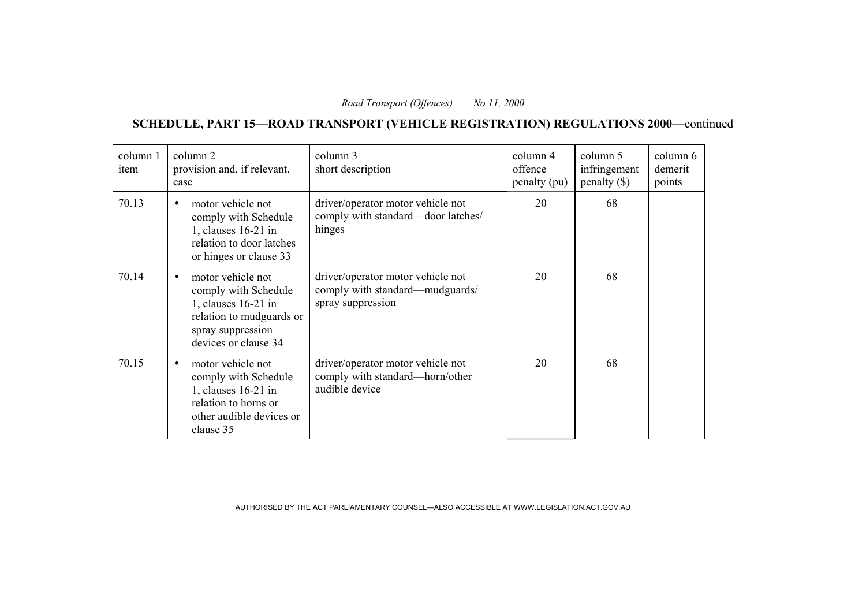**SCHEDULE, PART 15—ROAD TRANSPORT (VEHICLE REGISTRATION) REGULATIONS 2000**—continued

| column 1<br>item | column 2<br>provision and, if relevant,<br>case                                                                                                        | column 3<br>short description                                                             | column 4<br>offence<br>penalty (pu) | column 5<br>infringement<br>$penalty$ (\$) | column 6<br>demerit<br>points |
|------------------|--------------------------------------------------------------------------------------------------------------------------------------------------------|-------------------------------------------------------------------------------------------|-------------------------------------|--------------------------------------------|-------------------------------|
| 70.13            | motor vehicle not<br>$\bullet$<br>comply with Schedule<br>1, clauses 16-21 in<br>relation to door latches<br>or hinges or clause 33                    | driver/operator motor vehicle not<br>comply with standard-door latches/<br>hinges         | 20                                  | 68                                         |                               |
| 70.14            | motor vehicle not<br>$\bullet$<br>comply with Schedule<br>1, clauses 16-21 in<br>relation to mudguards or<br>spray suppression<br>devices or clause 34 | driver/operator motor vehicle not<br>comply with standard—mudguards/<br>spray suppression | 20                                  | 68                                         |                               |
| 70.15            | motor vehicle not<br>$\bullet$<br>comply with Schedule<br>1, clauses 16-21 in<br>relation to horns or<br>other audible devices or<br>clause 35         | driver/operator motor vehicle not<br>comply with standard—horn/other<br>audible device    | 20                                  | 68                                         |                               |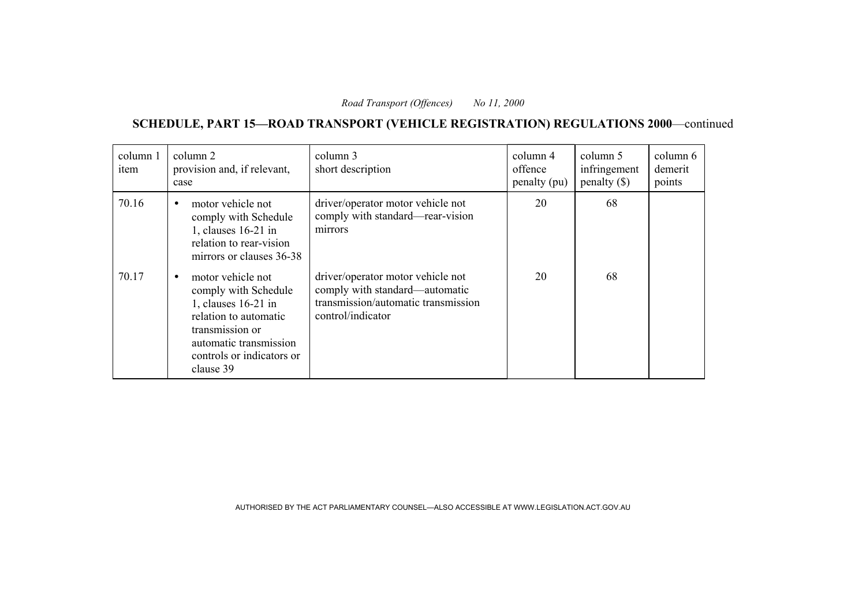**SCHEDULE, PART 15—ROAD TRANSPORT (VEHICLE REGISTRATION) REGULATIONS 2000**—continued

| column 1<br>item | column 2<br>provision and, if relevant,<br>case                                                                                                                                               | column 3<br>short description                                                                                                   | column 4<br>offence<br>penalty (pu) | column 5<br>infringement<br>$penalty$ (\$) | column 6<br>demerit<br>points |
|------------------|-----------------------------------------------------------------------------------------------------------------------------------------------------------------------------------------------|---------------------------------------------------------------------------------------------------------------------------------|-------------------------------------|--------------------------------------------|-------------------------------|
| 70.16            | motor vehicle not<br>$\bullet$<br>comply with Schedule<br>1, clauses $16-21$ in<br>relation to rear-vision<br>mirrors or clauses 36-38                                                        | driver/operator motor vehicle not<br>comply with standard—rear-vision<br>mirrors                                                | 20                                  | 68                                         |                               |
| 70.17            | motor vehicle not<br>$\bullet$<br>comply with Schedule<br>1, clauses 16-21 in<br>relation to automatic<br>transmission or<br>automatic transmission<br>controls or indicators or<br>clause 39 | driver/operator motor vehicle not<br>comply with standard—automatic<br>transmission/automatic transmission<br>control/indicator | 20                                  | 68                                         |                               |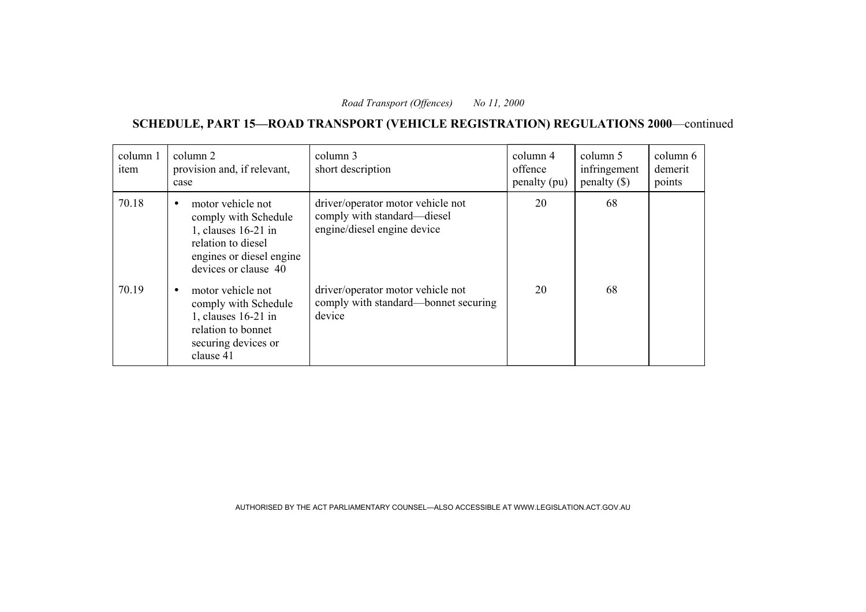**SCHEDULE, PART 15—ROAD TRANSPORT (VEHICLE REGISTRATION) REGULATIONS 2000**—continued

| column 1<br>item | column 2<br>provision and, if relevant,<br>case                                                                                                         | column 3<br>short description                                                                   | column 4<br>offence<br>penalty (pu) | column 5<br>infringement<br>$penalty$ (\$) | column 6<br>demerit<br>points |
|------------------|---------------------------------------------------------------------------------------------------------------------------------------------------------|-------------------------------------------------------------------------------------------------|-------------------------------------|--------------------------------------------|-------------------------------|
| 70.18            | motor vehicle not<br>$\bullet$<br>comply with Schedule<br>1, clauses 16-21 in<br>relation to diesel<br>engines or diesel engine<br>devices or clause 40 | driver/operator motor vehicle not<br>comply with standard—diesel<br>engine/diesel engine device | 20                                  | 68                                         |                               |
| 70.19            | motor vehicle not<br>$\bullet$<br>comply with Schedule<br>1, clauses 16-21 in<br>relation to bonnet<br>securing devices or<br>clause 41                 | driver/operator motor vehicle not<br>comply with standard—bonnet securing<br>device             | 20                                  | 68                                         |                               |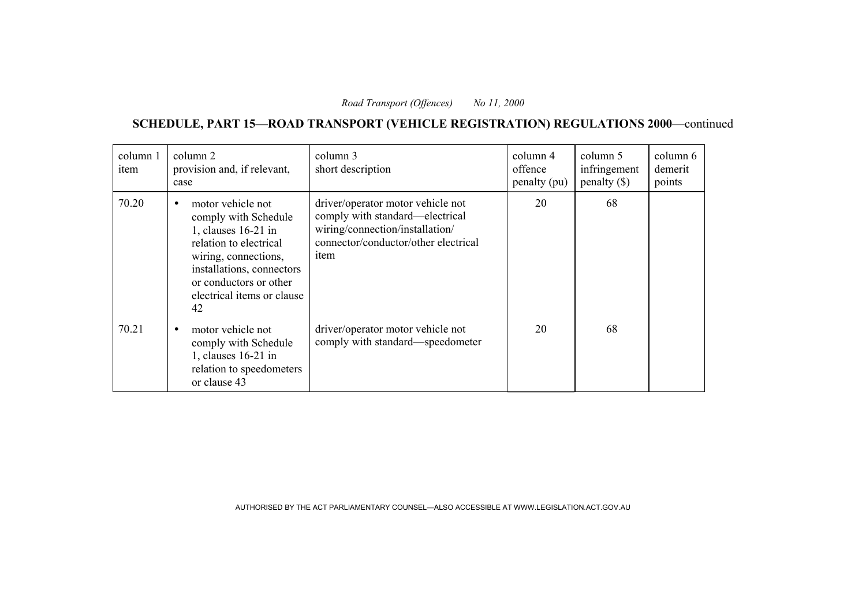**SCHEDULE, PART 15—ROAD TRANSPORT (VEHICLE REGISTRATION) REGULATIONS 2000**—continued

| column 1<br>item | column 2<br>provision and, if relevant,<br>case                                                                                                                                                                            | column 3<br>short description                                                                                                                           | column 4<br>offence<br>penalty (pu) | column 5<br>infringement<br>$penalty$ (\$) | column 6<br>demerit<br>points |
|------------------|----------------------------------------------------------------------------------------------------------------------------------------------------------------------------------------------------------------------------|---------------------------------------------------------------------------------------------------------------------------------------------------------|-------------------------------------|--------------------------------------------|-------------------------------|
| 70.20            | motor vehicle not<br>$\bullet$<br>comply with Schedule<br>1, clauses 16-21 in<br>relation to electrical<br>wiring, connections,<br>installations, connectors<br>or conductors or other<br>electrical items or clause<br>42 | driver/operator motor vehicle not<br>comply with standard—electrical<br>wiring/connection/installation/<br>connector/conductor/other electrical<br>item | 20                                  | 68                                         |                               |
| 70.21            | motor vehicle not<br>$\bullet$<br>comply with Schedule<br>1, clauses 16-21 in<br>relation to speedometers<br>or clause 43                                                                                                  | driver/operator motor vehicle not<br>comply with standard—speedometer                                                                                   | 20                                  | 68                                         |                               |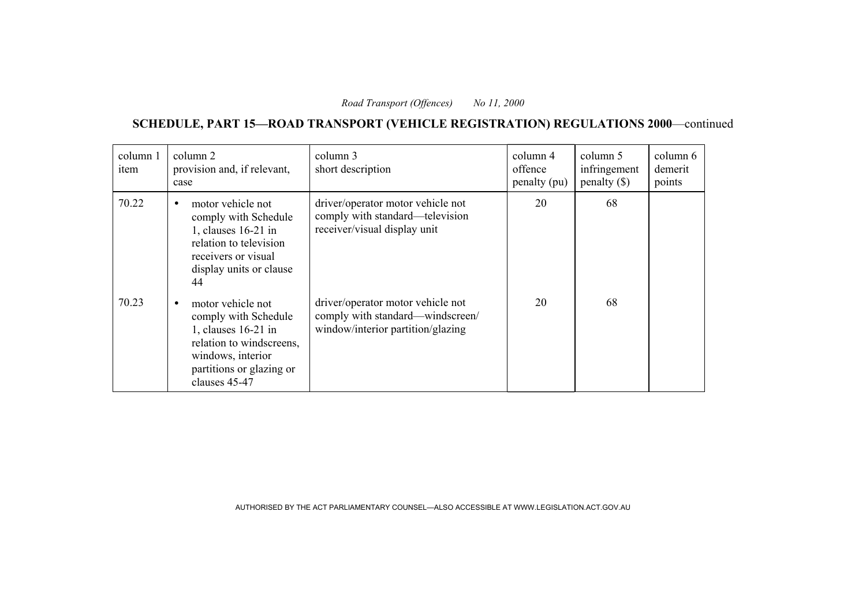**SCHEDULE, PART 15—ROAD TRANSPORT (VEHICLE REGISTRATION) REGULATIONS 2000**—continued

| column 1<br>item | column 2<br>provision and, if relevant,<br>case                                                                                                                             | column 3<br>short description                                                                              | column 4<br>offence<br>penalty (pu) | column 5<br>infringement<br>$penalty$ (\$) | column 6<br>demerit<br>points |
|------------------|-----------------------------------------------------------------------------------------------------------------------------------------------------------------------------|------------------------------------------------------------------------------------------------------------|-------------------------------------|--------------------------------------------|-------------------------------|
| 70.22            | motor vehicle not<br>$\bullet$<br>comply with Schedule<br>1, clauses 16-21 in<br>relation to television<br>receivers or visual<br>display units or clause<br>44             | driver/operator motor vehicle not<br>comply with standard—television<br>receiver/visual display unit       | 20                                  | 68                                         |                               |
| 70.23            | motor vehicle not<br>$\bullet$<br>comply with Schedule<br>1, clauses 16-21 in<br>relation to windscreens,<br>windows, interior<br>partitions or glazing or<br>clauses 45-47 | driver/operator motor vehicle not<br>comply with standard—windscreen/<br>window/interior partition/glazing | 20                                  | 68                                         |                               |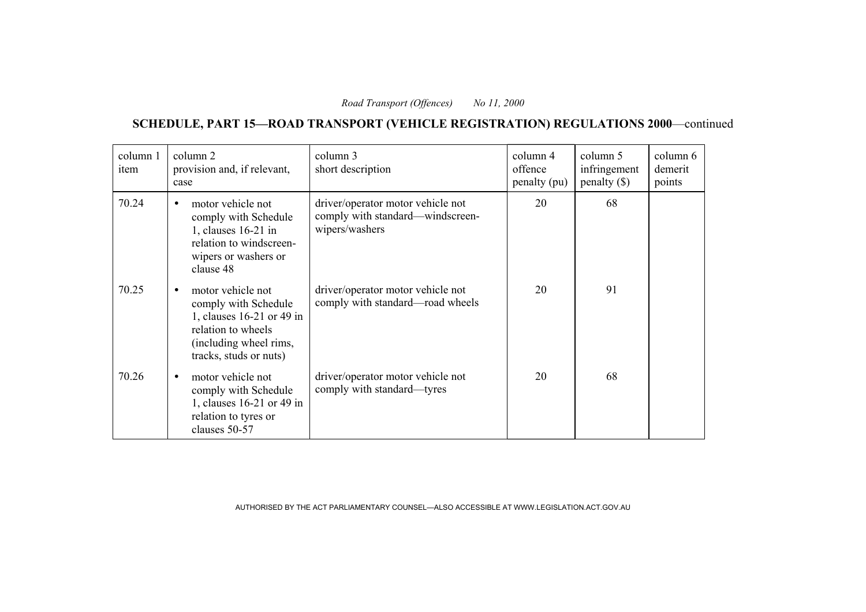**SCHEDULE, PART 15—ROAD TRANSPORT (VEHICLE REGISTRATION) REGULATIONS 2000**—continued

| column 1<br>item | column 2<br>provision and, if relevant,<br>case                                                                                                  | column 3<br>short description                                                           | column 4<br>offence<br>penalty (pu) | column 5<br>infringement<br>$penalty$ (\$) | column 6<br>demerit<br>points |
|------------------|--------------------------------------------------------------------------------------------------------------------------------------------------|-----------------------------------------------------------------------------------------|-------------------------------------|--------------------------------------------|-------------------------------|
| 70.24            | motor vehicle not<br>$\bullet$<br>comply with Schedule<br>1, clauses 16-21 in<br>relation to windscreen-<br>wipers or washers or<br>clause 48    | driver/operator motor vehicle not<br>comply with standard—windscreen-<br>wipers/washers | 20                                  | 68                                         |                               |
| 70.25            | motor vehicle not<br>comply with Schedule<br>1, clauses 16-21 or 49 in<br>relation to wheels<br>(including wheel rims,<br>tracks, studs or nuts) | driver/operator motor vehicle not<br>comply with standard—road wheels                   | 20                                  | 91                                         |                               |
| 70.26            | motor vehicle not<br>comply with Schedule<br>1, clauses 16-21 or 49 in<br>relation to tyres or<br>clauses 50-57                                  | driver/operator motor vehicle not<br>comply with standard—tyres                         | 20                                  | 68                                         |                               |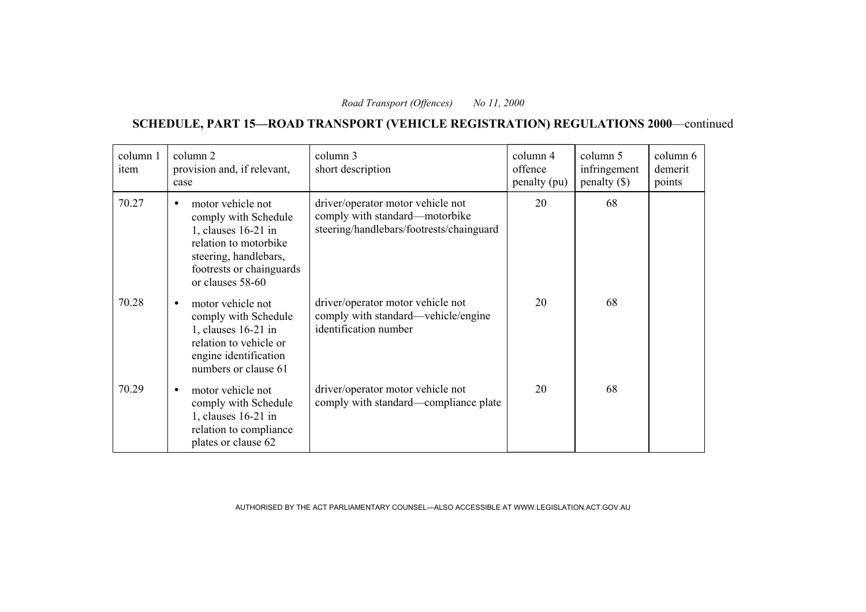**SCHEDULE, PART 15—ROAD TRANSPORT (VEHICLE REGISTRATION) REGULATIONS 2000**—continued

| column 1<br>item | column 2<br>provision and, if relevant,<br>case                                                                                                                    | column 3<br>short description                                                                                   | column 4<br>offence<br>penalty (pu) | column 5<br>infringement<br>$penalty$ (\$) | column 6<br>demerit<br>points |
|------------------|--------------------------------------------------------------------------------------------------------------------------------------------------------------------|-----------------------------------------------------------------------------------------------------------------|-------------------------------------|--------------------------------------------|-------------------------------|
| 70.27            | motor vehicle not<br>comply with Schedule<br>1, clauses 16-21 in<br>relation to motorbike<br>steering, handlebars,<br>footrests or chainguards<br>or clauses 58-60 | driver/operator motor vehicle not<br>comply with standard—motorbike<br>steering/handlebars/footrests/chainguard | 20                                  | 68                                         |                               |
| 70.28            | motor vehicle not<br>comply with Schedule<br>1, clauses 16-21 in<br>relation to vehicle or<br>engine identification<br>numbers or clause 61                        | driver/operator motor vehicle not<br>comply with standard—vehicle/engine<br>identification number               | 20                                  | 68                                         |                               |
| 70.29            | motor vehicle not<br>comply with Schedule<br>1, clauses 16-21 in<br>relation to compliance<br>plates or clause 62                                                  | driver/operator motor vehicle not<br>comply with standard—compliance plate                                      | 20                                  | 68                                         |                               |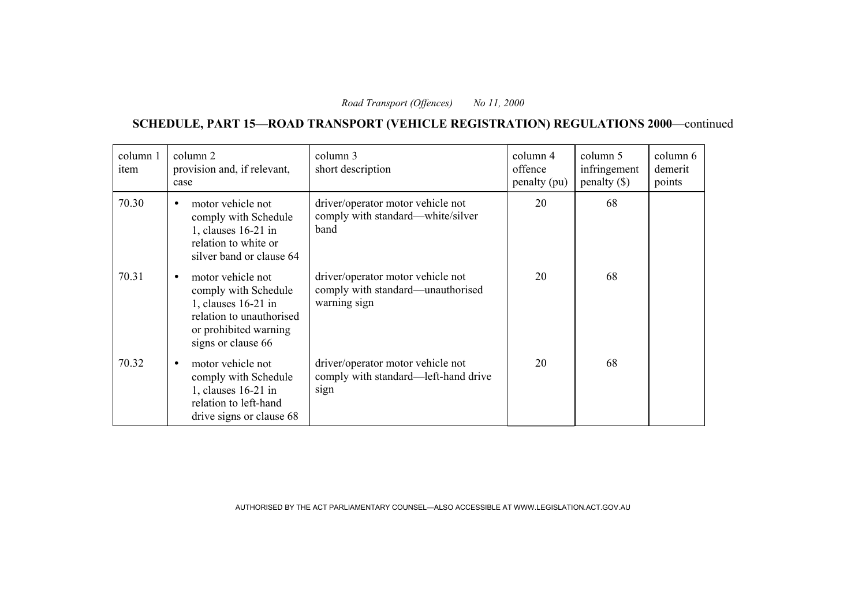**SCHEDULE, PART 15—ROAD TRANSPORT (VEHICLE REGISTRATION) REGULATIONS 2000**—continued

| column 1<br>item | column 2<br>provision and, if relevant,<br>case                                                                                                          | column 3<br>short description                                                          | column 4<br>offence<br>penalty (pu) | column 5<br>infringement<br>$penalty$ (\$) | column 6<br>demerit<br>points |
|------------------|----------------------------------------------------------------------------------------------------------------------------------------------------------|----------------------------------------------------------------------------------------|-------------------------------------|--------------------------------------------|-------------------------------|
| 70.30            | motor vehicle not<br>comply with Schedule<br>1, clauses 16-21 in<br>relation to white or<br>silver band or clause 64                                     | driver/operator motor vehicle not<br>comply with standard—white/silver<br>band         | 20                                  | 68                                         |                               |
| 70.31            | motor vehicle not<br>$\bullet$<br>comply with Schedule<br>1, clauses 16-21 in<br>relation to unauthorised<br>or prohibited warning<br>signs or clause 66 | driver/operator motor vehicle not<br>comply with standard—unauthorised<br>warning sign | 20                                  | 68                                         |                               |
| 70.32            | motor vehicle not<br>$\bullet$<br>comply with Schedule<br>1, clauses 16-21 in<br>relation to left-hand<br>drive signs or clause 68                       | driver/operator motor vehicle not<br>comply with standard—left-hand drive<br>sign      | 20                                  | 68                                         |                               |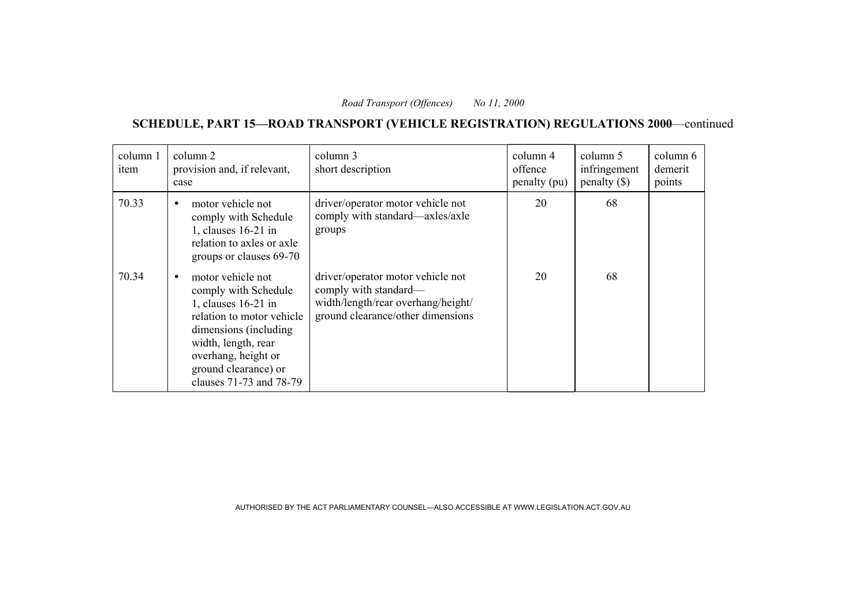**SCHEDULE, PART 15—ROAD TRANSPORT (VEHICLE REGISTRATION) REGULATIONS 2000**—continued

| column 1<br>item | column 2<br>provision and, if relevant,<br>case                                                                                                                                                                                       | column 3<br>short description                                                                                                         | column 4<br>offence<br>penalty (pu) | column 5<br>infringement<br>$penalty$ (\$) | column 6<br>demerit<br>points |
|------------------|---------------------------------------------------------------------------------------------------------------------------------------------------------------------------------------------------------------------------------------|---------------------------------------------------------------------------------------------------------------------------------------|-------------------------------------|--------------------------------------------|-------------------------------|
| 70.33            | motor vehicle not<br>$\bullet$<br>comply with Schedule<br>1, clauses 16-21 in<br>relation to axles or axle<br>groups or clauses 69-70                                                                                                 | driver/operator motor vehicle not<br>comply with standard—axles/axle<br>groups                                                        | 20                                  | 68                                         |                               |
| 70.34            | motor vehicle not<br>$\bullet$<br>comply with Schedule<br>1, clauses 16-21 in<br>relation to motor vehicle<br>dimensions (including)<br>width, length, rear<br>overhang, height or<br>ground clearance) or<br>clauses 71-73 and 78-79 | driver/operator motor vehicle not<br>comply with standard—<br>width/length/rear overhang/height/<br>ground clearance/other dimensions | 20                                  | 68                                         |                               |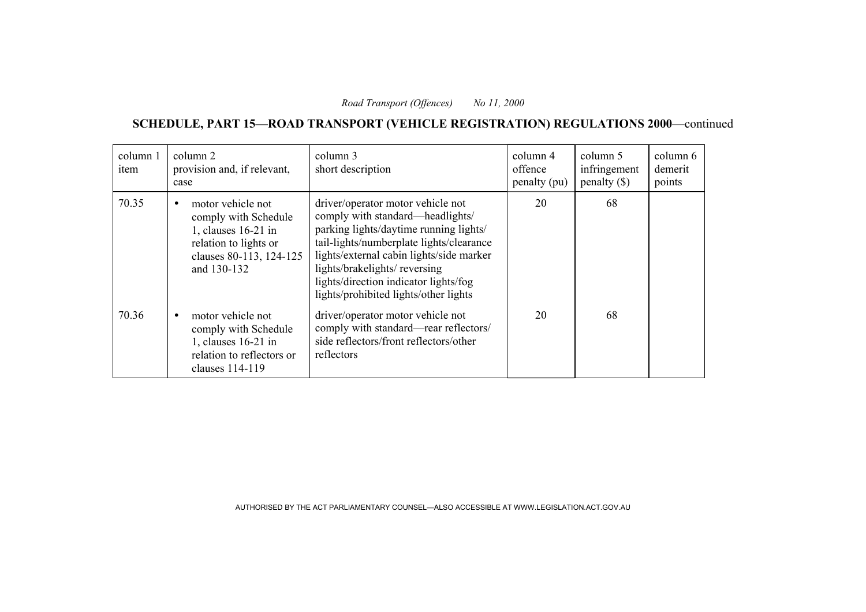**SCHEDULE, PART 15—ROAD TRANSPORT (VEHICLE REGISTRATION) REGULATIONS 2000**—continued

| column 1<br>item | column 2<br>provision and, if relevant,<br>case                                                                                     | column 3<br>short description                                                                                                                                                                                                                                                                                             | column 4<br>offence<br>penalty (pu) | column 5<br>infringement<br>penalty(S) | column 6<br>demerit<br>points |
|------------------|-------------------------------------------------------------------------------------------------------------------------------------|---------------------------------------------------------------------------------------------------------------------------------------------------------------------------------------------------------------------------------------------------------------------------------------------------------------------------|-------------------------------------|----------------------------------------|-------------------------------|
| 70.35            | motor vehicle not<br>comply with Schedule<br>1, clauses 16-21 in<br>relation to lights or<br>clauses 80-113, 124-125<br>and 130-132 | driver/operator motor vehicle not<br>comply with standard—headlights/<br>parking lights/daytime running lights/<br>tail-lights/numberplate lights/clearance<br>lights/external cabin lights/side marker<br>lights/brakelights/reversing<br>lights/direction indicator lights/fog<br>lights/prohibited lights/other lights | 20                                  | 68                                     |                               |
| 70.36            | motor vehicle not<br>comply with Schedule<br>1, clauses 16-21 in<br>relation to reflectors or<br>clauses 114-119                    | driver/operator motor vehicle not<br>comply with standard-rear reflectors/<br>side reflectors/front reflectors/other<br>reflectors                                                                                                                                                                                        | 20                                  | 68                                     |                               |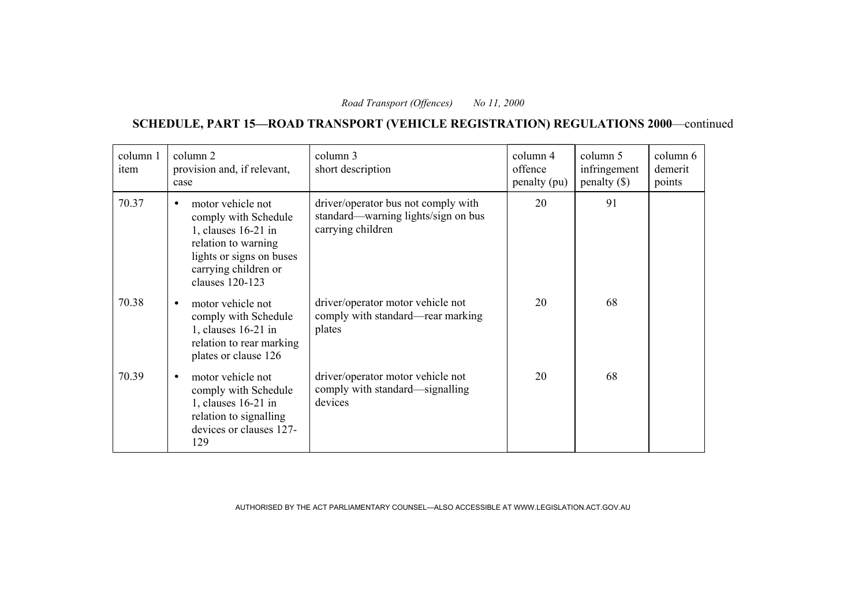**SCHEDULE, PART 15—ROAD TRANSPORT (VEHICLE REGISTRATION) REGULATIONS 2000**—continued

| column 1<br>item | column 2<br>provision and, if relevant,<br>case                                                                                                                | column 3<br>short description                                                                   | column 4<br>offence<br>penalty (pu) | column 5<br>infringement<br>$penalty$ (\$) | column 6<br>demerit<br>points |
|------------------|----------------------------------------------------------------------------------------------------------------------------------------------------------------|-------------------------------------------------------------------------------------------------|-------------------------------------|--------------------------------------------|-------------------------------|
| 70.37            | motor vehicle not<br>comply with Schedule<br>1, clauses 16-21 in<br>relation to warning<br>lights or signs on buses<br>carrying children or<br>clauses 120-123 | driver/operator bus not comply with<br>standard—warning lights/sign on bus<br>carrying children | 20                                  | 91                                         |                               |
| 70.38            | motor vehicle not<br>comply with Schedule<br>1, clauses 16-21 in<br>relation to rear marking<br>plates or clause 126                                           | driver/operator motor vehicle not<br>comply with standard—rear marking<br>plates                | 20                                  | 68                                         |                               |
| 70.39            | motor vehicle not<br>comply with Schedule<br>1, clauses 16-21 in<br>relation to signalling<br>devices or clauses 127-<br>129                                   | driver/operator motor vehicle not<br>comply with standard—signalling<br>devices                 | 20                                  | 68                                         |                               |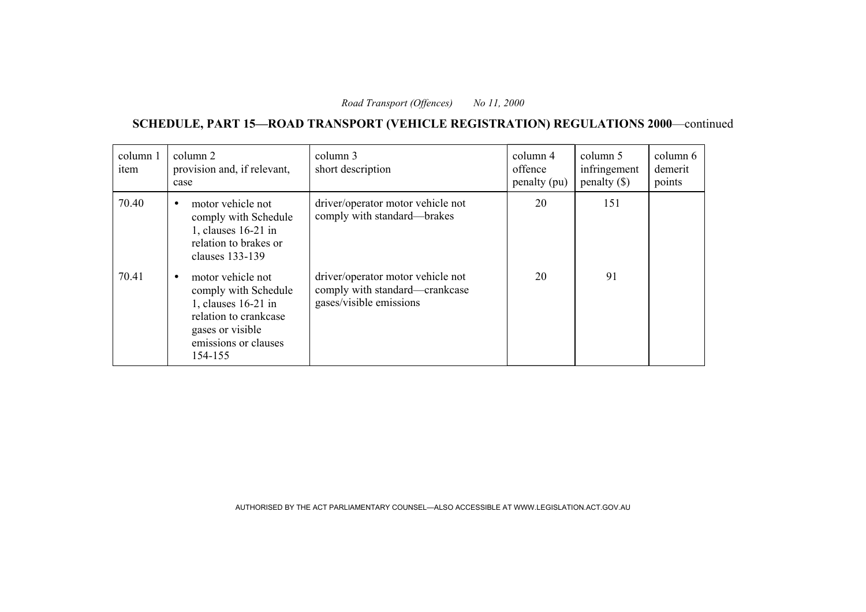**SCHEDULE, PART 15—ROAD TRANSPORT (VEHICLE REGISTRATION) REGULATIONS 2000**—continued

| column 1<br>item | column 2<br>provision and, if relevant,<br>case                                                                                                  | column 3<br>short description                                                                  | column 4<br>offence<br>penalty (pu) | column 5<br>infringement<br>penalty $(\$)$ | column 6<br>demerit<br>points |
|------------------|--------------------------------------------------------------------------------------------------------------------------------------------------|------------------------------------------------------------------------------------------------|-------------------------------------|--------------------------------------------|-------------------------------|
| 70.40            | motor vehicle not<br>$\bullet$<br>comply with Schedule<br>1, clauses 16-21 in<br>relation to brakes or<br>clauses 133-139                        | driver/operator motor vehicle not<br>comply with standard—brakes                               | 20                                  | 151                                        |                               |
| 70.41            | motor vehicle not<br>comply with Schedule<br>1, clauses 16-21 in<br>relation to crankcase<br>gases or visible<br>emissions or clauses<br>154-155 | driver/operator motor vehicle not<br>comply with standard—crankcase<br>gases/visible emissions | 20                                  | 91                                         |                               |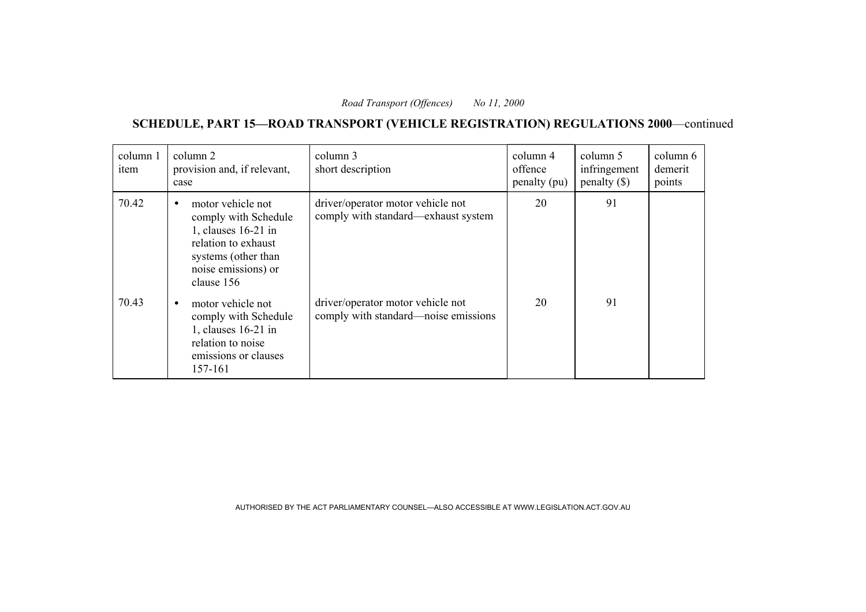**SCHEDULE, PART 15—ROAD TRANSPORT (VEHICLE REGISTRATION) REGULATIONS 2000**—continued

| column 1<br>item | column 2<br>provision and, if relevant,<br>case                                                                                                                  | column 3<br>short description                                             | column 4<br>offence<br>penalty (pu) | column 5<br>infringement<br>penalty $(\$)$ | column 6<br>demerit<br>points |
|------------------|------------------------------------------------------------------------------------------------------------------------------------------------------------------|---------------------------------------------------------------------------|-------------------------------------|--------------------------------------------|-------------------------------|
| 70.42            | motor vehicle not<br>$\bullet$<br>comply with Schedule<br>1, clauses 16-21 in<br>relation to exhaust<br>systems (other than<br>noise emissions) or<br>clause 156 | driver/operator motor vehicle not<br>comply with standard—exhaust system  | 20                                  | 91                                         |                               |
| 70.43            | motor vehicle not<br>comply with Schedule<br>1, clauses 16-21 in<br>relation to noise<br>emissions or clauses<br>157-161                                         | driver/operator motor vehicle not<br>comply with standard—noise emissions | 20                                  | 91                                         |                               |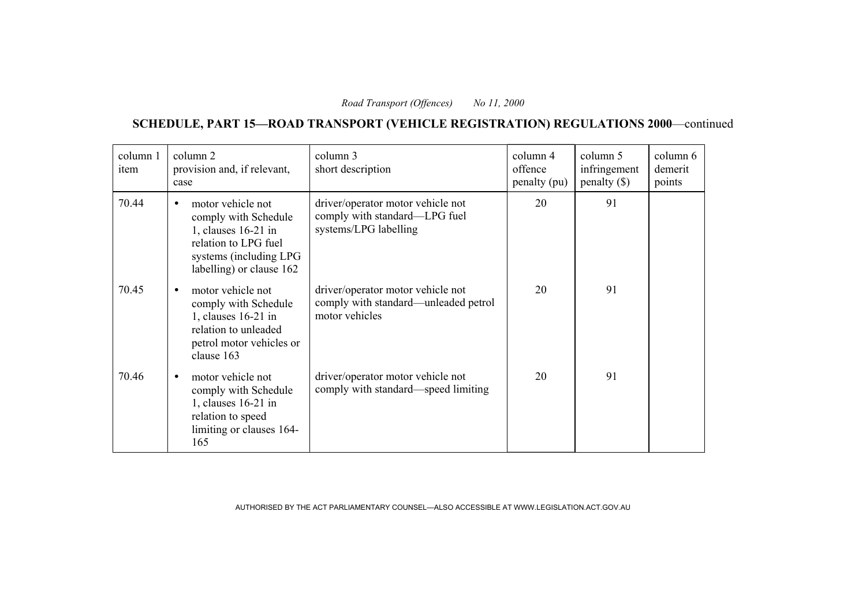**SCHEDULE, PART 15—ROAD TRANSPORT (VEHICLE REGISTRATION) REGULATIONS 2000**—continued

| column 1<br>item | column 2<br>provision and, if relevant,<br>case                                                                                                | column 3<br>short description                                                               | column 4<br>offence<br>penalty (pu) | column 5<br>infringement<br>penalty () | column 6<br>demerit<br>points |
|------------------|------------------------------------------------------------------------------------------------------------------------------------------------|---------------------------------------------------------------------------------------------|-------------------------------------|----------------------------------------|-------------------------------|
| 70.44            | motor vehicle not<br>comply with Schedule<br>1, clauses 16-21 in<br>relation to LPG fuel<br>systems (including LPG<br>labelling) or clause 162 | driver/operator motor vehicle not<br>comply with standard-LPG fuel<br>systems/LPG labelling | 20                                  | 91                                     |                               |
| 70.45            | motor vehicle not<br>comply with Schedule<br>1, clauses 16-21 in<br>relation to unleaded<br>petrol motor vehicles or<br>clause 163             | driver/operator motor vehicle not<br>comply with standard—unleaded petrol<br>motor vehicles | 20                                  | 91                                     |                               |
| 70.46            | motor vehicle not<br>comply with Schedule<br>1, clauses 16-21 in<br>relation to speed<br>limiting or clauses 164-<br>165                       | driver/operator motor vehicle not<br>comply with standard—speed limiting                    | 20                                  | 91                                     |                               |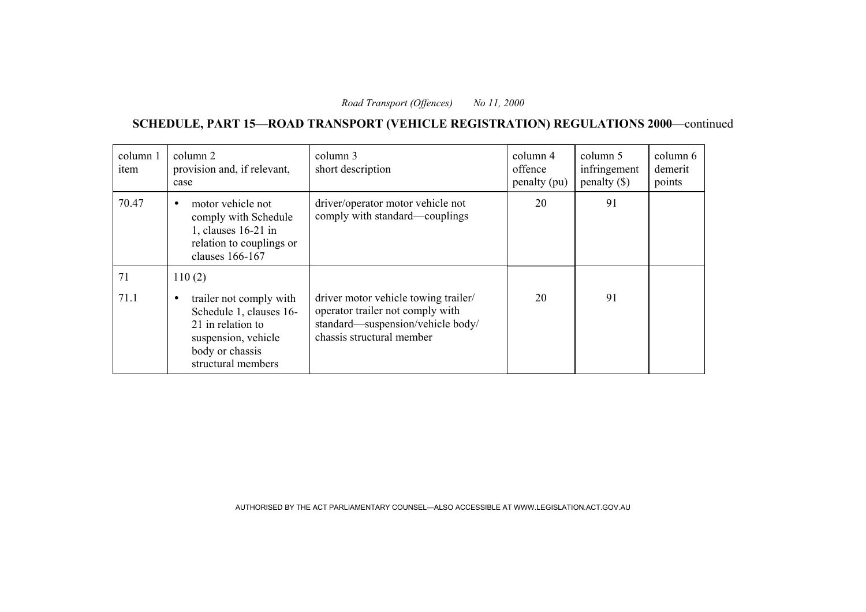**SCHEDULE, PART 15—ROAD TRANSPORT (VEHICLE REGISTRATION) REGULATIONS 2000**—continued

| column 1<br>item | column 2<br>provision and, if relevant,<br>case                                                                                                      | column 3<br>short description                                                                                                              | column 4<br>offence<br>penalty (pu) | column 5<br>infringement<br>$penalty$ (\$) | column 6<br>demerit<br>points |
|------------------|------------------------------------------------------------------------------------------------------------------------------------------------------|--------------------------------------------------------------------------------------------------------------------------------------------|-------------------------------------|--------------------------------------------|-------------------------------|
| 70.47            | motor vehicle not<br>$\bullet$<br>comply with Schedule<br>1, clauses 16-21 in<br>relation to couplings or<br>clauses 166-167                         | driver/operator motor vehicle not<br>comply with standard—couplings                                                                        | 20                                  | 91                                         |                               |
| 71               | 110(2)                                                                                                                                               |                                                                                                                                            |                                     |                                            |                               |
| 71.1             | trailer not comply with<br>$\bullet$<br>Schedule 1, clauses 16-<br>21 in relation to<br>suspension, vehicle<br>body or chassis<br>structural members | driver motor vehicle towing trailer/<br>operator trailer not comply with<br>standard-suspension/vehicle body/<br>chassis structural member | 20                                  | 91                                         |                               |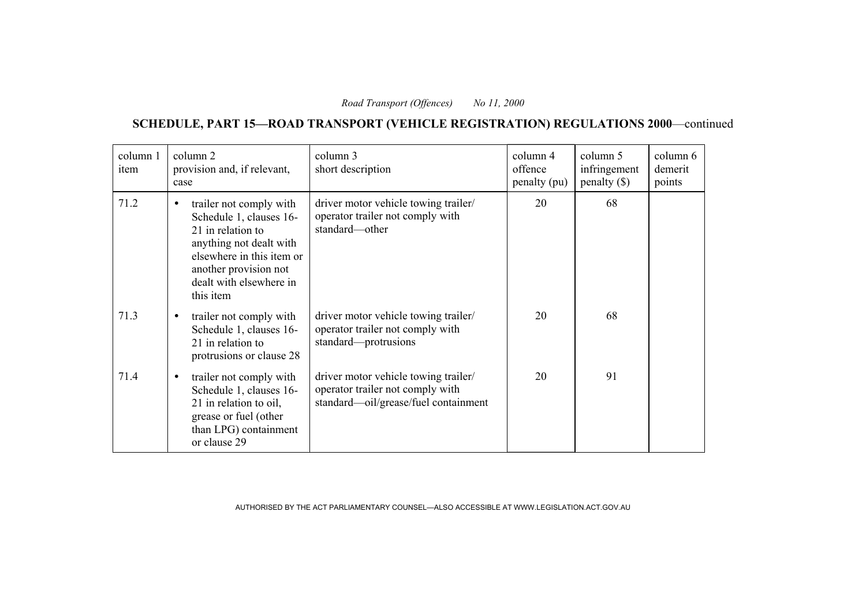**SCHEDULE, PART 15—ROAD TRANSPORT (VEHICLE REGISTRATION) REGULATIONS 2000**—continued

| column 1<br>item | column 2<br>provision and, if relevant,<br>case                                                                                                                                                               | column 3<br>short description                                                                                    | column 4<br>offence<br>penalty (pu) | column 5<br>infringement<br>$penalty$ (\$) | column 6<br>demerit<br>points |
|------------------|---------------------------------------------------------------------------------------------------------------------------------------------------------------------------------------------------------------|------------------------------------------------------------------------------------------------------------------|-------------------------------------|--------------------------------------------|-------------------------------|
| 71.2             | trailer not comply with<br>$\bullet$<br>Schedule 1, clauses 16-<br>21 in relation to<br>anything not dealt with<br>elsewhere in this item or<br>another provision not<br>dealt with elsewhere in<br>this item | driver motor vehicle towing trailer/<br>operator trailer not comply with<br>standard-other                       | 20                                  | 68                                         |                               |
| 71.3             | trailer not comply with<br>$\bullet$<br>Schedule 1, clauses 16-<br>21 in relation to<br>protrusions or clause 28                                                                                              | driver motor vehicle towing trailer/<br>operator trailer not comply with<br>standard-protrusions                 | 20                                  | 68                                         |                               |
| 71.4             | trailer not comply with<br>$\bullet$<br>Schedule 1, clauses 16-<br>21 in relation to oil,<br>grease or fuel (other<br>than LPG) containment<br>or clause 29                                                   | driver motor vehicle towing trailer/<br>operator trailer not comply with<br>standard—oil/grease/fuel containment | 20                                  | 91                                         |                               |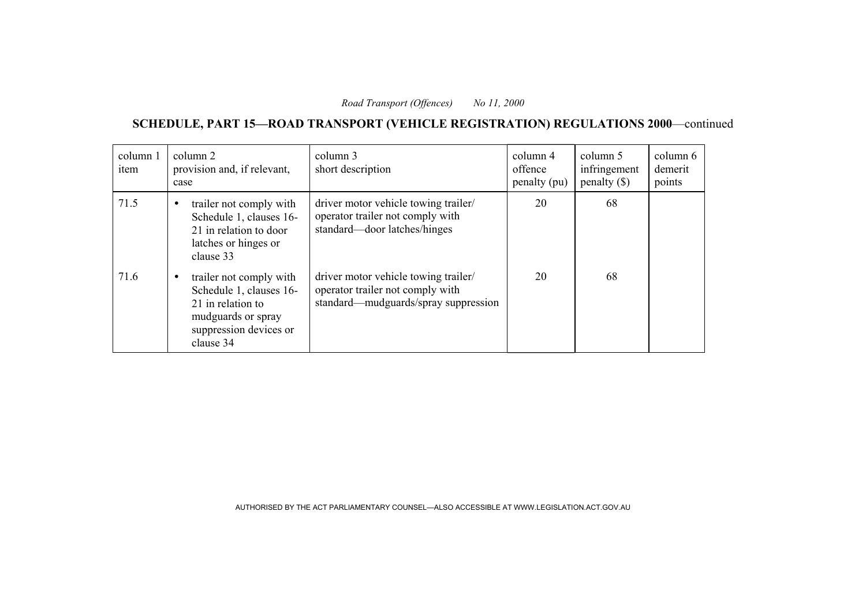**SCHEDULE, PART 15—ROAD TRANSPORT (VEHICLE REGISTRATION) REGULATIONS 2000**—continued

| column 1<br>item | column 2<br>provision and, if relevant,<br>case                                                                                                   | column 3<br>short description                                                                                    | column 4<br>offence<br>penalty (pu) | column 5<br>infringement<br>penalty $(\$)$ | column 6<br>demerit<br>points |
|------------------|---------------------------------------------------------------------------------------------------------------------------------------------------|------------------------------------------------------------------------------------------------------------------|-------------------------------------|--------------------------------------------|-------------------------------|
| 71.5             | trailer not comply with<br>$\bullet$<br>Schedule 1, clauses 16-<br>21 in relation to door<br>latches or hinges or<br>clause 33                    | driver motor vehicle towing trailer/<br>operator trailer not comply with<br>standard—door latches/hinges         | 20                                  | 68                                         |                               |
| 71.6             | trailer not comply with<br>$\bullet$<br>Schedule 1, clauses 16-<br>21 in relation to<br>mudguards or spray<br>suppression devices or<br>clause 34 | driver motor vehicle towing trailer/<br>operator trailer not comply with<br>standard—mudguards/spray suppression | 20                                  | 68                                         |                               |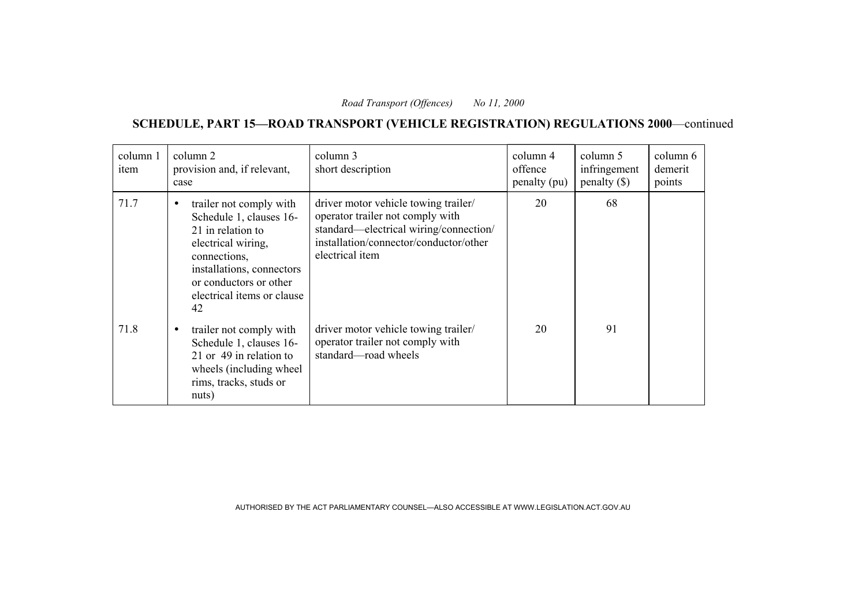**SCHEDULE, PART 15—ROAD TRANSPORT (VEHICLE REGISTRATION) REGULATIONS 2000**—continued

| column 1<br>item | column 2<br>provision and, if relevant,<br>case                                                                                                                                                                       | column 3<br>short description                                                                                                                                                   | column 4<br>offence<br>penalty (pu) | column 5<br>infringement<br>penalty $(\$)$ | column 6<br>demerit<br>points |
|------------------|-----------------------------------------------------------------------------------------------------------------------------------------------------------------------------------------------------------------------|---------------------------------------------------------------------------------------------------------------------------------------------------------------------------------|-------------------------------------|--------------------------------------------|-------------------------------|
| 71.7             | trailer not comply with<br>$\bullet$<br>Schedule 1, clauses 16-<br>21 in relation to<br>electrical wiring,<br>connections,<br>installations, connectors<br>or conductors or other<br>electrical items or clause<br>42 | driver motor vehicle towing trailer/<br>operator trailer not comply with<br>standard—electrical wiring/connection/<br>installation/connector/conductor/other<br>electrical item | 20                                  | 68                                         |                               |
| 71.8             | trailer not comply with<br>$\bullet$<br>Schedule 1, clauses 16-<br>21 or 49 in relation to<br>wheels (including wheel)<br>rims, tracks, studs or<br>nuts)                                                             | driver motor vehicle towing trailer/<br>operator trailer not comply with<br>standard-road wheels                                                                                | 20                                  | 91                                         |                               |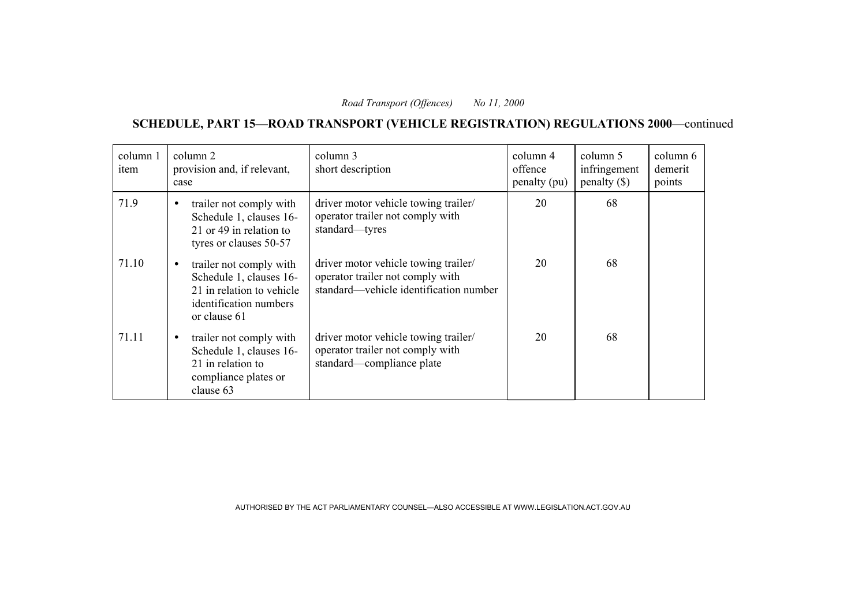**SCHEDULE, PART 15—ROAD TRANSPORT (VEHICLE REGISTRATION) REGULATIONS 2000**—continued

| column 1<br>item | column 2<br>provision and, if relevant,<br>case                                                                                        | column 3<br>short description                                                                                      | column 4<br>offence<br>penalty (pu) | column 5<br>infringement<br>$penalty$ (\$) | column 6<br>demerit<br>points |
|------------------|----------------------------------------------------------------------------------------------------------------------------------------|--------------------------------------------------------------------------------------------------------------------|-------------------------------------|--------------------------------------------|-------------------------------|
| 71.9             | trailer not comply with<br>$\bullet$<br>Schedule 1, clauses 16-<br>21 or 49 in relation to<br>tyres or clauses 50-57                   | driver motor vehicle towing trailer/<br>operator trailer not comply with<br>standard-tyres                         | 20                                  | 68                                         |                               |
| 71.10            | trailer not comply with<br>$\bullet$<br>Schedule 1, clauses 16-<br>21 in relation to vehicle<br>identification numbers<br>or clause 61 | driver motor vehicle towing trailer/<br>operator trailer not comply with<br>standard—vehicle identification number | 20                                  | 68                                         |                               |
| 71.11            | trailer not comply with<br>$\bullet$<br>Schedule 1, clauses 16-<br>21 in relation to<br>compliance plates or<br>clause 63              | driver motor vehicle towing trailer/<br>operator trailer not comply with<br>standard—compliance plate              | 20                                  | 68                                         |                               |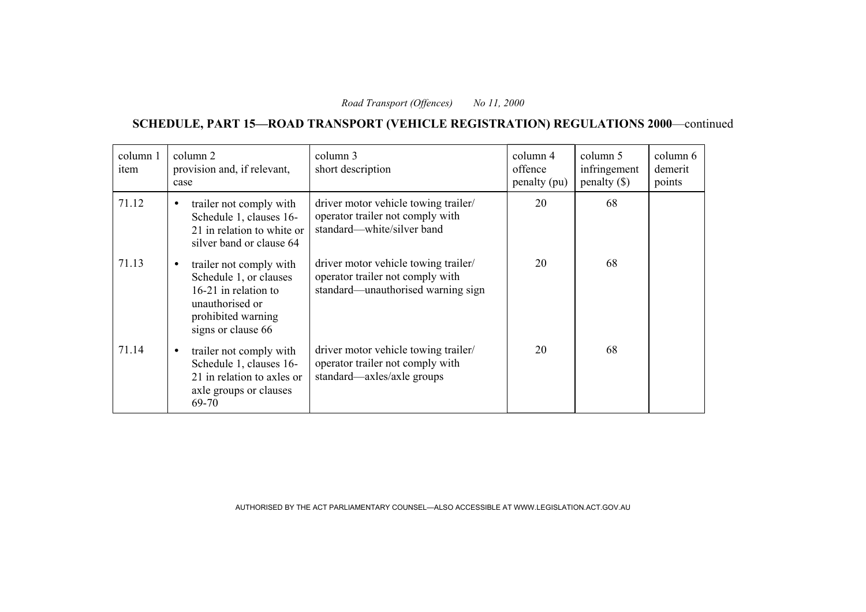**SCHEDULE, PART 15—ROAD TRANSPORT (VEHICLE REGISTRATION) REGULATIONS 2000**—continued

| column 1<br>item | column 2<br>provision and, if relevant,<br>case                                                                                                       | column 3<br>short description                                                                                  | column 4<br>offence<br>penalty (pu) | column 5<br>infringement<br>$penalty$ (\$) | column 6<br>demerit<br>points |
|------------------|-------------------------------------------------------------------------------------------------------------------------------------------------------|----------------------------------------------------------------------------------------------------------------|-------------------------------------|--------------------------------------------|-------------------------------|
| 71.12            | trailer not comply with<br>$\bullet$<br>Schedule 1, clauses 16-<br>21 in relation to white or<br>silver band or clause 64                             | driver motor vehicle towing trailer/<br>operator trailer not comply with<br>standard—white/silver band         | 20                                  | 68                                         |                               |
| 71.13            | trailer not comply with<br>$\bullet$<br>Schedule 1, or clauses<br>16-21 in relation to<br>unauthorised or<br>prohibited warning<br>signs or clause 66 | driver motor vehicle towing trailer/<br>operator trailer not comply with<br>standard—unauthorised warning sign | 20                                  | 68                                         |                               |
| 71.14            | trailer not comply with<br>$\bullet$<br>Schedule 1, clauses 16-<br>21 in relation to axles or<br>axle groups or clauses<br>69-70                      | driver motor vehicle towing trailer/<br>operator trailer not comply with<br>standard—axles/axle groups         | 20                                  | 68                                         |                               |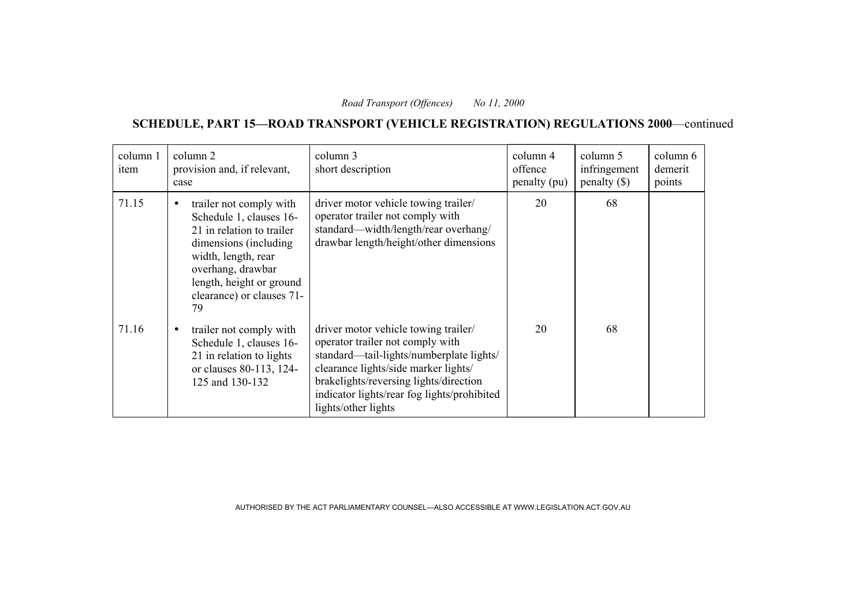**SCHEDULE, PART 15—ROAD TRANSPORT (VEHICLE REGISTRATION) REGULATIONS 2000**—continued

| column 1<br>item | column 2<br>provision and, if relevant,<br>case                                                                                                                                                                                   | column 3<br>short description                                                                                                                                                                                                                                                | column 4<br>offence<br>penalty (pu) | column 5<br>infringement<br>penalty $(\$)$ | column 6<br>demerit<br>points |
|------------------|-----------------------------------------------------------------------------------------------------------------------------------------------------------------------------------------------------------------------------------|------------------------------------------------------------------------------------------------------------------------------------------------------------------------------------------------------------------------------------------------------------------------------|-------------------------------------|--------------------------------------------|-------------------------------|
| 71.15            | trailer not comply with<br>$\bullet$<br>Schedule 1, clauses 16-<br>21 in relation to trailer<br>dimensions (including)<br>width, length, rear<br>overhang, drawbar<br>length, height or ground<br>clearance) or clauses 71-<br>79 | driver motor vehicle towing trailer/<br>operator trailer not comply with<br>standard—width/length/rear overhang/<br>drawbar length/height/other dimensions                                                                                                                   | 20                                  | 68                                         |                               |
| 71.16            | trailer not comply with<br>Schedule 1, clauses 16-<br>21 in relation to lights<br>or clauses 80-113, 124-<br>125 and 130-132                                                                                                      | driver motor vehicle towing trailer/<br>operator trailer not comply with<br>standard-tail-lights/numberplate lights/<br>clearance lights/side marker lights/<br>brakelights/reversing lights/direction<br>indicator lights/rear fog lights/prohibited<br>lights/other lights | 20                                  | 68                                         |                               |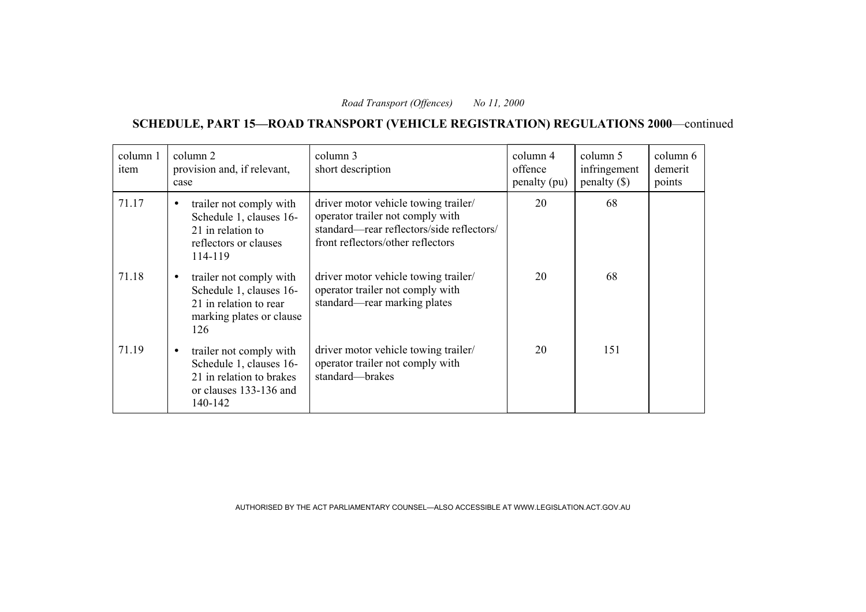**SCHEDULE, PART 15—ROAD TRANSPORT (VEHICLE REGISTRATION) REGULATIONS 2000**—continued

| column 1<br>item | column 2<br>provision and, if relevant,<br>case                                                                                  | column 3<br>short description                                                                                                                              | column 4<br>offence<br>penalty (pu) | column 5<br>infringement<br>$penalty$ (\$) | column 6<br>demerit<br>points |
|------------------|----------------------------------------------------------------------------------------------------------------------------------|------------------------------------------------------------------------------------------------------------------------------------------------------------|-------------------------------------|--------------------------------------------|-------------------------------|
| 71.17            | trailer not comply with<br>$\bullet$<br>Schedule 1, clauses 16-<br>21 in relation to<br>reflectors or clauses<br>114-119         | driver motor vehicle towing trailer/<br>operator trailer not comply with<br>standard—rear reflectors/side reflectors/<br>front reflectors/other reflectors | 20                                  | 68                                         |                               |
| 71.18            | trailer not comply with<br>$\bullet$<br>Schedule 1, clauses 16-<br>21 in relation to rear<br>marking plates or clause<br>126     | driver motor vehicle towing trailer/<br>operator trailer not comply with<br>standard—rear marking plates                                                   | 20                                  | 68                                         |                               |
| 71.19            | trailer not comply with<br>$\bullet$<br>Schedule 1, clauses 16-<br>21 in relation to brakes<br>or clauses 133-136 and<br>140-142 | driver motor vehicle towing trailer/<br>operator trailer not comply with<br>standard-brakes                                                                | 20                                  | 151                                        |                               |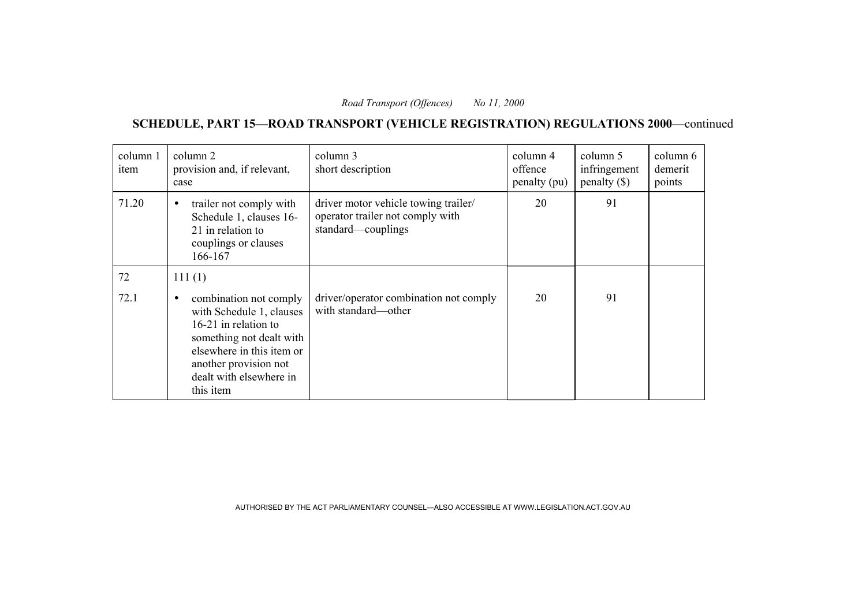**SCHEDULE, PART 15—ROAD TRANSPORT (VEHICLE REGISTRATION) REGULATIONS 2000**—continued

| column 1<br>item | column 2<br>provision and, if relevant,<br>case                                                                                                                                                                   | column 3<br>short description                                                                  | column 4<br>offence<br>penalty (pu) | column 5<br>infringement<br>$penalty$ (\$) | column 6<br>demerit<br>points |
|------------------|-------------------------------------------------------------------------------------------------------------------------------------------------------------------------------------------------------------------|------------------------------------------------------------------------------------------------|-------------------------------------|--------------------------------------------|-------------------------------|
| 71.20            | trailer not comply with<br>$\bullet$<br>Schedule 1, clauses 16-<br>21 in relation to<br>couplings or clauses<br>166-167                                                                                           | driver motor vehicle towing trailer/<br>operator trailer not comply with<br>standard—couplings | 20                                  | 91                                         |                               |
| 72               | 111(1)                                                                                                                                                                                                            |                                                                                                |                                     |                                            |                               |
| 72.1             | combination not comply<br>$\bullet$<br>with Schedule 1, clauses<br>16-21 in relation to<br>something not dealt with<br>elsewhere in this item or<br>another provision not<br>dealt with elsewhere in<br>this item | driver/operator combination not comply<br>with standard—other                                  | 20                                  | 91                                         |                               |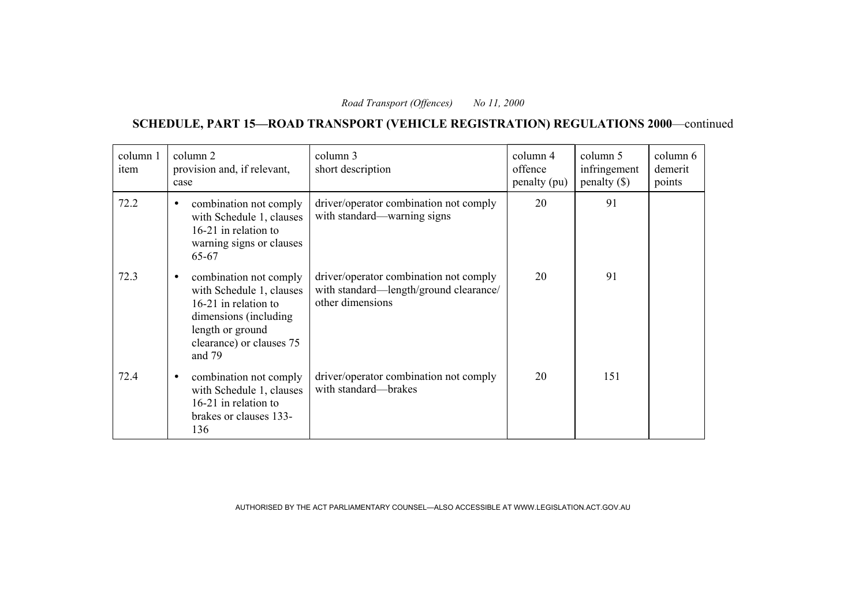**SCHEDULE, PART 15—ROAD TRANSPORT (VEHICLE REGISTRATION) REGULATIONS 2000**—continued

| column 1<br>item | column 2<br>provision and, if relevant,<br>case                                                                                                                             | column 3<br>short description                                                                        | column 4<br>offence<br>penalty (pu) | column 5<br>infringement<br>$penalty$ (\$) | column 6<br>demerit<br>points |
|------------------|-----------------------------------------------------------------------------------------------------------------------------------------------------------------------------|------------------------------------------------------------------------------------------------------|-------------------------------------|--------------------------------------------|-------------------------------|
| 72.2             | combination not comply<br>$\bullet$<br>with Schedule 1, clauses<br>16-21 in relation to<br>warning signs or clauses<br>65-67                                                | driver/operator combination not comply<br>with standard—warning signs                                | 20                                  | 91                                         |                               |
| 72.3             | combination not comply<br>$\bullet$<br>with Schedule 1, clauses<br>16-21 in relation to<br>dimensions (including)<br>length or ground<br>clearance) or clauses 75<br>and 79 | driver/operator combination not comply<br>with standard—length/ground clearance/<br>other dimensions | 20                                  | 91                                         |                               |
| 72.4             | combination not comply<br>$\bullet$<br>with Schedule 1, clauses<br>16-21 in relation to<br>brakes or clauses 133-<br>136                                                    | driver/operator combination not comply<br>with standard-brakes                                       | 20                                  | 151                                        |                               |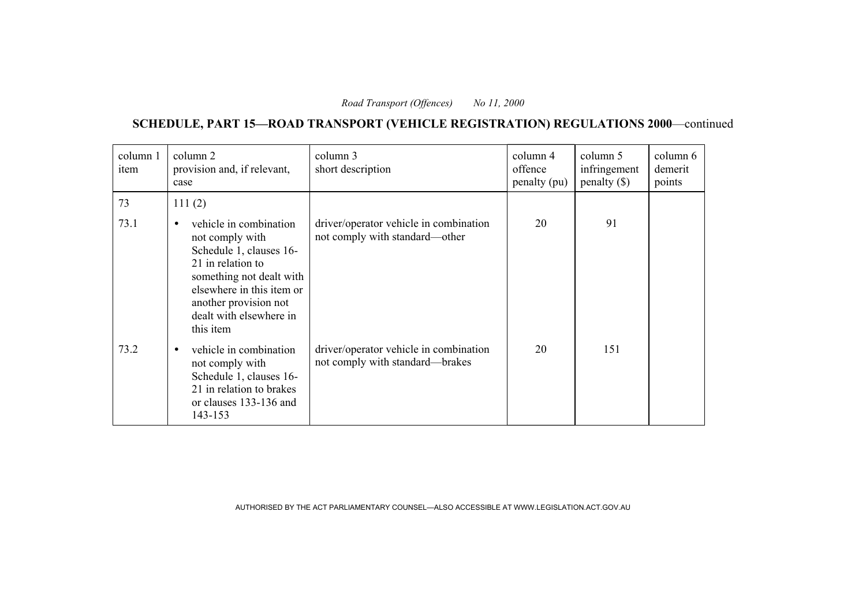**SCHEDULE, PART 15—ROAD TRANSPORT (VEHICLE REGISTRATION) REGULATIONS 2000**—continued

| column 1<br>item | column 2<br>provision and, if relevant,<br>case                                                                                                                                                                                  | column 3<br>short description                                             | column 4<br>offence<br>penalty (pu) | column 5<br>infringement<br>$penalty$ (\$) | column 6<br>demerit<br>points |
|------------------|----------------------------------------------------------------------------------------------------------------------------------------------------------------------------------------------------------------------------------|---------------------------------------------------------------------------|-------------------------------------|--------------------------------------------|-------------------------------|
| 73               | 111(2)                                                                                                                                                                                                                           |                                                                           |                                     |                                            |                               |
| 73.1             | vehicle in combination<br>$\bullet$<br>not comply with<br>Schedule 1, clauses 16-<br>21 in relation to<br>something not dealt with<br>elsewhere in this item or<br>another provision not<br>dealt with elsewhere in<br>this item | driver/operator vehicle in combination<br>not comply with standard—other  | 20                                  | 91                                         |                               |
| 73.2             | vehicle in combination<br>not comply with<br>Schedule 1, clauses 16-<br>21 in relation to brakes<br>or clauses 133-136 and<br>143-153                                                                                            | driver/operator vehicle in combination<br>not comply with standard—brakes | 20                                  | 151                                        |                               |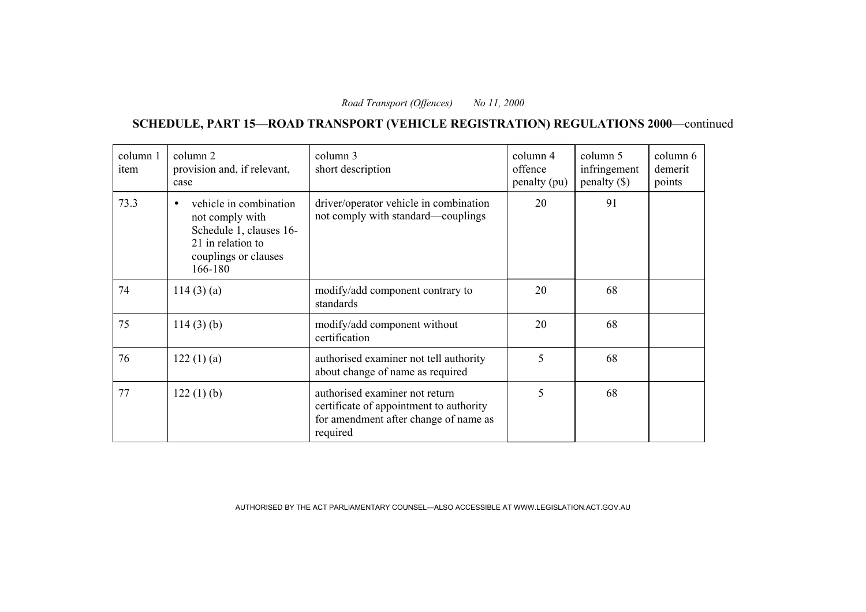**SCHEDULE, PART 15—ROAD TRANSPORT (VEHICLE REGISTRATION) REGULATIONS 2000**—continued

| column 1<br>item | column 2<br>provision and, if relevant,<br>case                                                                                           | column 3<br>short description                                                                                                  | column 4<br>offence<br>penalty (pu) | column 5<br>infringement<br>penalty $(\$)$ | column 6<br>demerit<br>points |
|------------------|-------------------------------------------------------------------------------------------------------------------------------------------|--------------------------------------------------------------------------------------------------------------------------------|-------------------------------------|--------------------------------------------|-------------------------------|
| 73.3             | vehicle in combination<br>$\bullet$<br>not comply with<br>Schedule 1, clauses 16-<br>21 in relation to<br>couplings or clauses<br>166-180 | driver/operator vehicle in combination<br>not comply with standard—couplings                                                   | 20                                  | 91                                         |                               |
| 74               | 114(3)(a)                                                                                                                                 | modify/add component contrary to<br>standards                                                                                  | 20                                  | 68                                         |                               |
| 75               | $114(3)$ (b)                                                                                                                              | modify/add component without<br>certification                                                                                  | 20                                  | 68                                         |                               |
| 76               | 122(1)(a)                                                                                                                                 | authorised examiner not tell authority<br>about change of name as required                                                     | 5                                   | 68                                         |                               |
| 77               | 122(1)(b)                                                                                                                                 | authorised examiner not return<br>certificate of appointment to authority<br>for amendment after change of name as<br>required | 5                                   | 68                                         |                               |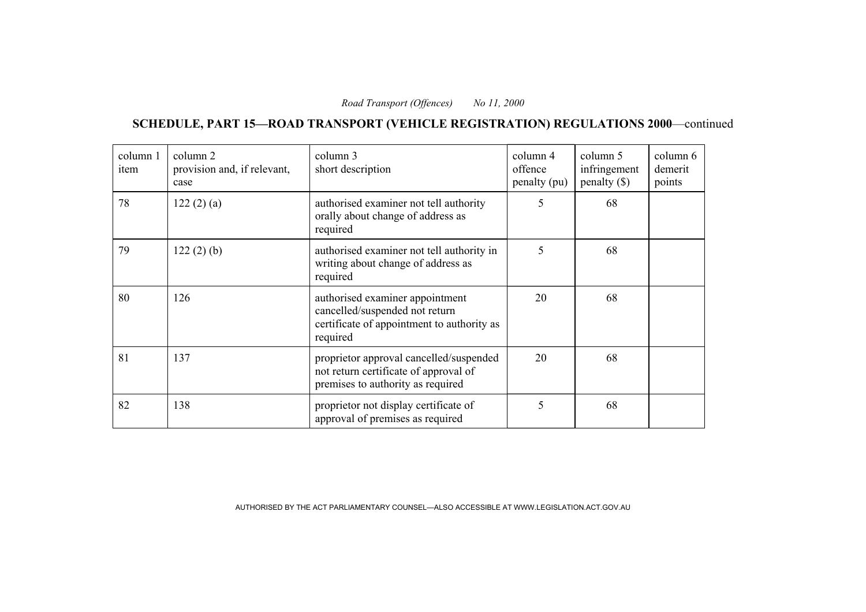**SCHEDULE, PART 15—ROAD TRANSPORT (VEHICLE REGISTRATION) REGULATIONS 2000**—continued

| column 1<br>item | column 2<br>provision and, if relevant,<br>case | column 3<br>short description                                                                                               | column 4<br>offence<br>penalty (pu) | column 5<br>infringement<br>$penalty$ (\$) | column 6<br>demerit<br>points |
|------------------|-------------------------------------------------|-----------------------------------------------------------------------------------------------------------------------------|-------------------------------------|--------------------------------------------|-------------------------------|
| 78               | 122(2)(a)                                       | authorised examiner not tell authority<br>orally about change of address as<br>required                                     | 5                                   | 68                                         |                               |
| 79               | 122(2)(b)                                       | authorised examiner not tell authority in<br>writing about change of address as<br>required                                 | 5                                   | 68                                         |                               |
| 80               | 126                                             | authorised examiner appointment<br>cancelled/suspended not return<br>certificate of appointment to authority as<br>required | 20                                  | 68                                         |                               |
| 81               | 137                                             | proprietor approval cancelled/suspended<br>not return certificate of approval of<br>premises to authority as required       | 20                                  | 68                                         |                               |
| 82               | 138                                             | proprietor not display certificate of<br>approval of premises as required                                                   | 5                                   | 68                                         |                               |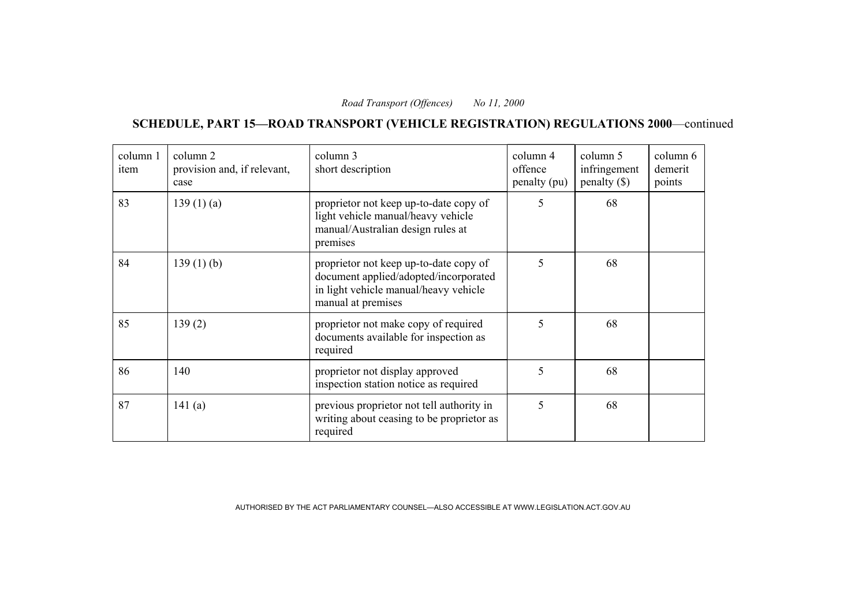**SCHEDULE, PART 15—ROAD TRANSPORT (VEHICLE REGISTRATION) REGULATIONS 2000**—continued

| column 1<br>item | column 2<br>provision and, if relevant,<br>case | column 3<br>short description                                                                                                                  | column 4<br>offence<br>penalty (pu) | column 5<br>infringement<br>$penalty$ (\$) | column 6<br>demerit<br>points |
|------------------|-------------------------------------------------|------------------------------------------------------------------------------------------------------------------------------------------------|-------------------------------------|--------------------------------------------|-------------------------------|
| 83               | 139(1)(a)                                       | proprietor not keep up-to-date copy of<br>light vehicle manual/heavy vehicle<br>manual/Australian design rules at<br>premises                  | 5                                   | 68                                         |                               |
| 84               | $139(1)$ (b)                                    | proprietor not keep up-to-date copy of<br>document applied/adopted/incorporated<br>in light vehicle manual/heavy vehicle<br>manual at premises | 5                                   | 68                                         |                               |
| 85               | 139(2)                                          | proprietor not make copy of required<br>documents available for inspection as<br>required                                                      | 5                                   | 68                                         |                               |
| 86               | 140                                             | proprietor not display approved<br>inspection station notice as required                                                                       | 5                                   | 68                                         |                               |
| 87               | 141(a)                                          | previous proprietor not tell authority in<br>writing about ceasing to be proprietor as<br>required                                             | 5                                   | 68                                         |                               |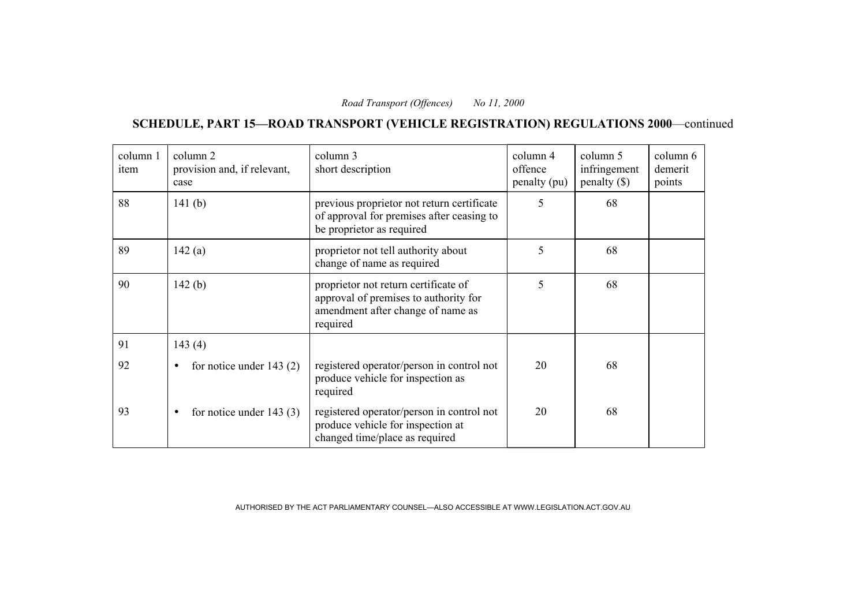**SCHEDULE, PART 15—ROAD TRANSPORT (VEHICLE REGISTRATION) REGULATIONS 2000**—continued

| column 1<br>item | column 2<br>provision and, if relevant,<br>case | column 3<br>column 4<br>column 5<br>short description<br>offence<br>penalty (pu)                                               |    | infringement<br>$penalty$ (\$) | column 6<br>demerit<br>points |
|------------------|-------------------------------------------------|--------------------------------------------------------------------------------------------------------------------------------|----|--------------------------------|-------------------------------|
| 88               | 141 $(b)$                                       | previous proprietor not return certificate<br>of approval for premises after ceasing to<br>be proprietor as required           | 5  | 68                             |                               |
| 89               | 142(a)                                          | 5<br>proprietor not tell authority about<br>change of name as required                                                         |    | 68                             |                               |
| 90               | 142 $(b)$                                       | proprietor not return certificate of<br>approval of premises to authority for<br>amendment after change of name as<br>required | 5  | 68                             |                               |
| 91               | 143(4)                                          |                                                                                                                                |    |                                |                               |
| 92               | for notice under $143(2)$                       | registered operator/person in control not<br>produce vehicle for inspection as<br>required                                     | 20 | 68                             |                               |
| 93               | for notice under $143(3)$<br>$\bullet$          | registered operator/person in control not<br>produce vehicle for inspection at<br>changed time/place as required               | 20 | 68                             |                               |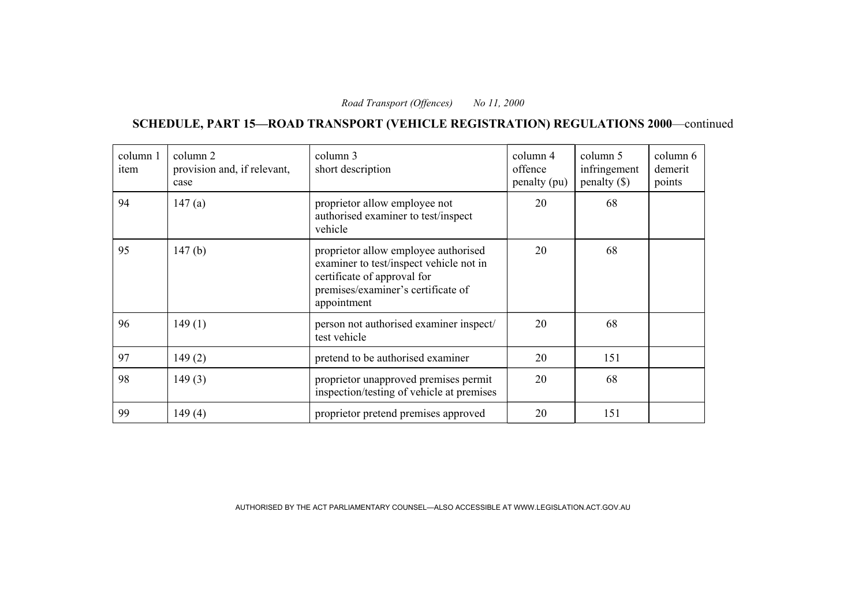**SCHEDULE, PART 15—ROAD TRANSPORT (VEHICLE REGISTRATION) REGULATIONS 2000**—continued

| column 1<br>item | column 2<br>provision and, if relevant,<br>case | column 3<br>column 4<br>short description<br>offence<br>penalty (pu)                                                                                                |    | column 5<br>infringement<br>$penalty$ (\$) | column 6<br>demerit<br>points |
|------------------|-------------------------------------------------|---------------------------------------------------------------------------------------------------------------------------------------------------------------------|----|--------------------------------------------|-------------------------------|
| 94               | 147(a)                                          | proprietor allow employee not<br>authorised examiner to test/inspect<br>vehicle                                                                                     | 20 | 68                                         |                               |
| 95               | 147(b)                                          | proprietor allow employee authorised<br>examiner to test/inspect vehicle not in<br>certificate of approval for<br>premises/examiner's certificate of<br>appointment | 20 | 68                                         |                               |
| 96               | 149(1)                                          | person not authorised examiner inspect/<br>test vehicle                                                                                                             | 20 | 68                                         |                               |
| 97               | 149(2)                                          | pretend to be authorised examiner                                                                                                                                   | 20 | 151                                        |                               |
| 98               | 149(3)                                          | proprietor unapproved premises permit<br>20<br>inspection/testing of vehicle at premises                                                                            |    | 68                                         |                               |
| 99               | 149(4)                                          | proprietor pretend premises approved<br>20                                                                                                                          |    | 151                                        |                               |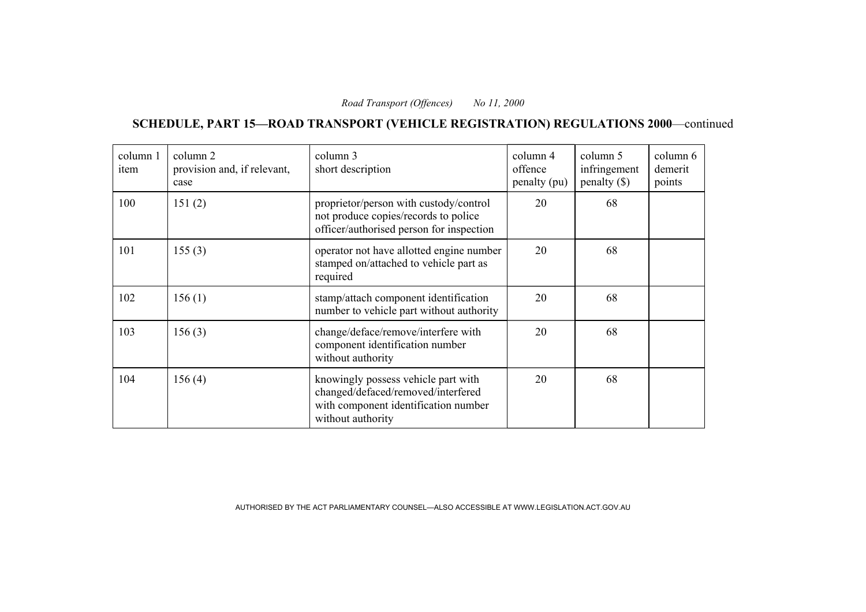**SCHEDULE, PART 15—ROAD TRANSPORT (VEHICLE REGISTRATION) REGULATIONS 2000**—continued

| column 1<br>item | column 2<br>provision and, if relevant,<br>case | column 3<br>column 4<br>short description<br>offence<br>penalty (pu)                                                                   |    | column 5<br>infringement<br>penalty $(\$)$ | column 6<br>demerit<br>points |
|------------------|-------------------------------------------------|----------------------------------------------------------------------------------------------------------------------------------------|----|--------------------------------------------|-------------------------------|
| 100              | 151(2)                                          | proprietor/person with custody/control<br>not produce copies/records to police<br>officer/authorised person for inspection             | 20 | 68                                         |                               |
| 101              | 155(3)                                          | 20<br>operator not have allotted engine number<br>stamped on/attached to vehicle part as<br>required                                   |    | 68                                         |                               |
| 102              | 156(1)                                          | stamp/attach component identification<br>number to vehicle part without authority                                                      | 20 | 68                                         |                               |
| 103              | 156(3)                                          | change/deface/remove/interfere with<br>20<br>component identification number<br>without authority                                      |    | 68                                         |                               |
| 104              | 156(4)                                          | knowingly possess vehicle part with<br>changed/defaced/removed/interfered<br>with component identification number<br>without authority | 20 | 68                                         |                               |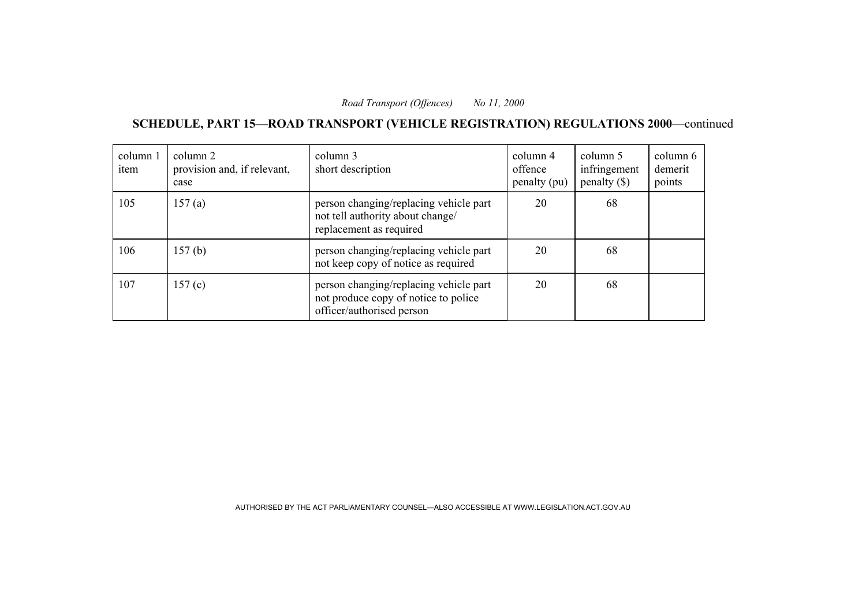**SCHEDULE, PART 15—ROAD TRANSPORT (VEHICLE REGISTRATION) REGULATIONS 2000**—continued

| column 1<br>item | column 2<br>provision and, if relevant,<br>case | column 3<br>short description                                                                               | column 4<br>offence<br>penalty (pu) | column 5<br>infringement<br>$penalty$ (\$) | column 6<br>demerit<br>points |
|------------------|-------------------------------------------------|-------------------------------------------------------------------------------------------------------------|-------------------------------------|--------------------------------------------|-------------------------------|
| 105              | 157(a)                                          | person changing/replacing vehicle part<br>not tell authority about change/<br>replacement as required       | 20                                  | 68                                         |                               |
| 106              | 157 <sub>(b)</sub>                              | person changing/replacing vehicle part<br>not keep copy of notice as required                               | 20                                  | 68                                         |                               |
| 107              | 157(c)                                          | person changing/replacing vehicle part<br>not produce copy of notice to police<br>officer/authorised person | 20                                  | 68                                         |                               |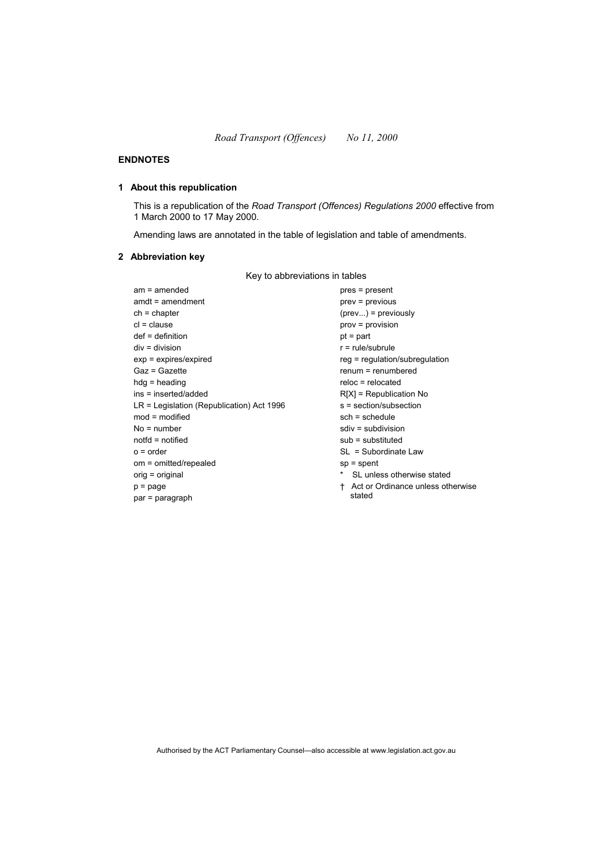## **ENDNOTES**

## **1 About this republication**

This is a republication of the *Road Transport (Offences) Regulations 2000* effective from 1 March 2000 to 17 May 2000.

Amending laws are annotated in the table of legislation and table of amendments.

## **2 Abbreviation key**

Key to abbreviations in tables

pres = present prev = previous (prev...) = previously prov = provision pt = part r = rule/subrule reg = regulation/subregulation renum = renumbered reloc = relocated R[X] = Republication No s = section/subsection sch = schedule sdiv = subdivision sub = substituted SL = Subordinate Law sp = spent \* SL unless otherwise stated † Act or Ordinance unless otherwise stated

Authorised by the ACT Parliamentary Counsel—also accessible at www.legislation.act.gov.au